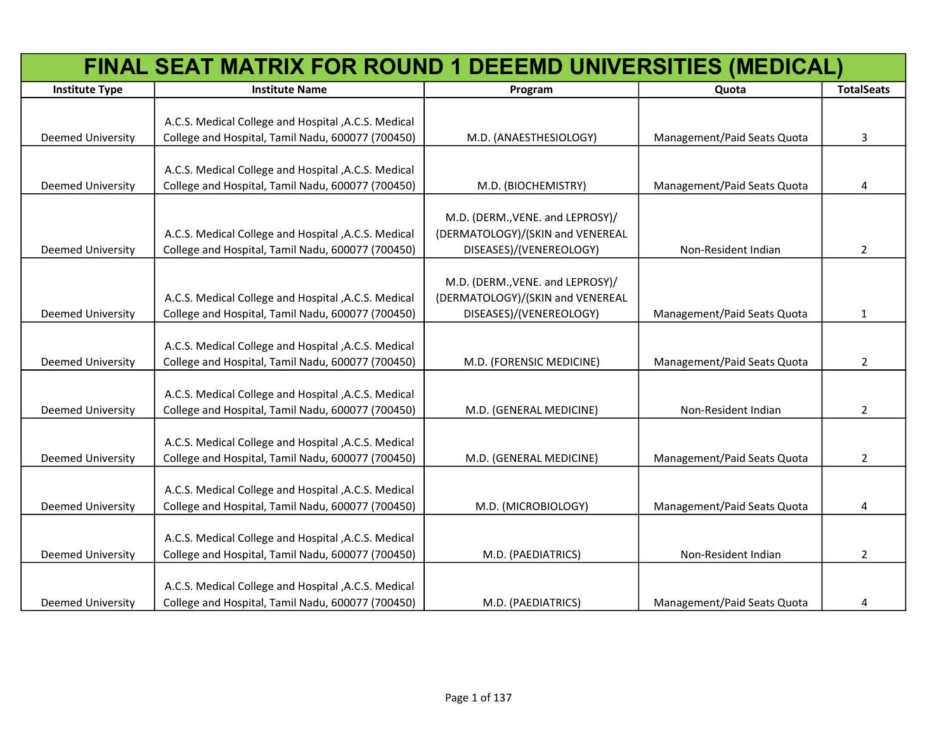| <b>Institute Type</b><br><b>TotalSeats</b><br><b>Institute Name</b><br>Quota<br>Program<br>A.C.S. Medical College and Hospital , A.C.S. Medical<br><b>Deemed University</b><br>College and Hospital, Tamil Nadu, 600077 (700450)<br>M.D. (ANAESTHESIOLOGY)<br>Management/Paid Seats Quota<br>3<br>A.C.S. Medical College and Hospital , A.C.S. Medical<br>College and Hospital, Tamil Nadu, 600077 (700450)<br>Management/Paid Seats Quota<br><b>Deemed University</b><br>M.D. (BIOCHEMISTRY)<br>4<br>M.D. (DERM., VENE. and LEPROSY)/<br>A.C.S. Medical College and Hospital , A.C.S. Medical<br>(DERMATOLOGY)/(SKIN and VENEREAL<br>Deemed University<br>College and Hospital, Tamil Nadu, 600077 (700450)<br>DISEASES)/(VENEREOLOGY)<br>Non-Resident Indian<br>$\overline{2}$<br>M.D. (DERM., VENE. and LEPROSY)/<br>(DERMATOLOGY)/(SKIN and VENEREAL<br>A.C.S. Medical College and Hospital , A.C.S. Medical<br>College and Hospital, Tamil Nadu, 600077 (700450)<br>Deemed University<br>DISEASES)/(VENEREOLOGY)<br>Management/Paid Seats Quota<br>$\mathbf{1}$<br>A.C.S. Medical College and Hospital , A.C.S. Medical<br>College and Hospital, Tamil Nadu, 600077 (700450)<br><b>Deemed University</b><br>Management/Paid Seats Quota<br>$\overline{2}$<br>M.D. (FORENSIC MEDICINE)<br>A.C.S. Medical College and Hospital , A.C.S. Medical<br>College and Hospital, Tamil Nadu, 600077 (700450)<br>Deemed University<br>Non-Resident Indian<br>2<br>M.D. (GENERAL MEDICINE)<br>A.C.S. Medical College and Hospital , A.C.S. Medical<br>College and Hospital, Tamil Nadu, 600077 (700450)<br>Management/Paid Seats Quota<br>Deemed University<br>$\overline{2}$<br>M.D. (GENERAL MEDICINE)<br>A.C.S. Medical College and Hospital , A.C.S. Medical<br>Deemed University<br>College and Hospital, Tamil Nadu, 600077 (700450)<br>Management/Paid Seats Quota<br>M.D. (MICROBIOLOGY)<br>4<br>A.C.S. Medical College and Hospital , A.C.S. Medical<br>College and Hospital, Tamil Nadu, 600077 (700450)<br>Deemed University<br>$\overline{2}$<br>M.D. (PAEDIATRICS)<br>Non-Resident Indian | FINAL SEAT MATRIX FOR ROUND 1 DEEEMD UNIVERSITIES (MEDICAL) |  |  |
|-------------------------------------------------------------------------------------------------------------------------------------------------------------------------------------------------------------------------------------------------------------------------------------------------------------------------------------------------------------------------------------------------------------------------------------------------------------------------------------------------------------------------------------------------------------------------------------------------------------------------------------------------------------------------------------------------------------------------------------------------------------------------------------------------------------------------------------------------------------------------------------------------------------------------------------------------------------------------------------------------------------------------------------------------------------------------------------------------------------------------------------------------------------------------------------------------------------------------------------------------------------------------------------------------------------------------------------------------------------------------------------------------------------------------------------------------------------------------------------------------------------------------------------------------------------------------------------------------------------------------------------------------------------------------------------------------------------------------------------------------------------------------------------------------------------------------------------------------------------------------------------------------------------------------------------------------------------------------------------------------------------------------------------------------------------------------------------------------|-------------------------------------------------------------|--|--|
|                                                                                                                                                                                                                                                                                                                                                                                                                                                                                                                                                                                                                                                                                                                                                                                                                                                                                                                                                                                                                                                                                                                                                                                                                                                                                                                                                                                                                                                                                                                                                                                                                                                                                                                                                                                                                                                                                                                                                                                                                                                                                                 |                                                             |  |  |
|                                                                                                                                                                                                                                                                                                                                                                                                                                                                                                                                                                                                                                                                                                                                                                                                                                                                                                                                                                                                                                                                                                                                                                                                                                                                                                                                                                                                                                                                                                                                                                                                                                                                                                                                                                                                                                                                                                                                                                                                                                                                                                 |                                                             |  |  |
|                                                                                                                                                                                                                                                                                                                                                                                                                                                                                                                                                                                                                                                                                                                                                                                                                                                                                                                                                                                                                                                                                                                                                                                                                                                                                                                                                                                                                                                                                                                                                                                                                                                                                                                                                                                                                                                                                                                                                                                                                                                                                                 |                                                             |  |  |
|                                                                                                                                                                                                                                                                                                                                                                                                                                                                                                                                                                                                                                                                                                                                                                                                                                                                                                                                                                                                                                                                                                                                                                                                                                                                                                                                                                                                                                                                                                                                                                                                                                                                                                                                                                                                                                                                                                                                                                                                                                                                                                 |                                                             |  |  |
|                                                                                                                                                                                                                                                                                                                                                                                                                                                                                                                                                                                                                                                                                                                                                                                                                                                                                                                                                                                                                                                                                                                                                                                                                                                                                                                                                                                                                                                                                                                                                                                                                                                                                                                                                                                                                                                                                                                                                                                                                                                                                                 |                                                             |  |  |
|                                                                                                                                                                                                                                                                                                                                                                                                                                                                                                                                                                                                                                                                                                                                                                                                                                                                                                                                                                                                                                                                                                                                                                                                                                                                                                                                                                                                                                                                                                                                                                                                                                                                                                                                                                                                                                                                                                                                                                                                                                                                                                 |                                                             |  |  |
|                                                                                                                                                                                                                                                                                                                                                                                                                                                                                                                                                                                                                                                                                                                                                                                                                                                                                                                                                                                                                                                                                                                                                                                                                                                                                                                                                                                                                                                                                                                                                                                                                                                                                                                                                                                                                                                                                                                                                                                                                                                                                                 |                                                             |  |  |
|                                                                                                                                                                                                                                                                                                                                                                                                                                                                                                                                                                                                                                                                                                                                                                                                                                                                                                                                                                                                                                                                                                                                                                                                                                                                                                                                                                                                                                                                                                                                                                                                                                                                                                                                                                                                                                                                                                                                                                                                                                                                                                 |                                                             |  |  |
|                                                                                                                                                                                                                                                                                                                                                                                                                                                                                                                                                                                                                                                                                                                                                                                                                                                                                                                                                                                                                                                                                                                                                                                                                                                                                                                                                                                                                                                                                                                                                                                                                                                                                                                                                                                                                                                                                                                                                                                                                                                                                                 |                                                             |  |  |
|                                                                                                                                                                                                                                                                                                                                                                                                                                                                                                                                                                                                                                                                                                                                                                                                                                                                                                                                                                                                                                                                                                                                                                                                                                                                                                                                                                                                                                                                                                                                                                                                                                                                                                                                                                                                                                                                                                                                                                                                                                                                                                 |                                                             |  |  |
|                                                                                                                                                                                                                                                                                                                                                                                                                                                                                                                                                                                                                                                                                                                                                                                                                                                                                                                                                                                                                                                                                                                                                                                                                                                                                                                                                                                                                                                                                                                                                                                                                                                                                                                                                                                                                                                                                                                                                                                                                                                                                                 |                                                             |  |  |
|                                                                                                                                                                                                                                                                                                                                                                                                                                                                                                                                                                                                                                                                                                                                                                                                                                                                                                                                                                                                                                                                                                                                                                                                                                                                                                                                                                                                                                                                                                                                                                                                                                                                                                                                                                                                                                                                                                                                                                                                                                                                                                 |                                                             |  |  |
|                                                                                                                                                                                                                                                                                                                                                                                                                                                                                                                                                                                                                                                                                                                                                                                                                                                                                                                                                                                                                                                                                                                                                                                                                                                                                                                                                                                                                                                                                                                                                                                                                                                                                                                                                                                                                                                                                                                                                                                                                                                                                                 |                                                             |  |  |
|                                                                                                                                                                                                                                                                                                                                                                                                                                                                                                                                                                                                                                                                                                                                                                                                                                                                                                                                                                                                                                                                                                                                                                                                                                                                                                                                                                                                                                                                                                                                                                                                                                                                                                                                                                                                                                                                                                                                                                                                                                                                                                 |                                                             |  |  |
|                                                                                                                                                                                                                                                                                                                                                                                                                                                                                                                                                                                                                                                                                                                                                                                                                                                                                                                                                                                                                                                                                                                                                                                                                                                                                                                                                                                                                                                                                                                                                                                                                                                                                                                                                                                                                                                                                                                                                                                                                                                                                                 |                                                             |  |  |
|                                                                                                                                                                                                                                                                                                                                                                                                                                                                                                                                                                                                                                                                                                                                                                                                                                                                                                                                                                                                                                                                                                                                                                                                                                                                                                                                                                                                                                                                                                                                                                                                                                                                                                                                                                                                                                                                                                                                                                                                                                                                                                 |                                                             |  |  |
|                                                                                                                                                                                                                                                                                                                                                                                                                                                                                                                                                                                                                                                                                                                                                                                                                                                                                                                                                                                                                                                                                                                                                                                                                                                                                                                                                                                                                                                                                                                                                                                                                                                                                                                                                                                                                                                                                                                                                                                                                                                                                                 |                                                             |  |  |
|                                                                                                                                                                                                                                                                                                                                                                                                                                                                                                                                                                                                                                                                                                                                                                                                                                                                                                                                                                                                                                                                                                                                                                                                                                                                                                                                                                                                                                                                                                                                                                                                                                                                                                                                                                                                                                                                                                                                                                                                                                                                                                 |                                                             |  |  |
|                                                                                                                                                                                                                                                                                                                                                                                                                                                                                                                                                                                                                                                                                                                                                                                                                                                                                                                                                                                                                                                                                                                                                                                                                                                                                                                                                                                                                                                                                                                                                                                                                                                                                                                                                                                                                                                                                                                                                                                                                                                                                                 |                                                             |  |  |
|                                                                                                                                                                                                                                                                                                                                                                                                                                                                                                                                                                                                                                                                                                                                                                                                                                                                                                                                                                                                                                                                                                                                                                                                                                                                                                                                                                                                                                                                                                                                                                                                                                                                                                                                                                                                                                                                                                                                                                                                                                                                                                 |                                                             |  |  |
|                                                                                                                                                                                                                                                                                                                                                                                                                                                                                                                                                                                                                                                                                                                                                                                                                                                                                                                                                                                                                                                                                                                                                                                                                                                                                                                                                                                                                                                                                                                                                                                                                                                                                                                                                                                                                                                                                                                                                                                                                                                                                                 |                                                             |  |  |
|                                                                                                                                                                                                                                                                                                                                                                                                                                                                                                                                                                                                                                                                                                                                                                                                                                                                                                                                                                                                                                                                                                                                                                                                                                                                                                                                                                                                                                                                                                                                                                                                                                                                                                                                                                                                                                                                                                                                                                                                                                                                                                 |                                                             |  |  |
|                                                                                                                                                                                                                                                                                                                                                                                                                                                                                                                                                                                                                                                                                                                                                                                                                                                                                                                                                                                                                                                                                                                                                                                                                                                                                                                                                                                                                                                                                                                                                                                                                                                                                                                                                                                                                                                                                                                                                                                                                                                                                                 |                                                             |  |  |
|                                                                                                                                                                                                                                                                                                                                                                                                                                                                                                                                                                                                                                                                                                                                                                                                                                                                                                                                                                                                                                                                                                                                                                                                                                                                                                                                                                                                                                                                                                                                                                                                                                                                                                                                                                                                                                                                                                                                                                                                                                                                                                 |                                                             |  |  |
|                                                                                                                                                                                                                                                                                                                                                                                                                                                                                                                                                                                                                                                                                                                                                                                                                                                                                                                                                                                                                                                                                                                                                                                                                                                                                                                                                                                                                                                                                                                                                                                                                                                                                                                                                                                                                                                                                                                                                                                                                                                                                                 |                                                             |  |  |
|                                                                                                                                                                                                                                                                                                                                                                                                                                                                                                                                                                                                                                                                                                                                                                                                                                                                                                                                                                                                                                                                                                                                                                                                                                                                                                                                                                                                                                                                                                                                                                                                                                                                                                                                                                                                                                                                                                                                                                                                                                                                                                 |                                                             |  |  |
|                                                                                                                                                                                                                                                                                                                                                                                                                                                                                                                                                                                                                                                                                                                                                                                                                                                                                                                                                                                                                                                                                                                                                                                                                                                                                                                                                                                                                                                                                                                                                                                                                                                                                                                                                                                                                                                                                                                                                                                                                                                                                                 |                                                             |  |  |
|                                                                                                                                                                                                                                                                                                                                                                                                                                                                                                                                                                                                                                                                                                                                                                                                                                                                                                                                                                                                                                                                                                                                                                                                                                                                                                                                                                                                                                                                                                                                                                                                                                                                                                                                                                                                                                                                                                                                                                                                                                                                                                 |                                                             |  |  |
|                                                                                                                                                                                                                                                                                                                                                                                                                                                                                                                                                                                                                                                                                                                                                                                                                                                                                                                                                                                                                                                                                                                                                                                                                                                                                                                                                                                                                                                                                                                                                                                                                                                                                                                                                                                                                                                                                                                                                                                                                                                                                                 |                                                             |  |  |
|                                                                                                                                                                                                                                                                                                                                                                                                                                                                                                                                                                                                                                                                                                                                                                                                                                                                                                                                                                                                                                                                                                                                                                                                                                                                                                                                                                                                                                                                                                                                                                                                                                                                                                                                                                                                                                                                                                                                                                                                                                                                                                 |                                                             |  |  |
| A.C.S. Medical College and Hospital , A.C.S. Medical                                                                                                                                                                                                                                                                                                                                                                                                                                                                                                                                                                                                                                                                                                                                                                                                                                                                                                                                                                                                                                                                                                                                                                                                                                                                                                                                                                                                                                                                                                                                                                                                                                                                                                                                                                                                                                                                                                                                                                                                                                            |                                                             |  |  |
| College and Hospital, Tamil Nadu, 600077 (700450)<br>Management/Paid Seats Quota<br><b>Deemed University</b><br>M.D. (PAEDIATRICS)<br>4                                                                                                                                                                                                                                                                                                                                                                                                                                                                                                                                                                                                                                                                                                                                                                                                                                                                                                                                                                                                                                                                                                                                                                                                                                                                                                                                                                                                                                                                                                                                                                                                                                                                                                                                                                                                                                                                                                                                                         |                                                             |  |  |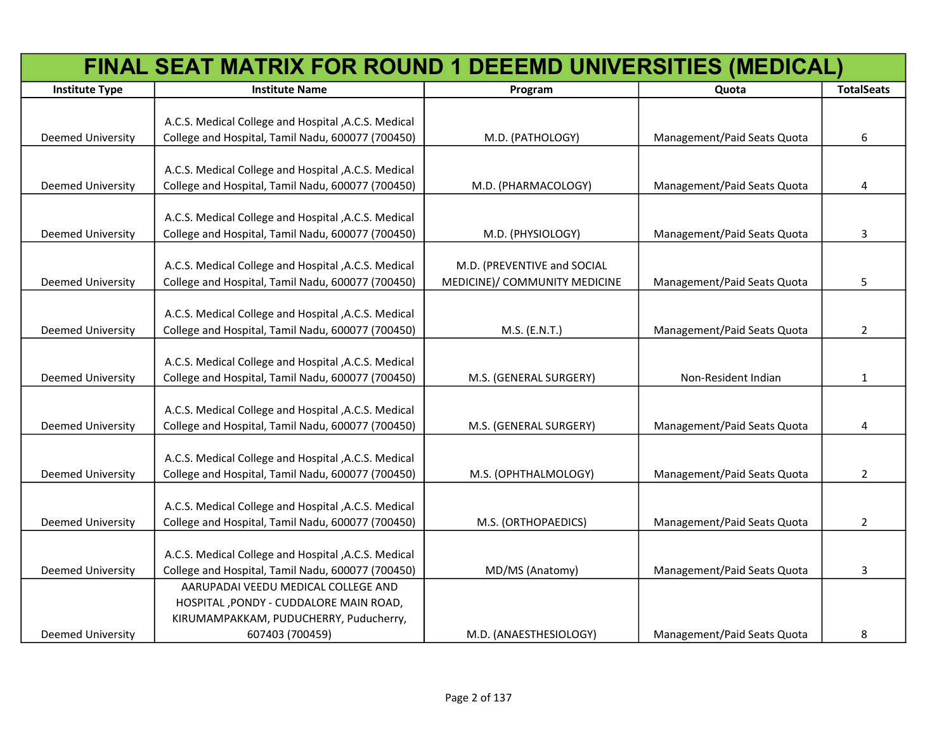|                          | FINAL SEAT MATRIX FOR ROUND 1 DEEEMD UNIVERSITIES (MEDICAL) |                               |                             |                   |
|--------------------------|-------------------------------------------------------------|-------------------------------|-----------------------------|-------------------|
| <b>Institute Type</b>    | <b>Institute Name</b>                                       | Program                       | Quota                       | <b>TotalSeats</b> |
|                          |                                                             |                               |                             |                   |
|                          | A.C.S. Medical College and Hospital , A.C.S. Medical        |                               |                             |                   |
| <b>Deemed University</b> | College and Hospital, Tamil Nadu, 600077 (700450)           | M.D. (PATHOLOGY)              | Management/Paid Seats Quota | 6                 |
|                          |                                                             |                               |                             |                   |
|                          | A.C.S. Medical College and Hospital , A.C.S. Medical        |                               |                             |                   |
| <b>Deemed University</b> | College and Hospital, Tamil Nadu, 600077 (700450)           | M.D. (PHARMACOLOGY)           | Management/Paid Seats Quota | 4                 |
|                          | A.C.S. Medical College and Hospital , A.C.S. Medical        |                               |                             |                   |
| <b>Deemed University</b> | College and Hospital, Tamil Nadu, 600077 (700450)           | M.D. (PHYSIOLOGY)             | Management/Paid Seats Quota | 3                 |
|                          |                                                             |                               |                             |                   |
|                          | A.C.S. Medical College and Hospital , A.C.S. Medical        | M.D. (PREVENTIVE and SOCIAL   |                             |                   |
| <b>Deemed University</b> | College and Hospital, Tamil Nadu, 600077 (700450)           | MEDICINE)/ COMMUNITY MEDICINE | Management/Paid Seats Quota | 5                 |
|                          |                                                             |                               |                             |                   |
|                          | A.C.S. Medical College and Hospital , A.C.S. Medical        |                               |                             |                   |
| <b>Deemed University</b> | College and Hospital, Tamil Nadu, 600077 (700450)           | M.S. (E.N.T.)                 | Management/Paid Seats Quota | $\mathbf{2}$      |
|                          |                                                             |                               |                             |                   |
|                          | A.C.S. Medical College and Hospital , A.C.S. Medical        |                               |                             |                   |
| <b>Deemed University</b> | College and Hospital, Tamil Nadu, 600077 (700450)           | M.S. (GENERAL SURGERY)        | Non-Resident Indian         | 1                 |
|                          |                                                             |                               |                             |                   |
|                          | A.C.S. Medical College and Hospital , A.C.S. Medical        |                               |                             |                   |
| <b>Deemed University</b> | College and Hospital, Tamil Nadu, 600077 (700450)           | M.S. (GENERAL SURGERY)        | Management/Paid Seats Quota | 4                 |
|                          | A.C.S. Medical College and Hospital , A.C.S. Medical        |                               |                             |                   |
| <b>Deemed University</b> | College and Hospital, Tamil Nadu, 600077 (700450)           | M.S. (OPHTHALMOLOGY)          | Management/Paid Seats Quota | $\overline{2}$    |
|                          |                                                             |                               |                             |                   |
|                          | A.C.S. Medical College and Hospital , A.C.S. Medical        |                               |                             |                   |
| <b>Deemed University</b> | College and Hospital, Tamil Nadu, 600077 (700450)           | M.S. (ORTHOPAEDICS)           | Management/Paid Seats Quota | $\overline{2}$    |
|                          |                                                             |                               |                             |                   |
|                          | A.C.S. Medical College and Hospital , A.C.S. Medical        |                               |                             |                   |
| <b>Deemed University</b> | College and Hospital, Tamil Nadu, 600077 (700450)           | MD/MS (Anatomy)               | Management/Paid Seats Quota | 3                 |
|                          | AARUPADAI VEEDU MEDICAL COLLEGE AND                         |                               |                             |                   |
|                          | HOSPITAL , PONDY - CUDDALORE MAIN ROAD,                     |                               |                             |                   |
|                          | KIRUMAMPAKKAM, PUDUCHERRY, Puducherry,                      |                               |                             |                   |
| <b>Deemed University</b> | 607403 (700459)                                             | M.D. (ANAESTHESIOLOGY)        | Management/Paid Seats Quota | 8                 |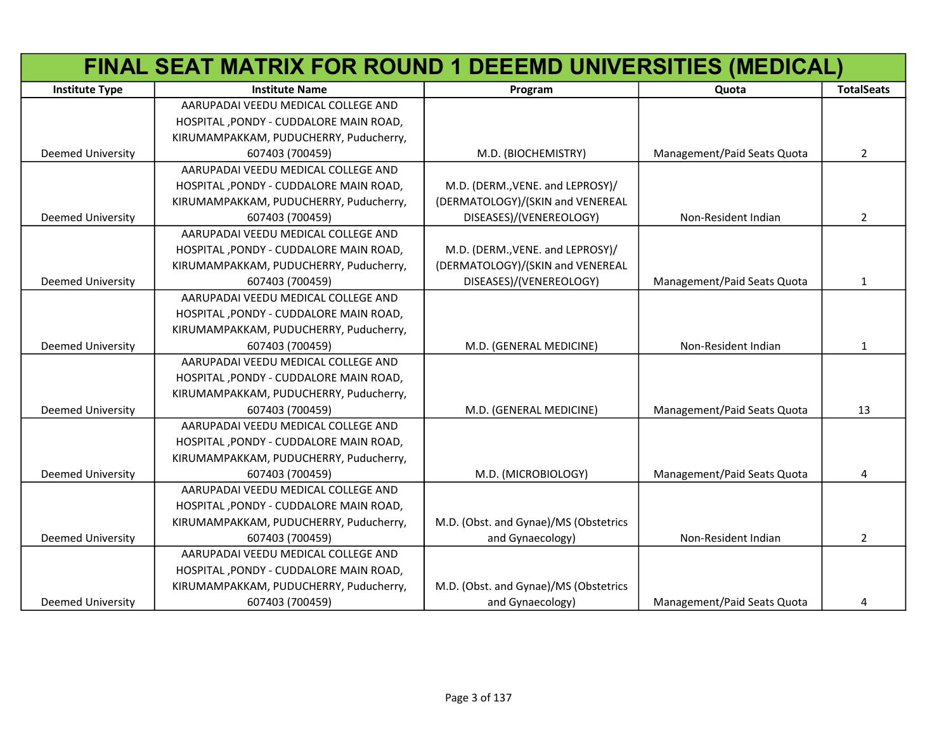|                          | FINAL SEAT MATRIX FOR ROUND 1 DEEEMD UNIVERSITIES (MEDICAL) |                                       |                             |                   |
|--------------------------|-------------------------------------------------------------|---------------------------------------|-----------------------------|-------------------|
| <b>Institute Type</b>    | <b>Institute Name</b>                                       | Program                               | Quota                       | <b>TotalSeats</b> |
|                          | AARUPADAI VEEDU MEDICAL COLLEGE AND                         |                                       |                             |                   |
|                          | HOSPITAL , PONDY - CUDDALORE MAIN ROAD,                     |                                       |                             |                   |
|                          | KIRUMAMPAKKAM, PUDUCHERRY, Puducherry,                      |                                       |                             |                   |
| <b>Deemed University</b> | 607403 (700459)                                             | M.D. (BIOCHEMISTRY)                   | Management/Paid Seats Quota | $\overline{2}$    |
|                          | AARUPADAI VEEDU MEDICAL COLLEGE AND                         |                                       |                             |                   |
|                          | HOSPITAL, PONDY - CUDDALORE MAIN ROAD,                      | M.D. (DERM., VENE. and LEPROSY)/      |                             |                   |
|                          | KIRUMAMPAKKAM, PUDUCHERRY, Puducherry,                      | (DERMATOLOGY)/(SKIN and VENEREAL      |                             |                   |
| <b>Deemed University</b> | 607403 (700459)                                             | DISEASES)/(VENEREOLOGY)               | Non-Resident Indian         | $\overline{2}$    |
|                          | AARUPADAI VEEDU MEDICAL COLLEGE AND                         |                                       |                             |                   |
|                          | HOSPITAL, PONDY - CUDDALORE MAIN ROAD,                      | M.D. (DERM., VENE. and LEPROSY)/      |                             |                   |
|                          | KIRUMAMPAKKAM, PUDUCHERRY, Puducherry,                      | (DERMATOLOGY)/(SKIN and VENEREAL      |                             |                   |
| <b>Deemed University</b> | 607403 (700459)                                             | DISEASES)/(VENEREOLOGY)               | Management/Paid Seats Quota | $\mathbf{1}$      |
|                          | AARUPADAI VEEDU MEDICAL COLLEGE AND                         |                                       |                             |                   |
|                          | HOSPITAL, PONDY - CUDDALORE MAIN ROAD,                      |                                       |                             |                   |
|                          | KIRUMAMPAKKAM, PUDUCHERRY, Puducherry,                      |                                       |                             |                   |
| <b>Deemed University</b> | 607403 (700459)                                             | M.D. (GENERAL MEDICINE)               | Non-Resident Indian         | 1                 |
|                          | AARUPADAI VEEDU MEDICAL COLLEGE AND                         |                                       |                             |                   |
|                          | HOSPITAL, PONDY - CUDDALORE MAIN ROAD,                      |                                       |                             |                   |
|                          | KIRUMAMPAKKAM, PUDUCHERRY, Puducherry,                      |                                       |                             |                   |
| <b>Deemed University</b> | 607403 (700459)                                             | M.D. (GENERAL MEDICINE)               | Management/Paid Seats Quota | 13                |
|                          | AARUPADAI VEEDU MEDICAL COLLEGE AND                         |                                       |                             |                   |
|                          | HOSPITAL, PONDY - CUDDALORE MAIN ROAD,                      |                                       |                             |                   |
|                          | KIRUMAMPAKKAM, PUDUCHERRY, Puducherry,                      |                                       |                             |                   |
| <b>Deemed University</b> | 607403 (700459)                                             | M.D. (MICROBIOLOGY)                   | Management/Paid Seats Quota | 4                 |
|                          | AARUPADAI VEEDU MEDICAL COLLEGE AND                         |                                       |                             |                   |
|                          | HOSPITAL, PONDY - CUDDALORE MAIN ROAD,                      |                                       |                             |                   |
|                          | KIRUMAMPAKKAM, PUDUCHERRY, Puducherry,                      | M.D. (Obst. and Gynae)/MS (Obstetrics |                             |                   |
| <b>Deemed University</b> | 607403 (700459)                                             | and Gynaecology)                      | Non-Resident Indian         | $\overline{2}$    |
|                          | AARUPADAI VEEDU MEDICAL COLLEGE AND                         |                                       |                             |                   |
|                          | HOSPITAL, PONDY - CUDDALORE MAIN ROAD,                      |                                       |                             |                   |
|                          | KIRUMAMPAKKAM, PUDUCHERRY, Puducherry,                      | M.D. (Obst. and Gynae)/MS (Obstetrics |                             |                   |
| <b>Deemed University</b> | 607403 (700459)                                             | and Gynaecology)                      | Management/Paid Seats Quota | 4                 |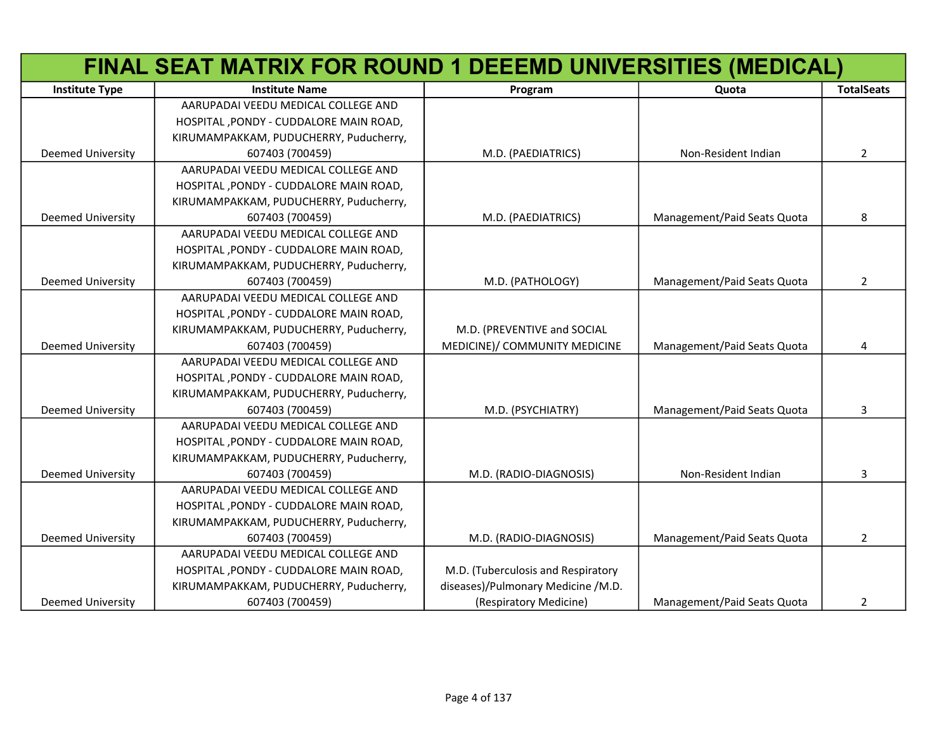|                          | FINAL SEAT MATRIX FOR ROUND 1 DEEEMD UNIVERSITIES (MEDICAL) |                                    |                             |                   |
|--------------------------|-------------------------------------------------------------|------------------------------------|-----------------------------|-------------------|
| <b>Institute Type</b>    | <b>Institute Name</b>                                       | Program                            | Quota                       | <b>TotalSeats</b> |
|                          | AARUPADAI VEEDU MEDICAL COLLEGE AND                         |                                    |                             |                   |
|                          | HOSPITAL, PONDY - CUDDALORE MAIN ROAD,                      |                                    |                             |                   |
|                          | KIRUMAMPAKKAM, PUDUCHERRY, Puducherry,                      |                                    |                             |                   |
| <b>Deemed University</b> | 607403 (700459)                                             | M.D. (PAEDIATRICS)                 | Non-Resident Indian         | $\overline{2}$    |
|                          | AARUPADAI VEEDU MEDICAL COLLEGE AND                         |                                    |                             |                   |
|                          | HOSPITAL, PONDY - CUDDALORE MAIN ROAD,                      |                                    |                             |                   |
|                          | KIRUMAMPAKKAM, PUDUCHERRY, Puducherry,                      |                                    |                             |                   |
| <b>Deemed University</b> | 607403 (700459)                                             | M.D. (PAEDIATRICS)                 | Management/Paid Seats Quota | 8                 |
|                          | AARUPADAI VEEDU MEDICAL COLLEGE AND                         |                                    |                             |                   |
|                          | HOSPITAL, PONDY - CUDDALORE MAIN ROAD,                      |                                    |                             |                   |
|                          | KIRUMAMPAKKAM, PUDUCHERRY, Puducherry,                      |                                    |                             |                   |
| <b>Deemed University</b> | 607403 (700459)                                             | M.D. (PATHOLOGY)                   | Management/Paid Seats Quota | $\overline{2}$    |
|                          | AARUPADAI VEEDU MEDICAL COLLEGE AND                         |                                    |                             |                   |
|                          | HOSPITAL , PONDY - CUDDALORE MAIN ROAD,                     |                                    |                             |                   |
|                          | KIRUMAMPAKKAM, PUDUCHERRY, Puducherry,                      | M.D. (PREVENTIVE and SOCIAL        |                             |                   |
| Deemed University        | 607403 (700459)                                             | MEDICINE)/ COMMUNITY MEDICINE      | Management/Paid Seats Quota | 4                 |
|                          | AARUPADAI VEEDU MEDICAL COLLEGE AND                         |                                    |                             |                   |
|                          | HOSPITAL, PONDY - CUDDALORE MAIN ROAD,                      |                                    |                             |                   |
|                          | KIRUMAMPAKKAM, PUDUCHERRY, Puducherry,                      |                                    |                             |                   |
| <b>Deemed University</b> | 607403 (700459)                                             | M.D. (PSYCHIATRY)                  | Management/Paid Seats Quota | 3                 |
|                          | AARUPADAI VEEDU MEDICAL COLLEGE AND                         |                                    |                             |                   |
|                          | HOSPITAL, PONDY - CUDDALORE MAIN ROAD,                      |                                    |                             |                   |
|                          | KIRUMAMPAKKAM, PUDUCHERRY, Puducherry,                      |                                    |                             |                   |
| <b>Deemed University</b> | 607403 (700459)                                             | M.D. (RADIO-DIAGNOSIS)             | Non-Resident Indian         | 3                 |
|                          | AARUPADAI VEEDU MEDICAL COLLEGE AND                         |                                    |                             |                   |
|                          | HOSPITAL, PONDY - CUDDALORE MAIN ROAD,                      |                                    |                             |                   |
|                          | KIRUMAMPAKKAM, PUDUCHERRY, Puducherry,                      |                                    |                             |                   |
| <b>Deemed University</b> | 607403 (700459)                                             | M.D. (RADIO-DIAGNOSIS)             | Management/Paid Seats Quota | $\overline{2}$    |
|                          | AARUPADAI VEEDU MEDICAL COLLEGE AND                         |                                    |                             |                   |
|                          | HOSPITAL, PONDY - CUDDALORE MAIN ROAD,                      | M.D. (Tuberculosis and Respiratory |                             |                   |
|                          | KIRUMAMPAKKAM, PUDUCHERRY, Puducherry,                      | diseases)/Pulmonary Medicine /M.D. |                             |                   |
| <b>Deemed University</b> | 607403 (700459)                                             | (Respiratory Medicine)             | Management/Paid Seats Quota | 2                 |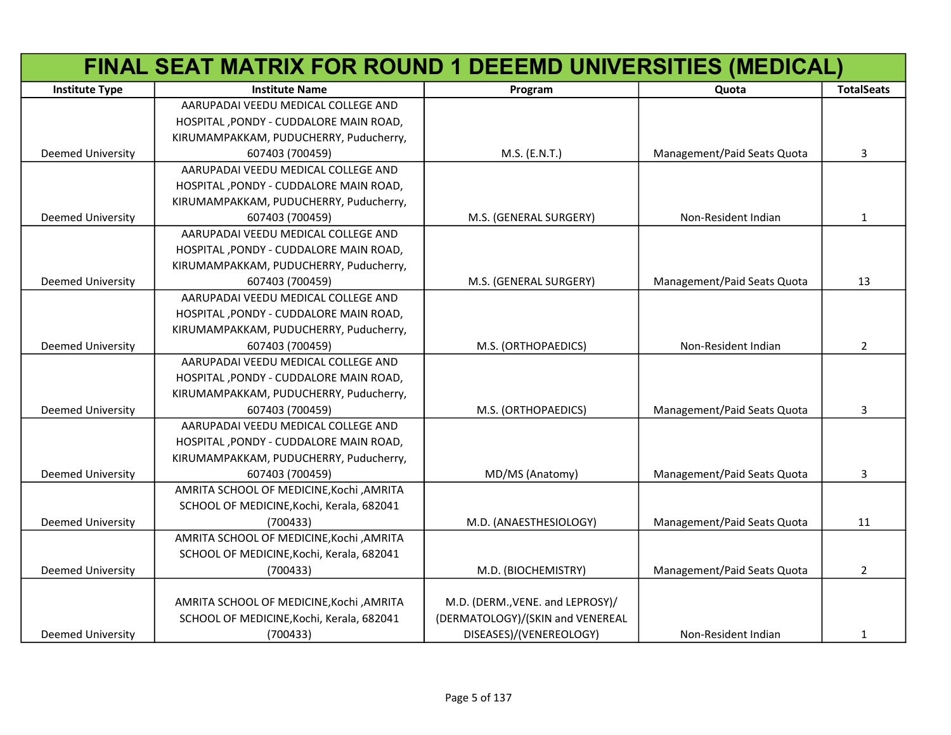|                          | FINAL SEAT MATRIX FOR ROUND 1 DEEEMD UNIVERSITIES (MEDICAL) |                                  |                             |                   |
|--------------------------|-------------------------------------------------------------|----------------------------------|-----------------------------|-------------------|
| <b>Institute Type</b>    | <b>Institute Name</b>                                       | Program                          | Quota                       | <b>TotalSeats</b> |
|                          | AARUPADAI VEEDU MEDICAL COLLEGE AND                         |                                  |                             |                   |
|                          | HOSPITAL, PONDY - CUDDALORE MAIN ROAD,                      |                                  |                             |                   |
|                          | KIRUMAMPAKKAM, PUDUCHERRY, Puducherry,                      |                                  |                             |                   |
| <b>Deemed University</b> | 607403 (700459)                                             | M.S. (E.N.T.)                    | Management/Paid Seats Quota | 3                 |
|                          | AARUPADAI VEEDU MEDICAL COLLEGE AND                         |                                  |                             |                   |
|                          | HOSPITAL, PONDY - CUDDALORE MAIN ROAD,                      |                                  |                             |                   |
|                          | KIRUMAMPAKKAM, PUDUCHERRY, Puducherry,                      |                                  |                             |                   |
| <b>Deemed University</b> | 607403 (700459)                                             | M.S. (GENERAL SURGERY)           | Non-Resident Indian         | 1                 |
|                          | AARUPADAI VEEDU MEDICAL COLLEGE AND                         |                                  |                             |                   |
|                          | HOSPITAL, PONDY - CUDDALORE MAIN ROAD,                      |                                  |                             |                   |
|                          | KIRUMAMPAKKAM, PUDUCHERRY, Puducherry,                      |                                  |                             |                   |
| <b>Deemed University</b> | 607403 (700459)                                             | M.S. (GENERAL SURGERY)           | Management/Paid Seats Quota | 13                |
|                          | AARUPADAI VEEDU MEDICAL COLLEGE AND                         |                                  |                             |                   |
|                          | HOSPITAL, PONDY - CUDDALORE MAIN ROAD,                      |                                  |                             |                   |
|                          | KIRUMAMPAKKAM, PUDUCHERRY, Puducherry,                      |                                  |                             |                   |
| <b>Deemed University</b> | 607403 (700459)                                             | M.S. (ORTHOPAEDICS)              | Non-Resident Indian         | $\overline{2}$    |
|                          | AARUPADAI VEEDU MEDICAL COLLEGE AND                         |                                  |                             |                   |
|                          | HOSPITAL, PONDY - CUDDALORE MAIN ROAD,                      |                                  |                             |                   |
|                          | KIRUMAMPAKKAM, PUDUCHERRY, Puducherry,                      |                                  |                             |                   |
| <b>Deemed University</b> | 607403 (700459)                                             | M.S. (ORTHOPAEDICS)              | Management/Paid Seats Quota | 3                 |
|                          | AARUPADAI VEEDU MEDICAL COLLEGE AND                         |                                  |                             |                   |
|                          | HOSPITAL, PONDY - CUDDALORE MAIN ROAD,                      |                                  |                             |                   |
|                          | KIRUMAMPAKKAM, PUDUCHERRY, Puducherry,                      |                                  |                             |                   |
| <b>Deemed University</b> | 607403 (700459)                                             | MD/MS (Anatomy)                  | Management/Paid Seats Quota | 3                 |
|                          | AMRITA SCHOOL OF MEDICINE, Kochi , AMRITA                   |                                  |                             |                   |
|                          | SCHOOL OF MEDICINE, Kochi, Kerala, 682041                   |                                  |                             |                   |
| <b>Deemed University</b> | (700433)                                                    | M.D. (ANAESTHESIOLOGY)           | Management/Paid Seats Quota | 11                |
|                          | AMRITA SCHOOL OF MEDICINE, Kochi, AMRITA                    |                                  |                             |                   |
|                          | SCHOOL OF MEDICINE, Kochi, Kerala, 682041                   |                                  |                             |                   |
| <b>Deemed University</b> | (700433)                                                    | M.D. (BIOCHEMISTRY)              | Management/Paid Seats Quota | $\overline{2}$    |
|                          |                                                             |                                  |                             |                   |
|                          | AMRITA SCHOOL OF MEDICINE, Kochi, AMRITA                    | M.D. (DERM., VENE. and LEPROSY)/ |                             |                   |
|                          | SCHOOL OF MEDICINE, Kochi, Kerala, 682041                   | (DERMATOLOGY)/(SKIN and VENEREAL |                             |                   |
| <b>Deemed University</b> | (700433)                                                    | DISEASES)/(VENEREOLOGY)          | Non-Resident Indian         | $\mathbf{1}$      |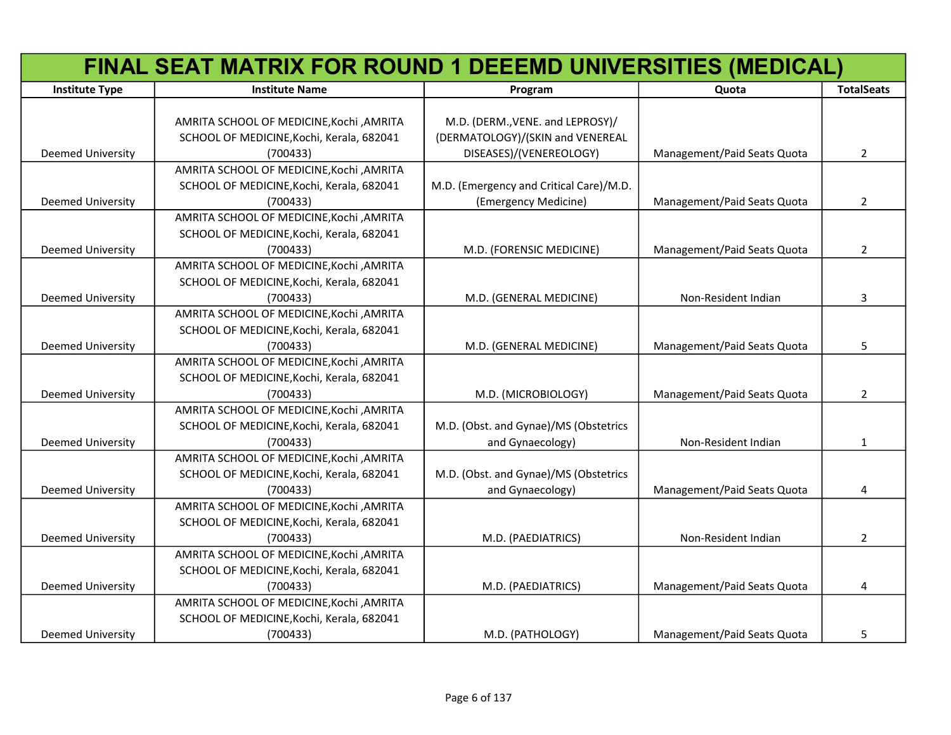|                          | FINAL SEAT MATRIX FOR ROUND 1 DEEEMD UNIVERSITIES (MEDICAL) |                                         |                             |                   |
|--------------------------|-------------------------------------------------------------|-----------------------------------------|-----------------------------|-------------------|
| <b>Institute Type</b>    | <b>Institute Name</b>                                       | Program                                 | Quota                       | <b>TotalSeats</b> |
|                          |                                                             |                                         |                             |                   |
|                          | AMRITA SCHOOL OF MEDICINE, Kochi, AMRITA                    | M.D. (DERM., VENE. and LEPROSY)/        |                             |                   |
|                          | SCHOOL OF MEDICINE, Kochi, Kerala, 682041                   | (DERMATOLOGY)/(SKIN and VENEREAL        |                             |                   |
| Deemed University        | (700433)                                                    | DISEASES)/(VENEREOLOGY)                 | Management/Paid Seats Quota | $\overline{2}$    |
|                          | AMRITA SCHOOL OF MEDICINE, Kochi, AMRITA                    |                                         |                             |                   |
|                          | SCHOOL OF MEDICINE, Kochi, Kerala, 682041                   | M.D. (Emergency and Critical Care)/M.D. |                             |                   |
| Deemed University        | (700433)                                                    | (Emergency Medicine)                    | Management/Paid Seats Quota | $\overline{2}$    |
|                          | AMRITA SCHOOL OF MEDICINE, Kochi, AMRITA                    |                                         |                             |                   |
|                          | SCHOOL OF MEDICINE, Kochi, Kerala, 682041                   |                                         |                             |                   |
| <b>Deemed University</b> | (700433)                                                    | M.D. (FORENSIC MEDICINE)                | Management/Paid Seats Quota | $\overline{2}$    |
|                          | AMRITA SCHOOL OF MEDICINE, Kochi, AMRITA                    |                                         |                             |                   |
|                          | SCHOOL OF MEDICINE, Kochi, Kerala, 682041                   |                                         |                             |                   |
| <b>Deemed University</b> | (700433)                                                    | M.D. (GENERAL MEDICINE)                 | Non-Resident Indian         | 3                 |
|                          | AMRITA SCHOOL OF MEDICINE, Kochi, AMRITA                    |                                         |                             |                   |
|                          | SCHOOL OF MEDICINE, Kochi, Kerala, 682041                   |                                         |                             |                   |
| <b>Deemed University</b> | (700433)                                                    | M.D. (GENERAL MEDICINE)                 | Management/Paid Seats Quota | 5                 |
|                          | AMRITA SCHOOL OF MEDICINE, Kochi, AMRITA                    |                                         |                             |                   |
|                          | SCHOOL OF MEDICINE, Kochi, Kerala, 682041                   |                                         |                             |                   |
| <b>Deemed University</b> | (700433)                                                    | M.D. (MICROBIOLOGY)                     | Management/Paid Seats Quota | $\overline{2}$    |
|                          | AMRITA SCHOOL OF MEDICINE, Kochi, AMRITA                    |                                         |                             |                   |
|                          | SCHOOL OF MEDICINE, Kochi, Kerala, 682041                   | M.D. (Obst. and Gynae)/MS (Obstetrics   |                             |                   |
| <b>Deemed University</b> | (700433)                                                    | and Gynaecology)                        | Non-Resident Indian         | $\mathbf{1}$      |
|                          | AMRITA SCHOOL OF MEDICINE, Kochi, AMRITA                    |                                         |                             |                   |
|                          | SCHOOL OF MEDICINE, Kochi, Kerala, 682041                   | M.D. (Obst. and Gynae)/MS (Obstetrics   |                             |                   |
| <b>Deemed University</b> | (700433)                                                    | and Gynaecology)                        | Management/Paid Seats Quota | 4                 |
|                          | AMRITA SCHOOL OF MEDICINE, Kochi, AMRITA                    |                                         |                             |                   |
|                          | SCHOOL OF MEDICINE, Kochi, Kerala, 682041                   |                                         |                             |                   |
| <b>Deemed University</b> | (700433)                                                    | M.D. (PAEDIATRICS)                      | Non-Resident Indian         | $\overline{2}$    |
|                          | AMRITA SCHOOL OF MEDICINE, Kochi, AMRITA                    |                                         |                             |                   |
|                          | SCHOOL OF MEDICINE, Kochi, Kerala, 682041                   |                                         |                             |                   |
| <b>Deemed University</b> | (700433)                                                    | M.D. (PAEDIATRICS)                      | Management/Paid Seats Quota | 4                 |
|                          | AMRITA SCHOOL OF MEDICINE, Kochi, AMRITA                    |                                         |                             |                   |
|                          | SCHOOL OF MEDICINE, Kochi, Kerala, 682041                   |                                         |                             |                   |
| Deemed University        | (700433)                                                    | M.D. (PATHOLOGY)                        | Management/Paid Seats Quota | 5                 |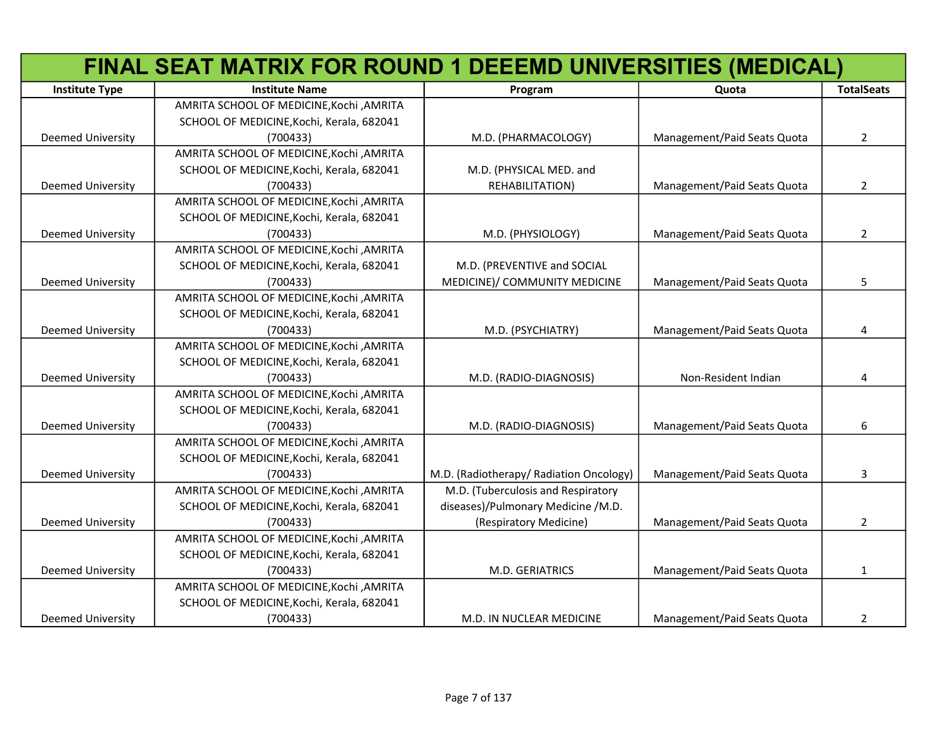|                          | FINAL SEAT MATRIX FOR ROUND 1 DEEEMD UNIVERSITIES (MEDICAL) |                                         |                             |                   |
|--------------------------|-------------------------------------------------------------|-----------------------------------------|-----------------------------|-------------------|
| <b>Institute Type</b>    | <b>Institute Name</b>                                       | Program                                 | Quota                       | <b>TotalSeats</b> |
|                          | AMRITA SCHOOL OF MEDICINE, Kochi, AMRITA                    |                                         |                             |                   |
|                          | SCHOOL OF MEDICINE, Kochi, Kerala, 682041                   |                                         |                             |                   |
| <b>Deemed University</b> | (700433)                                                    | M.D. (PHARMACOLOGY)                     | Management/Paid Seats Quota | $\overline{2}$    |
|                          | AMRITA SCHOOL OF MEDICINE, Kochi, AMRITA                    |                                         |                             |                   |
|                          | SCHOOL OF MEDICINE, Kochi, Kerala, 682041                   | M.D. (PHYSICAL MED. and                 |                             |                   |
| <b>Deemed University</b> | (700433)                                                    | REHABILITATION)                         | Management/Paid Seats Quota | $\overline{2}$    |
|                          | AMRITA SCHOOL OF MEDICINE, Kochi, AMRITA                    |                                         |                             |                   |
|                          | SCHOOL OF MEDICINE, Kochi, Kerala, 682041                   |                                         |                             |                   |
| Deemed University        | (700433)                                                    | M.D. (PHYSIOLOGY)                       | Management/Paid Seats Quota | $\overline{2}$    |
|                          | AMRITA SCHOOL OF MEDICINE, Kochi, AMRITA                    |                                         |                             |                   |
|                          | SCHOOL OF MEDICINE, Kochi, Kerala, 682041                   | M.D. (PREVENTIVE and SOCIAL             |                             |                   |
| Deemed University        | (700433)                                                    | MEDICINE)/ COMMUNITY MEDICINE           | Management/Paid Seats Quota | 5                 |
|                          | AMRITA SCHOOL OF MEDICINE, Kochi, AMRITA                    |                                         |                             |                   |
|                          | SCHOOL OF MEDICINE, Kochi, Kerala, 682041                   |                                         |                             |                   |
| Deemed University        | (700433)                                                    | M.D. (PSYCHIATRY)                       | Management/Paid Seats Quota | 4                 |
|                          | AMRITA SCHOOL OF MEDICINE, Kochi, AMRITA                    |                                         |                             |                   |
|                          | SCHOOL OF MEDICINE, Kochi, Kerala, 682041                   |                                         |                             |                   |
| Deemed University        | (700433)                                                    | M.D. (RADIO-DIAGNOSIS)                  | Non-Resident Indian         | 4                 |
|                          | AMRITA SCHOOL OF MEDICINE, Kochi, AMRITA                    |                                         |                             |                   |
|                          | SCHOOL OF MEDICINE, Kochi, Kerala, 682041                   |                                         |                             |                   |
| <b>Deemed University</b> | (700433)                                                    | M.D. (RADIO-DIAGNOSIS)                  | Management/Paid Seats Quota | 6                 |
|                          | AMRITA SCHOOL OF MEDICINE, Kochi , AMRITA                   |                                         |                             |                   |
|                          | SCHOOL OF MEDICINE, Kochi, Kerala, 682041                   |                                         |                             |                   |
| <b>Deemed University</b> | (700433)                                                    | M.D. (Radiotherapy/ Radiation Oncology) | Management/Paid Seats Quota | 3                 |
|                          | AMRITA SCHOOL OF MEDICINE, Kochi, AMRITA                    | M.D. (Tuberculosis and Respiratory      |                             |                   |
|                          | SCHOOL OF MEDICINE, Kochi, Kerala, 682041                   | diseases)/Pulmonary Medicine /M.D.      |                             |                   |
| <b>Deemed University</b> | (700433)                                                    | (Respiratory Medicine)                  | Management/Paid Seats Quota | $\overline{2}$    |
|                          | AMRITA SCHOOL OF MEDICINE, Kochi, AMRITA                    |                                         |                             |                   |
|                          | SCHOOL OF MEDICINE, Kochi, Kerala, 682041                   |                                         |                             |                   |
| <b>Deemed University</b> | (700433)                                                    | M.D. GERIATRICS                         | Management/Paid Seats Quota | 1                 |
|                          | AMRITA SCHOOL OF MEDICINE, Kochi, AMRITA                    |                                         |                             |                   |
|                          | SCHOOL OF MEDICINE, Kochi, Kerala, 682041                   |                                         |                             |                   |
| <b>Deemed University</b> | (700433)                                                    | M.D. IN NUCLEAR MEDICINE                | Management/Paid Seats Quota | $\overline{2}$    |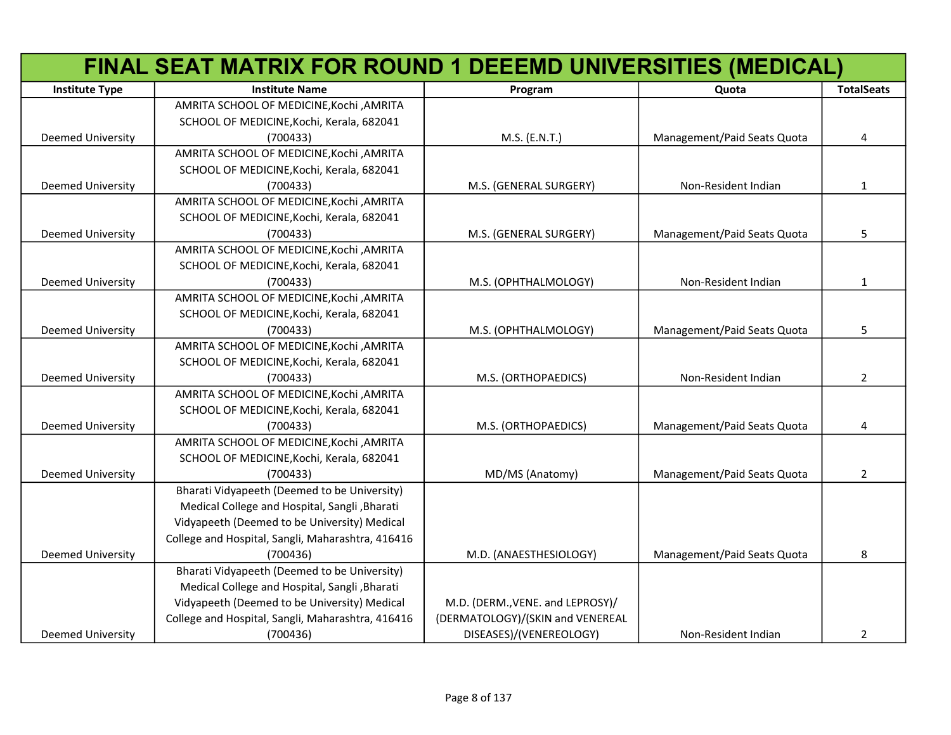|                          | FINAL SEAT MATRIX FOR ROUND 1 DEEEMD UNIVERSITIES (MEDICAL) |                                  |                             |                   |
|--------------------------|-------------------------------------------------------------|----------------------------------|-----------------------------|-------------------|
| <b>Institute Type</b>    | <b>Institute Name</b>                                       | Program                          | Quota                       | <b>TotalSeats</b> |
|                          | AMRITA SCHOOL OF MEDICINE, Kochi, AMRITA                    |                                  |                             |                   |
|                          | SCHOOL OF MEDICINE, Kochi, Kerala, 682041                   |                                  |                             |                   |
| Deemed University        | (700433)                                                    | M.S. (E.N.T.)                    | Management/Paid Seats Quota | 4                 |
|                          | AMRITA SCHOOL OF MEDICINE, Kochi, AMRITA                    |                                  |                             |                   |
|                          | SCHOOL OF MEDICINE, Kochi, Kerala, 682041                   |                                  |                             |                   |
| Deemed University        | (700433)                                                    | M.S. (GENERAL SURGERY)           | Non-Resident Indian         | $\mathbf{1}$      |
|                          | AMRITA SCHOOL OF MEDICINE, Kochi, AMRITA                    |                                  |                             |                   |
|                          | SCHOOL OF MEDICINE, Kochi, Kerala, 682041                   |                                  |                             |                   |
| Deemed University        | (700433)                                                    | M.S. (GENERAL SURGERY)           | Management/Paid Seats Quota | 5                 |
|                          | AMRITA SCHOOL OF MEDICINE, Kochi, AMRITA                    |                                  |                             |                   |
|                          | SCHOOL OF MEDICINE, Kochi, Kerala, 682041                   |                                  |                             |                   |
| <b>Deemed University</b> | (700433)                                                    | M.S. (OPHTHALMOLOGY)             | Non-Resident Indian         | $\mathbf{1}$      |
|                          | AMRITA SCHOOL OF MEDICINE, Kochi, AMRITA                    |                                  |                             |                   |
|                          | SCHOOL OF MEDICINE, Kochi, Kerala, 682041                   |                                  |                             |                   |
| <b>Deemed University</b> | (700433)                                                    | M.S. (OPHTHALMOLOGY)             | Management/Paid Seats Quota | 5                 |
|                          | AMRITA SCHOOL OF MEDICINE, Kochi, AMRITA                    |                                  |                             |                   |
|                          | SCHOOL OF MEDICINE, Kochi, Kerala, 682041                   |                                  |                             |                   |
| <b>Deemed University</b> | (700433)                                                    | M.S. (ORTHOPAEDICS)              | Non-Resident Indian         | $\overline{2}$    |
|                          | AMRITA SCHOOL OF MEDICINE, Kochi, AMRITA                    |                                  |                             |                   |
|                          | SCHOOL OF MEDICINE, Kochi, Kerala, 682041                   |                                  |                             |                   |
| <b>Deemed University</b> | (700433)                                                    | M.S. (ORTHOPAEDICS)              | Management/Paid Seats Quota | 4                 |
|                          | AMRITA SCHOOL OF MEDICINE, Kochi, AMRITA                    |                                  |                             |                   |
|                          | SCHOOL OF MEDICINE, Kochi, Kerala, 682041                   |                                  |                             |                   |
| <b>Deemed University</b> | (700433)                                                    | MD/MS (Anatomy)                  | Management/Paid Seats Quota | $\overline{2}$    |
|                          | Bharati Vidyapeeth (Deemed to be University)                |                                  |                             |                   |
|                          | Medical College and Hospital, Sangli, Bharati               |                                  |                             |                   |
|                          | Vidyapeeth (Deemed to be University) Medical                |                                  |                             |                   |
|                          | College and Hospital, Sangli, Maharashtra, 416416           |                                  |                             |                   |
| <b>Deemed University</b> | (700436)                                                    | M.D. (ANAESTHESIOLOGY)           | Management/Paid Seats Quota | 8                 |
|                          | Bharati Vidyapeeth (Deemed to be University)                |                                  |                             |                   |
|                          | Medical College and Hospital, Sangli, Bharati               |                                  |                             |                   |
|                          | Vidyapeeth (Deemed to be University) Medical                | M.D. (DERM., VENE. and LEPROSY)/ |                             |                   |
|                          | College and Hospital, Sangli, Maharashtra, 416416           | (DERMATOLOGY)/(SKIN and VENEREAL |                             |                   |
| <b>Deemed University</b> | (700436)                                                    | DISEASES)/(VENEREOLOGY)          | Non-Resident Indian         | $\overline{2}$    |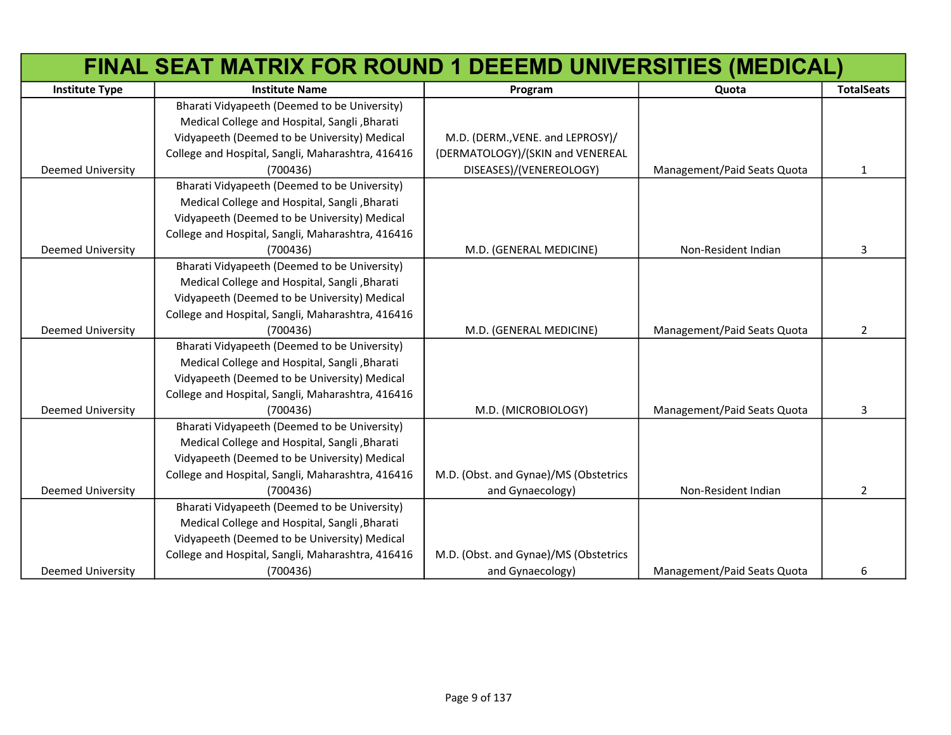|                          | FINAL SEAT MATRIX FOR ROUND 1 DEEEMD UNIVERSITIES (MEDICAL) |                                       |                             |                   |
|--------------------------|-------------------------------------------------------------|---------------------------------------|-----------------------------|-------------------|
| <b>Institute Type</b>    | <b>Institute Name</b>                                       | Program                               | Quota                       | <b>TotalSeats</b> |
|                          | Bharati Vidyapeeth (Deemed to be University)                |                                       |                             |                   |
|                          | Medical College and Hospital, Sangli, Bharati               |                                       |                             |                   |
|                          | Vidyapeeth (Deemed to be University) Medical                | M.D. (DERM., VENE. and LEPROSY)/      |                             |                   |
|                          | College and Hospital, Sangli, Maharashtra, 416416           | (DERMATOLOGY)/(SKIN and VENEREAL      |                             |                   |
| <b>Deemed University</b> | (700436)                                                    | DISEASES)/(VENEREOLOGY)               | Management/Paid Seats Quota | $\mathbf{1}$      |
|                          | Bharati Vidyapeeth (Deemed to be University)                |                                       |                             |                   |
|                          | Medical College and Hospital, Sangli, Bharati               |                                       |                             |                   |
|                          | Vidyapeeth (Deemed to be University) Medical                |                                       |                             |                   |
|                          | College and Hospital, Sangli, Maharashtra, 416416           |                                       |                             |                   |
| <b>Deemed University</b> | (700436)                                                    | M.D. (GENERAL MEDICINE)               | Non-Resident Indian         | 3                 |
|                          | Bharati Vidyapeeth (Deemed to be University)                |                                       |                             |                   |
|                          | Medical College and Hospital, Sangli, Bharati               |                                       |                             |                   |
|                          | Vidyapeeth (Deemed to be University) Medical                |                                       |                             |                   |
|                          | College and Hospital, Sangli, Maharashtra, 416416           |                                       |                             |                   |
| <b>Deemed University</b> | (700436)                                                    | M.D. (GENERAL MEDICINE)               | Management/Paid Seats Quota | $\overline{2}$    |
|                          | Bharati Vidyapeeth (Deemed to be University)                |                                       |                             |                   |
|                          | Medical College and Hospital, Sangli, Bharati               |                                       |                             |                   |
|                          | Vidyapeeth (Deemed to be University) Medical                |                                       |                             |                   |
|                          | College and Hospital, Sangli, Maharashtra, 416416           |                                       |                             |                   |
| <b>Deemed University</b> | (700436)                                                    | M.D. (MICROBIOLOGY)                   | Management/Paid Seats Quota | 3                 |
|                          | Bharati Vidyapeeth (Deemed to be University)                |                                       |                             |                   |
|                          | Medical College and Hospital, Sangli, Bharati               |                                       |                             |                   |
|                          | Vidyapeeth (Deemed to be University) Medical                |                                       |                             |                   |
|                          | College and Hospital, Sangli, Maharashtra, 416416           | M.D. (Obst. and Gynae)/MS (Obstetrics |                             |                   |
| <b>Deemed University</b> | (700436)                                                    | and Gynaecology)                      | Non-Resident Indian         | $\overline{2}$    |
|                          | Bharati Vidyapeeth (Deemed to be University)                |                                       |                             |                   |
|                          | Medical College and Hospital, Sangli, Bharati               |                                       |                             |                   |
|                          | Vidyapeeth (Deemed to be University) Medical                |                                       |                             |                   |
|                          | College and Hospital, Sangli, Maharashtra, 416416           | M.D. (Obst. and Gynae)/MS (Obstetrics |                             |                   |
| <b>Deemed University</b> | (700436)                                                    | and Gynaecology)                      | Management/Paid Seats Quota | 6                 |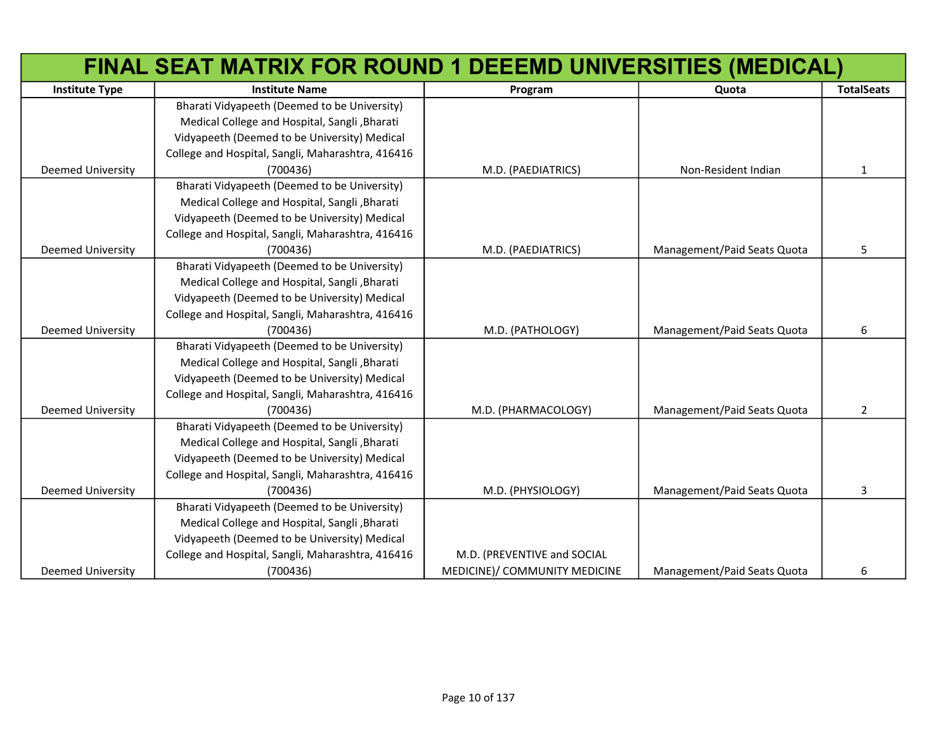|                          | FINAL SEAT MATRIX FOR ROUND 1 DEEEMD UNIVERSITIES (MEDICAL) |                               |                             |                   |
|--------------------------|-------------------------------------------------------------|-------------------------------|-----------------------------|-------------------|
| <b>Institute Type</b>    | <b>Institute Name</b>                                       | Program                       | Quota                       | <b>TotalSeats</b> |
|                          | Bharati Vidyapeeth (Deemed to be University)                |                               |                             |                   |
|                          | Medical College and Hospital, Sangli, Bharati               |                               |                             |                   |
|                          | Vidyapeeth (Deemed to be University) Medical                |                               |                             |                   |
|                          | College and Hospital, Sangli, Maharashtra, 416416           |                               |                             |                   |
| Deemed University        | (700436)                                                    | M.D. (PAEDIATRICS)            | Non-Resident Indian         | $\mathbf{1}$      |
|                          | Bharati Vidyapeeth (Deemed to be University)                |                               |                             |                   |
|                          | Medical College and Hospital, Sangli, Bharati               |                               |                             |                   |
|                          | Vidyapeeth (Deemed to be University) Medical                |                               |                             |                   |
|                          | College and Hospital, Sangli, Maharashtra, 416416           |                               |                             |                   |
| <b>Deemed University</b> | (700436)                                                    | M.D. (PAEDIATRICS)            | Management/Paid Seats Quota | 5                 |
|                          | Bharati Vidyapeeth (Deemed to be University)                |                               |                             |                   |
|                          | Medical College and Hospital, Sangli, Bharati               |                               |                             |                   |
|                          | Vidyapeeth (Deemed to be University) Medical                |                               |                             |                   |
|                          | College and Hospital, Sangli, Maharashtra, 416416           |                               |                             |                   |
| <b>Deemed University</b> | (700436)                                                    | M.D. (PATHOLOGY)              | Management/Paid Seats Quota | 6                 |
|                          | Bharati Vidyapeeth (Deemed to be University)                |                               |                             |                   |
|                          | Medical College and Hospital, Sangli, Bharati               |                               |                             |                   |
|                          | Vidyapeeth (Deemed to be University) Medical                |                               |                             |                   |
|                          | College and Hospital, Sangli, Maharashtra, 416416           |                               |                             |                   |
| <b>Deemed University</b> | (700436)                                                    | M.D. (PHARMACOLOGY)           | Management/Paid Seats Quota | $\overline{2}$    |
|                          | Bharati Vidyapeeth (Deemed to be University)                |                               |                             |                   |
|                          | Medical College and Hospital, Sangli, Bharati               |                               |                             |                   |
|                          | Vidyapeeth (Deemed to be University) Medical                |                               |                             |                   |
|                          | College and Hospital, Sangli, Maharashtra, 416416           |                               |                             |                   |
| <b>Deemed University</b> | (700436)                                                    | M.D. (PHYSIOLOGY)             | Management/Paid Seats Quota | 3                 |
|                          | Bharati Vidyapeeth (Deemed to be University)                |                               |                             |                   |
|                          | Medical College and Hospital, Sangli, Bharati               |                               |                             |                   |
|                          | Vidyapeeth (Deemed to be University) Medical                |                               |                             |                   |
|                          | College and Hospital, Sangli, Maharashtra, 416416           | M.D. (PREVENTIVE and SOCIAL   |                             |                   |
| <b>Deemed University</b> | (700436)                                                    | MEDICINE)/ COMMUNITY MEDICINE | Management/Paid Seats Quota | 6                 |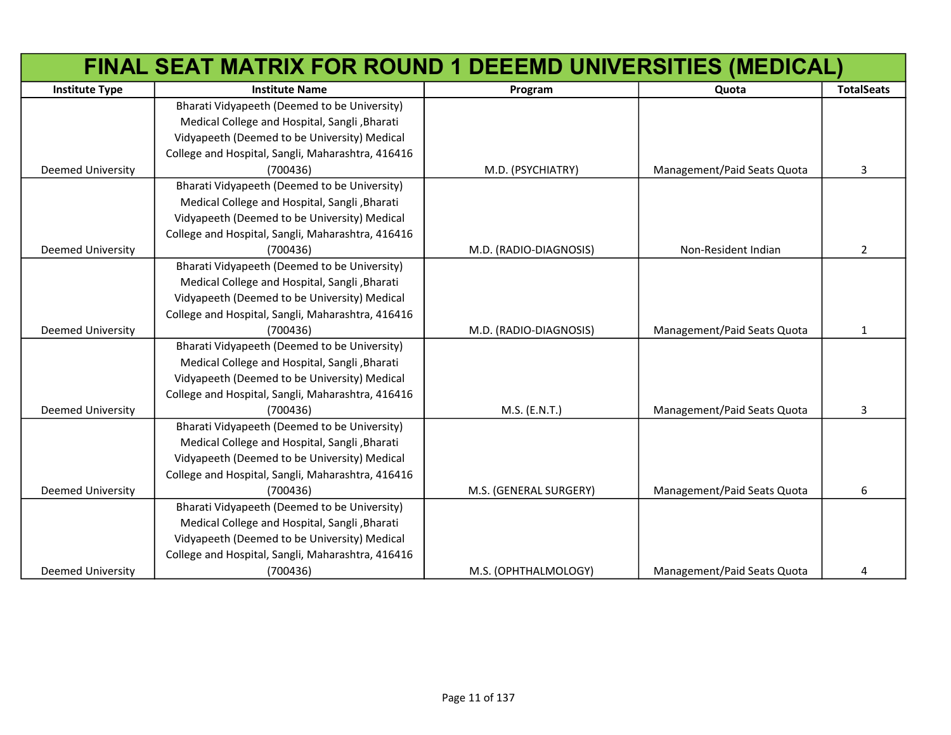|                          | FINAL SEAT MATRIX FOR ROUND 1 DEEEMD UNIVERSITIES (MEDICAL) |                        |                             |                   |
|--------------------------|-------------------------------------------------------------|------------------------|-----------------------------|-------------------|
| <b>Institute Type</b>    | <b>Institute Name</b>                                       | Program                | Quota                       | <b>TotalSeats</b> |
|                          | Bharati Vidyapeeth (Deemed to be University)                |                        |                             |                   |
|                          | Medical College and Hospital, Sangli, Bharati               |                        |                             |                   |
|                          | Vidyapeeth (Deemed to be University) Medical                |                        |                             |                   |
|                          | College and Hospital, Sangli, Maharashtra, 416416           |                        |                             |                   |
| Deemed University        | (700436)                                                    | M.D. (PSYCHIATRY)      | Management/Paid Seats Quota | 3                 |
|                          | Bharati Vidyapeeth (Deemed to be University)                |                        |                             |                   |
|                          | Medical College and Hospital, Sangli, Bharati               |                        |                             |                   |
|                          | Vidyapeeth (Deemed to be University) Medical                |                        |                             |                   |
|                          | College and Hospital, Sangli, Maharashtra, 416416           |                        |                             |                   |
| <b>Deemed University</b> | (700436)                                                    | M.D. (RADIO-DIAGNOSIS) | Non-Resident Indian         | $\overline{2}$    |
|                          | Bharati Vidyapeeth (Deemed to be University)                |                        |                             |                   |
|                          | Medical College and Hospital, Sangli, Bharati               |                        |                             |                   |
|                          | Vidyapeeth (Deemed to be University) Medical                |                        |                             |                   |
|                          | College and Hospital, Sangli, Maharashtra, 416416           |                        |                             |                   |
| <b>Deemed University</b> | (700436)                                                    | M.D. (RADIO-DIAGNOSIS) | Management/Paid Seats Quota | $\mathbf{1}$      |
|                          | Bharati Vidyapeeth (Deemed to be University)                |                        |                             |                   |
|                          | Medical College and Hospital, Sangli, Bharati               |                        |                             |                   |
|                          | Vidyapeeth (Deemed to be University) Medical                |                        |                             |                   |
|                          | College and Hospital, Sangli, Maharashtra, 416416           |                        |                             |                   |
| <b>Deemed University</b> | (700436)                                                    | M.S. (E.N.T.)          | Management/Paid Seats Quota | 3                 |
|                          | Bharati Vidyapeeth (Deemed to be University)                |                        |                             |                   |
|                          | Medical College and Hospital, Sangli, Bharati               |                        |                             |                   |
|                          | Vidyapeeth (Deemed to be University) Medical                |                        |                             |                   |
|                          | College and Hospital, Sangli, Maharashtra, 416416           |                        |                             |                   |
| <b>Deemed University</b> | (700436)                                                    | M.S. (GENERAL SURGERY) | Management/Paid Seats Quota | 6                 |
|                          | Bharati Vidyapeeth (Deemed to be University)                |                        |                             |                   |
|                          | Medical College and Hospital, Sangli, Bharati               |                        |                             |                   |
|                          | Vidyapeeth (Deemed to be University) Medical                |                        |                             |                   |
|                          | College and Hospital, Sangli, Maharashtra, 416416           |                        |                             |                   |
| <b>Deemed University</b> | (700436)                                                    | M.S. (OPHTHALMOLOGY)   | Management/Paid Seats Quota | 4                 |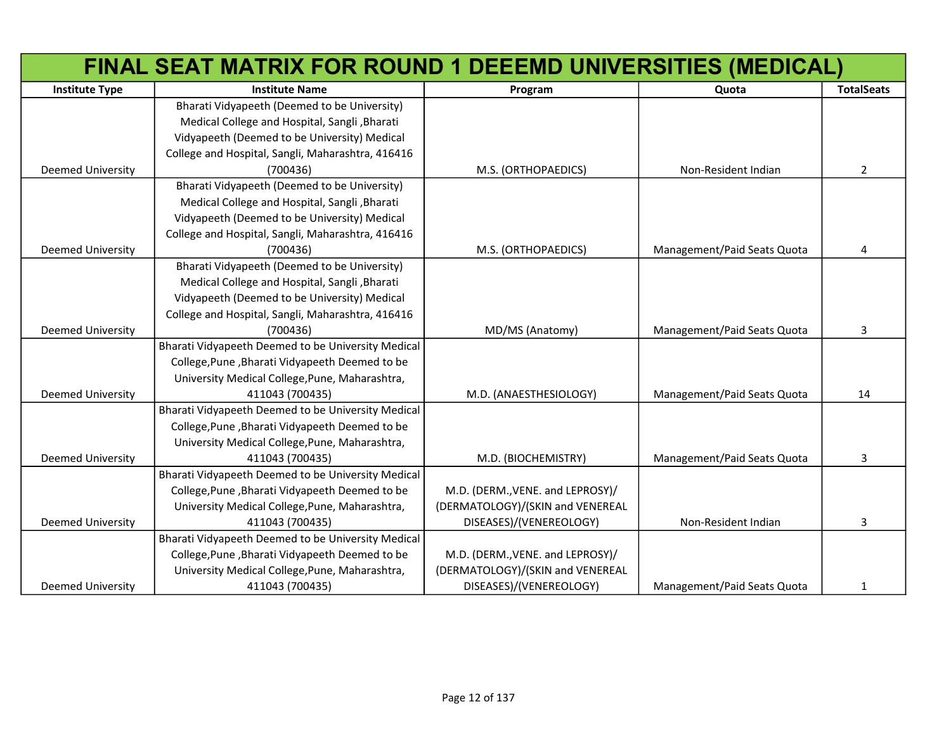|                          | FINAL SEAT MATRIX FOR ROUND 1 DEEEMD UNIVERSITIES (MEDICAL) |                                  |                             |                   |
|--------------------------|-------------------------------------------------------------|----------------------------------|-----------------------------|-------------------|
| <b>Institute Type</b>    | <b>Institute Name</b>                                       | Program                          | Quota                       | <b>TotalSeats</b> |
|                          | Bharati Vidyapeeth (Deemed to be University)                |                                  |                             |                   |
|                          | Medical College and Hospital, Sangli, Bharati               |                                  |                             |                   |
|                          | Vidyapeeth (Deemed to be University) Medical                |                                  |                             |                   |
|                          | College and Hospital, Sangli, Maharashtra, 416416           |                                  |                             |                   |
| <b>Deemed University</b> | (700436)                                                    | M.S. (ORTHOPAEDICS)              | Non-Resident Indian         | $\overline{2}$    |
|                          | Bharati Vidyapeeth (Deemed to be University)                |                                  |                             |                   |
|                          | Medical College and Hospital, Sangli, Bharati               |                                  |                             |                   |
|                          | Vidyapeeth (Deemed to be University) Medical                |                                  |                             |                   |
|                          | College and Hospital, Sangli, Maharashtra, 416416           |                                  |                             |                   |
| <b>Deemed University</b> | (700436)                                                    | M.S. (ORTHOPAEDICS)              | Management/Paid Seats Quota | 4                 |
|                          | Bharati Vidyapeeth (Deemed to be University)                |                                  |                             |                   |
|                          | Medical College and Hospital, Sangli, Bharati               |                                  |                             |                   |
|                          | Vidyapeeth (Deemed to be University) Medical                |                                  |                             |                   |
|                          | College and Hospital, Sangli, Maharashtra, 416416           |                                  |                             |                   |
| <b>Deemed University</b> | (700436)                                                    | MD/MS (Anatomy)                  | Management/Paid Seats Quota | 3                 |
|                          | Bharati Vidyapeeth Deemed to be University Medical          |                                  |                             |                   |
|                          | College, Pune, Bharati Vidyapeeth Deemed to be              |                                  |                             |                   |
|                          | University Medical College, Pune, Maharashtra,              |                                  |                             |                   |
| <b>Deemed University</b> | 411043 (700435)                                             | M.D. (ANAESTHESIOLOGY)           | Management/Paid Seats Quota | 14                |
|                          | Bharati Vidyapeeth Deemed to be University Medical          |                                  |                             |                   |
|                          | College, Pune, Bharati Vidyapeeth Deemed to be              |                                  |                             |                   |
|                          | University Medical College, Pune, Maharashtra,              |                                  |                             |                   |
| <b>Deemed University</b> | 411043 (700435)                                             | M.D. (BIOCHEMISTRY)              | Management/Paid Seats Quota | 3                 |
|                          | Bharati Vidyapeeth Deemed to be University Medical          |                                  |                             |                   |
|                          | College, Pune, Bharati Vidyapeeth Deemed to be              | M.D. (DERM., VENE. and LEPROSY)/ |                             |                   |
|                          | University Medical College, Pune, Maharashtra,              | (DERMATOLOGY)/(SKIN and VENEREAL |                             |                   |
| <b>Deemed University</b> | 411043 (700435)                                             | DISEASES)/(VENEREOLOGY)          | Non-Resident Indian         | 3                 |
|                          | Bharati Vidyapeeth Deemed to be University Medical          |                                  |                             |                   |
|                          | College, Pune, Bharati Vidyapeeth Deemed to be              | M.D. (DERM., VENE. and LEPROSY)/ |                             |                   |
|                          | University Medical College, Pune, Maharashtra,              | (DERMATOLOGY)/(SKIN and VENEREAL |                             |                   |
| <b>Deemed University</b> | 411043 (700435)                                             | DISEASES)/(VENEREOLOGY)          | Management/Paid Seats Quota | $\mathbf{1}$      |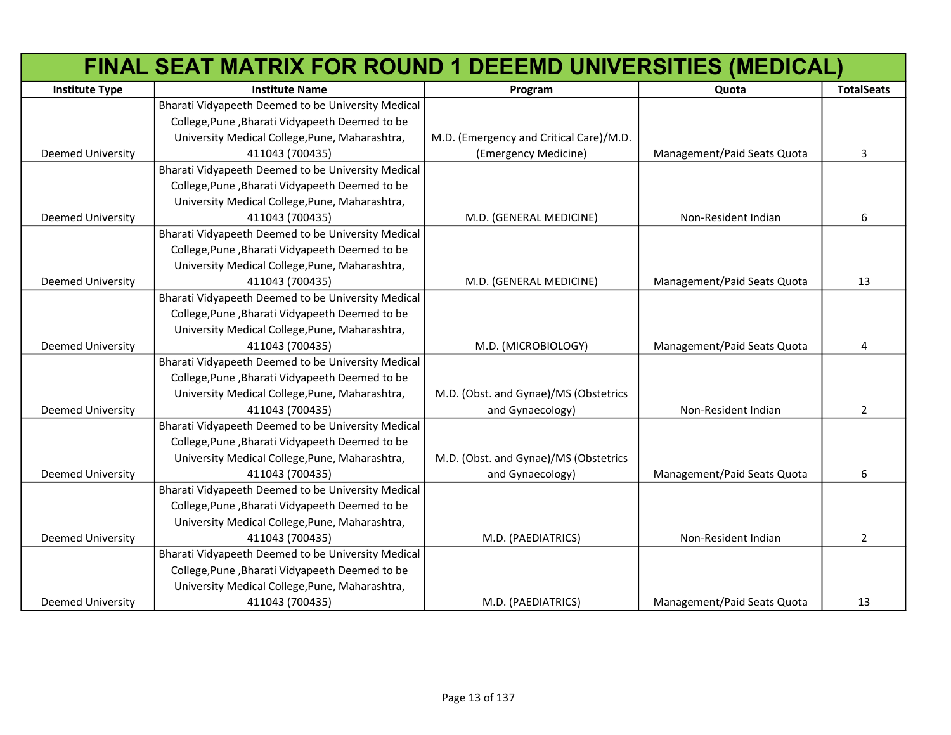|                          | FINAL SEAT MATRIX FOR ROUND 1 DEEEMD UNIVERSITIES (MEDICAL) |                                         |                             |                   |
|--------------------------|-------------------------------------------------------------|-----------------------------------------|-----------------------------|-------------------|
| <b>Institute Type</b>    | <b>Institute Name</b>                                       | Program                                 | Quota                       | <b>TotalSeats</b> |
|                          | Bharati Vidyapeeth Deemed to be University Medical          |                                         |                             |                   |
|                          | College, Pune, Bharati Vidyapeeth Deemed to be              |                                         |                             |                   |
|                          | University Medical College, Pune, Maharashtra,              | M.D. (Emergency and Critical Care)/M.D. |                             |                   |
| <b>Deemed University</b> | 411043 (700435)                                             | (Emergency Medicine)                    | Management/Paid Seats Quota | 3                 |
|                          | Bharati Vidyapeeth Deemed to be University Medical          |                                         |                             |                   |
|                          | College, Pune, Bharati Vidyapeeth Deemed to be              |                                         |                             |                   |
|                          | University Medical College, Pune, Maharashtra,              |                                         |                             |                   |
| <b>Deemed University</b> | 411043 (700435)                                             | M.D. (GENERAL MEDICINE)                 | Non-Resident Indian         | 6                 |
|                          | Bharati Vidyapeeth Deemed to be University Medical          |                                         |                             |                   |
|                          | College, Pune, Bharati Vidyapeeth Deemed to be              |                                         |                             |                   |
|                          | University Medical College, Pune, Maharashtra,              |                                         |                             |                   |
| <b>Deemed University</b> | 411043 (700435)                                             | M.D. (GENERAL MEDICINE)                 | Management/Paid Seats Quota | 13                |
|                          | Bharati Vidyapeeth Deemed to be University Medical          |                                         |                             |                   |
|                          | College, Pune, Bharati Vidyapeeth Deemed to be              |                                         |                             |                   |
|                          | University Medical College, Pune, Maharashtra,              |                                         |                             |                   |
| <b>Deemed University</b> | 411043 (700435)                                             | M.D. (MICROBIOLOGY)                     | Management/Paid Seats Quota | 4                 |
|                          | Bharati Vidyapeeth Deemed to be University Medical          |                                         |                             |                   |
|                          | College, Pune, Bharati Vidyapeeth Deemed to be              |                                         |                             |                   |
|                          | University Medical College, Pune, Maharashtra,              | M.D. (Obst. and Gynae)/MS (Obstetrics   |                             |                   |
| <b>Deemed University</b> | 411043 (700435)                                             | and Gynaecology)                        | Non-Resident Indian         | $\overline{2}$    |
|                          | Bharati Vidyapeeth Deemed to be University Medical          |                                         |                             |                   |
|                          | College, Pune, Bharati Vidyapeeth Deemed to be              |                                         |                             |                   |
|                          | University Medical College, Pune, Maharashtra,              | M.D. (Obst. and Gynae)/MS (Obstetrics   |                             |                   |
| <b>Deemed University</b> | 411043 (700435)                                             | and Gynaecology)                        | Management/Paid Seats Quota | 6                 |
|                          | Bharati Vidyapeeth Deemed to be University Medical          |                                         |                             |                   |
|                          | College, Pune, Bharati Vidyapeeth Deemed to be              |                                         |                             |                   |
|                          | University Medical College, Pune, Maharashtra,              |                                         |                             |                   |
| <b>Deemed University</b> | 411043 (700435)                                             | M.D. (PAEDIATRICS)                      | Non-Resident Indian         | $\overline{2}$    |
|                          | Bharati Vidyapeeth Deemed to be University Medical          |                                         |                             |                   |
|                          | College, Pune, Bharati Vidyapeeth Deemed to be              |                                         |                             |                   |
|                          | University Medical College, Pune, Maharashtra,              |                                         |                             |                   |
| <b>Deemed University</b> | 411043 (700435)                                             | M.D. (PAEDIATRICS)                      | Management/Paid Seats Quota | 13                |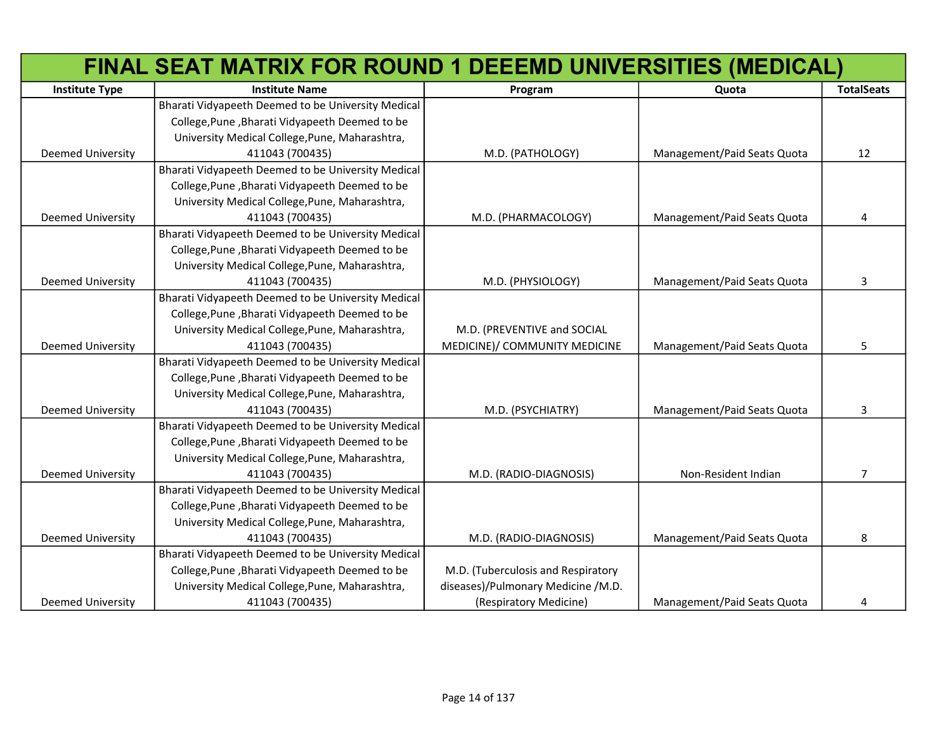|                          | FINAL SEAT MATRIX FOR ROUND 1 DEEEMD UNIVERSITIES (MEDICAL) |                                    |                             |                   |
|--------------------------|-------------------------------------------------------------|------------------------------------|-----------------------------|-------------------|
| <b>Institute Type</b>    | <b>Institute Name</b>                                       | Program                            | Quota                       | <b>TotalSeats</b> |
|                          | Bharati Vidyapeeth Deemed to be University Medical          |                                    |                             |                   |
|                          | College, Pune, Bharati Vidyapeeth Deemed to be              |                                    |                             |                   |
|                          | University Medical College, Pune, Maharashtra,              |                                    |                             |                   |
| Deemed University        | 411043 (700435)                                             | M.D. (PATHOLOGY)                   | Management/Paid Seats Quota | 12                |
|                          | Bharati Vidyapeeth Deemed to be University Medical          |                                    |                             |                   |
|                          | College, Pune, Bharati Vidyapeeth Deemed to be              |                                    |                             |                   |
|                          | University Medical College, Pune, Maharashtra,              |                                    |                             |                   |
| Deemed University        | 411043 (700435)                                             | M.D. (PHARMACOLOGY)                | Management/Paid Seats Quota | 4                 |
|                          | Bharati Vidyapeeth Deemed to be University Medical          |                                    |                             |                   |
|                          | College, Pune, Bharati Vidyapeeth Deemed to be              |                                    |                             |                   |
|                          | University Medical College, Pune, Maharashtra,              |                                    |                             |                   |
| <b>Deemed University</b> | 411043 (700435)                                             | M.D. (PHYSIOLOGY)                  | Management/Paid Seats Quota | 3                 |
|                          | Bharati Vidyapeeth Deemed to be University Medical          |                                    |                             |                   |
|                          | College, Pune, Bharati Vidyapeeth Deemed to be              |                                    |                             |                   |
|                          | University Medical College, Pune, Maharashtra,              | M.D. (PREVENTIVE and SOCIAL        |                             |                   |
| <b>Deemed University</b> | 411043 (700435)                                             | MEDICINE)/ COMMUNITY MEDICINE      | Management/Paid Seats Quota | 5                 |
|                          | Bharati Vidyapeeth Deemed to be University Medical          |                                    |                             |                   |
|                          | College, Pune, Bharati Vidyapeeth Deemed to be              |                                    |                             |                   |
|                          | University Medical College, Pune, Maharashtra,              |                                    |                             |                   |
| <b>Deemed University</b> | 411043 (700435)                                             | M.D. (PSYCHIATRY)                  | Management/Paid Seats Quota | 3                 |
|                          | Bharati Vidyapeeth Deemed to be University Medical          |                                    |                             |                   |
|                          | College, Pune, Bharati Vidyapeeth Deemed to be              |                                    |                             |                   |
|                          | University Medical College, Pune, Maharashtra,              |                                    |                             |                   |
| <b>Deemed University</b> | 411043 (700435)                                             | M.D. (RADIO-DIAGNOSIS)             | Non-Resident Indian         | $\overline{7}$    |
|                          | Bharati Vidyapeeth Deemed to be University Medical          |                                    |                             |                   |
|                          | College, Pune, Bharati Vidyapeeth Deemed to be              |                                    |                             |                   |
|                          | University Medical College, Pune, Maharashtra,              |                                    |                             |                   |
| <b>Deemed University</b> | 411043 (700435)                                             | M.D. (RADIO-DIAGNOSIS)             | Management/Paid Seats Quota | 8                 |
|                          | Bharati Vidyapeeth Deemed to be University Medical          |                                    |                             |                   |
|                          | College, Pune, Bharati Vidyapeeth Deemed to be              | M.D. (Tuberculosis and Respiratory |                             |                   |
|                          | University Medical College, Pune, Maharashtra,              | diseases)/Pulmonary Medicine /M.D. |                             |                   |
| <b>Deemed University</b> | 411043 (700435)                                             | (Respiratory Medicine)             | Management/Paid Seats Quota | 4                 |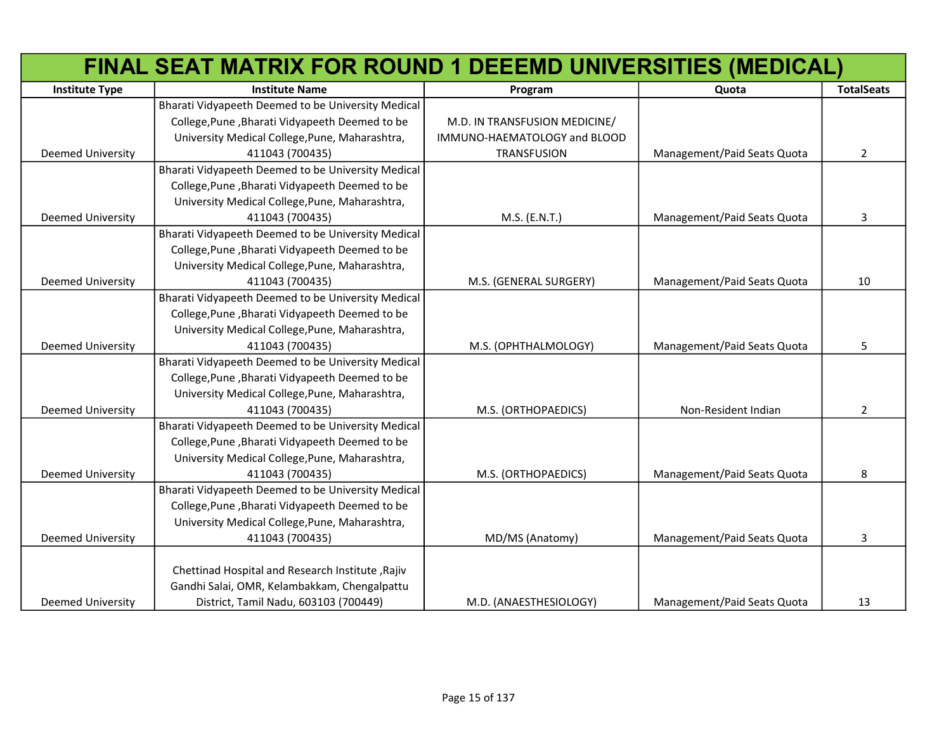|                          | FINAL SEAT MATRIX FOR ROUND 1 DEEEMD UNIVERSITIES (MEDICAL) |                               |                             |                   |
|--------------------------|-------------------------------------------------------------|-------------------------------|-----------------------------|-------------------|
| <b>Institute Type</b>    | <b>Institute Name</b>                                       | Program                       | Quota                       | <b>TotalSeats</b> |
|                          | Bharati Vidyapeeth Deemed to be University Medical          |                               |                             |                   |
|                          | College, Pune, Bharati Vidyapeeth Deemed to be              | M.D. IN TRANSFUSION MEDICINE/ |                             |                   |
|                          | University Medical College, Pune, Maharashtra,              | IMMUNO-HAEMATOLOGY and BLOOD  |                             |                   |
| <b>Deemed University</b> | 411043 (700435)                                             | <b>TRANSFUSION</b>            | Management/Paid Seats Quota | $\overline{2}$    |
|                          | Bharati Vidyapeeth Deemed to be University Medical          |                               |                             |                   |
|                          | College, Pune, Bharati Vidyapeeth Deemed to be              |                               |                             |                   |
|                          | University Medical College, Pune, Maharashtra,              |                               |                             |                   |
| Deemed University        | 411043 (700435)                                             | M.S. (E.N.T.)                 | Management/Paid Seats Quota | 3                 |
|                          | Bharati Vidyapeeth Deemed to be University Medical          |                               |                             |                   |
|                          | College, Pune, Bharati Vidyapeeth Deemed to be              |                               |                             |                   |
|                          | University Medical College, Pune, Maharashtra,              |                               |                             |                   |
| <b>Deemed University</b> | 411043 (700435)                                             | M.S. (GENERAL SURGERY)        | Management/Paid Seats Quota | 10                |
|                          | Bharati Vidyapeeth Deemed to be University Medical          |                               |                             |                   |
|                          | College, Pune, Bharati Vidyapeeth Deemed to be              |                               |                             |                   |
|                          | University Medical College, Pune, Maharashtra,              |                               |                             |                   |
| <b>Deemed University</b> | 411043 (700435)                                             | M.S. (OPHTHALMOLOGY)          | Management/Paid Seats Quota | 5                 |
|                          | Bharati Vidyapeeth Deemed to be University Medical          |                               |                             |                   |
|                          | College, Pune, Bharati Vidyapeeth Deemed to be              |                               |                             |                   |
|                          | University Medical College, Pune, Maharashtra,              |                               |                             |                   |
| <b>Deemed University</b> | 411043 (700435)                                             | M.S. (ORTHOPAEDICS)           | Non-Resident Indian         | $\overline{2}$    |
|                          | Bharati Vidyapeeth Deemed to be University Medical          |                               |                             |                   |
|                          | College, Pune, Bharati Vidyapeeth Deemed to be              |                               |                             |                   |
|                          | University Medical College, Pune, Maharashtra,              |                               |                             |                   |
| <b>Deemed University</b> | 411043 (700435)                                             | M.S. (ORTHOPAEDICS)           | Management/Paid Seats Quota | 8                 |
|                          | Bharati Vidyapeeth Deemed to be University Medical          |                               |                             |                   |
|                          | College, Pune, Bharati Vidyapeeth Deemed to be              |                               |                             |                   |
|                          | University Medical College, Pune, Maharashtra,              |                               |                             |                   |
| <b>Deemed University</b> | 411043 (700435)                                             | MD/MS (Anatomy)               | Management/Paid Seats Quota | 3                 |
|                          |                                                             |                               |                             |                   |
|                          | Chettinad Hospital and Research Institute, Rajiv            |                               |                             |                   |
|                          | Gandhi Salai, OMR, Kelambakkam, Chengalpattu                |                               |                             |                   |
| <b>Deemed University</b> | District, Tamil Nadu, 603103 (700449)                       | M.D. (ANAESTHESIOLOGY)        | Management/Paid Seats Quota | 13                |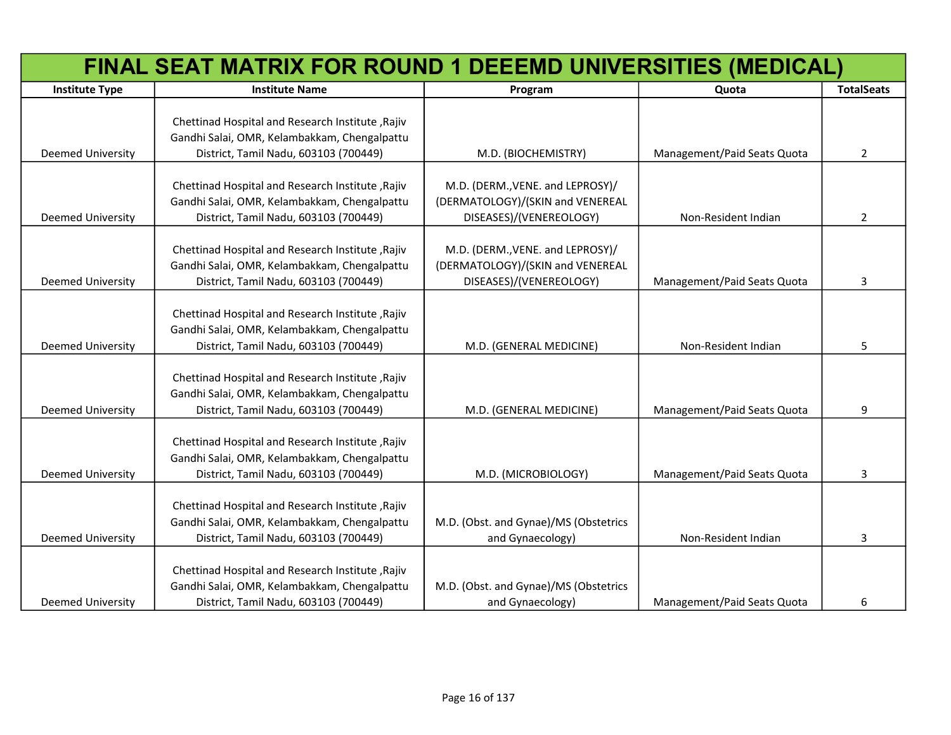|                          | FINAL SEAT MATRIX FOR ROUND 1 DEEEMD UNIVERSITIES (MEDICAL)                                                                               |                                                                                                 |                             |                   |
|--------------------------|-------------------------------------------------------------------------------------------------------------------------------------------|-------------------------------------------------------------------------------------------------|-----------------------------|-------------------|
| <b>Institute Type</b>    | <b>Institute Name</b>                                                                                                                     | Program                                                                                         | Quota                       | <b>TotalSeats</b> |
| <b>Deemed University</b> | Chettinad Hospital and Research Institute, Rajiv<br>Gandhi Salai, OMR, Kelambakkam, Chengalpattu<br>District, Tamil Nadu, 603103 (700449) | M.D. (BIOCHEMISTRY)                                                                             | Management/Paid Seats Quota | $\overline{2}$    |
| Deemed University        | Chettinad Hospital and Research Institute, Rajiv<br>Gandhi Salai, OMR, Kelambakkam, Chengalpattu<br>District, Tamil Nadu, 603103 (700449) | M.D. (DERM., VENE. and LEPROSY)/<br>(DERMATOLOGY)/(SKIN and VENEREAL<br>DISEASES)/(VENEREOLOGY) | Non-Resident Indian         | $\overline{2}$    |
| Deemed University        | Chettinad Hospital and Research Institute, Rajiv<br>Gandhi Salai, OMR, Kelambakkam, Chengalpattu<br>District, Tamil Nadu, 603103 (700449) | M.D. (DERM., VENE. and LEPROSY)/<br>(DERMATOLOGY)/(SKIN and VENEREAL<br>DISEASES)/(VENEREOLOGY) | Management/Paid Seats Quota | 3                 |
| <b>Deemed University</b> | Chettinad Hospital and Research Institute, Rajiv<br>Gandhi Salai, OMR, Kelambakkam, Chengalpattu<br>District, Tamil Nadu, 603103 (700449) | M.D. (GENERAL MEDICINE)                                                                         | Non-Resident Indian         | 5                 |
| Deemed University        | Chettinad Hospital and Research Institute, Rajiv<br>Gandhi Salai, OMR, Kelambakkam, Chengalpattu<br>District, Tamil Nadu, 603103 (700449) | M.D. (GENERAL MEDICINE)                                                                         | Management/Paid Seats Quota | 9                 |
| <b>Deemed University</b> | Chettinad Hospital and Research Institute, Rajiv<br>Gandhi Salai, OMR, Kelambakkam, Chengalpattu<br>District, Tamil Nadu, 603103 (700449) | M.D. (MICROBIOLOGY)                                                                             | Management/Paid Seats Quota | 3                 |
| <b>Deemed University</b> | Chettinad Hospital and Research Institute, Rajiv<br>Gandhi Salai, OMR, Kelambakkam, Chengalpattu<br>District, Tamil Nadu, 603103 (700449) | M.D. (Obst. and Gynae)/MS (Obstetrics<br>and Gynaecology)                                       | Non-Resident Indian         | 3                 |
| <b>Deemed University</b> | Chettinad Hospital and Research Institute, Rajiv<br>Gandhi Salai, OMR, Kelambakkam, Chengalpattu<br>District, Tamil Nadu, 603103 (700449) | M.D. (Obst. and Gynae)/MS (Obstetrics<br>and Gynaecology)                                       | Management/Paid Seats Quota | 6                 |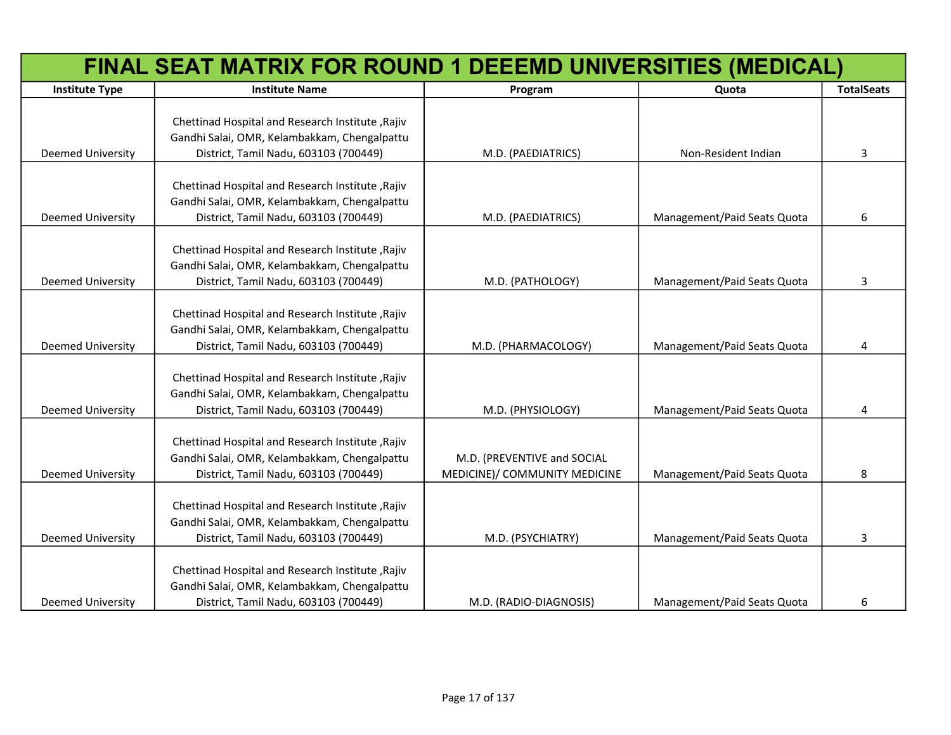|                          | FINAL SEAT MATRIX FOR ROUND 1 DEEEMD UNIVERSITIES (MEDICAL)                                                                               |                                                              |                             |                   |
|--------------------------|-------------------------------------------------------------------------------------------------------------------------------------------|--------------------------------------------------------------|-----------------------------|-------------------|
| <b>Institute Type</b>    | <b>Institute Name</b>                                                                                                                     | Program                                                      | Quota                       | <b>TotalSeats</b> |
| Deemed University        | Chettinad Hospital and Research Institute, Rajiv<br>Gandhi Salai, OMR, Kelambakkam, Chengalpattu<br>District, Tamil Nadu, 603103 (700449) | M.D. (PAEDIATRICS)                                           | Non-Resident Indian         | 3                 |
| <b>Deemed University</b> | Chettinad Hospital and Research Institute, Rajiv<br>Gandhi Salai, OMR, Kelambakkam, Chengalpattu<br>District, Tamil Nadu, 603103 (700449) | M.D. (PAEDIATRICS)                                           | Management/Paid Seats Quota | 6                 |
| <b>Deemed University</b> | Chettinad Hospital and Research Institute, Rajiv<br>Gandhi Salai, OMR, Kelambakkam, Chengalpattu<br>District, Tamil Nadu, 603103 (700449) | M.D. (PATHOLOGY)                                             | Management/Paid Seats Quota | 3                 |
| <b>Deemed University</b> | Chettinad Hospital and Research Institute, Rajiv<br>Gandhi Salai, OMR, Kelambakkam, Chengalpattu<br>District, Tamil Nadu, 603103 (700449) | M.D. (PHARMACOLOGY)                                          | Management/Paid Seats Quota | 4                 |
| <b>Deemed University</b> | Chettinad Hospital and Research Institute, Rajiv<br>Gandhi Salai, OMR, Kelambakkam, Chengalpattu<br>District, Tamil Nadu, 603103 (700449) | M.D. (PHYSIOLOGY)                                            | Management/Paid Seats Quota | 4                 |
| <b>Deemed University</b> | Chettinad Hospital and Research Institute, Rajiv<br>Gandhi Salai, OMR, Kelambakkam, Chengalpattu<br>District, Tamil Nadu, 603103 (700449) | M.D. (PREVENTIVE and SOCIAL<br>MEDICINE)/ COMMUNITY MEDICINE | Management/Paid Seats Quota | 8                 |
| <b>Deemed University</b> | Chettinad Hospital and Research Institute, Rajiv<br>Gandhi Salai, OMR, Kelambakkam, Chengalpattu<br>District, Tamil Nadu, 603103 (700449) | M.D. (PSYCHIATRY)                                            | Management/Paid Seats Quota | 3                 |
| <b>Deemed University</b> | Chettinad Hospital and Research Institute, Rajiv<br>Gandhi Salai, OMR, Kelambakkam, Chengalpattu<br>District, Tamil Nadu, 603103 (700449) | M.D. (RADIO-DIAGNOSIS)                                       | Management/Paid Seats Quota | 6                 |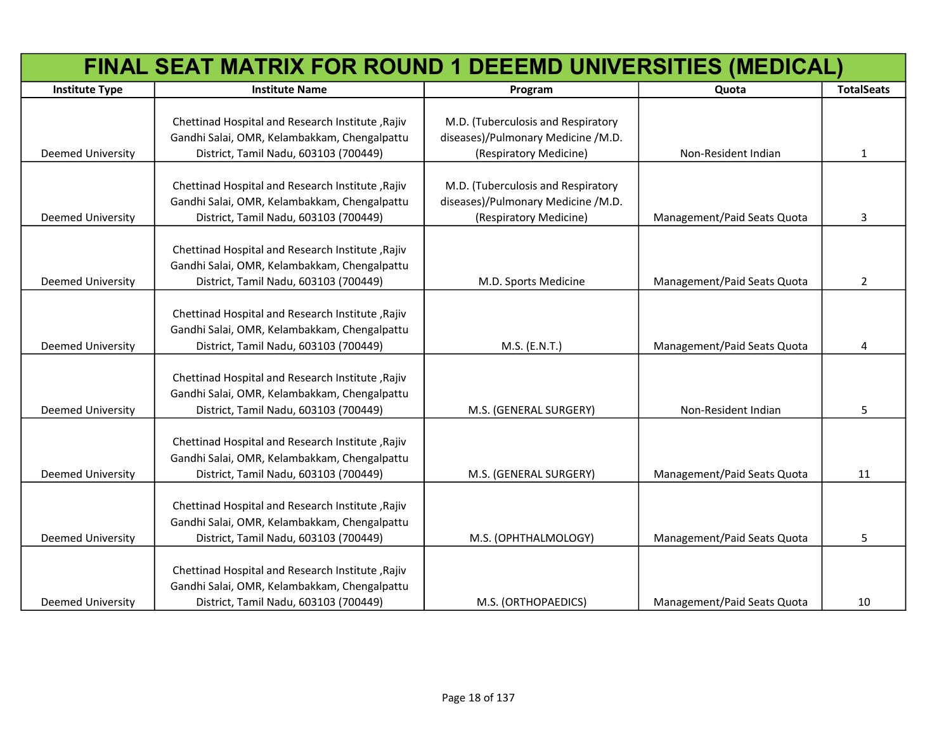|                          | FINAL SEAT MATRIX FOR ROUND 1 DEEEMD UNIVERSITIES (MEDICAL)                                      |                                                              |                             |                   |
|--------------------------|--------------------------------------------------------------------------------------------------|--------------------------------------------------------------|-----------------------------|-------------------|
| <b>Institute Type</b>    | <b>Institute Name</b>                                                                            | Program                                                      | Quota                       | <b>TotalSeats</b> |
|                          |                                                                                                  |                                                              |                             |                   |
|                          | Chettinad Hospital and Research Institute, Rajiv                                                 | M.D. (Tuberculosis and Respiratory                           |                             |                   |
| Deemed University        | Gandhi Salai, OMR, Kelambakkam, Chengalpattu<br>District, Tamil Nadu, 603103 (700449)            | diseases)/Pulmonary Medicine /M.D.<br>(Respiratory Medicine) | Non-Resident Indian         | 1                 |
|                          |                                                                                                  |                                                              |                             |                   |
|                          | Chettinad Hospital and Research Institute, Rajiv                                                 | M.D. (Tuberculosis and Respiratory                           |                             |                   |
|                          | Gandhi Salai, OMR, Kelambakkam, Chengalpattu                                                     | diseases)/Pulmonary Medicine /M.D.                           |                             |                   |
| <b>Deemed University</b> | District, Tamil Nadu, 603103 (700449)                                                            | (Respiratory Medicine)                                       | Management/Paid Seats Quota | 3                 |
|                          |                                                                                                  |                                                              |                             |                   |
|                          | Chettinad Hospital and Research Institute, Rajiv                                                 |                                                              |                             |                   |
|                          | Gandhi Salai, OMR, Kelambakkam, Chengalpattu                                                     |                                                              |                             |                   |
| Deemed University        | District, Tamil Nadu, 603103 (700449)                                                            | M.D. Sports Medicine                                         | Management/Paid Seats Quota | $\overline{2}$    |
|                          |                                                                                                  |                                                              |                             |                   |
|                          | Chettinad Hospital and Research Institute, Rajiv                                                 |                                                              |                             |                   |
|                          | Gandhi Salai, OMR, Kelambakkam, Chengalpattu                                                     |                                                              |                             |                   |
| Deemed University        | District, Tamil Nadu, 603103 (700449)                                                            | M.S. (E.N.T.)                                                | Management/Paid Seats Quota | 4                 |
|                          |                                                                                                  |                                                              |                             |                   |
|                          | Chettinad Hospital and Research Institute, Rajiv                                                 |                                                              |                             |                   |
|                          | Gandhi Salai, OMR, Kelambakkam, Chengalpattu                                                     |                                                              |                             |                   |
| Deemed University        | District, Tamil Nadu, 603103 (700449)                                                            | M.S. (GENERAL SURGERY)                                       | Non-Resident Indian         | 5                 |
|                          |                                                                                                  |                                                              |                             |                   |
|                          | Chettinad Hospital and Research Institute, Rajiv<br>Gandhi Salai, OMR, Kelambakkam, Chengalpattu |                                                              |                             |                   |
| Deemed University        | District, Tamil Nadu, 603103 (700449)                                                            | M.S. (GENERAL SURGERY)                                       | Management/Paid Seats Quota | 11                |
|                          |                                                                                                  |                                                              |                             |                   |
|                          | Chettinad Hospital and Research Institute, Rajiv                                                 |                                                              |                             |                   |
|                          | Gandhi Salai, OMR, Kelambakkam, Chengalpattu                                                     |                                                              |                             |                   |
| Deemed University        | District, Tamil Nadu, 603103 (700449)                                                            | M.S. (OPHTHALMOLOGY)                                         | Management/Paid Seats Quota | 5                 |
|                          |                                                                                                  |                                                              |                             |                   |
|                          | Chettinad Hospital and Research Institute, Rajiv                                                 |                                                              |                             |                   |
|                          | Gandhi Salai, OMR, Kelambakkam, Chengalpattu                                                     |                                                              |                             |                   |
| <b>Deemed University</b> | District, Tamil Nadu, 603103 (700449)                                                            | M.S. (ORTHOPAEDICS)                                          | Management/Paid Seats Quota | 10                |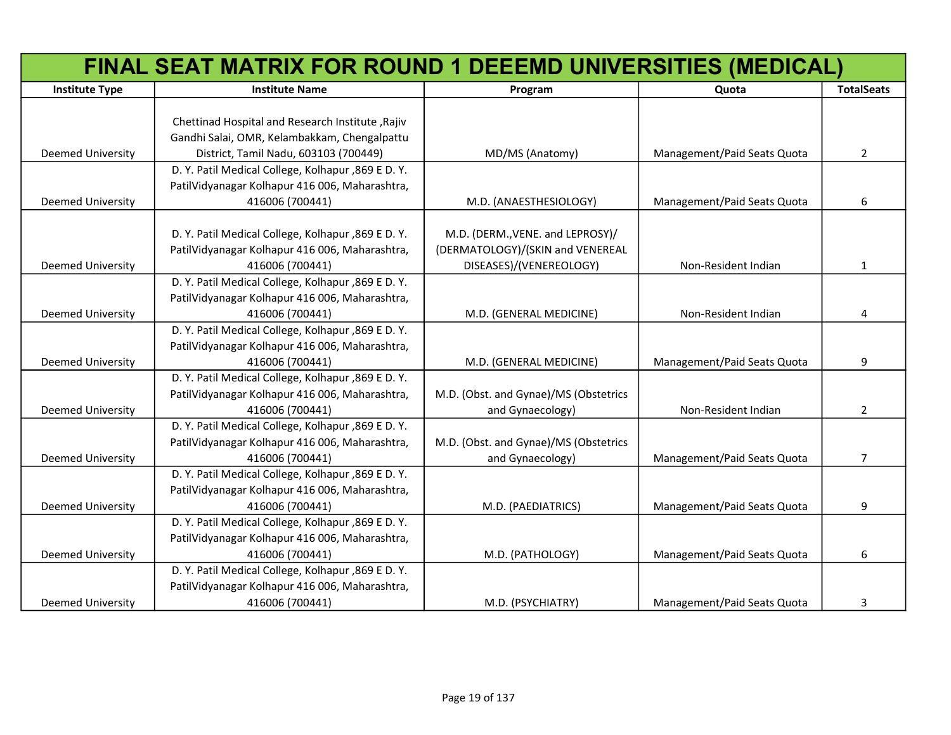|                          | FINAL SEAT MATRIX FOR ROUND 1 DEEEMD UNIVERSITIES (MEDICAL) |                                       |                             |                   |
|--------------------------|-------------------------------------------------------------|---------------------------------------|-----------------------------|-------------------|
| <b>Institute Type</b>    | <b>Institute Name</b>                                       | Program                               | Quota                       | <b>TotalSeats</b> |
|                          |                                                             |                                       |                             |                   |
|                          | Chettinad Hospital and Research Institute, Rajiv            |                                       |                             |                   |
|                          | Gandhi Salai, OMR, Kelambakkam, Chengalpattu                |                                       |                             |                   |
| Deemed University        | District, Tamil Nadu, 603103 (700449)                       | MD/MS (Anatomy)                       | Management/Paid Seats Quota | $2^{\circ}$       |
|                          | D. Y. Patil Medical College, Kolhapur, 869 E D. Y.          |                                       |                             |                   |
|                          | PatilVidyanagar Kolhapur 416 006, Maharashtra,              |                                       |                             |                   |
| Deemed University        | 416006 (700441)                                             | M.D. (ANAESTHESIOLOGY)                | Management/Paid Seats Quota | 6                 |
|                          |                                                             |                                       |                             |                   |
|                          | D. Y. Patil Medical College, Kolhapur , 869 E D. Y.         | M.D. (DERM., VENE. and LEPROSY)/      |                             |                   |
|                          | PatilVidyanagar Kolhapur 416 006, Maharashtra,              | (DERMATOLOGY)/(SKIN and VENEREAL      |                             |                   |
| Deemed University        | 416006 (700441)                                             | DISEASES)/(VENEREOLOGY)               | Non-Resident Indian         | $\mathbf{1}$      |
|                          | D. Y. Patil Medical College, Kolhapur, 869 E D. Y.          |                                       |                             |                   |
|                          | PatilVidyanagar Kolhapur 416 006, Maharashtra,              |                                       |                             |                   |
| Deemed University        | 416006 (700441)                                             | M.D. (GENERAL MEDICINE)               | Non-Resident Indian         | 4                 |
|                          | D. Y. Patil Medical College, Kolhapur, 869 E D. Y.          |                                       |                             |                   |
|                          | PatilVidyanagar Kolhapur 416 006, Maharashtra,              |                                       |                             |                   |
| Deemed University        | 416006 (700441)                                             | M.D. (GENERAL MEDICINE)               | Management/Paid Seats Quota | 9                 |
|                          | D. Y. Patil Medical College, Kolhapur, 869 E D. Y.          |                                       |                             |                   |
|                          | PatilVidyanagar Kolhapur 416 006, Maharashtra,              | M.D. (Obst. and Gynae)/MS (Obstetrics |                             |                   |
| Deemed University        | 416006 (700441)                                             | and Gynaecology)                      | Non-Resident Indian         | $\overline{2}$    |
|                          | D. Y. Patil Medical College, Kolhapur, 869 E D. Y.          |                                       |                             |                   |
|                          | PatilVidyanagar Kolhapur 416 006, Maharashtra,              | M.D. (Obst. and Gynae)/MS (Obstetrics |                             |                   |
| Deemed University        | 416006 (700441)                                             | and Gynaecology)                      | Management/Paid Seats Quota | 7                 |
|                          | D. Y. Patil Medical College, Kolhapur, 869 E D. Y.          |                                       |                             |                   |
|                          | PatilVidyanagar Kolhapur 416 006, Maharashtra,              |                                       |                             |                   |
| Deemed University        | 416006 (700441)                                             | M.D. (PAEDIATRICS)                    | Management/Paid Seats Quota | 9                 |
|                          | D. Y. Patil Medical College, Kolhapur, 869 E D. Y.          |                                       |                             |                   |
|                          | PatilVidyanagar Kolhapur 416 006, Maharashtra,              |                                       |                             |                   |
| <b>Deemed University</b> | 416006 (700441)                                             | M.D. (PATHOLOGY)                      | Management/Paid Seats Quota | 6                 |
|                          | D. Y. Patil Medical College, Kolhapur, 869 E D. Y.          |                                       |                             |                   |
|                          | PatilVidyanagar Kolhapur 416 006, Maharashtra,              |                                       |                             |                   |
| <b>Deemed University</b> | 416006 (700441)                                             | M.D. (PSYCHIATRY)                     | Management/Paid Seats Quota | 3                 |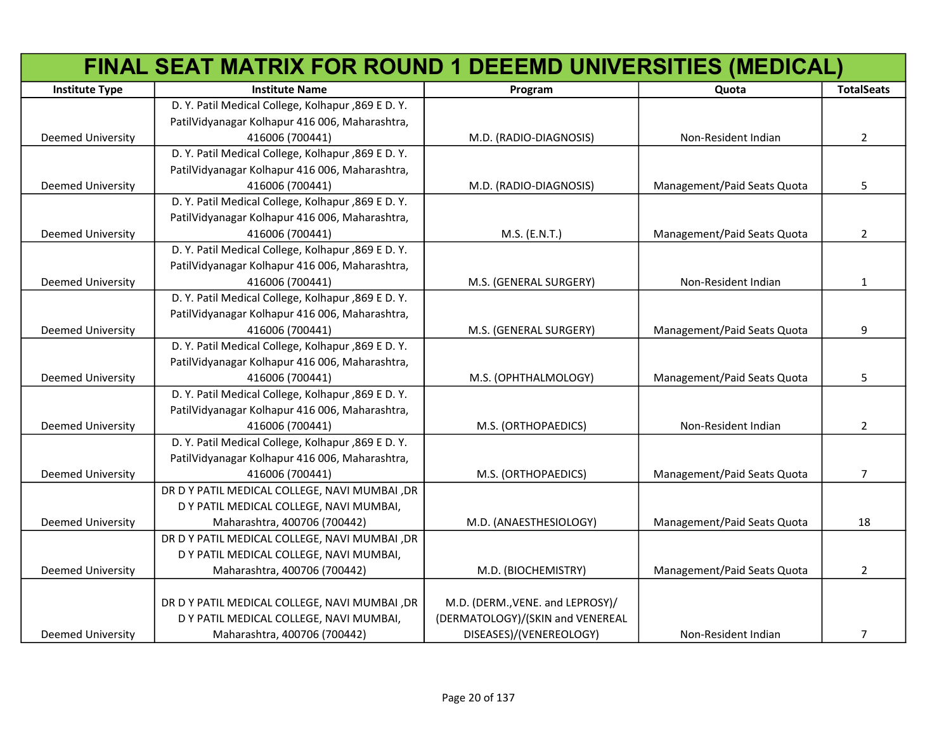|                          | FINAL SEAT MATRIX FOR ROUND 1 DEEEMD UNIVERSITIES (MEDICAL) |                                  |                             |                       |
|--------------------------|-------------------------------------------------------------|----------------------------------|-----------------------------|-----------------------|
| <b>Institute Type</b>    | <b>Institute Name</b>                                       | Program                          | Quota                       | <b>TotalSeats</b>     |
|                          | D. Y. Patil Medical College, Kolhapur, 869 E D. Y.          |                                  |                             |                       |
|                          | PatilVidyanagar Kolhapur 416 006, Maharashtra,              |                                  |                             |                       |
| Deemed University        | 416006 (700441)                                             | M.D. (RADIO-DIAGNOSIS)           | Non-Resident Indian         | $\mathbf{2}^{\prime}$ |
|                          | D. Y. Patil Medical College, Kolhapur, 869 E D. Y.          |                                  |                             |                       |
|                          | PatilVidyanagar Kolhapur 416 006, Maharashtra,              |                                  |                             |                       |
| Deemed University        | 416006 (700441)                                             | M.D. (RADIO-DIAGNOSIS)           | Management/Paid Seats Quota | 5                     |
|                          | D. Y. Patil Medical College, Kolhapur, 869 E D. Y.          |                                  |                             |                       |
|                          | PatilVidyanagar Kolhapur 416 006, Maharashtra,              |                                  |                             |                       |
| Deemed University        | 416006 (700441)                                             | M.S. (E.N.T.)                    | Management/Paid Seats Quota | 2                     |
|                          | D. Y. Patil Medical College, Kolhapur, 869 E D. Y.          |                                  |                             |                       |
|                          | PatilVidyanagar Kolhapur 416 006, Maharashtra,              |                                  |                             |                       |
| <b>Deemed University</b> | 416006 (700441)                                             | M.S. (GENERAL SURGERY)           | Non-Resident Indian         | $\mathbf{1}$          |
|                          | D. Y. Patil Medical College, Kolhapur, 869 E D. Y.          |                                  |                             |                       |
|                          | PatilVidyanagar Kolhapur 416 006, Maharashtra,              |                                  |                             |                       |
| <b>Deemed University</b> | 416006 (700441)                                             | M.S. (GENERAL SURGERY)           | Management/Paid Seats Quota | 9                     |
|                          | D. Y. Patil Medical College, Kolhapur, 869 E D. Y.          |                                  |                             |                       |
|                          | PatilVidyanagar Kolhapur 416 006, Maharashtra,              |                                  |                             |                       |
| <b>Deemed University</b> | 416006 (700441)                                             | M.S. (OPHTHALMOLOGY)             | Management/Paid Seats Quota | 5                     |
|                          | D. Y. Patil Medical College, Kolhapur, 869 E D. Y.          |                                  |                             |                       |
|                          | PatilVidyanagar Kolhapur 416 006, Maharashtra,              |                                  |                             |                       |
| <b>Deemed University</b> | 416006 (700441)                                             | M.S. (ORTHOPAEDICS)              | Non-Resident Indian         | $\overline{2}$        |
|                          | D. Y. Patil Medical College, Kolhapur, 869 E D. Y.          |                                  |                             |                       |
|                          | PatilVidyanagar Kolhapur 416 006, Maharashtra,              |                                  |                             |                       |
| <b>Deemed University</b> | 416006 (700441)                                             | M.S. (ORTHOPAEDICS)              | Management/Paid Seats Quota | $\overline{7}$        |
|                          | DR D Y PATIL MEDICAL COLLEGE, NAVI MUMBAI, DR               |                                  |                             |                       |
|                          | D Y PATIL MEDICAL COLLEGE, NAVI MUMBAI,                     |                                  |                             |                       |
| <b>Deemed University</b> | Maharashtra, 400706 (700442)                                | M.D. (ANAESTHESIOLOGY)           | Management/Paid Seats Quota | 18                    |
|                          | DR D Y PATIL MEDICAL COLLEGE, NAVI MUMBAI, DR               |                                  |                             |                       |
|                          | D Y PATIL MEDICAL COLLEGE, NAVI MUMBAI,                     |                                  |                             |                       |
| Deemed University        | Maharashtra, 400706 (700442)                                | M.D. (BIOCHEMISTRY)              | Management/Paid Seats Quota | $\overline{2}$        |
|                          |                                                             |                                  |                             |                       |
|                          | DR D Y PATIL MEDICAL COLLEGE, NAVI MUMBAI, DR               | M.D. (DERM., VENE. and LEPROSY)/ |                             |                       |
|                          | D Y PATIL MEDICAL COLLEGE, NAVI MUMBAI,                     | (DERMATOLOGY)/(SKIN and VENEREAL |                             |                       |
| <b>Deemed University</b> | Maharashtra, 400706 (700442)                                | DISEASES)/(VENEREOLOGY)          | Non-Resident Indian         | 7                     |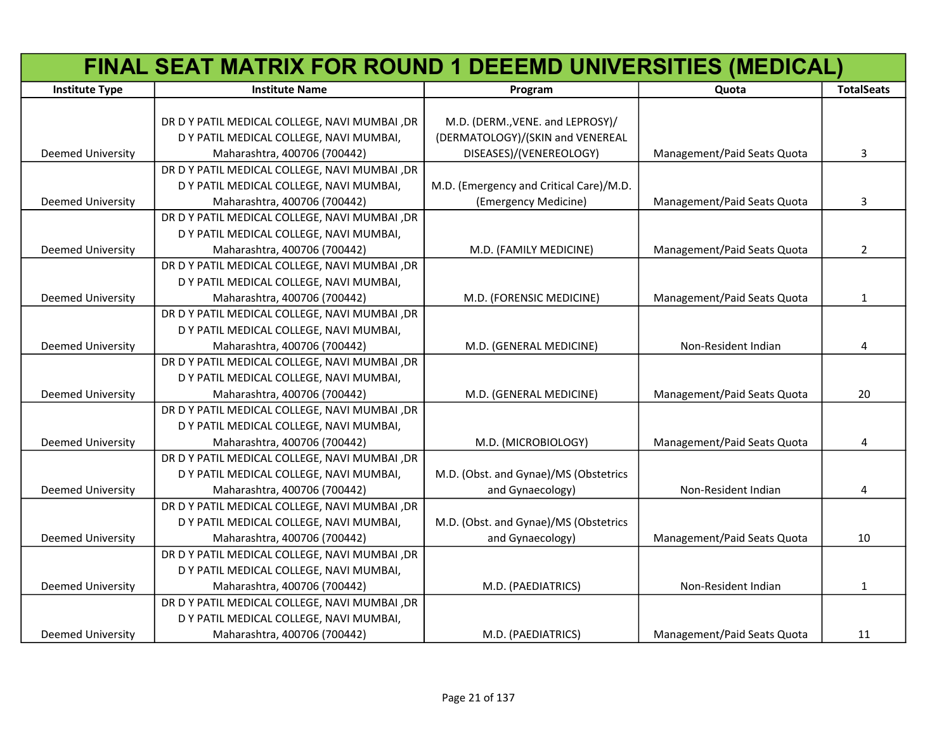|                          | FINAL SEAT MATRIX FOR ROUND 1 DEEEMD UNIVERSITIES (MEDICAL) |                                         |                             |                   |
|--------------------------|-------------------------------------------------------------|-----------------------------------------|-----------------------------|-------------------|
| <b>Institute Type</b>    | <b>Institute Name</b>                                       | Program                                 | Quota                       | <b>TotalSeats</b> |
|                          |                                                             |                                         |                             |                   |
|                          | DR D Y PATIL MEDICAL COLLEGE, NAVI MUMBAI ,DR               | M.D. (DERM., VENE. and LEPROSY)/        |                             |                   |
|                          | D Y PATIL MEDICAL COLLEGE, NAVI MUMBAI,                     | (DERMATOLOGY)/(SKIN and VENEREAL        |                             |                   |
| <b>Deemed University</b> | Maharashtra, 400706 (700442)                                | DISEASES)/(VENEREOLOGY)                 | Management/Paid Seats Quota | 3                 |
|                          | DR D Y PATIL MEDICAL COLLEGE, NAVI MUMBAI ,DR               |                                         |                             |                   |
|                          | D Y PATIL MEDICAL COLLEGE, NAVI MUMBAI,                     | M.D. (Emergency and Critical Care)/M.D. |                             |                   |
| Deemed University        | Maharashtra, 400706 (700442)                                | (Emergency Medicine)                    | Management/Paid Seats Quota | 3                 |
|                          | DR D Y PATIL MEDICAL COLLEGE, NAVI MUMBAI ,DR               |                                         |                             |                   |
|                          | D Y PATIL MEDICAL COLLEGE, NAVI MUMBAI,                     |                                         |                             |                   |
| Deemed University        | Maharashtra, 400706 (700442)                                | M.D. (FAMILY MEDICINE)                  | Management/Paid Seats Quota | $\overline{2}$    |
|                          | DR D Y PATIL MEDICAL COLLEGE, NAVI MUMBAI ,DR               |                                         |                             |                   |
|                          | D Y PATIL MEDICAL COLLEGE, NAVI MUMBAI,                     |                                         |                             |                   |
| <b>Deemed University</b> | Maharashtra, 400706 (700442)                                | M.D. (FORENSIC MEDICINE)                | Management/Paid Seats Quota | 1                 |
|                          | DR D Y PATIL MEDICAL COLLEGE, NAVI MUMBAI ,DR               |                                         |                             |                   |
|                          | D Y PATIL MEDICAL COLLEGE, NAVI MUMBAI,                     |                                         |                             |                   |
| <b>Deemed University</b> | Maharashtra, 400706 (700442)                                | M.D. (GENERAL MEDICINE)                 | Non-Resident Indian         | 4                 |
|                          | DR D Y PATIL MEDICAL COLLEGE, NAVI MUMBAI ,DR               |                                         |                             |                   |
|                          | D Y PATIL MEDICAL COLLEGE, NAVI MUMBAI,                     |                                         |                             |                   |
| <b>Deemed University</b> | Maharashtra, 400706 (700442)                                | M.D. (GENERAL MEDICINE)                 | Management/Paid Seats Quota | 20                |
|                          | DR D Y PATIL MEDICAL COLLEGE, NAVI MUMBAI ,DR               |                                         |                             |                   |
|                          | D Y PATIL MEDICAL COLLEGE, NAVI MUMBAI,                     |                                         |                             |                   |
| <b>Deemed University</b> | Maharashtra, 400706 (700442)                                | M.D. (MICROBIOLOGY)                     | Management/Paid Seats Quota | 4                 |
|                          | DR D Y PATIL MEDICAL COLLEGE, NAVI MUMBAI ,DR               |                                         |                             |                   |
|                          | D Y PATIL MEDICAL COLLEGE, NAVI MUMBAI,                     | M.D. (Obst. and Gynae)/MS (Obstetrics   |                             |                   |
| <b>Deemed University</b> | Maharashtra, 400706 (700442)                                | and Gynaecology)                        | Non-Resident Indian         | 4                 |
|                          | DR D Y PATIL MEDICAL COLLEGE, NAVI MUMBAI ,DR               |                                         |                             |                   |
|                          | D Y PATIL MEDICAL COLLEGE, NAVI MUMBAI,                     | M.D. (Obst. and Gynae)/MS (Obstetrics   |                             |                   |
| Deemed University        | Maharashtra, 400706 (700442)                                | and Gynaecology)                        | Management/Paid Seats Quota | 10                |
|                          | DR D Y PATIL MEDICAL COLLEGE, NAVI MUMBAI, DR               |                                         |                             |                   |
|                          | D Y PATIL MEDICAL COLLEGE, NAVI MUMBAI,                     |                                         |                             |                   |
| <b>Deemed University</b> | Maharashtra, 400706 (700442)                                | M.D. (PAEDIATRICS)                      | Non-Resident Indian         | 1                 |
|                          | DR D Y PATIL MEDICAL COLLEGE, NAVI MUMBAI ,DR               |                                         |                             |                   |
|                          | D Y PATIL MEDICAL COLLEGE, NAVI MUMBAI,                     |                                         |                             |                   |
| <b>Deemed University</b> | Maharashtra, 400706 (700442)                                | M.D. (PAEDIATRICS)                      | Management/Paid Seats Quota | 11                |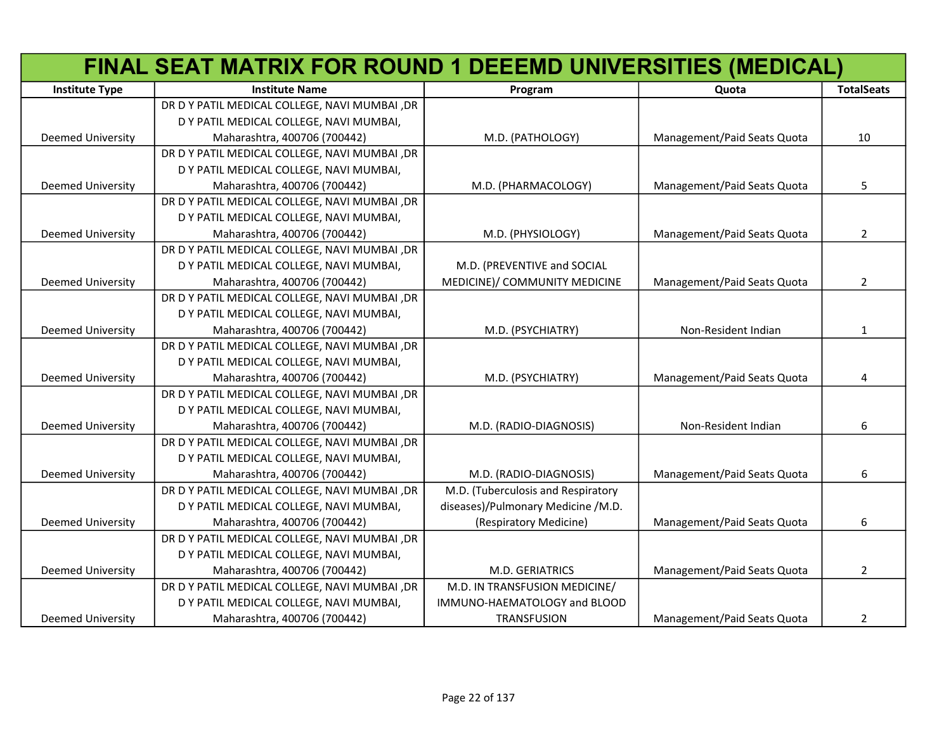|                          | FINAL SEAT MATRIX FOR ROUND 1 DEEEMD UNIVERSITIES (MEDICAL) |                                    |                             |                   |
|--------------------------|-------------------------------------------------------------|------------------------------------|-----------------------------|-------------------|
| <b>Institute Type</b>    | <b>Institute Name</b>                                       | Program                            | Quota                       | <b>TotalSeats</b> |
|                          | DR D Y PATIL MEDICAL COLLEGE, NAVI MUMBAI ,DR               |                                    |                             |                   |
|                          | D Y PATIL MEDICAL COLLEGE, NAVI MUMBAI,                     |                                    |                             |                   |
| <b>Deemed University</b> | Maharashtra, 400706 (700442)                                | M.D. (PATHOLOGY)                   | Management/Paid Seats Quota | 10                |
|                          | DR D Y PATIL MEDICAL COLLEGE, NAVI MUMBAI ,DR               |                                    |                             |                   |
|                          | D Y PATIL MEDICAL COLLEGE, NAVI MUMBAI,                     |                                    |                             |                   |
| <b>Deemed University</b> | Maharashtra, 400706 (700442)                                | M.D. (PHARMACOLOGY)                | Management/Paid Seats Quota | 5                 |
|                          | DR D Y PATIL MEDICAL COLLEGE, NAVI MUMBAI, DR               |                                    |                             |                   |
|                          | D Y PATIL MEDICAL COLLEGE, NAVI MUMBAI,                     |                                    |                             |                   |
| <b>Deemed University</b> | Maharashtra, 400706 (700442)                                | M.D. (PHYSIOLOGY)                  | Management/Paid Seats Quota | $\overline{2}$    |
|                          | DR D Y PATIL MEDICAL COLLEGE, NAVI MUMBAI, DR               |                                    |                             |                   |
|                          | D Y PATIL MEDICAL COLLEGE, NAVI MUMBAI,                     | M.D. (PREVENTIVE and SOCIAL        |                             |                   |
| <b>Deemed University</b> | Maharashtra, 400706 (700442)                                | MEDICINE)/ COMMUNITY MEDICINE      | Management/Paid Seats Quota | $\overline{2}$    |
|                          | DR D Y PATIL MEDICAL COLLEGE, NAVI MUMBAI ,DR               |                                    |                             |                   |
|                          | D Y PATIL MEDICAL COLLEGE, NAVI MUMBAI,                     |                                    |                             |                   |
| <b>Deemed University</b> | Maharashtra, 400706 (700442)                                | M.D. (PSYCHIATRY)                  | Non-Resident Indian         | $\mathbf{1}$      |
|                          | DR D Y PATIL MEDICAL COLLEGE, NAVI MUMBAI, DR               |                                    |                             |                   |
|                          | D Y PATIL MEDICAL COLLEGE, NAVI MUMBAI,                     |                                    |                             |                   |
| <b>Deemed University</b> | Maharashtra, 400706 (700442)                                | M.D. (PSYCHIATRY)                  | Management/Paid Seats Quota | 4                 |
|                          | DR D Y PATIL MEDICAL COLLEGE, NAVI MUMBAI ,DR               |                                    |                             |                   |
|                          | D Y PATIL MEDICAL COLLEGE, NAVI MUMBAI,                     |                                    |                             |                   |
| <b>Deemed University</b> | Maharashtra, 400706 (700442)                                | M.D. (RADIO-DIAGNOSIS)             | Non-Resident Indian         | 6                 |
|                          | DR D Y PATIL MEDICAL COLLEGE, NAVI MUMBAI ,DR               |                                    |                             |                   |
|                          | D Y PATIL MEDICAL COLLEGE, NAVI MUMBAI,                     |                                    |                             |                   |
| Deemed University        | Maharashtra, 400706 (700442)                                | M.D. (RADIO-DIAGNOSIS)             | Management/Paid Seats Quota | 6                 |
|                          | DR D Y PATIL MEDICAL COLLEGE, NAVI MUMBAI ,DR               | M.D. (Tuberculosis and Respiratory |                             |                   |
|                          | D Y PATIL MEDICAL COLLEGE, NAVI MUMBAI,                     | diseases)/Pulmonary Medicine /M.D. |                             |                   |
| Deemed University        | Maharashtra, 400706 (700442)                                | (Respiratory Medicine)             | Management/Paid Seats Quota | 6                 |
|                          | DR D Y PATIL MEDICAL COLLEGE, NAVI MUMBAI ,DR               |                                    |                             |                   |
|                          | D Y PATIL MEDICAL COLLEGE, NAVI MUMBAI,                     |                                    |                             |                   |
| <b>Deemed University</b> | Maharashtra, 400706 (700442)                                | M.D. GERIATRICS                    | Management/Paid Seats Quota | $\overline{2}$    |
|                          | DR D Y PATIL MEDICAL COLLEGE, NAVI MUMBAI ,DR               | M.D. IN TRANSFUSION MEDICINE/      |                             |                   |
|                          | D Y PATIL MEDICAL COLLEGE, NAVI MUMBAI,                     | IMMUNO-HAEMATOLOGY and BLOOD       |                             |                   |
| <b>Deemed University</b> | Maharashtra, 400706 (700442)                                | <b>TRANSFUSION</b>                 | Management/Paid Seats Quota | $\overline{2}$    |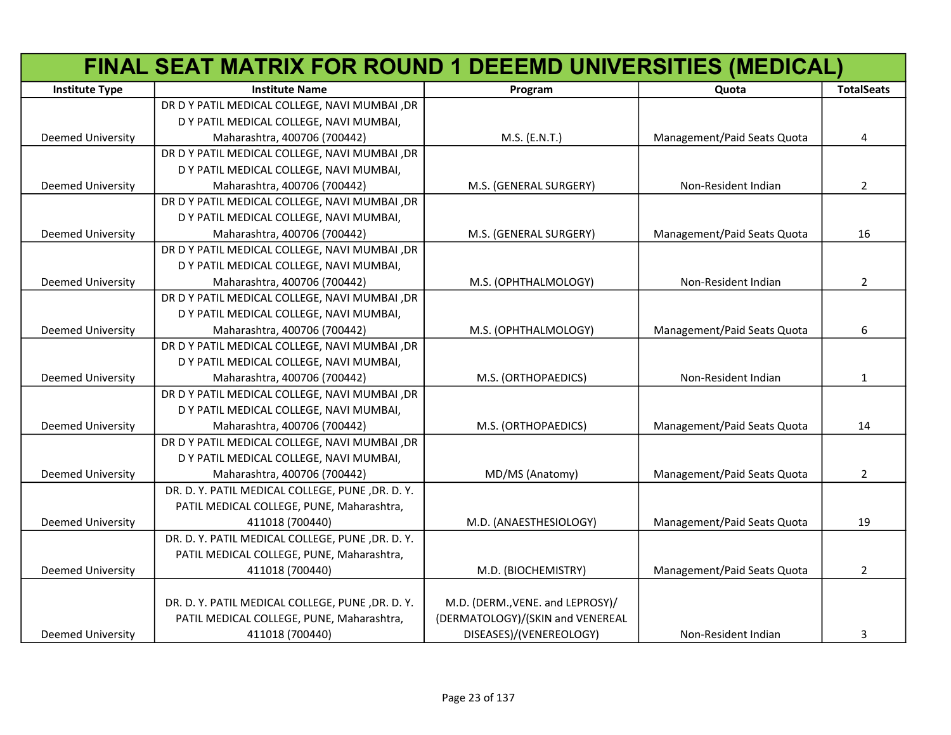|                          | FINAL SEAT MATRIX FOR ROUND 1 DEEEMD UNIVERSITIES (MEDICAL) |                                  |                             |                   |
|--------------------------|-------------------------------------------------------------|----------------------------------|-----------------------------|-------------------|
| <b>Institute Type</b>    | <b>Institute Name</b>                                       | Program                          | Quota                       | <b>TotalSeats</b> |
|                          | DR D Y PATIL MEDICAL COLLEGE, NAVI MUMBAI ,DR               |                                  |                             |                   |
|                          | D Y PATIL MEDICAL COLLEGE, NAVI MUMBAI,                     |                                  |                             |                   |
| Deemed University        | Maharashtra, 400706 (700442)                                | M.S. (E.N.T.)                    | Management/Paid Seats Quota | 4                 |
|                          | DR D Y PATIL MEDICAL COLLEGE, NAVI MUMBAI ,DR               |                                  |                             |                   |
|                          | D Y PATIL MEDICAL COLLEGE, NAVI MUMBAI,                     |                                  |                             |                   |
| Deemed University        | Maharashtra, 400706 (700442)                                | M.S. (GENERAL SURGERY)           | Non-Resident Indian         | $\overline{2}$    |
|                          | DR D Y PATIL MEDICAL COLLEGE, NAVI MUMBAI ,DR               |                                  |                             |                   |
|                          | D Y PATIL MEDICAL COLLEGE, NAVI MUMBAI,                     |                                  |                             |                   |
| <b>Deemed University</b> | Maharashtra, 400706 (700442)                                | M.S. (GENERAL SURGERY)           | Management/Paid Seats Quota | 16                |
|                          | DR D Y PATIL MEDICAL COLLEGE, NAVI MUMBAI ,DR               |                                  |                             |                   |
|                          | D Y PATIL MEDICAL COLLEGE, NAVI MUMBAI,                     |                                  |                             |                   |
| <b>Deemed University</b> | Maharashtra, 400706 (700442)                                | M.S. (OPHTHALMOLOGY)             | Non-Resident Indian         | $\overline{2}$    |
|                          | DR D Y PATIL MEDICAL COLLEGE, NAVI MUMBAI ,DR               |                                  |                             |                   |
|                          | D Y PATIL MEDICAL COLLEGE, NAVI MUMBAI,                     |                                  |                             |                   |
| <b>Deemed University</b> | Maharashtra, 400706 (700442)                                | M.S. (OPHTHALMOLOGY)             | Management/Paid Seats Quota | 6                 |
|                          | DR D Y PATIL MEDICAL COLLEGE, NAVI MUMBAI ,DR               |                                  |                             |                   |
|                          | D Y PATIL MEDICAL COLLEGE, NAVI MUMBAI,                     |                                  |                             |                   |
| <b>Deemed University</b> | Maharashtra, 400706 (700442)                                | M.S. (ORTHOPAEDICS)              | Non-Resident Indian         | $\mathbf{1}$      |
|                          | DR D Y PATIL MEDICAL COLLEGE, NAVI MUMBAI, DR               |                                  |                             |                   |
|                          | D Y PATIL MEDICAL COLLEGE, NAVI MUMBAI,                     |                                  |                             |                   |
| <b>Deemed University</b> | Maharashtra, 400706 (700442)                                | M.S. (ORTHOPAEDICS)              | Management/Paid Seats Quota | 14                |
|                          | DR D Y PATIL MEDICAL COLLEGE, NAVI MUMBAI ,DR               |                                  |                             |                   |
|                          | D Y PATIL MEDICAL COLLEGE, NAVI MUMBAI,                     |                                  |                             |                   |
| Deemed University        | Maharashtra, 400706 (700442)                                | MD/MS (Anatomy)                  | Management/Paid Seats Quota | $\overline{2}$    |
|                          | DR. D. Y. PATIL MEDICAL COLLEGE, PUNE, DR. D. Y.            |                                  |                             |                   |
|                          | PATIL MEDICAL COLLEGE, PUNE, Maharashtra,                   |                                  |                             |                   |
| <b>Deemed University</b> | 411018 (700440)                                             | M.D. (ANAESTHESIOLOGY)           | Management/Paid Seats Quota | 19                |
|                          | DR. D. Y. PATIL MEDICAL COLLEGE, PUNE, DR. D. Y.            |                                  |                             |                   |
|                          | PATIL MEDICAL COLLEGE, PUNE, Maharashtra,                   |                                  |                             |                   |
| <b>Deemed University</b> | 411018 (700440)                                             | M.D. (BIOCHEMISTRY)              | Management/Paid Seats Quota | $\overline{2}$    |
|                          |                                                             |                                  |                             |                   |
|                          | DR. D. Y. PATIL MEDICAL COLLEGE, PUNE, DR. D. Y.            | M.D. (DERM., VENE. and LEPROSY)/ |                             |                   |
|                          | PATIL MEDICAL COLLEGE, PUNE, Maharashtra,                   | (DERMATOLOGY)/(SKIN and VENEREAL |                             |                   |
| Deemed University        | 411018 (700440)                                             | DISEASES)/(VENEREOLOGY)          | Non-Resident Indian         | 3                 |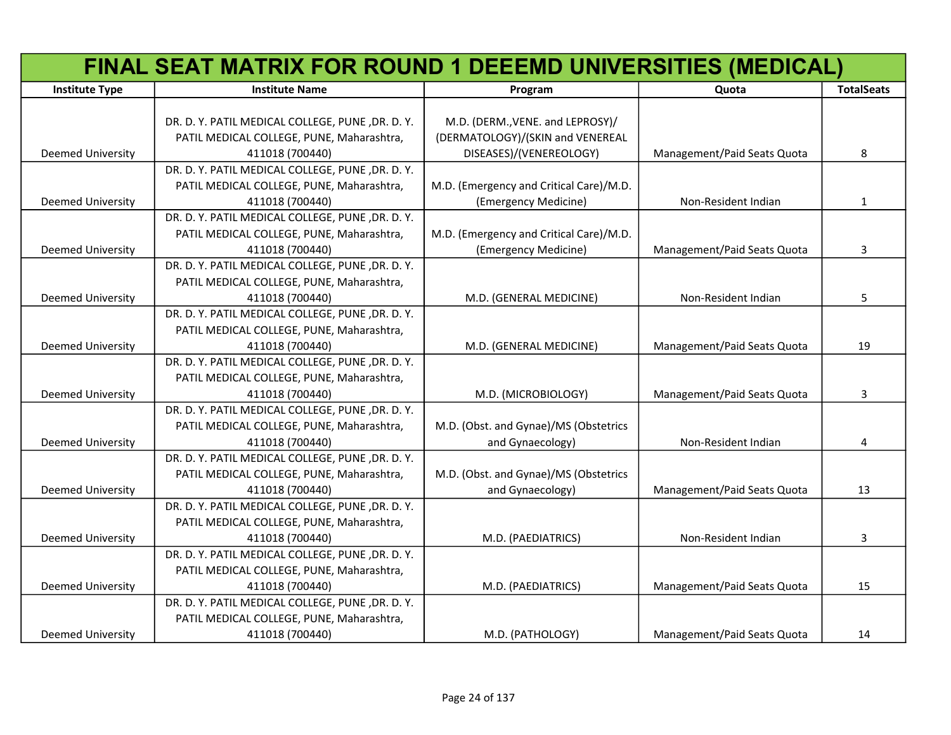|                          | FINAL SEAT MATRIX FOR ROUND 1 DEEEMD UNIVERSITIES (MEDICAL) |                                         |                             |                   |
|--------------------------|-------------------------------------------------------------|-----------------------------------------|-----------------------------|-------------------|
| <b>Institute Type</b>    | <b>Institute Name</b>                                       | Program                                 | Quota                       | <b>TotalSeats</b> |
|                          |                                                             |                                         |                             |                   |
|                          | DR. D. Y. PATIL MEDICAL COLLEGE, PUNE , DR. D. Y.           | M.D. (DERM., VENE. and LEPROSY)/        |                             |                   |
|                          | PATIL MEDICAL COLLEGE, PUNE, Maharashtra,                   | (DERMATOLOGY)/(SKIN and VENEREAL        |                             |                   |
| <b>Deemed University</b> | 411018 (700440)                                             | DISEASES)/(VENEREOLOGY)                 | Management/Paid Seats Quota | 8                 |
|                          | DR. D. Y. PATIL MEDICAL COLLEGE, PUNE, DR. D. Y.            |                                         |                             |                   |
|                          | PATIL MEDICAL COLLEGE, PUNE, Maharashtra,                   | M.D. (Emergency and Critical Care)/M.D. |                             |                   |
| <b>Deemed University</b> | 411018 (700440)                                             | (Emergency Medicine)                    | Non-Resident Indian         | $\mathbf{1}$      |
|                          | DR. D. Y. PATIL MEDICAL COLLEGE, PUNE, DR. D. Y.            |                                         |                             |                   |
|                          | PATIL MEDICAL COLLEGE, PUNE, Maharashtra,                   | M.D. (Emergency and Critical Care)/M.D. |                             |                   |
| <b>Deemed University</b> | 411018 (700440)                                             | (Emergency Medicine)                    | Management/Paid Seats Quota | 3                 |
|                          | DR. D. Y. PATIL MEDICAL COLLEGE, PUNE, DR. D. Y.            |                                         |                             |                   |
|                          | PATIL MEDICAL COLLEGE, PUNE, Maharashtra,                   |                                         |                             |                   |
| <b>Deemed University</b> | 411018 (700440)                                             | M.D. (GENERAL MEDICINE)                 | Non-Resident Indian         | 5                 |
|                          | DR. D. Y. PATIL MEDICAL COLLEGE, PUNE, DR. D. Y.            |                                         |                             |                   |
|                          | PATIL MEDICAL COLLEGE, PUNE, Maharashtra,                   |                                         |                             |                   |
| <b>Deemed University</b> | 411018 (700440)                                             | M.D. (GENERAL MEDICINE)                 | Management/Paid Seats Quota | 19                |
|                          | DR. D. Y. PATIL MEDICAL COLLEGE, PUNE, DR. D. Y.            |                                         |                             |                   |
|                          | PATIL MEDICAL COLLEGE, PUNE, Maharashtra,                   |                                         |                             |                   |
| <b>Deemed University</b> | 411018 (700440)                                             | M.D. (MICROBIOLOGY)                     | Management/Paid Seats Quota | 3                 |
|                          | DR. D. Y. PATIL MEDICAL COLLEGE, PUNE, DR. D. Y.            |                                         |                             |                   |
|                          | PATIL MEDICAL COLLEGE, PUNE, Maharashtra,                   | M.D. (Obst. and Gynae)/MS (Obstetrics   |                             |                   |
| <b>Deemed University</b> | 411018 (700440)                                             | and Gynaecology)                        | Non-Resident Indian         | 4                 |
|                          | DR. D. Y. PATIL MEDICAL COLLEGE, PUNE, DR. D. Y.            |                                         |                             |                   |
|                          | PATIL MEDICAL COLLEGE, PUNE, Maharashtra,                   | M.D. (Obst. and Gynae)/MS (Obstetrics   |                             |                   |
| <b>Deemed University</b> | 411018 (700440)                                             | and Gynaecology)                        | Management/Paid Seats Quota | 13                |
|                          | DR. D. Y. PATIL MEDICAL COLLEGE, PUNE, DR. D. Y.            |                                         |                             |                   |
|                          | PATIL MEDICAL COLLEGE, PUNE, Maharashtra,                   |                                         |                             |                   |
| <b>Deemed University</b> | 411018 (700440)                                             | M.D. (PAEDIATRICS)                      | Non-Resident Indian         | 3                 |
|                          | DR. D. Y. PATIL MEDICAL COLLEGE, PUNE, DR. D. Y.            |                                         |                             |                   |
|                          | PATIL MEDICAL COLLEGE, PUNE, Maharashtra,                   |                                         |                             |                   |
| <b>Deemed University</b> | 411018 (700440)                                             | M.D. (PAEDIATRICS)                      | Management/Paid Seats Quota | 15                |
|                          | DR. D. Y. PATIL MEDICAL COLLEGE, PUNE, DR. D. Y.            |                                         |                             |                   |
|                          | PATIL MEDICAL COLLEGE, PUNE, Maharashtra,                   |                                         |                             |                   |
| <b>Deemed University</b> | 411018 (700440)                                             | M.D. (PATHOLOGY)                        | Management/Paid Seats Quota | 14                |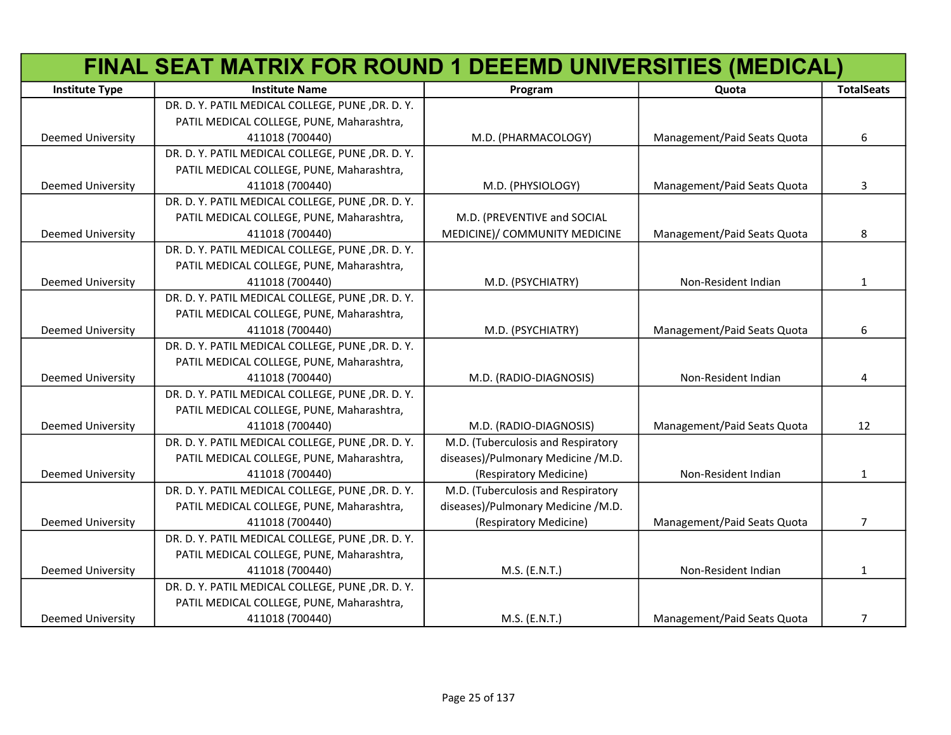|                          | FINAL SEAT MATRIX FOR ROUND 1 DEEEMD UNIVERSITIES (MEDICAL) |                                    |                             |                   |
|--------------------------|-------------------------------------------------------------|------------------------------------|-----------------------------|-------------------|
| <b>Institute Type</b>    | <b>Institute Name</b>                                       | Program                            | Quota                       | <b>TotalSeats</b> |
|                          | DR. D. Y. PATIL MEDICAL COLLEGE, PUNE, DR. D. Y.            |                                    |                             |                   |
|                          | PATIL MEDICAL COLLEGE, PUNE, Maharashtra,                   |                                    |                             |                   |
| <b>Deemed University</b> | 411018 (700440)                                             | M.D. (PHARMACOLOGY)                | Management/Paid Seats Quota | 6                 |
|                          | DR. D. Y. PATIL MEDICAL COLLEGE, PUNE, DR. D. Y.            |                                    |                             |                   |
|                          | PATIL MEDICAL COLLEGE, PUNE, Maharashtra,                   |                                    |                             |                   |
| <b>Deemed University</b> | 411018 (700440)                                             | M.D. (PHYSIOLOGY)                  | Management/Paid Seats Quota | 3                 |
|                          | DR. D. Y. PATIL MEDICAL COLLEGE, PUNE , DR. D. Y.           |                                    |                             |                   |
|                          | PATIL MEDICAL COLLEGE, PUNE, Maharashtra,                   | M.D. (PREVENTIVE and SOCIAL        |                             |                   |
| <b>Deemed University</b> | 411018 (700440)                                             | MEDICINE)/ COMMUNITY MEDICINE      | Management/Paid Seats Quota | 8                 |
|                          | DR. D. Y. PATIL MEDICAL COLLEGE, PUNE, DR. D. Y.            |                                    |                             |                   |
|                          | PATIL MEDICAL COLLEGE, PUNE, Maharashtra,                   |                                    |                             |                   |
| <b>Deemed University</b> | 411018 (700440)                                             | M.D. (PSYCHIATRY)                  | Non-Resident Indian         | $\mathbf{1}$      |
|                          | DR. D. Y. PATIL MEDICAL COLLEGE, PUNE, DR. D. Y.            |                                    |                             |                   |
|                          | PATIL MEDICAL COLLEGE, PUNE, Maharashtra,                   |                                    |                             |                   |
| <b>Deemed University</b> | 411018 (700440)                                             | M.D. (PSYCHIATRY)                  | Management/Paid Seats Quota | 6                 |
|                          | DR. D. Y. PATIL MEDICAL COLLEGE, PUNE, DR. D. Y.            |                                    |                             |                   |
|                          | PATIL MEDICAL COLLEGE, PUNE, Maharashtra,                   |                                    |                             |                   |
| <b>Deemed University</b> | 411018 (700440)                                             | M.D. (RADIO-DIAGNOSIS)             | Non-Resident Indian         | 4                 |
|                          | DR. D. Y. PATIL MEDICAL COLLEGE, PUNE, DR. D. Y.            |                                    |                             |                   |
|                          | PATIL MEDICAL COLLEGE, PUNE, Maharashtra,                   |                                    |                             |                   |
| Deemed University        | 411018 (700440)                                             | M.D. (RADIO-DIAGNOSIS)             | Management/Paid Seats Quota | 12                |
|                          | DR. D. Y. PATIL MEDICAL COLLEGE, PUNE, DR. D. Y.            | M.D. (Tuberculosis and Respiratory |                             |                   |
|                          | PATIL MEDICAL COLLEGE, PUNE, Maharashtra,                   | diseases)/Pulmonary Medicine /M.D. |                             |                   |
| <b>Deemed University</b> | 411018 (700440)                                             | (Respiratory Medicine)             | Non-Resident Indian         | 1                 |
|                          | DR. D. Y. PATIL MEDICAL COLLEGE, PUNE, DR. D. Y.            | M.D. (Tuberculosis and Respiratory |                             |                   |
|                          | PATIL MEDICAL COLLEGE, PUNE, Maharashtra,                   | diseases)/Pulmonary Medicine /M.D. |                             |                   |
| <b>Deemed University</b> | 411018 (700440)                                             | (Respiratory Medicine)             | Management/Paid Seats Quota | $\overline{7}$    |
|                          | DR. D. Y. PATIL MEDICAL COLLEGE, PUNE, DR. D. Y.            |                                    |                             |                   |
|                          | PATIL MEDICAL COLLEGE, PUNE, Maharashtra,                   |                                    |                             |                   |
| <b>Deemed University</b> | 411018 (700440)                                             | M.S. (E.N.T.)                      | Non-Resident Indian         | $\mathbf{1}$      |
|                          | DR. D. Y. PATIL MEDICAL COLLEGE, PUNE, DR. D. Y.            |                                    |                             |                   |
|                          | PATIL MEDICAL COLLEGE, PUNE, Maharashtra,                   |                                    |                             |                   |
| <b>Deemed University</b> | 411018 (700440)                                             | M.S. (E.N.T.)                      | Management/Paid Seats Quota | $\overline{7}$    |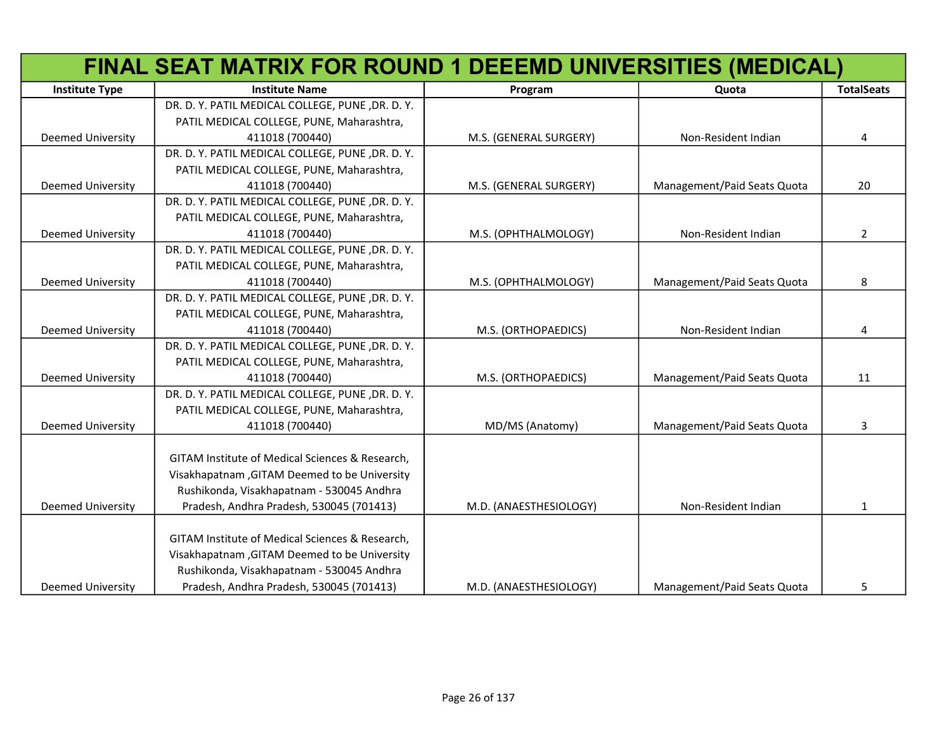|                          | FINAL SEAT MATRIX FOR ROUND 1 DEEEMD UNIVERSITIES (MEDICAL) |                        |                             |                   |
|--------------------------|-------------------------------------------------------------|------------------------|-----------------------------|-------------------|
| <b>Institute Type</b>    | <b>Institute Name</b>                                       | Program                | Quota                       | <b>TotalSeats</b> |
|                          | DR. D. Y. PATIL MEDICAL COLLEGE, PUNE, DR. D. Y.            |                        |                             |                   |
|                          | PATIL MEDICAL COLLEGE, PUNE, Maharashtra,                   |                        |                             |                   |
| <b>Deemed University</b> | 411018 (700440)                                             | M.S. (GENERAL SURGERY) | Non-Resident Indian         | 4                 |
|                          | DR. D. Y. PATIL MEDICAL COLLEGE, PUNE, DR. D. Y.            |                        |                             |                   |
|                          | PATIL MEDICAL COLLEGE, PUNE, Maharashtra,                   |                        |                             |                   |
| <b>Deemed University</b> | 411018 (700440)                                             | M.S. (GENERAL SURGERY) | Management/Paid Seats Quota | 20                |
|                          | DR. D. Y. PATIL MEDICAL COLLEGE, PUNE, DR. D. Y.            |                        |                             |                   |
|                          | PATIL MEDICAL COLLEGE, PUNE, Maharashtra,                   |                        |                             |                   |
| <b>Deemed University</b> | 411018 (700440)                                             | M.S. (OPHTHALMOLOGY)   | Non-Resident Indian         | $\overline{2}$    |
|                          | DR. D. Y. PATIL MEDICAL COLLEGE, PUNE, DR. D. Y.            |                        |                             |                   |
|                          | PATIL MEDICAL COLLEGE, PUNE, Maharashtra,                   |                        |                             |                   |
| <b>Deemed University</b> | 411018 (700440)                                             | M.S. (OPHTHALMOLOGY)   | Management/Paid Seats Quota | 8                 |
|                          | DR. D. Y. PATIL MEDICAL COLLEGE, PUNE, DR. D. Y.            |                        |                             |                   |
|                          | PATIL MEDICAL COLLEGE, PUNE, Maharashtra,                   |                        |                             |                   |
| <b>Deemed University</b> | 411018 (700440)                                             | M.S. (ORTHOPAEDICS)    | Non-Resident Indian         | 4                 |
|                          | DR. D. Y. PATIL MEDICAL COLLEGE, PUNE, DR. D. Y.            |                        |                             |                   |
|                          | PATIL MEDICAL COLLEGE, PUNE, Maharashtra,                   |                        |                             |                   |
| <b>Deemed University</b> | 411018 (700440)                                             | M.S. (ORTHOPAEDICS)    | Management/Paid Seats Quota | 11                |
|                          | DR. D. Y. PATIL MEDICAL COLLEGE, PUNE, DR. D. Y.            |                        |                             |                   |
|                          | PATIL MEDICAL COLLEGE, PUNE, Maharashtra,                   |                        |                             |                   |
| <b>Deemed University</b> | 411018 (700440)                                             | MD/MS (Anatomy)        | Management/Paid Seats Quota | 3                 |
|                          |                                                             |                        |                             |                   |
|                          | GITAM Institute of Medical Sciences & Research,             |                        |                             |                   |
|                          | Visakhapatnam, GITAM Deemed to be University                |                        |                             |                   |
|                          | Rushikonda, Visakhapatnam - 530045 Andhra                   |                        |                             |                   |
| <b>Deemed University</b> | Pradesh, Andhra Pradesh, 530045 (701413)                    | M.D. (ANAESTHESIOLOGY) | Non-Resident Indian         | $\mathbf{1}$      |
|                          |                                                             |                        |                             |                   |
|                          | GITAM Institute of Medical Sciences & Research,             |                        |                             |                   |
|                          | Visakhapatnam, GITAM Deemed to be University                |                        |                             |                   |
|                          | Rushikonda, Visakhapatnam - 530045 Andhra                   |                        |                             |                   |
| Deemed University        | Pradesh, Andhra Pradesh, 530045 (701413)                    | M.D. (ANAESTHESIOLOGY) | Management/Paid Seats Quota | 5                 |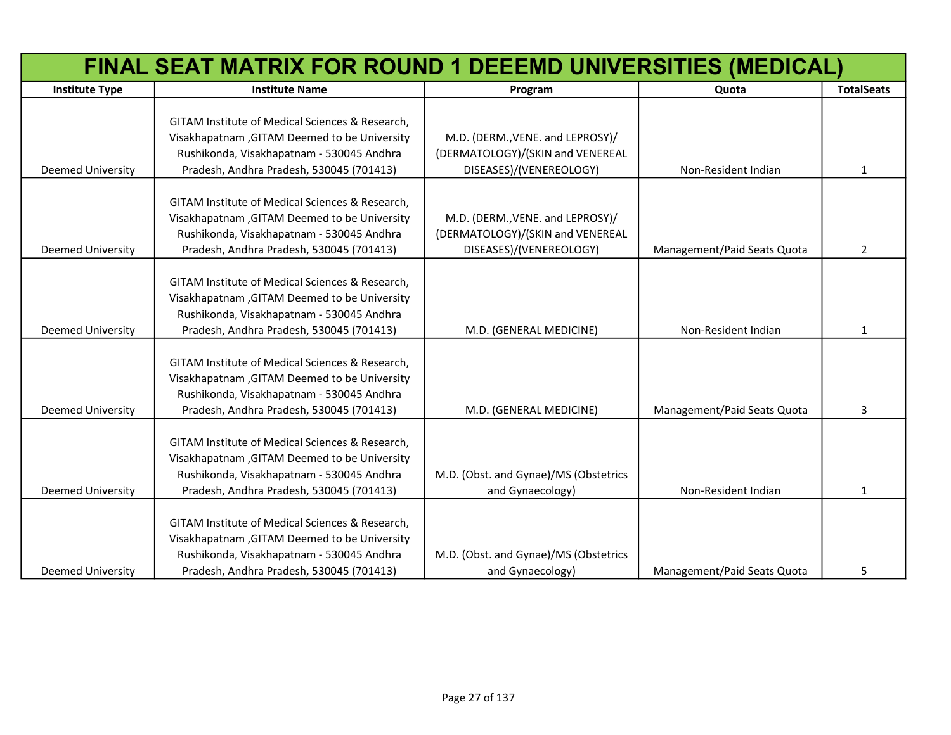|                          | FINAL SEAT MATRIX FOR ROUND 1 DEEEMD UNIVERSITIES (MEDICAL) |                                       |                             |                   |  |
|--------------------------|-------------------------------------------------------------|---------------------------------------|-----------------------------|-------------------|--|
| <b>Institute Type</b>    | <b>Institute Name</b>                                       | Program                               | Quota                       | <b>TotalSeats</b> |  |
|                          |                                                             |                                       |                             |                   |  |
|                          | GITAM Institute of Medical Sciences & Research,             |                                       |                             |                   |  |
|                          | Visakhapatnam, GITAM Deemed to be University                | M.D. (DERM., VENE. and LEPROSY)/      |                             |                   |  |
|                          | Rushikonda, Visakhapatnam - 530045 Andhra                   | (DERMATOLOGY)/(SKIN and VENEREAL      |                             |                   |  |
| <b>Deemed University</b> | Pradesh, Andhra Pradesh, 530045 (701413)                    | DISEASES)/(VENEREOLOGY)               | Non-Resident Indian         | $\mathbf{1}$      |  |
|                          | GITAM Institute of Medical Sciences & Research,             |                                       |                             |                   |  |
|                          | Visakhapatnam, GITAM Deemed to be University                | M.D. (DERM., VENE. and LEPROSY)/      |                             |                   |  |
|                          | Rushikonda, Visakhapatnam - 530045 Andhra                   | (DERMATOLOGY)/(SKIN and VENEREAL      |                             |                   |  |
| <b>Deemed University</b> | Pradesh, Andhra Pradesh, 530045 (701413)                    | DISEASES)/(VENEREOLOGY)               | Management/Paid Seats Quota | 2                 |  |
|                          |                                                             |                                       |                             |                   |  |
|                          | GITAM Institute of Medical Sciences & Research,             |                                       |                             |                   |  |
|                          | Visakhapatnam, GITAM Deemed to be University                |                                       |                             |                   |  |
|                          | Rushikonda, Visakhapatnam - 530045 Andhra                   |                                       |                             |                   |  |
| <b>Deemed University</b> | Pradesh, Andhra Pradesh, 530045 (701413)                    | M.D. (GENERAL MEDICINE)               | Non-Resident Indian         | $\mathbf{1}$      |  |
|                          |                                                             |                                       |                             |                   |  |
|                          | GITAM Institute of Medical Sciences & Research,             |                                       |                             |                   |  |
|                          | Visakhapatnam, GITAM Deemed to be University                |                                       |                             |                   |  |
|                          | Rushikonda, Visakhapatnam - 530045 Andhra                   |                                       |                             |                   |  |
| <b>Deemed University</b> | Pradesh, Andhra Pradesh, 530045 (701413)                    | M.D. (GENERAL MEDICINE)               | Management/Paid Seats Quota | 3                 |  |
|                          |                                                             |                                       |                             |                   |  |
|                          | GITAM Institute of Medical Sciences & Research,             |                                       |                             |                   |  |
|                          | Visakhapatnam, GITAM Deemed to be University                |                                       |                             |                   |  |
|                          | Rushikonda, Visakhapatnam - 530045 Andhra                   | M.D. (Obst. and Gynae)/MS (Obstetrics |                             |                   |  |
| <b>Deemed University</b> | Pradesh, Andhra Pradesh, 530045 (701413)                    | and Gynaecology)                      | Non-Resident Indian         | $\mathbf{1}$      |  |
|                          | GITAM Institute of Medical Sciences & Research,             |                                       |                             |                   |  |
|                          | Visakhapatnam, GITAM Deemed to be University                |                                       |                             |                   |  |
|                          | Rushikonda, Visakhapatnam - 530045 Andhra                   | M.D. (Obst. and Gynae)/MS (Obstetrics |                             |                   |  |
| <b>Deemed University</b> | Pradesh, Andhra Pradesh, 530045 (701413)                    | and Gynaecology)                      | Management/Paid Seats Quota | 5                 |  |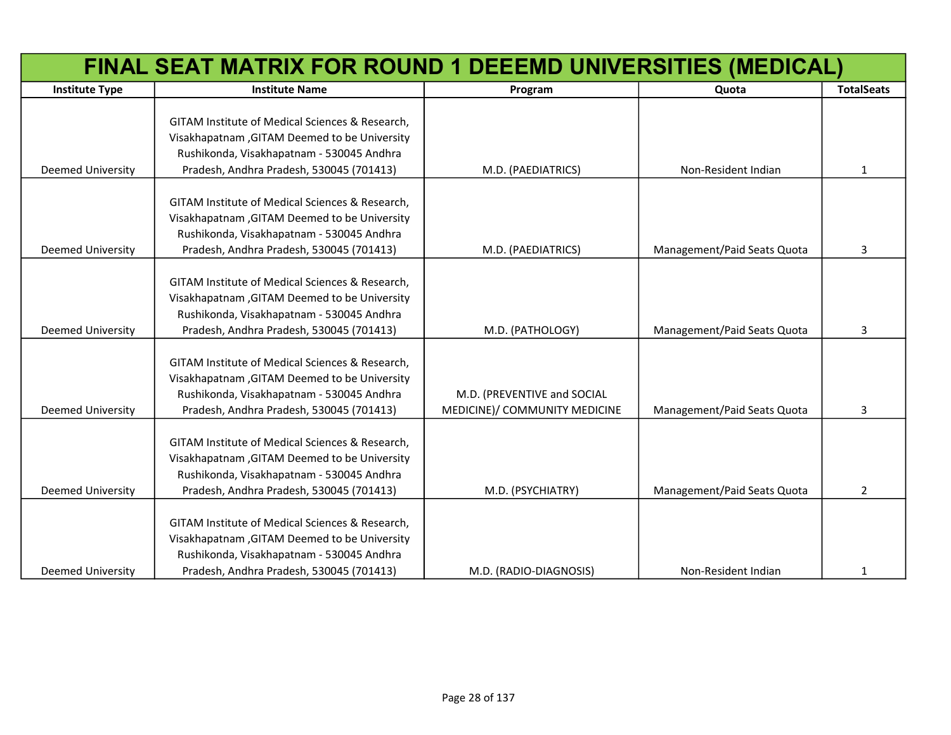|                          | FINAL SEAT MATRIX FOR ROUND 1 DEEEMD UNIVERSITIES (MEDICAL) |                               |                             |                   |
|--------------------------|-------------------------------------------------------------|-------------------------------|-----------------------------|-------------------|
| <b>Institute Type</b>    | <b>Institute Name</b>                                       | Program                       | Quota                       | <b>TotalSeats</b> |
|                          |                                                             |                               |                             |                   |
|                          | GITAM Institute of Medical Sciences & Research,             |                               |                             |                   |
|                          | Visakhapatnam, GITAM Deemed to be University                |                               |                             |                   |
|                          | Rushikonda, Visakhapatnam - 530045 Andhra                   |                               |                             |                   |
| <b>Deemed University</b> | Pradesh, Andhra Pradesh, 530045 (701413)                    | M.D. (PAEDIATRICS)            | Non-Resident Indian         | $\mathbf{1}$      |
|                          |                                                             |                               |                             |                   |
|                          | GITAM Institute of Medical Sciences & Research,             |                               |                             |                   |
|                          | Visakhapatnam, GITAM Deemed to be University                |                               |                             |                   |
|                          | Rushikonda, Visakhapatnam - 530045 Andhra                   |                               |                             |                   |
| <b>Deemed University</b> | Pradesh, Andhra Pradesh, 530045 (701413)                    | M.D. (PAEDIATRICS)            | Management/Paid Seats Quota | 3                 |
|                          | GITAM Institute of Medical Sciences & Research,             |                               |                             |                   |
|                          | Visakhapatnam, GITAM Deemed to be University                |                               |                             |                   |
|                          | Rushikonda, Visakhapatnam - 530045 Andhra                   |                               |                             |                   |
| <b>Deemed University</b> | Pradesh, Andhra Pradesh, 530045 (701413)                    | M.D. (PATHOLOGY)              | Management/Paid Seats Quota | 3                 |
|                          |                                                             |                               |                             |                   |
|                          | GITAM Institute of Medical Sciences & Research,             |                               |                             |                   |
|                          | Visakhapatnam, GITAM Deemed to be University                |                               |                             |                   |
|                          | Rushikonda, Visakhapatnam - 530045 Andhra                   | M.D. (PREVENTIVE and SOCIAL   |                             |                   |
| <b>Deemed University</b> | Pradesh, Andhra Pradesh, 530045 (701413)                    | MEDICINE)/ COMMUNITY MEDICINE | Management/Paid Seats Quota | 3                 |
|                          |                                                             |                               |                             |                   |
|                          | GITAM Institute of Medical Sciences & Research,             |                               |                             |                   |
|                          | Visakhapatnam, GITAM Deemed to be University                |                               |                             |                   |
|                          | Rushikonda, Visakhapatnam - 530045 Andhra                   |                               |                             |                   |
| <b>Deemed University</b> | Pradesh, Andhra Pradesh, 530045 (701413)                    | M.D. (PSYCHIATRY)             | Management/Paid Seats Quota | 2                 |
|                          |                                                             |                               |                             |                   |
|                          | GITAM Institute of Medical Sciences & Research,             |                               |                             |                   |
|                          | Visakhapatnam, GITAM Deemed to be University                |                               |                             |                   |
|                          | Rushikonda, Visakhapatnam - 530045 Andhra                   |                               |                             |                   |
| <b>Deemed University</b> | Pradesh, Andhra Pradesh, 530045 (701413)                    | M.D. (RADIO-DIAGNOSIS)        | Non-Resident Indian         | 1                 |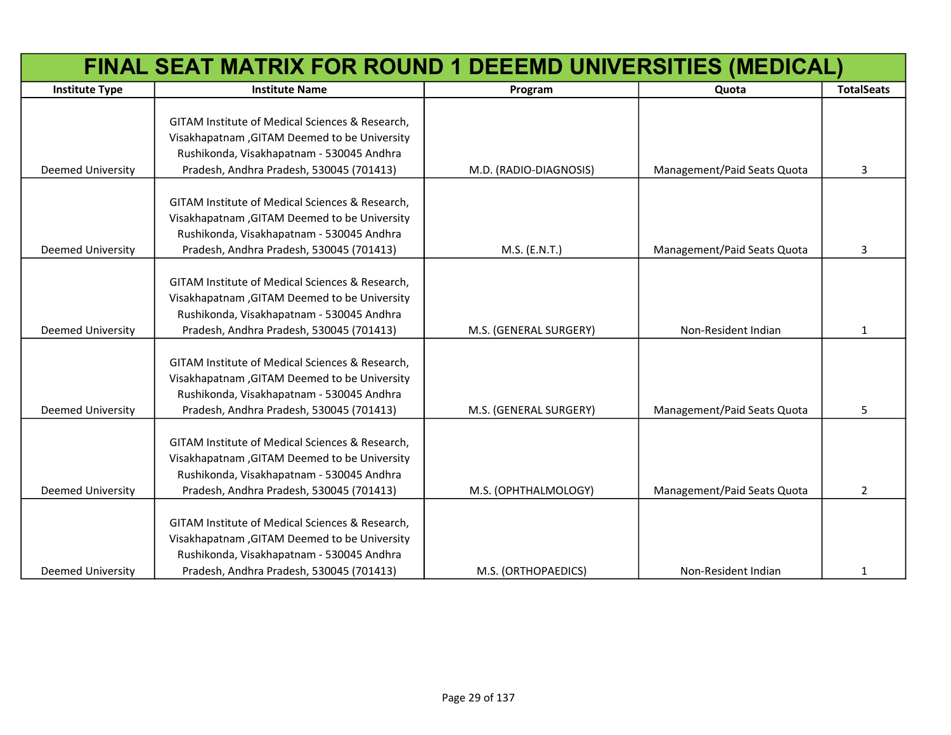|                          | FINAL SEAT MATRIX FOR ROUND 1 DEEEMD UNIVERSITIES (MEDICAL) |                        |                             |                   |
|--------------------------|-------------------------------------------------------------|------------------------|-----------------------------|-------------------|
| <b>Institute Type</b>    | <b>Institute Name</b>                                       | Program                | Quota                       | <b>TotalSeats</b> |
|                          |                                                             |                        |                             |                   |
|                          | GITAM Institute of Medical Sciences & Research,             |                        |                             |                   |
|                          | Visakhapatnam, GITAM Deemed to be University                |                        |                             |                   |
|                          | Rushikonda, Visakhapatnam - 530045 Andhra                   |                        |                             |                   |
| <b>Deemed University</b> | Pradesh, Andhra Pradesh, 530045 (701413)                    | M.D. (RADIO-DIAGNOSIS) | Management/Paid Seats Quota | 3                 |
|                          |                                                             |                        |                             |                   |
|                          | GITAM Institute of Medical Sciences & Research,             |                        |                             |                   |
|                          | Visakhapatnam, GITAM Deemed to be University                |                        |                             |                   |
|                          | Rushikonda, Visakhapatnam - 530045 Andhra                   |                        |                             |                   |
| <b>Deemed University</b> | Pradesh, Andhra Pradesh, 530045 (701413)                    | M.S. (E.N.T.)          | Management/Paid Seats Quota | 3                 |
|                          | GITAM Institute of Medical Sciences & Research,             |                        |                             |                   |
|                          | Visakhapatnam, GITAM Deemed to be University                |                        |                             |                   |
|                          | Rushikonda, Visakhapatnam - 530045 Andhra                   |                        |                             |                   |
| <b>Deemed University</b> | Pradesh, Andhra Pradesh, 530045 (701413)                    | M.S. (GENERAL SURGERY) | Non-Resident Indian         | $\mathbf{1}$      |
|                          |                                                             |                        |                             |                   |
|                          | GITAM Institute of Medical Sciences & Research,             |                        |                             |                   |
|                          | Visakhapatnam, GITAM Deemed to be University                |                        |                             |                   |
|                          | Rushikonda, Visakhapatnam - 530045 Andhra                   |                        |                             |                   |
| <b>Deemed University</b> | Pradesh, Andhra Pradesh, 530045 (701413)                    | M.S. (GENERAL SURGERY) | Management/Paid Seats Quota | 5                 |
|                          |                                                             |                        |                             |                   |
|                          | GITAM Institute of Medical Sciences & Research,             |                        |                             |                   |
|                          | Visakhapatnam, GITAM Deemed to be University                |                        |                             |                   |
|                          | Rushikonda, Visakhapatnam - 530045 Andhra                   |                        |                             |                   |
| <b>Deemed University</b> | Pradesh, Andhra Pradesh, 530045 (701413)                    | M.S. (OPHTHALMOLOGY)   | Management/Paid Seats Quota | 2                 |
|                          |                                                             |                        |                             |                   |
|                          | GITAM Institute of Medical Sciences & Research,             |                        |                             |                   |
|                          | Visakhapatnam, GITAM Deemed to be University                |                        |                             |                   |
|                          | Rushikonda, Visakhapatnam - 530045 Andhra                   |                        |                             |                   |
| <b>Deemed University</b> | Pradesh, Andhra Pradesh, 530045 (701413)                    | M.S. (ORTHOPAEDICS)    | Non-Resident Indian         | 1                 |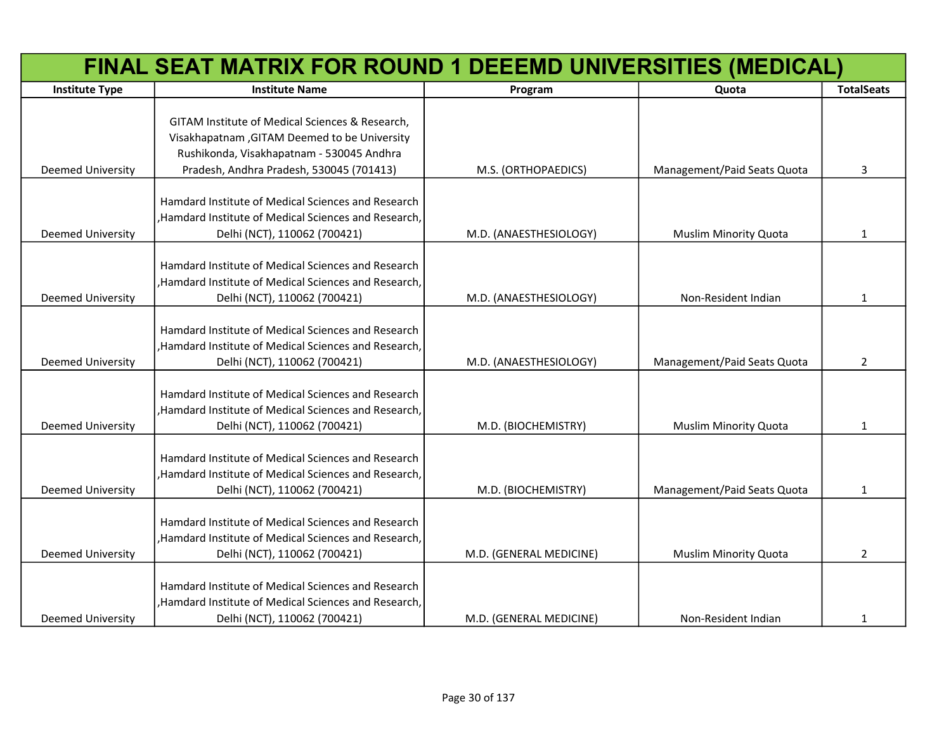|                          | FINAL SEAT MATRIX FOR ROUND 1 DEEEMD UNIVERSITIES (MEDICAL)                                                |                         |                              |                   |
|--------------------------|------------------------------------------------------------------------------------------------------------|-------------------------|------------------------------|-------------------|
| <b>Institute Type</b>    | <b>Institute Name</b>                                                                                      | Program                 | Quota                        | <b>TotalSeats</b> |
|                          |                                                                                                            |                         |                              |                   |
|                          | GITAM Institute of Medical Sciences & Research,                                                            |                         |                              |                   |
|                          | Visakhapatnam, GITAM Deemed to be University                                                               |                         |                              |                   |
|                          | Rushikonda, Visakhapatnam - 530045 Andhra                                                                  |                         |                              |                   |
| <b>Deemed University</b> | Pradesh, Andhra Pradesh, 530045 (701413)                                                                   | M.S. (ORTHOPAEDICS)     | Management/Paid Seats Quota  | 3                 |
|                          | Hamdard Institute of Medical Sciences and Research                                                         |                         |                              |                   |
|                          | ,Hamdard Institute of Medical Sciences and Research,                                                       |                         |                              |                   |
| <b>Deemed University</b> | Delhi (NCT), 110062 (700421)                                                                               | M.D. (ANAESTHESIOLOGY)  | <b>Muslim Minority Quota</b> | $\mathbf{1}$      |
|                          |                                                                                                            |                         |                              |                   |
|                          | Hamdard Institute of Medical Sciences and Research                                                         |                         |                              |                   |
|                          | ,Hamdard Institute of Medical Sciences and Research,                                                       |                         |                              |                   |
| <b>Deemed University</b> | Delhi (NCT), 110062 (700421)                                                                               | M.D. (ANAESTHESIOLOGY)  | Non-Resident Indian          | 1                 |
|                          |                                                                                                            |                         |                              |                   |
|                          | Hamdard Institute of Medical Sciences and Research                                                         |                         |                              |                   |
|                          | , Hamdard Institute of Medical Sciences and Research,                                                      |                         |                              |                   |
| <b>Deemed University</b> | Delhi (NCT), 110062 (700421)                                                                               | M.D. (ANAESTHESIOLOGY)  | Management/Paid Seats Quota  | $\overline{2}$    |
|                          |                                                                                                            |                         |                              |                   |
|                          | Hamdard Institute of Medical Sciences and Research<br>,Hamdard Institute of Medical Sciences and Research, |                         |                              |                   |
| <b>Deemed University</b> |                                                                                                            |                         |                              | 1                 |
|                          | Delhi (NCT), 110062 (700421)                                                                               | M.D. (BIOCHEMISTRY)     | <b>Muslim Minority Quota</b> |                   |
|                          | Hamdard Institute of Medical Sciences and Research                                                         |                         |                              |                   |
|                          | ,Hamdard Institute of Medical Sciences and Research,                                                       |                         |                              |                   |
| <b>Deemed University</b> | Delhi (NCT), 110062 (700421)                                                                               | M.D. (BIOCHEMISTRY)     | Management/Paid Seats Quota  | 1                 |
|                          |                                                                                                            |                         |                              |                   |
|                          | Hamdard Institute of Medical Sciences and Research                                                         |                         |                              |                   |
|                          | ,Hamdard Institute of Medical Sciences and Research,                                                       |                         |                              |                   |
| <b>Deemed University</b> | Delhi (NCT), 110062 (700421)                                                                               | M.D. (GENERAL MEDICINE) | <b>Muslim Minority Quota</b> | $\overline{2}$    |
|                          |                                                                                                            |                         |                              |                   |
|                          | Hamdard Institute of Medical Sciences and Research                                                         |                         |                              |                   |
|                          | ,Hamdard Institute of Medical Sciences and Research,                                                       |                         |                              |                   |
| <b>Deemed University</b> | Delhi (NCT), 110062 (700421)                                                                               | M.D. (GENERAL MEDICINE) | Non-Resident Indian          | 1                 |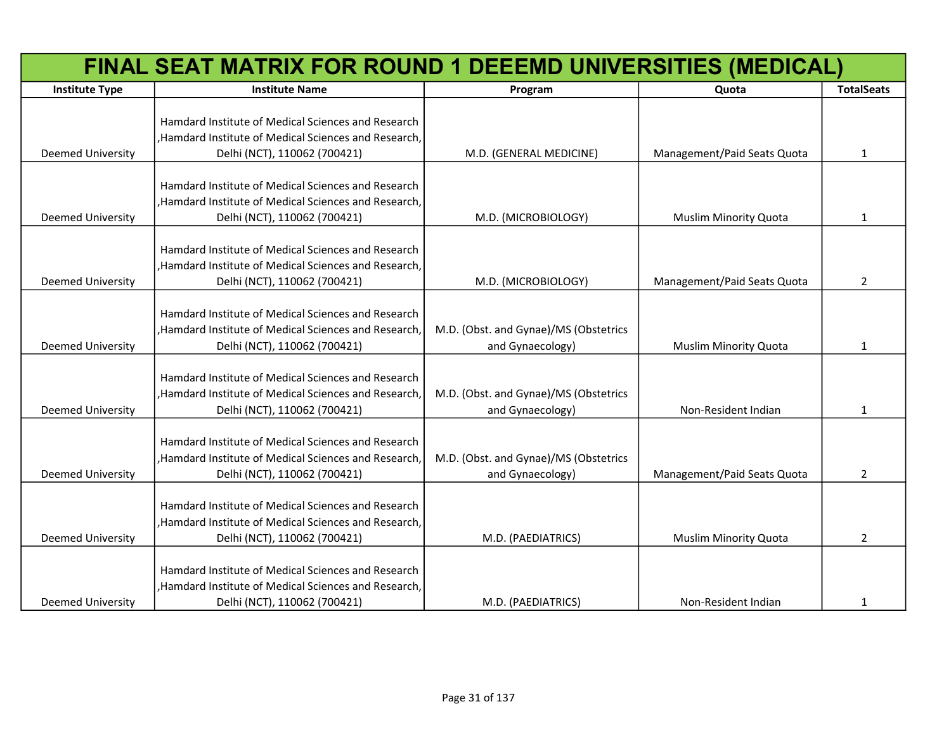|                          | FINAL SEAT MATRIX FOR ROUND 1 DEEEMD UNIVERSITIES (MEDICAL)                                                                                 |                                                           |                              |                   |
|--------------------------|---------------------------------------------------------------------------------------------------------------------------------------------|-----------------------------------------------------------|------------------------------|-------------------|
| <b>Institute Type</b>    | <b>Institute Name</b>                                                                                                                       | Program                                                   | Quota                        | <b>TotalSeats</b> |
| <b>Deemed University</b> | Hamdard Institute of Medical Sciences and Research<br>,Hamdard Institute of Medical Sciences and Research,<br>Delhi (NCT), 110062 (700421)  | M.D. (GENERAL MEDICINE)                                   | Management/Paid Seats Quota  | $\mathbf{1}$      |
| Deemed University        | Hamdard Institute of Medical Sciences and Research<br>, Hamdard Institute of Medical Sciences and Research,<br>Delhi (NCT), 110062 (700421) | M.D. (MICROBIOLOGY)                                       | <b>Muslim Minority Quota</b> | 1                 |
| <b>Deemed University</b> | Hamdard Institute of Medical Sciences and Research<br>, Hamdard Institute of Medical Sciences and Research,<br>Delhi (NCT), 110062 (700421) | M.D. (MICROBIOLOGY)                                       | Management/Paid Seats Quota  | $\overline{2}$    |
| Deemed University        | Hamdard Institute of Medical Sciences and Research<br>, Hamdard Institute of Medical Sciences and Research,<br>Delhi (NCT), 110062 (700421) | M.D. (Obst. and Gynae)/MS (Obstetrics<br>and Gynaecology) | <b>Muslim Minority Quota</b> | 1                 |
| <b>Deemed University</b> | Hamdard Institute of Medical Sciences and Research<br>, Hamdard Institute of Medical Sciences and Research,<br>Delhi (NCT), 110062 (700421) | M.D. (Obst. and Gynae)/MS (Obstetrics<br>and Gynaecology) | Non-Resident Indian          | 1                 |
| <b>Deemed University</b> | Hamdard Institute of Medical Sciences and Research<br>, Hamdard Institute of Medical Sciences and Research,<br>Delhi (NCT), 110062 (700421) | M.D. (Obst. and Gynae)/MS (Obstetrics<br>and Gynaecology) | Management/Paid Seats Quota  | $\overline{2}$    |
| <b>Deemed University</b> | Hamdard Institute of Medical Sciences and Research<br>, Hamdard Institute of Medical Sciences and Research,<br>Delhi (NCT), 110062 (700421) | M.D. (PAEDIATRICS)                                        | Muslim Minority Quota        | $\overline{2}$    |
| <b>Deemed University</b> | Hamdard Institute of Medical Sciences and Research<br>, Hamdard Institute of Medical Sciences and Research,<br>Delhi (NCT), 110062 (700421) | M.D. (PAEDIATRICS)                                        | Non-Resident Indian          | $\mathbf{1}$      |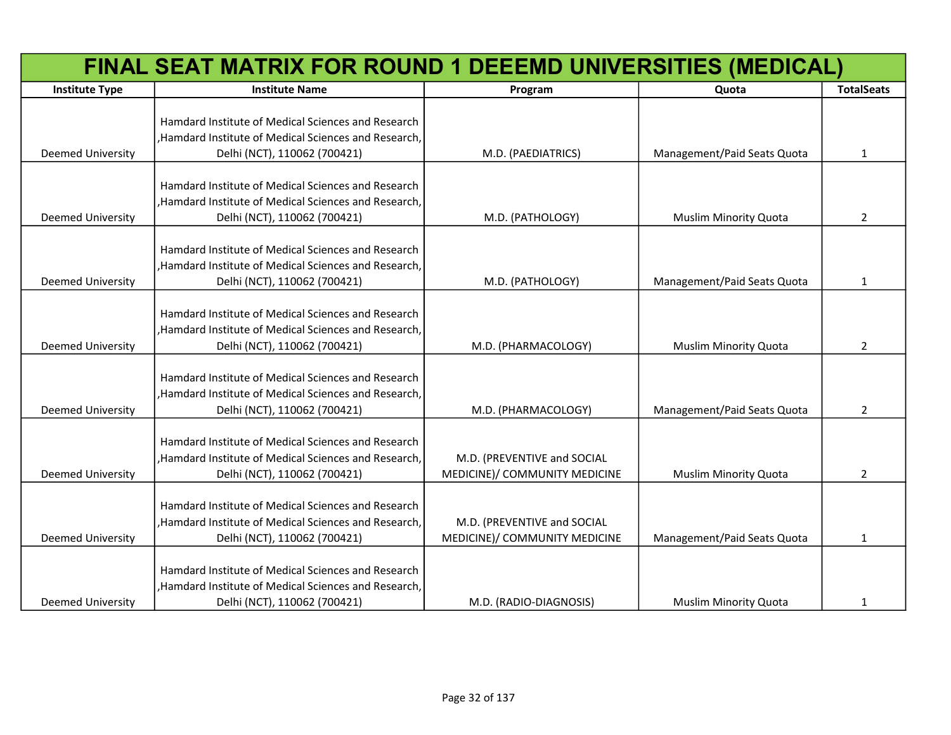| FINAL SEAT MATRIX FOR ROUND 1 DEEEMD UNIVERSITIES (MEDICAL) |                                                                                                                                             |                                                              |                              |                   |
|-------------------------------------------------------------|---------------------------------------------------------------------------------------------------------------------------------------------|--------------------------------------------------------------|------------------------------|-------------------|
| <b>Institute Type</b>                                       | <b>Institute Name</b>                                                                                                                       | Program                                                      | Quota                        | <b>TotalSeats</b> |
| <b>Deemed University</b>                                    | Hamdard Institute of Medical Sciences and Research<br>,Hamdard Institute of Medical Sciences and Research,<br>Delhi (NCT), 110062 (700421)  | M.D. (PAEDIATRICS)                                           | Management/Paid Seats Quota  | $\mathbf{1}$      |
| <b>Deemed University</b>                                    | Hamdard Institute of Medical Sciences and Research<br>Hamdard Institute of Medical Sciences and Research,<br>Delhi (NCT), 110062 (700421)   | M.D. (PATHOLOGY)                                             | <b>Muslim Minority Quota</b> | $\overline{2}$    |
| <b>Deemed University</b>                                    | Hamdard Institute of Medical Sciences and Research<br>, Hamdard Institute of Medical Sciences and Research,<br>Delhi (NCT), 110062 (700421) | M.D. (PATHOLOGY)                                             | Management/Paid Seats Quota  | 1                 |
| <b>Deemed University</b>                                    | Hamdard Institute of Medical Sciences and Research<br>, Hamdard Institute of Medical Sciences and Research,<br>Delhi (NCT), 110062 (700421) | M.D. (PHARMACOLOGY)                                          | <b>Muslim Minority Quota</b> | $\overline{2}$    |
| <b>Deemed University</b>                                    | Hamdard Institute of Medical Sciences and Research<br>,Hamdard Institute of Medical Sciences and Research,<br>Delhi (NCT), 110062 (700421)  | M.D. (PHARMACOLOGY)                                          | Management/Paid Seats Quota  | $\overline{2}$    |
| <b>Deemed University</b>                                    | Hamdard Institute of Medical Sciences and Research<br>, Hamdard Institute of Medical Sciences and Research,<br>Delhi (NCT), 110062 (700421) | M.D. (PREVENTIVE and SOCIAL<br>MEDICINE)/ COMMUNITY MEDICINE | <b>Muslim Minority Quota</b> | $\overline{2}$    |
| <b>Deemed University</b>                                    | Hamdard Institute of Medical Sciences and Research<br>, Hamdard Institute of Medical Sciences and Research,<br>Delhi (NCT), 110062 (700421) | M.D. (PREVENTIVE and SOCIAL<br>MEDICINE)/ COMMUNITY MEDICINE | Management/Paid Seats Quota  | 1                 |
| <b>Deemed University</b>                                    | Hamdard Institute of Medical Sciences and Research<br>,Hamdard Institute of Medical Sciences and Research,<br>Delhi (NCT), 110062 (700421)  | M.D. (RADIO-DIAGNOSIS)                                       | <b>Muslim Minority Quota</b> | $\mathbf{1}$      |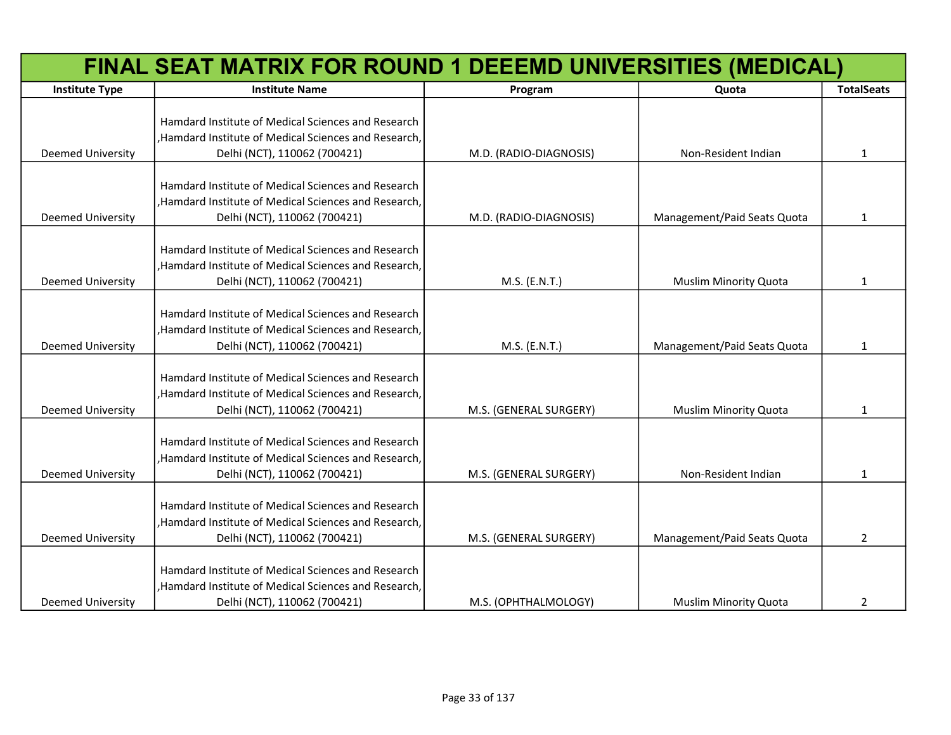| FINAL SEAT MATRIX FOR ROUND 1 DEEEMD UNIVERSITIES (MEDICAL) |                                                                                                                                             |                        |                              |                   |
|-------------------------------------------------------------|---------------------------------------------------------------------------------------------------------------------------------------------|------------------------|------------------------------|-------------------|
| <b>Institute Type</b>                                       | <b>Institute Name</b>                                                                                                                       | Program                | Quota                        | <b>TotalSeats</b> |
| <b>Deemed University</b>                                    | Hamdard Institute of Medical Sciences and Research<br>, Hamdard Institute of Medical Sciences and Research,<br>Delhi (NCT), 110062 (700421) | M.D. (RADIO-DIAGNOSIS) | Non-Resident Indian          | 1                 |
| <b>Deemed University</b>                                    | Hamdard Institute of Medical Sciences and Research<br>, Hamdard Institute of Medical Sciences and Research,<br>Delhi (NCT), 110062 (700421) | M.D. (RADIO-DIAGNOSIS) | Management/Paid Seats Quota  | 1                 |
| <b>Deemed University</b>                                    | Hamdard Institute of Medical Sciences and Research<br>,Hamdard Institute of Medical Sciences and Research,<br>Delhi (NCT), 110062 (700421)  | M.S. (E.N.T.)          | <b>Muslim Minority Quota</b> | 1                 |
| <b>Deemed University</b>                                    | Hamdard Institute of Medical Sciences and Research<br>,Hamdard Institute of Medical Sciences and Research,<br>Delhi (NCT), 110062 (700421)  | M.S. (E.N.T.)          | Management/Paid Seats Quota  | 1                 |
| <b>Deemed University</b>                                    | Hamdard Institute of Medical Sciences and Research<br>, Hamdard Institute of Medical Sciences and Research,<br>Delhi (NCT), 110062 (700421) | M.S. (GENERAL SURGERY) | <b>Muslim Minority Quota</b> | $\mathbf{1}$      |
| <b>Deemed University</b>                                    | Hamdard Institute of Medical Sciences and Research<br>, Hamdard Institute of Medical Sciences and Research,<br>Delhi (NCT), 110062 (700421) | M.S. (GENERAL SURGERY) | Non-Resident Indian          | 1                 |
| Deemed University                                           | Hamdard Institute of Medical Sciences and Research<br>, Hamdard Institute of Medical Sciences and Research,<br>Delhi (NCT), 110062 (700421) | M.S. (GENERAL SURGERY) | Management/Paid Seats Quota  | $\overline{2}$    |
| <b>Deemed University</b>                                    | Hamdard Institute of Medical Sciences and Research<br>,Hamdard Institute of Medical Sciences and Research,<br>Delhi (NCT), 110062 (700421)  | M.S. (OPHTHALMOLOGY)   | <b>Muslim Minority Quota</b> | 2                 |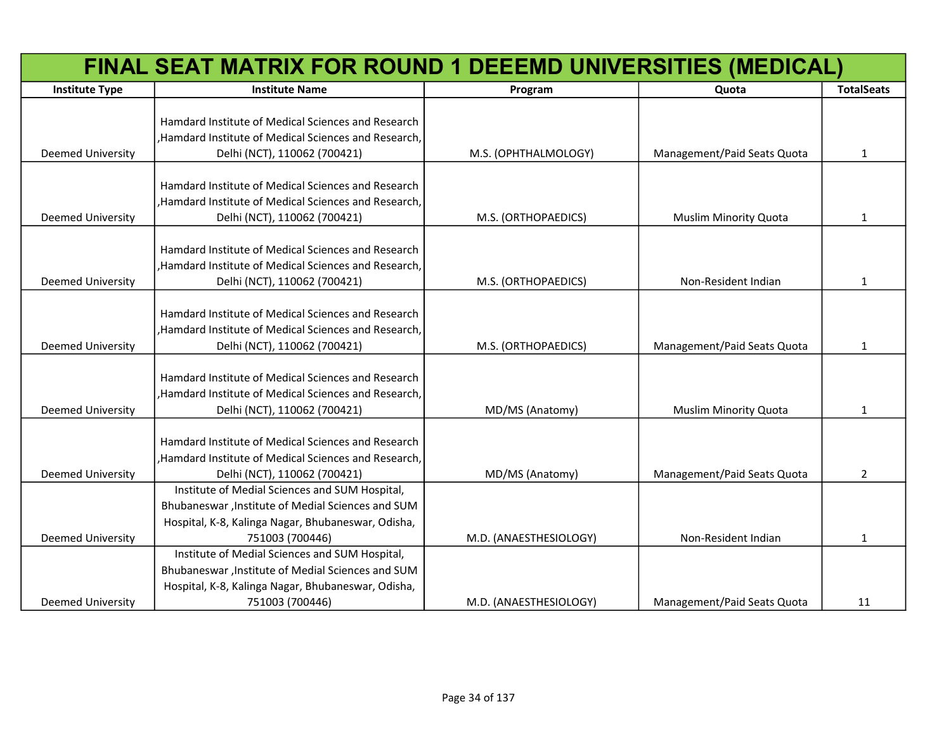| FINAL SEAT MATRIX FOR ROUND 1 DEEEMD UNIVERSITIES (MEDICAL) |                                                                                                     |                        |                              |                   |
|-------------------------------------------------------------|-----------------------------------------------------------------------------------------------------|------------------------|------------------------------|-------------------|
| <b>Institute Type</b>                                       | <b>Institute Name</b>                                                                               | Program                | Quota                        | <b>TotalSeats</b> |
|                                                             | Hamdard Institute of Medical Sciences and Research                                                  |                        |                              |                   |
|                                                             | , Hamdard Institute of Medical Sciences and Research,                                               |                        |                              |                   |
| Deemed University                                           | Delhi (NCT), 110062 (700421)                                                                        | M.S. (OPHTHALMOLOGY)   | Management/Paid Seats Quota  | 1                 |
|                                                             | Hamdard Institute of Medical Sciences and Research                                                  |                        |                              |                   |
|                                                             | ,Hamdard Institute of Medical Sciences and Research,                                                |                        |                              |                   |
| <b>Deemed University</b>                                    | Delhi (NCT), 110062 (700421)                                                                        | M.S. (ORTHOPAEDICS)    | <b>Muslim Minority Quota</b> | 1                 |
|                                                             |                                                                                                     |                        |                              |                   |
|                                                             | Hamdard Institute of Medical Sciences and Research                                                  |                        |                              |                   |
|                                                             | Hamdard Institute of Medical Sciences and Research,                                                 |                        |                              |                   |
| <b>Deemed University</b>                                    | Delhi (NCT), 110062 (700421)                                                                        | M.S. (ORTHOPAEDICS)    | Non-Resident Indian          | 1                 |
|                                                             |                                                                                                     |                        |                              |                   |
|                                                             | Hamdard Institute of Medical Sciences and Research                                                  |                        |                              |                   |
|                                                             | ,Hamdard Institute of Medical Sciences and Research,                                                |                        |                              |                   |
| <b>Deemed University</b>                                    | Delhi (NCT), 110062 (700421)                                                                        | M.S. (ORTHOPAEDICS)    | Management/Paid Seats Quota  | 1                 |
|                                                             |                                                                                                     |                        |                              |                   |
|                                                             | Hamdard Institute of Medical Sciences and Research                                                  |                        |                              |                   |
|                                                             | ,Hamdard Institute of Medical Sciences and Research,                                                |                        |                              |                   |
| <b>Deemed University</b>                                    | Delhi (NCT), 110062 (700421)                                                                        | MD/MS (Anatomy)        | <b>Muslim Minority Quota</b> | 1                 |
|                                                             |                                                                                                     |                        |                              |                   |
|                                                             | Hamdard Institute of Medical Sciences and Research                                                  |                        |                              |                   |
|                                                             | ,Hamdard Institute of Medical Sciences and Research,                                                |                        |                              |                   |
| <b>Deemed University</b>                                    | Delhi (NCT), 110062 (700421)                                                                        | MD/MS (Anatomy)        | Management/Paid Seats Quota  | $\overline{2}$    |
|                                                             | Institute of Medial Sciences and SUM Hospital,                                                      |                        |                              |                   |
|                                                             | Bhubaneswar, Institute of Medial Sciences and SUM                                                   |                        |                              |                   |
|                                                             | Hospital, K-8, Kalinga Nagar, Bhubaneswar, Odisha,                                                  |                        |                              |                   |
| <b>Deemed University</b>                                    | 751003 (700446)                                                                                     | M.D. (ANAESTHESIOLOGY) | Non-Resident Indian          | 1                 |
|                                                             | Institute of Medial Sciences and SUM Hospital,<br>Bhubaneswar, Institute of Medial Sciences and SUM |                        |                              |                   |
|                                                             | Hospital, K-8, Kalinga Nagar, Bhubaneswar, Odisha,                                                  |                        |                              |                   |
| <b>Deemed University</b>                                    | 751003 (700446)                                                                                     | M.D. (ANAESTHESIOLOGY) | Management/Paid Seats Quota  | 11                |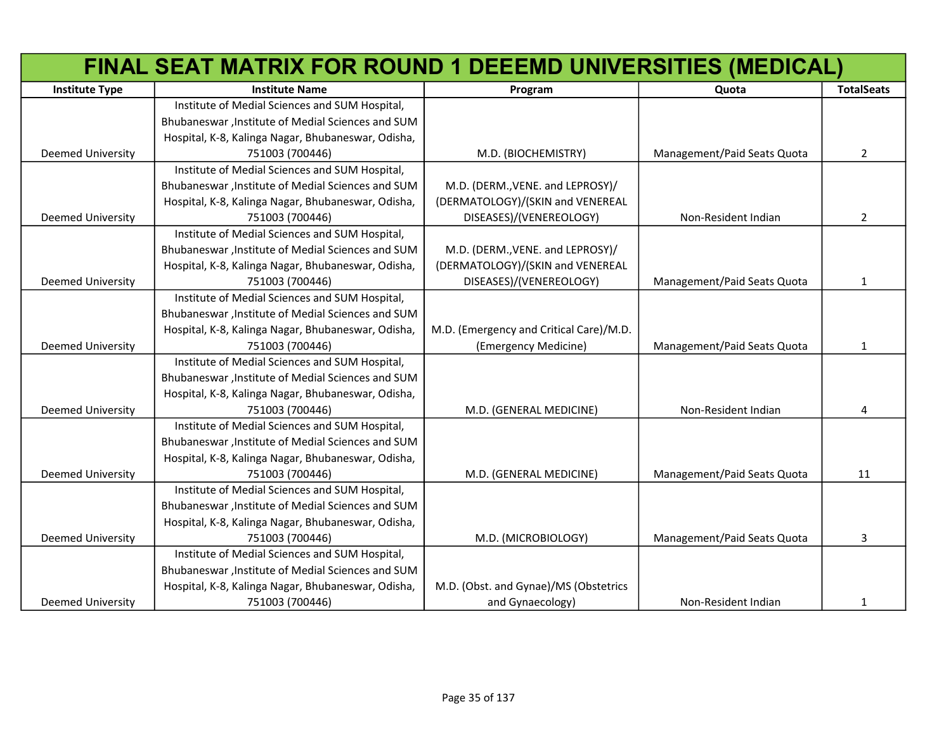| FINAL SEAT MATRIX FOR ROUND 1 DEEEMD UNIVERSITIES (MEDICAL) |                                                    |                                         |                             |                   |
|-------------------------------------------------------------|----------------------------------------------------|-----------------------------------------|-----------------------------|-------------------|
| <b>Institute Type</b>                                       | <b>Institute Name</b>                              | Program                                 | Quota                       | <b>TotalSeats</b> |
|                                                             | Institute of Medial Sciences and SUM Hospital,     |                                         |                             |                   |
|                                                             | Bhubaneswar, Institute of Medial Sciences and SUM  |                                         |                             |                   |
|                                                             | Hospital, K-8, Kalinga Nagar, Bhubaneswar, Odisha, |                                         |                             |                   |
| Deemed University                                           | 751003 (700446)                                    | M.D. (BIOCHEMISTRY)                     | Management/Paid Seats Quota | $\overline{2}$    |
|                                                             | Institute of Medial Sciences and SUM Hospital,     |                                         |                             |                   |
|                                                             | Bhubaneswar, Institute of Medial Sciences and SUM  | M.D. (DERM., VENE. and LEPROSY)/        |                             |                   |
|                                                             | Hospital, K-8, Kalinga Nagar, Bhubaneswar, Odisha, | (DERMATOLOGY)/(SKIN and VENEREAL        |                             |                   |
| Deemed University                                           | 751003 (700446)                                    | DISEASES)/(VENEREOLOGY)                 | Non-Resident Indian         | 2                 |
|                                                             | Institute of Medial Sciences and SUM Hospital,     |                                         |                             |                   |
|                                                             | Bhubaneswar, Institute of Medial Sciences and SUM  | M.D. (DERM., VENE. and LEPROSY)/        |                             |                   |
|                                                             | Hospital, K-8, Kalinga Nagar, Bhubaneswar, Odisha, | (DERMATOLOGY)/(SKIN and VENEREAL        |                             |                   |
| Deemed University                                           | 751003 (700446)                                    | DISEASES)/(VENEREOLOGY)                 | Management/Paid Seats Quota | 1                 |
|                                                             | Institute of Medial Sciences and SUM Hospital,     |                                         |                             |                   |
|                                                             | Bhubaneswar, Institute of Medial Sciences and SUM  |                                         |                             |                   |
|                                                             | Hospital, K-8, Kalinga Nagar, Bhubaneswar, Odisha, | M.D. (Emergency and Critical Care)/M.D. |                             |                   |
| <b>Deemed University</b>                                    | 751003 (700446)                                    | (Emergency Medicine)                    | Management/Paid Seats Quota | 1                 |
|                                                             | Institute of Medial Sciences and SUM Hospital,     |                                         |                             |                   |
|                                                             | Bhubaneswar, Institute of Medial Sciences and SUM  |                                         |                             |                   |
|                                                             | Hospital, K-8, Kalinga Nagar, Bhubaneswar, Odisha, |                                         |                             |                   |
| <b>Deemed University</b>                                    | 751003 (700446)                                    | M.D. (GENERAL MEDICINE)                 | Non-Resident Indian         | 4                 |
|                                                             | Institute of Medial Sciences and SUM Hospital,     |                                         |                             |                   |
|                                                             | Bhubaneswar, Institute of Medial Sciences and SUM  |                                         |                             |                   |
|                                                             | Hospital, K-8, Kalinga Nagar, Bhubaneswar, Odisha, |                                         |                             |                   |
| <b>Deemed University</b>                                    | 751003 (700446)                                    | M.D. (GENERAL MEDICINE)                 | Management/Paid Seats Quota | 11                |
|                                                             | Institute of Medial Sciences and SUM Hospital,     |                                         |                             |                   |
|                                                             | Bhubaneswar, Institute of Medial Sciences and SUM  |                                         |                             |                   |
|                                                             | Hospital, K-8, Kalinga Nagar, Bhubaneswar, Odisha, |                                         |                             |                   |
| <b>Deemed University</b>                                    | 751003 (700446)                                    | M.D. (MICROBIOLOGY)                     | Management/Paid Seats Quota | 3                 |
|                                                             | Institute of Medial Sciences and SUM Hospital,     |                                         |                             |                   |
|                                                             | Bhubaneswar, Institute of Medial Sciences and SUM  |                                         |                             |                   |
|                                                             | Hospital, K-8, Kalinga Nagar, Bhubaneswar, Odisha, | M.D. (Obst. and Gynae)/MS (Obstetrics   |                             |                   |
| <b>Deemed University</b>                                    | 751003 (700446)                                    | and Gynaecology)                        | Non-Resident Indian         | 1                 |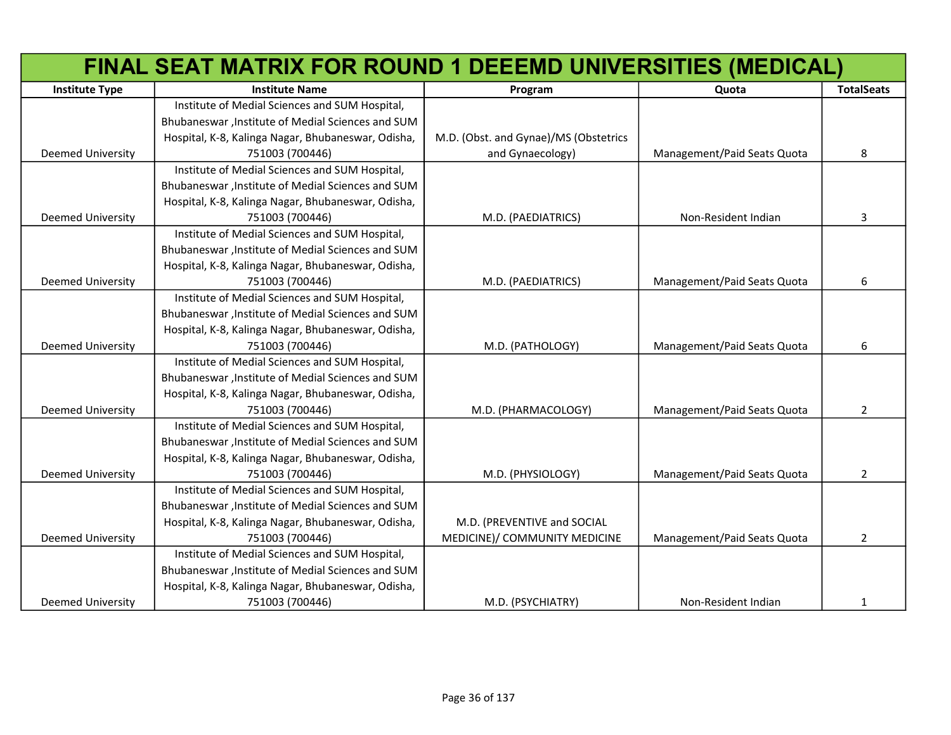|                          | FINAL SEAT MATRIX FOR ROUND 1 DEEEMD UNIVERSITIES (MEDICAL) |                                       |                             |                   |
|--------------------------|-------------------------------------------------------------|---------------------------------------|-----------------------------|-------------------|
| <b>Institute Type</b>    | <b>Institute Name</b>                                       | Program                               | Quota                       | <b>TotalSeats</b> |
|                          | Institute of Medial Sciences and SUM Hospital,              |                                       |                             |                   |
|                          | Bhubaneswar, Institute of Medial Sciences and SUM           |                                       |                             |                   |
|                          | Hospital, K-8, Kalinga Nagar, Bhubaneswar, Odisha,          | M.D. (Obst. and Gynae)/MS (Obstetrics |                             |                   |
| Deemed University        | 751003 (700446)                                             | and Gynaecology)                      | Management/Paid Seats Quota | 8                 |
|                          | Institute of Medial Sciences and SUM Hospital,              |                                       |                             |                   |
|                          | Bhubaneswar, Institute of Medial Sciences and SUM           |                                       |                             |                   |
|                          | Hospital, K-8, Kalinga Nagar, Bhubaneswar, Odisha,          |                                       |                             |                   |
| <b>Deemed University</b> | 751003 (700446)                                             | M.D. (PAEDIATRICS)                    | Non-Resident Indian         | 3                 |
|                          | Institute of Medial Sciences and SUM Hospital,              |                                       |                             |                   |
|                          | Bhubaneswar, Institute of Medial Sciences and SUM           |                                       |                             |                   |
|                          | Hospital, K-8, Kalinga Nagar, Bhubaneswar, Odisha,          |                                       |                             |                   |
| <b>Deemed University</b> | 751003 (700446)                                             | M.D. (PAEDIATRICS)                    | Management/Paid Seats Quota | 6                 |
|                          | Institute of Medial Sciences and SUM Hospital,              |                                       |                             |                   |
|                          | Bhubaneswar, Institute of Medial Sciences and SUM           |                                       |                             |                   |
|                          | Hospital, K-8, Kalinga Nagar, Bhubaneswar, Odisha,          |                                       |                             |                   |
| <b>Deemed University</b> | 751003 (700446)                                             | M.D. (PATHOLOGY)                      | Management/Paid Seats Quota | 6                 |
|                          | Institute of Medial Sciences and SUM Hospital,              |                                       |                             |                   |
|                          | Bhubaneswar, Institute of Medial Sciences and SUM           |                                       |                             |                   |
|                          | Hospital, K-8, Kalinga Nagar, Bhubaneswar, Odisha,          |                                       |                             |                   |
| <b>Deemed University</b> | 751003 (700446)                                             | M.D. (PHARMACOLOGY)                   | Management/Paid Seats Quota | $\overline{2}$    |
|                          | Institute of Medial Sciences and SUM Hospital,              |                                       |                             |                   |
|                          | Bhubaneswar, Institute of Medial Sciences and SUM           |                                       |                             |                   |
|                          | Hospital, K-8, Kalinga Nagar, Bhubaneswar, Odisha,          |                                       |                             |                   |
| <b>Deemed University</b> | 751003 (700446)                                             | M.D. (PHYSIOLOGY)                     | Management/Paid Seats Quota | $\overline{2}$    |
|                          | Institute of Medial Sciences and SUM Hospital,              |                                       |                             |                   |
|                          | Bhubaneswar, Institute of Medial Sciences and SUM           |                                       |                             |                   |
|                          | Hospital, K-8, Kalinga Nagar, Bhubaneswar, Odisha,          | M.D. (PREVENTIVE and SOCIAL           |                             |                   |
| <b>Deemed University</b> | 751003 (700446)                                             | MEDICINE)/ COMMUNITY MEDICINE         | Management/Paid Seats Quota | $\overline{2}$    |
|                          | Institute of Medial Sciences and SUM Hospital,              |                                       |                             |                   |
|                          | Bhubaneswar, Institute of Medial Sciences and SUM           |                                       |                             |                   |
|                          | Hospital, K-8, Kalinga Nagar, Bhubaneswar, Odisha,          |                                       |                             |                   |
| <b>Deemed University</b> | 751003 (700446)                                             | M.D. (PSYCHIATRY)                     | Non-Resident Indian         | $\mathbf{1}$      |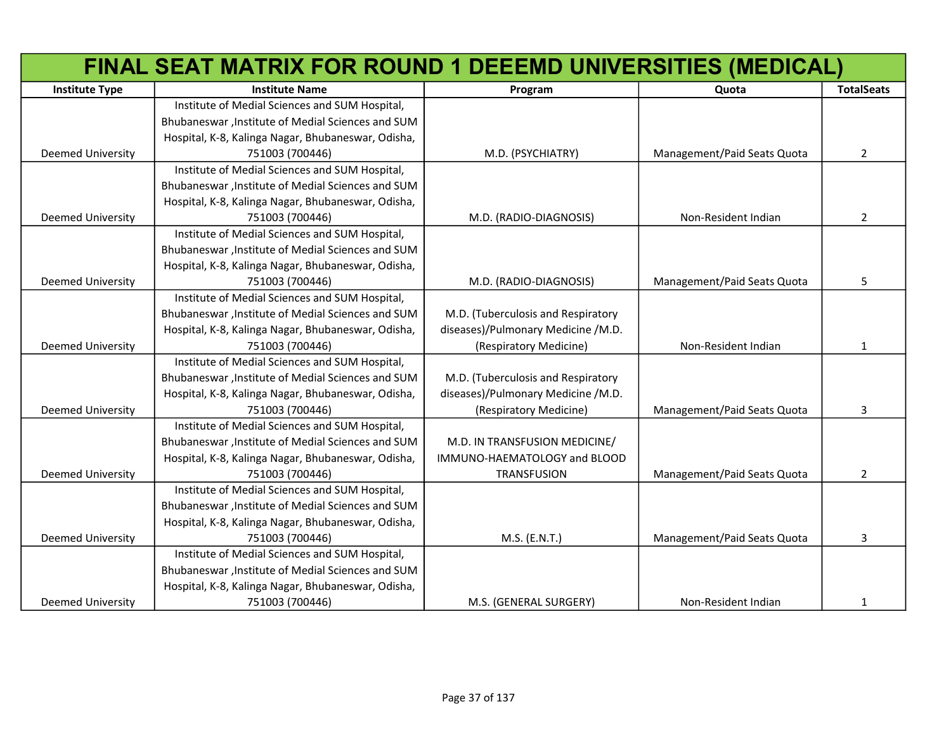|                          | FINAL SEAT MATRIX FOR ROUND 1 DEEEMD UNIVERSITIES (MEDICAL) |                                    |                             |                   |
|--------------------------|-------------------------------------------------------------|------------------------------------|-----------------------------|-------------------|
| <b>Institute Type</b>    | <b>Institute Name</b>                                       | Program                            | Quota                       | <b>TotalSeats</b> |
|                          | Institute of Medial Sciences and SUM Hospital,              |                                    |                             |                   |
|                          | Bhubaneswar, Institute of Medial Sciences and SUM           |                                    |                             |                   |
|                          | Hospital, K-8, Kalinga Nagar, Bhubaneswar, Odisha,          |                                    |                             |                   |
| Deemed University        | 751003 (700446)                                             | M.D. (PSYCHIATRY)                  | Management/Paid Seats Quota | $\overline{2}$    |
|                          | Institute of Medial Sciences and SUM Hospital,              |                                    |                             |                   |
|                          | Bhubaneswar, Institute of Medial Sciences and SUM           |                                    |                             |                   |
|                          | Hospital, K-8, Kalinga Nagar, Bhubaneswar, Odisha,          |                                    |                             |                   |
| <b>Deemed University</b> | 751003 (700446)                                             | M.D. (RADIO-DIAGNOSIS)             | Non-Resident Indian         | $\overline{2}$    |
|                          | Institute of Medial Sciences and SUM Hospital,              |                                    |                             |                   |
|                          | Bhubaneswar, Institute of Medial Sciences and SUM           |                                    |                             |                   |
|                          | Hospital, K-8, Kalinga Nagar, Bhubaneswar, Odisha,          |                                    |                             |                   |
| <b>Deemed University</b> | 751003 (700446)                                             | M.D. (RADIO-DIAGNOSIS)             | Management/Paid Seats Quota | 5                 |
|                          | Institute of Medial Sciences and SUM Hospital,              |                                    |                             |                   |
|                          | Bhubaneswar, Institute of Medial Sciences and SUM           | M.D. (Tuberculosis and Respiratory |                             |                   |
|                          | Hospital, K-8, Kalinga Nagar, Bhubaneswar, Odisha,          | diseases)/Pulmonary Medicine /M.D. |                             |                   |
| <b>Deemed University</b> | 751003 (700446)                                             | (Respiratory Medicine)             | Non-Resident Indian         | 1                 |
|                          | Institute of Medial Sciences and SUM Hospital,              |                                    |                             |                   |
|                          | Bhubaneswar, Institute of Medial Sciences and SUM           | M.D. (Tuberculosis and Respiratory |                             |                   |
|                          | Hospital, K-8, Kalinga Nagar, Bhubaneswar, Odisha,          | diseases)/Pulmonary Medicine /M.D. |                             |                   |
| Deemed University        | 751003 (700446)                                             | (Respiratory Medicine)             | Management/Paid Seats Quota | 3                 |
|                          | Institute of Medial Sciences and SUM Hospital,              |                                    |                             |                   |
|                          | Bhubaneswar, Institute of Medial Sciences and SUM           | M.D. IN TRANSFUSION MEDICINE/      |                             |                   |
|                          | Hospital, K-8, Kalinga Nagar, Bhubaneswar, Odisha,          | IMMUNO-HAEMATOLOGY and BLOOD       |                             |                   |
| Deemed University        | 751003 (700446)                                             | <b>TRANSFUSION</b>                 | Management/Paid Seats Quota | $\overline{2}$    |
|                          | Institute of Medial Sciences and SUM Hospital,              |                                    |                             |                   |
|                          | Bhubaneswar, Institute of Medial Sciences and SUM           |                                    |                             |                   |
|                          | Hospital, K-8, Kalinga Nagar, Bhubaneswar, Odisha,          |                                    |                             |                   |
| <b>Deemed University</b> | 751003 (700446)                                             | M.S. (E.N.T.)                      | Management/Paid Seats Quota | 3                 |
|                          | Institute of Medial Sciences and SUM Hospital,              |                                    |                             |                   |
|                          | Bhubaneswar, Institute of Medial Sciences and SUM           |                                    |                             |                   |
|                          | Hospital, K-8, Kalinga Nagar, Bhubaneswar, Odisha,          |                                    |                             |                   |
| <b>Deemed University</b> | 751003 (700446)                                             | M.S. (GENERAL SURGERY)             | Non-Resident Indian         | $\mathbf{1}$      |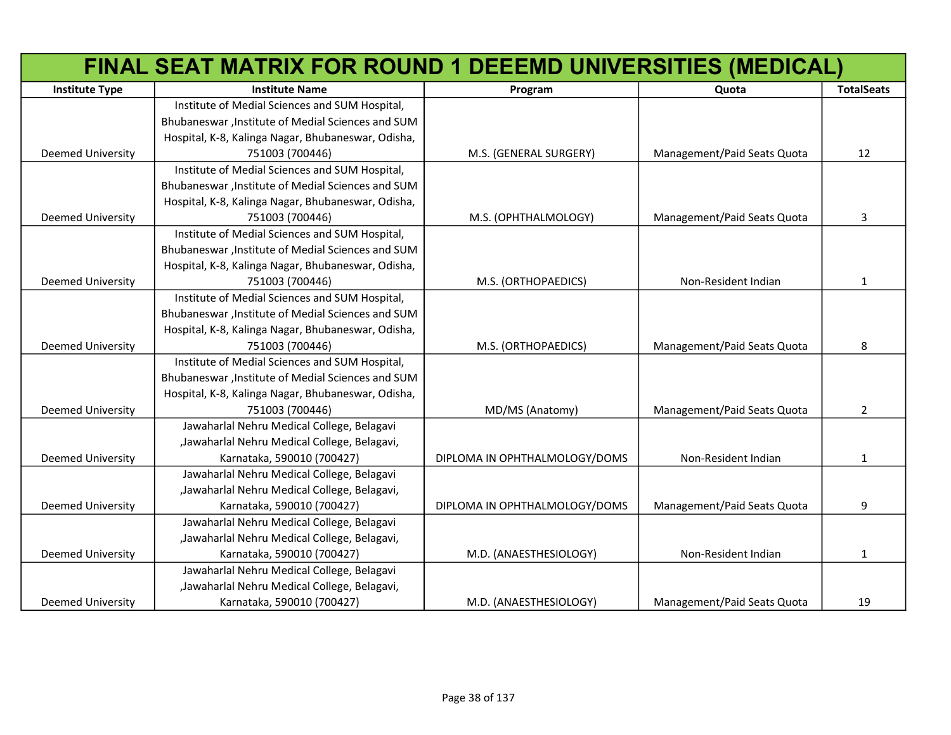|                          | FINAL SEAT MATRIX FOR ROUND 1 DEEEMD UNIVERSITIES (MEDICAL) |                               |                             |                   |
|--------------------------|-------------------------------------------------------------|-------------------------------|-----------------------------|-------------------|
| <b>Institute Type</b>    | <b>Institute Name</b>                                       | Program                       | Quota                       | <b>TotalSeats</b> |
|                          | Institute of Medial Sciences and SUM Hospital,              |                               |                             |                   |
|                          | Bhubaneswar, Institute of Medial Sciences and SUM           |                               |                             |                   |
|                          | Hospital, K-8, Kalinga Nagar, Bhubaneswar, Odisha,          |                               |                             |                   |
| Deemed University        | 751003 (700446)                                             | M.S. (GENERAL SURGERY)        | Management/Paid Seats Quota | 12                |
|                          | Institute of Medial Sciences and SUM Hospital,              |                               |                             |                   |
|                          | Bhubaneswar, Institute of Medial Sciences and SUM           |                               |                             |                   |
|                          | Hospital, K-8, Kalinga Nagar, Bhubaneswar, Odisha,          |                               |                             |                   |
| <b>Deemed University</b> | 751003 (700446)                                             | M.S. (OPHTHALMOLOGY)          | Management/Paid Seats Quota | 3                 |
|                          | Institute of Medial Sciences and SUM Hospital,              |                               |                             |                   |
|                          | Bhubaneswar, Institute of Medial Sciences and SUM           |                               |                             |                   |
|                          | Hospital, K-8, Kalinga Nagar, Bhubaneswar, Odisha,          |                               |                             |                   |
| Deemed University        | 751003 (700446)                                             | M.S. (ORTHOPAEDICS)           | Non-Resident Indian         | $\mathbf{1}$      |
|                          | Institute of Medial Sciences and SUM Hospital,              |                               |                             |                   |
|                          | Bhubaneswar, Institute of Medial Sciences and SUM           |                               |                             |                   |
|                          | Hospital, K-8, Kalinga Nagar, Bhubaneswar, Odisha,          |                               |                             |                   |
| <b>Deemed University</b> | 751003 (700446)                                             | M.S. (ORTHOPAEDICS)           | Management/Paid Seats Quota | 8                 |
|                          | Institute of Medial Sciences and SUM Hospital,              |                               |                             |                   |
|                          | Bhubaneswar, Institute of Medial Sciences and SUM           |                               |                             |                   |
|                          | Hospital, K-8, Kalinga Nagar, Bhubaneswar, Odisha,          |                               |                             |                   |
| Deemed University        | 751003 (700446)                                             | MD/MS (Anatomy)               | Management/Paid Seats Quota | $\overline{2}$    |
|                          | Jawaharlal Nehru Medical College, Belagavi                  |                               |                             |                   |
|                          | "Jawaharlal Nehru Medical College, Belagavi,                |                               |                             |                   |
| <b>Deemed University</b> | Karnataka, 590010 (700427)                                  | DIPLOMA IN OPHTHALMOLOGY/DOMS | Non-Resident Indian         | $\mathbf{1}$      |
|                          | Jawaharlal Nehru Medical College, Belagavi                  |                               |                             |                   |
|                          | "Jawaharlal Nehru Medical College, Belagavi,                |                               |                             |                   |
| <b>Deemed University</b> | Karnataka, 590010 (700427)                                  | DIPLOMA IN OPHTHALMOLOGY/DOMS | Management/Paid Seats Quota | 9                 |
|                          | Jawaharlal Nehru Medical College, Belagavi                  |                               |                             |                   |
|                          | "Jawaharlal Nehru Medical College, Belagavi,                |                               |                             |                   |
| <b>Deemed University</b> | Karnataka, 590010 (700427)                                  | M.D. (ANAESTHESIOLOGY)        | Non-Resident Indian         | $\mathbf{1}$      |
|                          | Jawaharlal Nehru Medical College, Belagavi                  |                               |                             |                   |
|                          | "Jawaharlal Nehru Medical College, Belagavi,                |                               |                             |                   |
| <b>Deemed University</b> | Karnataka, 590010 (700427)                                  | M.D. (ANAESTHESIOLOGY)        | Management/Paid Seats Quota | 19                |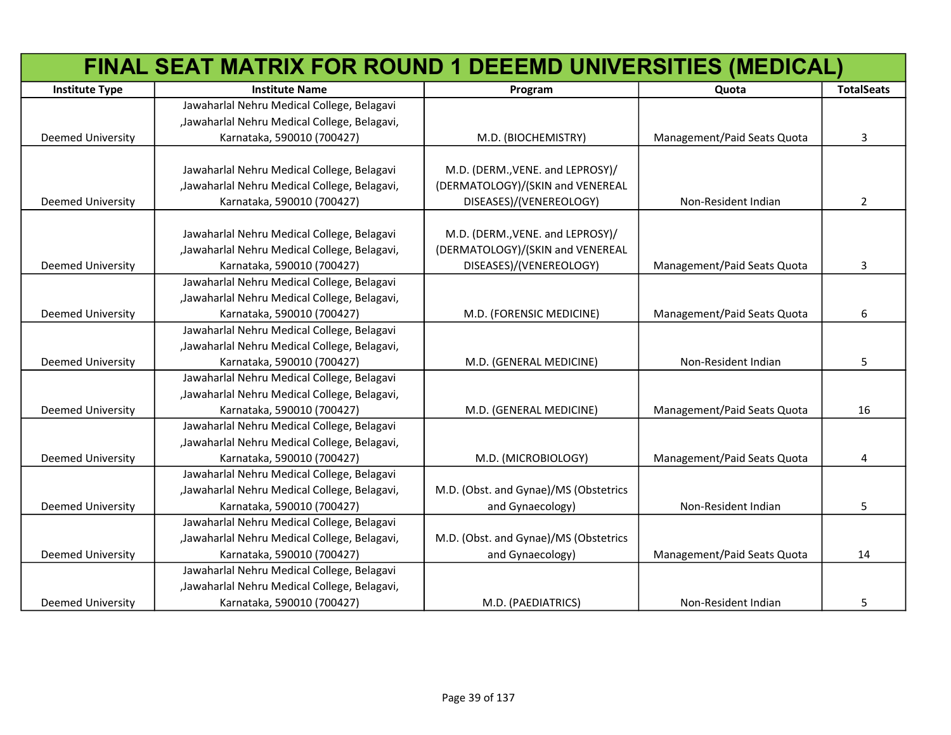|                          | FINAL SEAT MATRIX FOR ROUND 1 DEEEMD UNIVERSITIES (MEDICAL) |                                       |                             |                   |
|--------------------------|-------------------------------------------------------------|---------------------------------------|-----------------------------|-------------------|
| <b>Institute Type</b>    | <b>Institute Name</b>                                       | Program                               | Quota                       | <b>TotalSeats</b> |
|                          | Jawaharlal Nehru Medical College, Belagavi                  |                                       |                             |                   |
|                          | "Jawaharlal Nehru Medical College, Belagavi,                |                                       |                             |                   |
| <b>Deemed University</b> | Karnataka, 590010 (700427)                                  | M.D. (BIOCHEMISTRY)                   | Management/Paid Seats Quota | 3                 |
|                          |                                                             |                                       |                             |                   |
|                          | Jawaharlal Nehru Medical College, Belagavi                  | M.D. (DERM., VENE. and LEPROSY)/      |                             |                   |
|                          | "Jawaharlal Nehru Medical College, Belagavi,                | (DERMATOLOGY)/(SKIN and VENEREAL      |                             |                   |
| <b>Deemed University</b> | Karnataka, 590010 (700427)                                  | DISEASES)/(VENEREOLOGY)               | Non-Resident Indian         | $\overline{2}$    |
|                          |                                                             |                                       |                             |                   |
|                          | Jawaharlal Nehru Medical College, Belagavi                  | M.D. (DERM., VENE. and LEPROSY)/      |                             |                   |
|                          | "Jawaharlal Nehru Medical College, Belagavi,                | (DERMATOLOGY)/(SKIN and VENEREAL      |                             |                   |
| Deemed University        | Karnataka, 590010 (700427)                                  | DISEASES)/(VENEREOLOGY)               | Management/Paid Seats Quota | 3                 |
|                          | Jawaharlal Nehru Medical College, Belagavi                  |                                       |                             |                   |
|                          | "Jawaharlal Nehru Medical College, Belagavi,                |                                       |                             |                   |
| <b>Deemed University</b> | Karnataka, 590010 (700427)                                  | M.D. (FORENSIC MEDICINE)              | Management/Paid Seats Quota | 6                 |
|                          | Jawaharlal Nehru Medical College, Belagavi                  |                                       |                             |                   |
|                          | "Jawaharlal Nehru Medical College, Belagavi,                |                                       |                             |                   |
| <b>Deemed University</b> | Karnataka, 590010 (700427)                                  | M.D. (GENERAL MEDICINE)               | Non-Resident Indian         | 5                 |
|                          | Jawaharlal Nehru Medical College, Belagavi                  |                                       |                             |                   |
|                          | "Jawaharlal Nehru Medical College, Belagavi,                |                                       |                             |                   |
| Deemed University        | Karnataka, 590010 (700427)                                  | M.D. (GENERAL MEDICINE)               | Management/Paid Seats Quota | 16                |
|                          | Jawaharlal Nehru Medical College, Belagavi                  |                                       |                             |                   |
|                          | "Jawaharlal Nehru Medical College, Belagavi,                |                                       |                             |                   |
| <b>Deemed University</b> | Karnataka, 590010 (700427)                                  | M.D. (MICROBIOLOGY)                   | Management/Paid Seats Quota | 4                 |
|                          | Jawaharlal Nehru Medical College, Belagavi                  |                                       |                             |                   |
|                          | "Jawaharlal Nehru Medical College, Belagavi,                | M.D. (Obst. and Gynae)/MS (Obstetrics |                             |                   |
| <b>Deemed University</b> | Karnataka, 590010 (700427)                                  | and Gynaecology)                      | Non-Resident Indian         | 5                 |
|                          | Jawaharlal Nehru Medical College, Belagavi                  |                                       |                             |                   |
|                          | "Jawaharlal Nehru Medical College, Belagavi,                | M.D. (Obst. and Gynae)/MS (Obstetrics |                             |                   |
| <b>Deemed University</b> | Karnataka, 590010 (700427)                                  | and Gynaecology)                      | Management/Paid Seats Quota | 14                |
|                          | Jawaharlal Nehru Medical College, Belagavi                  |                                       |                             |                   |
|                          | "Jawaharlal Nehru Medical College, Belagavi,                |                                       |                             |                   |
| <b>Deemed University</b> | Karnataka, 590010 (700427)                                  | M.D. (PAEDIATRICS)                    | Non-Resident Indian         | 5                 |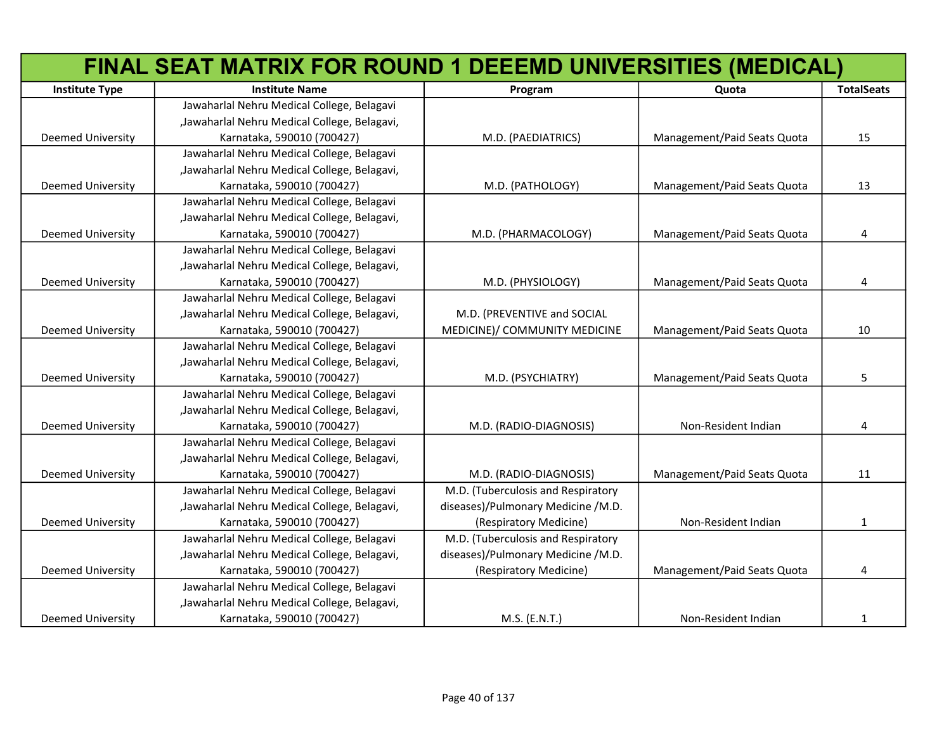|                          | FINAL SEAT MATRIX FOR ROUND 1 DEEEMD UNIVERSITIES (MEDICAL) |                                    |                             |                   |
|--------------------------|-------------------------------------------------------------|------------------------------------|-----------------------------|-------------------|
| <b>Institute Type</b>    | <b>Institute Name</b>                                       | Program                            | Quota                       | <b>TotalSeats</b> |
|                          | Jawaharlal Nehru Medical College, Belagavi                  |                                    |                             |                   |
|                          | "Jawaharlal Nehru Medical College, Belagavi,                |                                    |                             |                   |
| <b>Deemed University</b> | Karnataka, 590010 (700427)                                  | M.D. (PAEDIATRICS)                 | Management/Paid Seats Quota | 15                |
|                          | Jawaharlal Nehru Medical College, Belagavi                  |                                    |                             |                   |
|                          | "Jawaharlal Nehru Medical College, Belagavi,                |                                    |                             |                   |
| <b>Deemed University</b> | Karnataka, 590010 (700427)                                  | M.D. (PATHOLOGY)                   | Management/Paid Seats Quota | 13                |
|                          | Jawaharlal Nehru Medical College, Belagavi                  |                                    |                             |                   |
|                          | "Jawaharlal Nehru Medical College, Belagavi,                |                                    |                             |                   |
| Deemed University        | Karnataka, 590010 (700427)                                  | M.D. (PHARMACOLOGY)                | Management/Paid Seats Quota | 4                 |
|                          | Jawaharlal Nehru Medical College, Belagavi                  |                                    |                             |                   |
|                          | "Jawaharlal Nehru Medical College, Belagavi,                |                                    |                             |                   |
| Deemed University        | Karnataka, 590010 (700427)                                  | M.D. (PHYSIOLOGY)                  | Management/Paid Seats Quota | 4                 |
|                          | Jawaharlal Nehru Medical College, Belagavi                  |                                    |                             |                   |
|                          | "Jawaharlal Nehru Medical College, Belagavi,                | M.D. (PREVENTIVE and SOCIAL        |                             |                   |
| Deemed University        | Karnataka, 590010 (700427)                                  | MEDICINE)/ COMMUNITY MEDICINE      | Management/Paid Seats Quota | 10                |
|                          | Jawaharlal Nehru Medical College, Belagavi                  |                                    |                             |                   |
|                          | "Jawaharlal Nehru Medical College, Belagavi,                |                                    |                             |                   |
| Deemed University        | Karnataka, 590010 (700427)                                  | M.D. (PSYCHIATRY)                  | Management/Paid Seats Quota | 5                 |
|                          | Jawaharlal Nehru Medical College, Belagavi                  |                                    |                             |                   |
|                          | "Jawaharlal Nehru Medical College, Belagavi,                |                                    |                             |                   |
| Deemed University        | Karnataka, 590010 (700427)                                  | M.D. (RADIO-DIAGNOSIS)             | Non-Resident Indian         | 4                 |
|                          | Jawaharlal Nehru Medical College, Belagavi                  |                                    |                             |                   |
|                          | "Jawaharlal Nehru Medical College, Belagavi,                |                                    |                             |                   |
| <b>Deemed University</b> | Karnataka, 590010 (700427)                                  | M.D. (RADIO-DIAGNOSIS)             | Management/Paid Seats Quota | 11                |
|                          | Jawaharlal Nehru Medical College, Belagavi                  | M.D. (Tuberculosis and Respiratory |                             |                   |
|                          | "Jawaharlal Nehru Medical College, Belagavi,                | diseases)/Pulmonary Medicine /M.D. |                             |                   |
| <b>Deemed University</b> | Karnataka, 590010 (700427)                                  | (Respiratory Medicine)             | Non-Resident Indian         | $\mathbf{1}$      |
|                          | Jawaharlal Nehru Medical College, Belagavi                  | M.D. (Tuberculosis and Respiratory |                             |                   |
|                          | "Jawaharlal Nehru Medical College, Belagavi,                | diseases)/Pulmonary Medicine /M.D. |                             |                   |
| <b>Deemed University</b> | Karnataka, 590010 (700427)                                  | (Respiratory Medicine)             | Management/Paid Seats Quota | 4                 |
|                          | Jawaharlal Nehru Medical College, Belagavi                  |                                    |                             |                   |
|                          | "Jawaharlal Nehru Medical College, Belagavi,                |                                    |                             |                   |
| <b>Deemed University</b> | Karnataka, 590010 (700427)                                  | M.S. (E.N.T.)                      | Non-Resident Indian         | 1                 |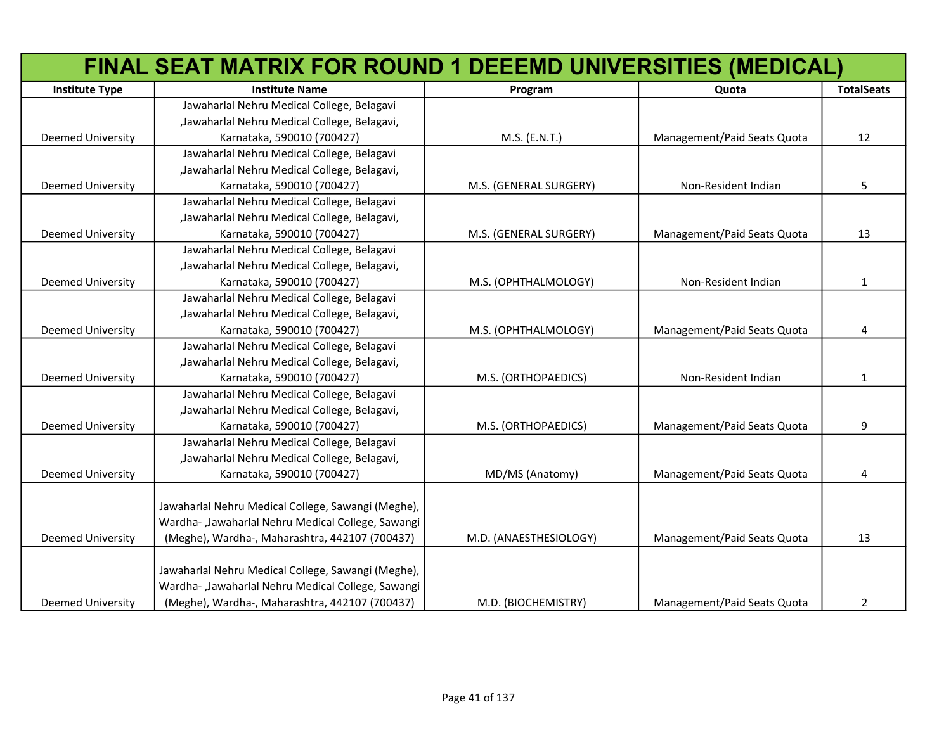|                          | FINAL SEAT MATRIX FOR ROUND 1 DEEEMD UNIVERSITIES (MEDICAL) |                        |                             |                   |
|--------------------------|-------------------------------------------------------------|------------------------|-----------------------------|-------------------|
| <b>Institute Type</b>    | <b>Institute Name</b>                                       | Program                | Quota                       | <b>TotalSeats</b> |
|                          | Jawaharlal Nehru Medical College, Belagavi                  |                        |                             |                   |
|                          | "Jawaharlal Nehru Medical College, Belagavi,                |                        |                             |                   |
| Deemed University        | Karnataka, 590010 (700427)                                  | M.S. (E.N.T.)          | Management/Paid Seats Quota | 12                |
|                          | Jawaharlal Nehru Medical College, Belagavi                  |                        |                             |                   |
|                          | "Jawaharlal Nehru Medical College, Belagavi,                |                        |                             |                   |
| Deemed University        | Karnataka, 590010 (700427)                                  | M.S. (GENERAL SURGERY) | Non-Resident Indian         | 5                 |
|                          | Jawaharlal Nehru Medical College, Belagavi                  |                        |                             |                   |
|                          | "Jawaharlal Nehru Medical College, Belagavi,                |                        |                             |                   |
| <b>Deemed University</b> | Karnataka, 590010 (700427)                                  | M.S. (GENERAL SURGERY) | Management/Paid Seats Quota | 13                |
|                          | Jawaharlal Nehru Medical College, Belagavi                  |                        |                             |                   |
|                          | "Jawaharlal Nehru Medical College, Belagavi,                |                        |                             |                   |
| Deemed University        | Karnataka, 590010 (700427)                                  | M.S. (OPHTHALMOLOGY)   | Non-Resident Indian         | 1                 |
|                          | Jawaharlal Nehru Medical College, Belagavi                  |                        |                             |                   |
|                          | "Jawaharlal Nehru Medical College, Belagavi,                |                        |                             |                   |
| <b>Deemed University</b> | Karnataka, 590010 (700427)                                  | M.S. (OPHTHALMOLOGY)   | Management/Paid Seats Quota | 4                 |
|                          | Jawaharlal Nehru Medical College, Belagavi                  |                        |                             |                   |
|                          | "Jawaharlal Nehru Medical College, Belagavi,                |                        |                             |                   |
| <b>Deemed University</b> | Karnataka, 590010 (700427)                                  | M.S. (ORTHOPAEDICS)    | Non-Resident Indian         | 1                 |
|                          | Jawaharlal Nehru Medical College, Belagavi                  |                        |                             |                   |
|                          | "Jawaharlal Nehru Medical College, Belagavi,                |                        |                             |                   |
| <b>Deemed University</b> | Karnataka, 590010 (700427)                                  | M.S. (ORTHOPAEDICS)    | Management/Paid Seats Quota | 9                 |
|                          | Jawaharlal Nehru Medical College, Belagavi                  |                        |                             |                   |
|                          | "Jawaharlal Nehru Medical College, Belagavi,                |                        |                             |                   |
| <b>Deemed University</b> | Karnataka, 590010 (700427)                                  | MD/MS (Anatomy)        | Management/Paid Seats Quota | 4                 |
|                          |                                                             |                        |                             |                   |
|                          | Jawaharlal Nehru Medical College, Sawangi (Meghe),          |                        |                             |                   |
|                          | Wardha-, Jawaharlal Nehru Medical College, Sawangi          |                        |                             |                   |
| <b>Deemed University</b> | (Meghe), Wardha-, Maharashtra, 442107 (700437)              | M.D. (ANAESTHESIOLOGY) | Management/Paid Seats Quota | 13                |
|                          |                                                             |                        |                             |                   |
|                          | Jawaharlal Nehru Medical College, Sawangi (Meghe),          |                        |                             |                   |
|                          | Wardha- ,Jawaharlal Nehru Medical College, Sawangi          |                        |                             |                   |
| <b>Deemed University</b> | (Meghe), Wardha-, Maharashtra, 442107 (700437)              | M.D. (BIOCHEMISTRY)    | Management/Paid Seats Quota | $\overline{2}$    |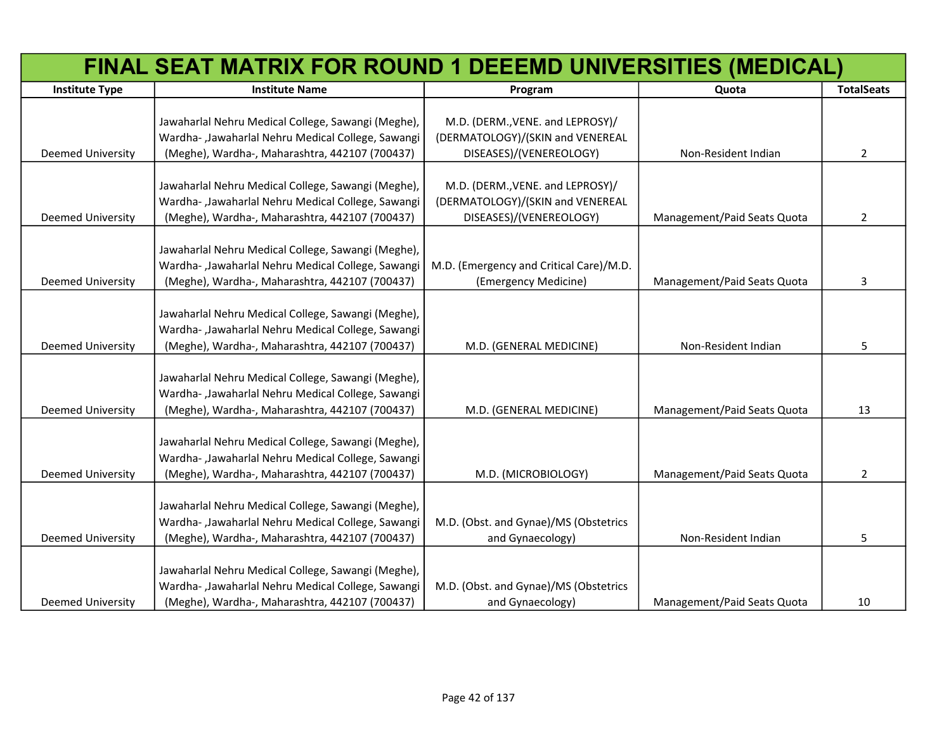|                          | FINAL SEAT MATRIX FOR ROUND 1 DEEEMD UNIVERSITIES (MEDICAL)                                                                                                |                                                                                                 |                             |                   |
|--------------------------|------------------------------------------------------------------------------------------------------------------------------------------------------------|-------------------------------------------------------------------------------------------------|-----------------------------|-------------------|
| <b>Institute Type</b>    | <b>Institute Name</b>                                                                                                                                      | Program                                                                                         | Quota                       | <b>TotalSeats</b> |
| Deemed University        | Jawaharlal Nehru Medical College, Sawangi (Meghe),<br>Wardha- ,Jawaharlal Nehru Medical College, Sawangi<br>(Meghe), Wardha-, Maharashtra, 442107 (700437) | M.D. (DERM., VENE. and LEPROSY)/<br>(DERMATOLOGY)/(SKIN and VENEREAL<br>DISEASES)/(VENEREOLOGY) | Non-Resident Indian         | $\overline{2}$    |
| <b>Deemed University</b> | Jawaharlal Nehru Medical College, Sawangi (Meghe),<br>Wardha-, Jawaharlal Nehru Medical College, Sawangi<br>(Meghe), Wardha-, Maharashtra, 442107 (700437) | M.D. (DERM., VENE. and LEPROSY)/<br>(DERMATOLOGY)/(SKIN and VENEREAL<br>DISEASES)/(VENEREOLOGY) | Management/Paid Seats Quota | 2                 |
| Deemed University        | Jawaharlal Nehru Medical College, Sawangi (Meghe),<br>Wardha-, Jawaharlal Nehru Medical College, Sawangi<br>(Meghe), Wardha-, Maharashtra, 442107 (700437) | M.D. (Emergency and Critical Care)/M.D.<br>(Emergency Medicine)                                 | Management/Paid Seats Quota | 3                 |
| <b>Deemed University</b> | Jawaharlal Nehru Medical College, Sawangi (Meghe),<br>Wardha-, Jawaharlal Nehru Medical College, Sawangi<br>(Meghe), Wardha-, Maharashtra, 442107 (700437) | M.D. (GENERAL MEDICINE)                                                                         | Non-Resident Indian         | 5                 |
| Deemed University        | Jawaharlal Nehru Medical College, Sawangi (Meghe),<br>Wardha- ,Jawaharlal Nehru Medical College, Sawangi<br>(Meghe), Wardha-, Maharashtra, 442107 (700437) | M.D. (GENERAL MEDICINE)                                                                         | Management/Paid Seats Quota | 13                |
| Deemed University        | Jawaharlal Nehru Medical College, Sawangi (Meghe),<br>Wardha- ,Jawaharlal Nehru Medical College, Sawangi<br>(Meghe), Wardha-, Maharashtra, 442107 (700437) | M.D. (MICROBIOLOGY)                                                                             | Management/Paid Seats Quota | $\overline{2}$    |
| <b>Deemed University</b> | Jawaharlal Nehru Medical College, Sawangi (Meghe),<br>Wardha-, Jawaharlal Nehru Medical College, Sawangi<br>(Meghe), Wardha-, Maharashtra, 442107 (700437) | M.D. (Obst. and Gynae)/MS (Obstetrics<br>and Gynaecology)                                       | Non-Resident Indian         | 5                 |
| <b>Deemed University</b> | Jawaharlal Nehru Medical College, Sawangi (Meghe),<br>Wardha-, Jawaharlal Nehru Medical College, Sawangi<br>(Meghe), Wardha-, Maharashtra, 442107 (700437) | M.D. (Obst. and Gynae)/MS (Obstetrics<br>and Gynaecology)                                       | Management/Paid Seats Quota | 10                |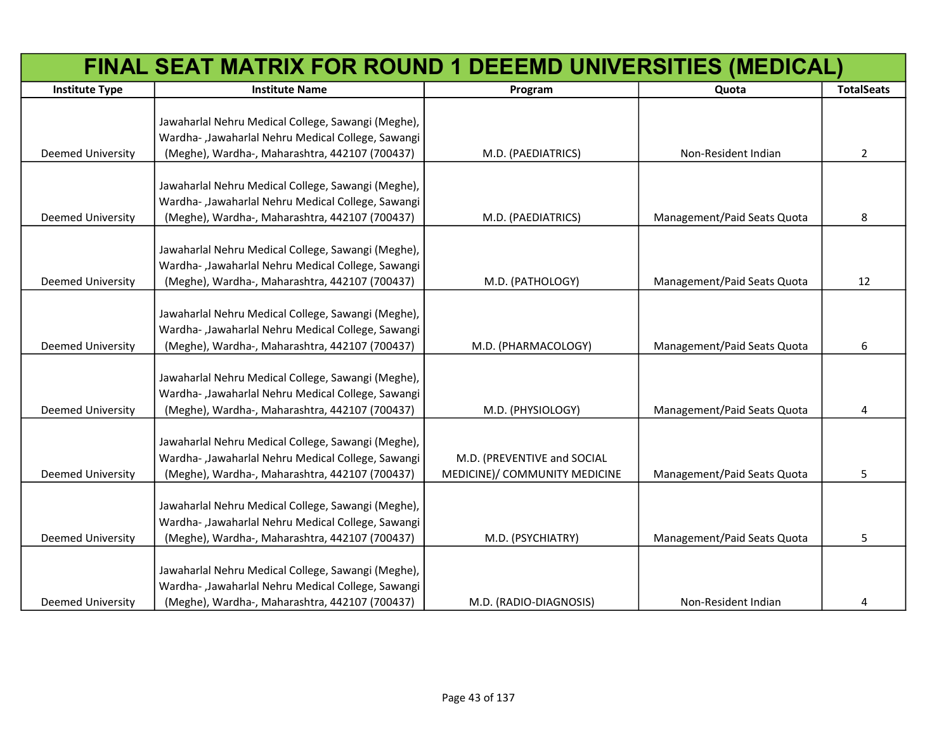|                          | FINAL SEAT MATRIX FOR ROUND 1 DEEEMD UNIVERSITIES (MEDICAL) |                                                              |                             |                   |
|--------------------------|-------------------------------------------------------------|--------------------------------------------------------------|-----------------------------|-------------------|
| <b>Institute Type</b>    | <b>Institute Name</b>                                       | Program                                                      | Quota                       | <b>TotalSeats</b> |
|                          |                                                             |                                                              |                             |                   |
|                          | Jawaharlal Nehru Medical College, Sawangi (Meghe),          |                                                              |                             |                   |
|                          | Wardha-, Jawaharlal Nehru Medical College, Sawangi          |                                                              |                             |                   |
| <b>Deemed University</b> | (Meghe), Wardha-, Maharashtra, 442107 (700437)              | M.D. (PAEDIATRICS)                                           | Non-Resident Indian         | $\overline{2}$    |
|                          |                                                             |                                                              |                             |                   |
|                          | Jawaharlal Nehru Medical College, Sawangi (Meghe),          |                                                              |                             |                   |
|                          | Wardha-, Jawaharlal Nehru Medical College, Sawangi          |                                                              |                             |                   |
| Deemed University        | (Meghe), Wardha-, Maharashtra, 442107 (700437)              | M.D. (PAEDIATRICS)                                           | Management/Paid Seats Quota | 8                 |
|                          |                                                             |                                                              |                             |                   |
|                          | Jawaharlal Nehru Medical College, Sawangi (Meghe),          |                                                              |                             |                   |
|                          | Wardha-, Jawaharlal Nehru Medical College, Sawangi          |                                                              |                             |                   |
| <b>Deemed University</b> | (Meghe), Wardha-, Maharashtra, 442107 (700437)              | M.D. (PATHOLOGY)                                             | Management/Paid Seats Quota | 12                |
|                          |                                                             |                                                              |                             |                   |
|                          | Jawaharlal Nehru Medical College, Sawangi (Meghe),          |                                                              |                             |                   |
|                          | Wardha- ,Jawaharlal Nehru Medical College, Sawangi          |                                                              |                             |                   |
| <b>Deemed University</b> | (Meghe), Wardha-, Maharashtra, 442107 (700437)              | M.D. (PHARMACOLOGY)                                          | Management/Paid Seats Quota | 6                 |
|                          |                                                             |                                                              |                             |                   |
|                          | Jawaharlal Nehru Medical College, Sawangi (Meghe),          |                                                              |                             |                   |
|                          | Wardha-, Jawaharlal Nehru Medical College, Sawangi          |                                                              |                             |                   |
| <b>Deemed University</b> | (Meghe), Wardha-, Maharashtra, 442107 (700437)              | M.D. (PHYSIOLOGY)                                            | Management/Paid Seats Quota | 4                 |
|                          | Jawaharlal Nehru Medical College, Sawangi (Meghe),          |                                                              |                             |                   |
|                          | Wardha-, Jawaharlal Nehru Medical College, Sawangi          |                                                              |                             |                   |
| <b>Deemed University</b> |                                                             | M.D. (PREVENTIVE and SOCIAL<br>MEDICINE)/ COMMUNITY MEDICINE | Management/Paid Seats Quota | 5                 |
|                          | (Meghe), Wardha-, Maharashtra, 442107 (700437)              |                                                              |                             |                   |
|                          | Jawaharlal Nehru Medical College, Sawangi (Meghe),          |                                                              |                             |                   |
|                          | Wardha- ,Jawaharlal Nehru Medical College, Sawangi          |                                                              |                             |                   |
| <b>Deemed University</b> | (Meghe), Wardha-, Maharashtra, 442107 (700437)              | M.D. (PSYCHIATRY)                                            | Management/Paid Seats Quota | 5                 |
|                          |                                                             |                                                              |                             |                   |
|                          | Jawaharlal Nehru Medical College, Sawangi (Meghe),          |                                                              |                             |                   |
|                          | Wardha- ,Jawaharlal Nehru Medical College, Sawangi          |                                                              |                             |                   |
| <b>Deemed University</b> | (Meghe), Wardha-, Maharashtra, 442107 (700437)              | M.D. (RADIO-DIAGNOSIS)                                       | Non-Resident Indian         | 4                 |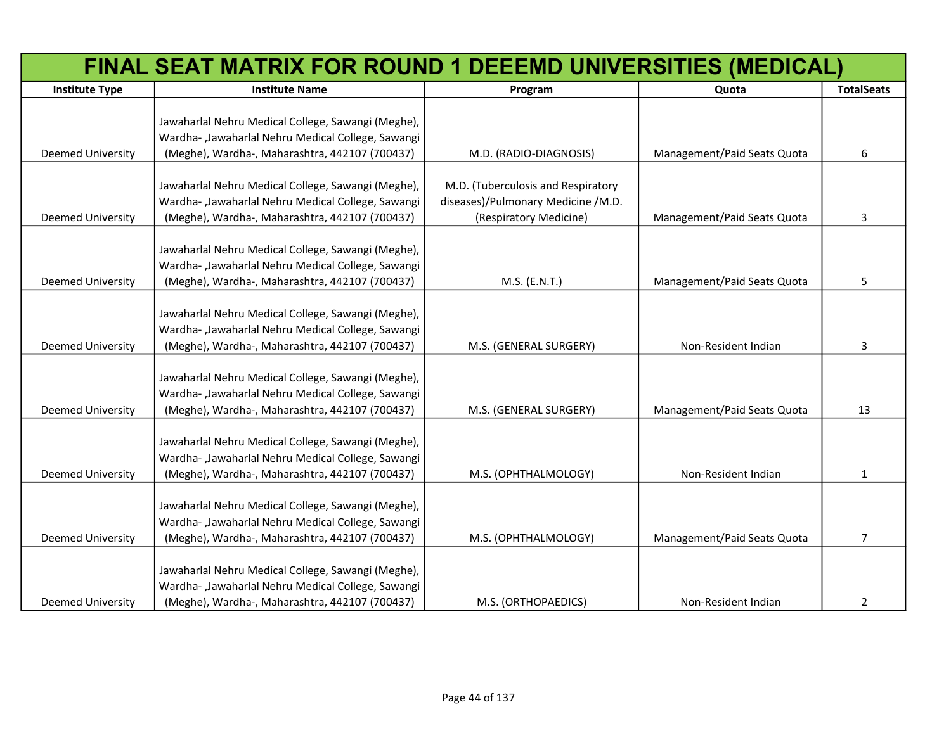|                          | FINAL SEAT MATRIX FOR ROUND 1 DEEEMD UNIVERSITIES (MEDICAL) |                                    |                             |                   |
|--------------------------|-------------------------------------------------------------|------------------------------------|-----------------------------|-------------------|
| <b>Institute Type</b>    | <b>Institute Name</b>                                       | Program                            | Quota                       | <b>TotalSeats</b> |
|                          |                                                             |                                    |                             |                   |
|                          | Jawaharlal Nehru Medical College, Sawangi (Meghe),          |                                    |                             |                   |
|                          | Wardha-, Jawaharlal Nehru Medical College, Sawangi          |                                    |                             |                   |
| <b>Deemed University</b> | (Meghe), Wardha-, Maharashtra, 442107 (700437)              | M.D. (RADIO-DIAGNOSIS)             | Management/Paid Seats Quota | 6                 |
|                          |                                                             |                                    |                             |                   |
|                          | Jawaharlal Nehru Medical College, Sawangi (Meghe),          | M.D. (Tuberculosis and Respiratory |                             |                   |
|                          | Wardha-, Jawaharlal Nehru Medical College, Sawangi          | diseases)/Pulmonary Medicine /M.D. |                             |                   |
| <b>Deemed University</b> | (Meghe), Wardha-, Maharashtra, 442107 (700437)              | (Respiratory Medicine)             | Management/Paid Seats Quota | 3                 |
|                          | Jawaharlal Nehru Medical College, Sawangi (Meghe),          |                                    |                             |                   |
|                          | Wardha-, Jawaharlal Nehru Medical College, Sawangi          |                                    |                             |                   |
| <b>Deemed University</b> | (Meghe), Wardha-, Maharashtra, 442107 (700437)              | M.S. (E.N.T.)                      | Management/Paid Seats Quota | 5                 |
|                          |                                                             |                                    |                             |                   |
|                          | Jawaharlal Nehru Medical College, Sawangi (Meghe),          |                                    |                             |                   |
|                          | Wardha-, Jawaharlal Nehru Medical College, Sawangi          |                                    |                             |                   |
| <b>Deemed University</b> | (Meghe), Wardha-, Maharashtra, 442107 (700437)              | M.S. (GENERAL SURGERY)             | Non-Resident Indian         | 3                 |
|                          |                                                             |                                    |                             |                   |
|                          | Jawaharlal Nehru Medical College, Sawangi (Meghe),          |                                    |                             |                   |
|                          | Wardha-, Jawaharlal Nehru Medical College, Sawangi          |                                    |                             |                   |
| <b>Deemed University</b> | (Meghe), Wardha-, Maharashtra, 442107 (700437)              | M.S. (GENERAL SURGERY)             | Management/Paid Seats Quota | 13                |
|                          |                                                             |                                    |                             |                   |
|                          | Jawaharlal Nehru Medical College, Sawangi (Meghe),          |                                    |                             |                   |
|                          | Wardha-, Jawaharlal Nehru Medical College, Sawangi          |                                    |                             |                   |
| <b>Deemed University</b> | (Meghe), Wardha-, Maharashtra, 442107 (700437)              | M.S. (OPHTHALMOLOGY)               | Non-Resident Indian         | 1                 |
|                          |                                                             |                                    |                             |                   |
|                          | Jawaharlal Nehru Medical College, Sawangi (Meghe),          |                                    |                             |                   |
|                          | Wardha-, Jawaharlal Nehru Medical College, Sawangi          |                                    |                             |                   |
| Deemed University        | (Meghe), Wardha-, Maharashtra, 442107 (700437)              | M.S. (OPHTHALMOLOGY)               | Management/Paid Seats Quota | 7                 |
|                          |                                                             |                                    |                             |                   |
|                          | Jawaharlal Nehru Medical College, Sawangi (Meghe),          |                                    |                             |                   |
|                          | Wardha-, Jawaharlal Nehru Medical College, Sawangi          |                                    |                             |                   |
| <b>Deemed University</b> | (Meghe), Wardha-, Maharashtra, 442107 (700437)              | M.S. (ORTHOPAEDICS)                | Non-Resident Indian         | 2                 |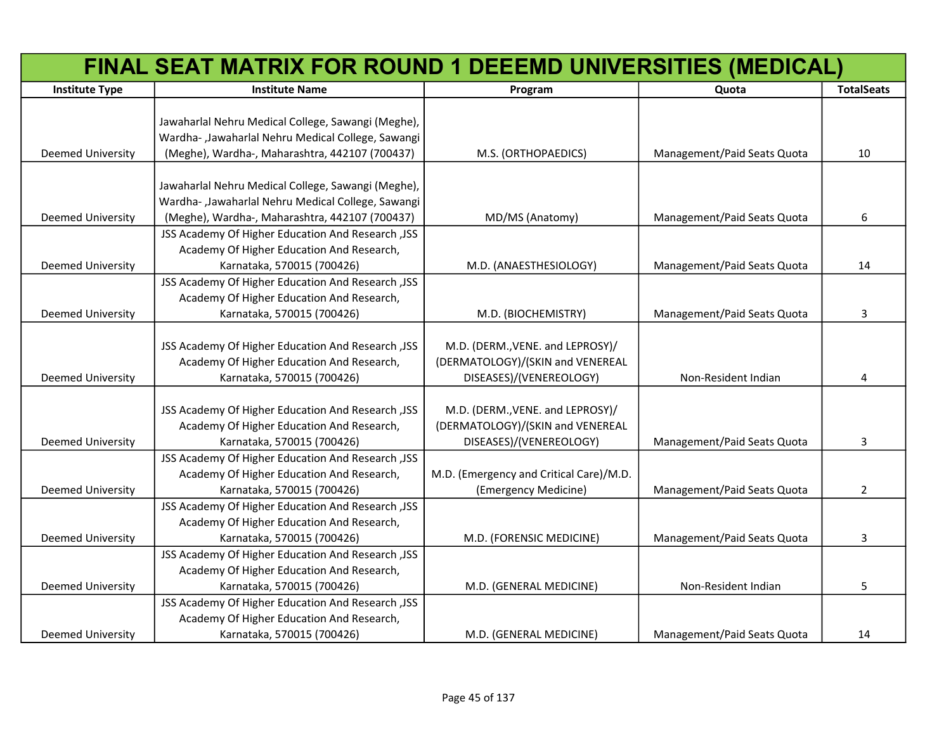|                          | FINAL SEAT MATRIX FOR ROUND 1 DEEEMD UNIVERSITIES (MEDICAL) |                                         |                             |                   |
|--------------------------|-------------------------------------------------------------|-----------------------------------------|-----------------------------|-------------------|
| <b>Institute Type</b>    | <b>Institute Name</b>                                       | Program                                 | Quota                       | <b>TotalSeats</b> |
|                          |                                                             |                                         |                             |                   |
|                          | Jawaharlal Nehru Medical College, Sawangi (Meghe),          |                                         |                             |                   |
|                          | Wardha- ,Jawaharlal Nehru Medical College, Sawangi          |                                         |                             |                   |
| Deemed University        | (Meghe), Wardha-, Maharashtra, 442107 (700437)              | M.S. (ORTHOPAEDICS)                     | Management/Paid Seats Quota | 10                |
|                          |                                                             |                                         |                             |                   |
|                          | Jawaharlal Nehru Medical College, Sawangi (Meghe),          |                                         |                             |                   |
|                          | Wardha- ,Jawaharlal Nehru Medical College, Sawangi          |                                         |                             |                   |
| <b>Deemed University</b> | (Meghe), Wardha-, Maharashtra, 442107 (700437)              | MD/MS (Anatomy)                         | Management/Paid Seats Quota | 6                 |
|                          | JSS Academy Of Higher Education And Research , JSS          |                                         |                             |                   |
|                          | Academy Of Higher Education And Research,                   |                                         |                             |                   |
| <b>Deemed University</b> | Karnataka, 570015 (700426)                                  | M.D. (ANAESTHESIOLOGY)                  | Management/Paid Seats Quota | 14                |
|                          | JSS Academy Of Higher Education And Research , JSS          |                                         |                             |                   |
|                          | Academy Of Higher Education And Research,                   |                                         |                             |                   |
| <b>Deemed University</b> | Karnataka, 570015 (700426)                                  | M.D. (BIOCHEMISTRY)                     | Management/Paid Seats Quota | 3                 |
|                          |                                                             |                                         |                             |                   |
|                          | JSS Academy Of Higher Education And Research , JSS          | M.D. (DERM., VENE. and LEPROSY)/        |                             |                   |
|                          | Academy Of Higher Education And Research,                   | (DERMATOLOGY)/(SKIN and VENEREAL        |                             |                   |
| <b>Deemed University</b> | Karnataka, 570015 (700426)                                  | DISEASES)/(VENEREOLOGY)                 | Non-Resident Indian         | 4                 |
|                          |                                                             |                                         |                             |                   |
|                          | JSS Academy Of Higher Education And Research , JSS          | M.D. (DERM., VENE. and LEPROSY)/        |                             |                   |
|                          | Academy Of Higher Education And Research,                   | (DERMATOLOGY)/(SKIN and VENEREAL        |                             |                   |
| <b>Deemed University</b> | Karnataka, 570015 (700426)                                  | DISEASES)/(VENEREOLOGY)                 | Management/Paid Seats Quota | 3                 |
|                          | JSS Academy Of Higher Education And Research , JSS          |                                         |                             |                   |
|                          | Academy Of Higher Education And Research,                   | M.D. (Emergency and Critical Care)/M.D. |                             |                   |
| <b>Deemed University</b> | Karnataka, 570015 (700426)                                  | (Emergency Medicine)                    | Management/Paid Seats Quota | $\overline{2}$    |
|                          | JSS Academy Of Higher Education And Research , JSS          |                                         |                             |                   |
|                          | Academy Of Higher Education And Research,                   |                                         |                             |                   |
| <b>Deemed University</b> | Karnataka, 570015 (700426)                                  | M.D. (FORENSIC MEDICINE)                | Management/Paid Seats Quota | 3                 |
|                          | JSS Academy Of Higher Education And Research , JSS          |                                         |                             |                   |
|                          | Academy Of Higher Education And Research,                   |                                         |                             |                   |
| <b>Deemed University</b> | Karnataka, 570015 (700426)                                  | M.D. (GENERAL MEDICINE)                 | Non-Resident Indian         | 5                 |
|                          | JSS Academy Of Higher Education And Research , JSS          |                                         |                             |                   |
|                          | Academy Of Higher Education And Research,                   |                                         |                             |                   |
| <b>Deemed University</b> | Karnataka, 570015 (700426)                                  | M.D. (GENERAL MEDICINE)                 | Management/Paid Seats Quota | 14                |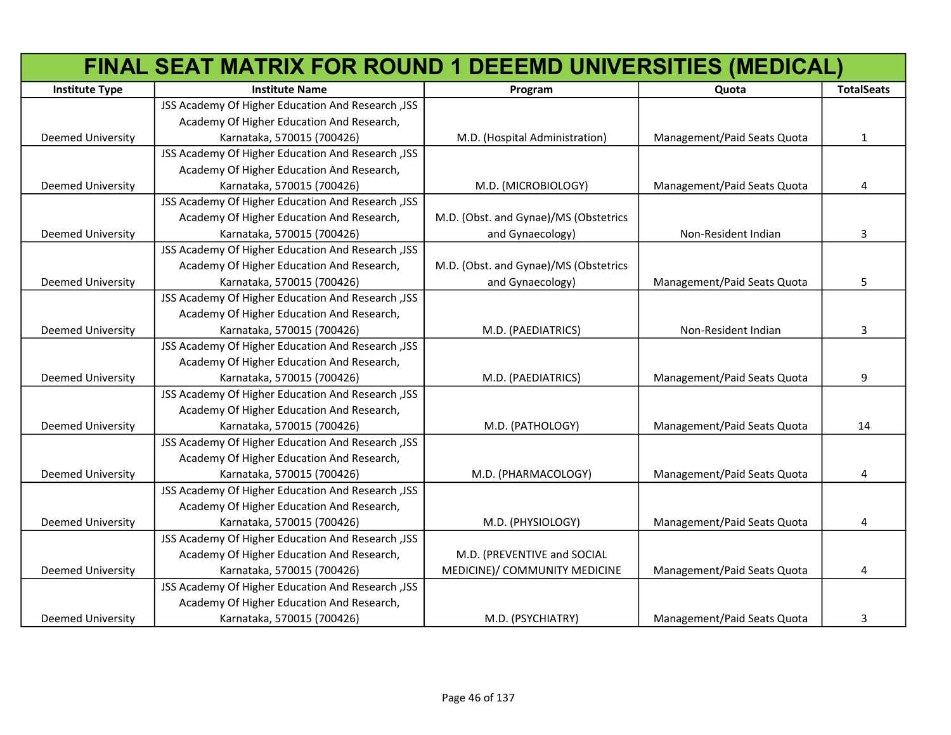|                          | FINAL SEAT MATRIX FOR ROUND 1 DEEEMD UNIVERSITIES (MEDICAL) |                                       |                             |                   |
|--------------------------|-------------------------------------------------------------|---------------------------------------|-----------------------------|-------------------|
| <b>Institute Type</b>    | <b>Institute Name</b>                                       | Program                               | Quota                       | <b>TotalSeats</b> |
|                          | JSS Academy Of Higher Education And Research , JSS          |                                       |                             |                   |
|                          | Academy Of Higher Education And Research,                   |                                       |                             |                   |
| <b>Deemed University</b> | Karnataka, 570015 (700426)                                  | M.D. (Hospital Administration)        | Management/Paid Seats Quota | 1                 |
|                          | JSS Academy Of Higher Education And Research , JSS          |                                       |                             |                   |
|                          | Academy Of Higher Education And Research,                   |                                       |                             |                   |
| <b>Deemed University</b> | Karnataka, 570015 (700426)                                  | M.D. (MICROBIOLOGY)                   | Management/Paid Seats Quota | 4                 |
|                          | JSS Academy Of Higher Education And Research , JSS          |                                       |                             |                   |
|                          | Academy Of Higher Education And Research,                   | M.D. (Obst. and Gynae)/MS (Obstetrics |                             |                   |
| Deemed University        | Karnataka, 570015 (700426)                                  | and Gynaecology)                      | Non-Resident Indian         | 3                 |
|                          | JSS Academy Of Higher Education And Research , JSS          |                                       |                             |                   |
|                          | Academy Of Higher Education And Research,                   | M.D. (Obst. and Gynae)/MS (Obstetrics |                             |                   |
| Deemed University        | Karnataka, 570015 (700426)                                  | and Gynaecology)                      | Management/Paid Seats Quota | 5                 |
|                          | JSS Academy Of Higher Education And Research , JSS          |                                       |                             |                   |
|                          | Academy Of Higher Education And Research,                   |                                       |                             |                   |
| Deemed University        | Karnataka, 570015 (700426)                                  | M.D. (PAEDIATRICS)                    | Non-Resident Indian         | 3                 |
|                          | JSS Academy Of Higher Education And Research , JSS          |                                       |                             |                   |
|                          | Academy Of Higher Education And Research,                   |                                       |                             |                   |
| Deemed University        | Karnataka, 570015 (700426)                                  | M.D. (PAEDIATRICS)                    | Management/Paid Seats Quota | 9                 |
|                          | JSS Academy Of Higher Education And Research , JSS          |                                       |                             |                   |
|                          | Academy Of Higher Education And Research,                   |                                       |                             |                   |
| Deemed University        | Karnataka, 570015 (700426)                                  | M.D. (PATHOLOGY)                      | Management/Paid Seats Quota | 14                |
|                          | JSS Academy Of Higher Education And Research , JSS          |                                       |                             |                   |
|                          | Academy Of Higher Education And Research,                   |                                       |                             |                   |
| <b>Deemed University</b> | Karnataka, 570015 (700426)                                  | M.D. (PHARMACOLOGY)                   | Management/Paid Seats Quota | 4                 |
|                          | JSS Academy Of Higher Education And Research , JSS          |                                       |                             |                   |
|                          | Academy Of Higher Education And Research,                   |                                       |                             |                   |
| <b>Deemed University</b> | Karnataka, 570015 (700426)                                  | M.D. (PHYSIOLOGY)                     | Management/Paid Seats Quota | 4                 |
|                          | JSS Academy Of Higher Education And Research, JSS           |                                       |                             |                   |
|                          | Academy Of Higher Education And Research,                   | M.D. (PREVENTIVE and SOCIAL           |                             |                   |
| <b>Deemed University</b> | Karnataka, 570015 (700426)                                  | MEDICINE)/ COMMUNITY MEDICINE         | Management/Paid Seats Quota | 4                 |
|                          | JSS Academy Of Higher Education And Research , JSS          |                                       |                             |                   |
|                          | Academy Of Higher Education And Research,                   |                                       |                             |                   |
| <b>Deemed University</b> | Karnataka, 570015 (700426)                                  | M.D. (PSYCHIATRY)                     | Management/Paid Seats Quota | 3                 |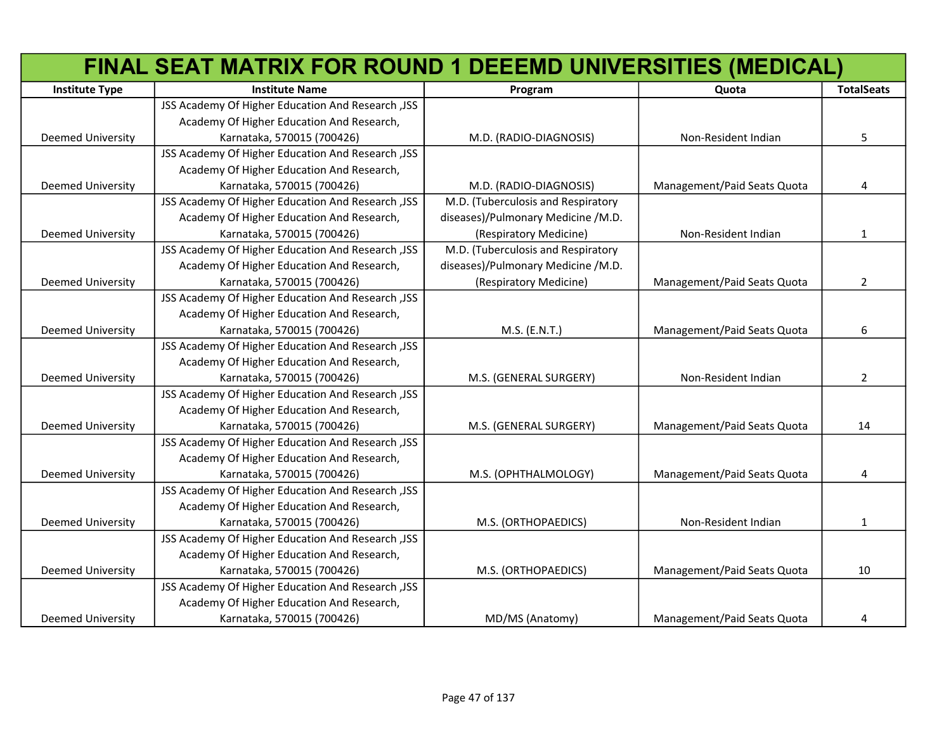|                          | FINAL SEAT MATRIX FOR ROUND 1 DEEEMD UNIVERSITIES (MEDICAL) |                                    |                             |                   |
|--------------------------|-------------------------------------------------------------|------------------------------------|-----------------------------|-------------------|
| <b>Institute Type</b>    | <b>Institute Name</b>                                       | Program                            | Quota                       | <b>TotalSeats</b> |
|                          | JSS Academy Of Higher Education And Research , JSS          |                                    |                             |                   |
|                          | Academy Of Higher Education And Research,                   |                                    |                             |                   |
| <b>Deemed University</b> | Karnataka, 570015 (700426)                                  | M.D. (RADIO-DIAGNOSIS)             | Non-Resident Indian         | 5                 |
|                          | JSS Academy Of Higher Education And Research , JSS          |                                    |                             |                   |
|                          | Academy Of Higher Education And Research,                   |                                    |                             |                   |
| <b>Deemed University</b> | Karnataka, 570015 (700426)                                  | M.D. (RADIO-DIAGNOSIS)             | Management/Paid Seats Quota | 4                 |
|                          | JSS Academy Of Higher Education And Research , JSS          | M.D. (Tuberculosis and Respiratory |                             |                   |
|                          | Academy Of Higher Education And Research,                   | diseases)/Pulmonary Medicine /M.D. |                             |                   |
| <b>Deemed University</b> | Karnataka, 570015 (700426)                                  | (Respiratory Medicine)             | Non-Resident Indian         | 1                 |
|                          | JSS Academy Of Higher Education And Research , JSS          | M.D. (Tuberculosis and Respiratory |                             |                   |
|                          | Academy Of Higher Education And Research,                   | diseases)/Pulmonary Medicine /M.D. |                             |                   |
| Deemed University        | Karnataka, 570015 (700426)                                  | (Respiratory Medicine)             | Management/Paid Seats Quota | 2                 |
|                          | JSS Academy Of Higher Education And Research , JSS          |                                    |                             |                   |
|                          | Academy Of Higher Education And Research,                   |                                    |                             |                   |
| <b>Deemed University</b> | Karnataka, 570015 (700426)                                  | M.S. (E.N.T.)                      | Management/Paid Seats Quota | 6                 |
|                          | JSS Academy Of Higher Education And Research , JSS          |                                    |                             |                   |
|                          | Academy Of Higher Education And Research,                   |                                    |                             |                   |
| <b>Deemed University</b> | Karnataka, 570015 (700426)                                  | M.S. (GENERAL SURGERY)             | Non-Resident Indian         | 2                 |
|                          | JSS Academy Of Higher Education And Research , JSS          |                                    |                             |                   |
|                          | Academy Of Higher Education And Research,                   |                                    |                             |                   |
| <b>Deemed University</b> | Karnataka, 570015 (700426)                                  | M.S. (GENERAL SURGERY)             | Management/Paid Seats Quota | 14                |
|                          | JSS Academy Of Higher Education And Research , JSS          |                                    |                             |                   |
|                          | Academy Of Higher Education And Research,                   |                                    |                             |                   |
| Deemed University        | Karnataka, 570015 (700426)                                  | M.S. (OPHTHALMOLOGY)               | Management/Paid Seats Quota | 4                 |
|                          | JSS Academy Of Higher Education And Research , JSS          |                                    |                             |                   |
|                          | Academy Of Higher Education And Research,                   |                                    |                             |                   |
| <b>Deemed University</b> | Karnataka, 570015 (700426)                                  | M.S. (ORTHOPAEDICS)                | Non-Resident Indian         | $\mathbf{1}$      |
|                          | JSS Academy Of Higher Education And Research , JSS          |                                    |                             |                   |
|                          | Academy Of Higher Education And Research,                   |                                    |                             |                   |
| <b>Deemed University</b> | Karnataka, 570015 (700426)                                  | M.S. (ORTHOPAEDICS)                | Management/Paid Seats Quota | 10                |
|                          | JSS Academy Of Higher Education And Research , JSS          |                                    |                             |                   |
|                          | Academy Of Higher Education And Research,                   |                                    |                             |                   |
| Deemed University        | Karnataka, 570015 (700426)                                  | MD/MS (Anatomy)                    | Management/Paid Seats Quota | 4                 |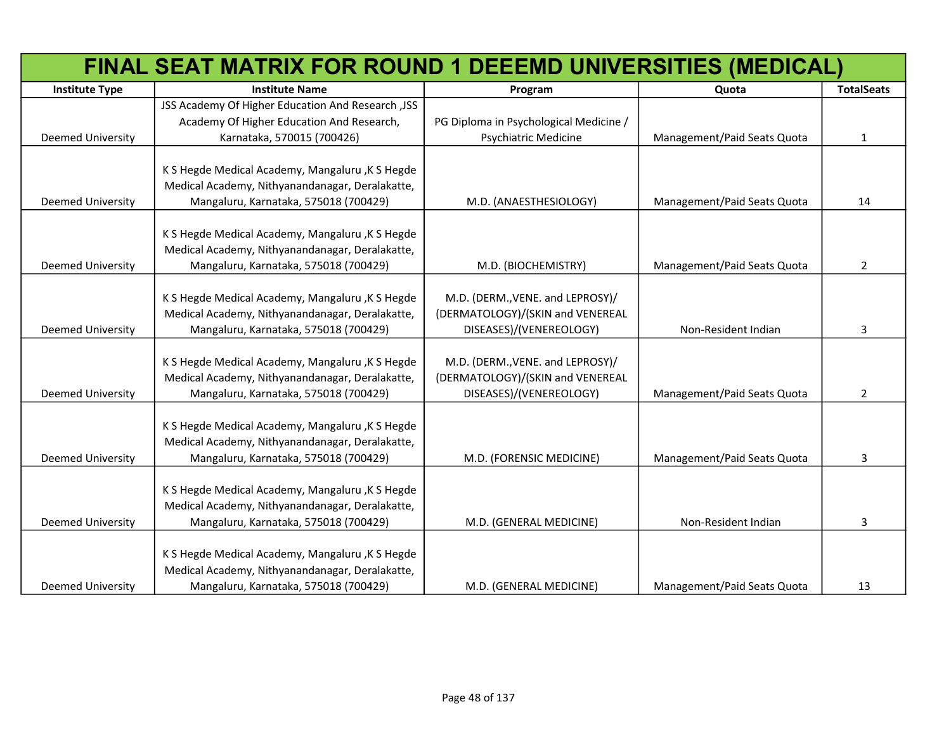| FINAL SEAT MATRIX FOR ROUND 1 DEEEMD UNIVERSITIES (MEDICAL) |                                                    |                                        |                             |                   |
|-------------------------------------------------------------|----------------------------------------------------|----------------------------------------|-----------------------------|-------------------|
| <b>Institute Type</b>                                       | <b>Institute Name</b>                              | Program                                | Quota                       | <b>TotalSeats</b> |
|                                                             | JSS Academy Of Higher Education And Research , JSS |                                        |                             |                   |
|                                                             | Academy Of Higher Education And Research,          | PG Diploma in Psychological Medicine / |                             |                   |
| <b>Deemed University</b>                                    | Karnataka, 570015 (700426)                         | <b>Psychiatric Medicine</b>            | Management/Paid Seats Quota | $\mathbf{1}$      |
|                                                             |                                                    |                                        |                             |                   |
|                                                             | K S Hegde Medical Academy, Mangaluru, K S Hegde    |                                        |                             |                   |
|                                                             | Medical Academy, Nithyanandanagar, Deralakatte,    |                                        |                             |                   |
| Deemed University                                           | Mangaluru, Karnataka, 575018 (700429)              | M.D. (ANAESTHESIOLOGY)                 | Management/Paid Seats Quota | 14                |
|                                                             |                                                    |                                        |                             |                   |
|                                                             | K S Hegde Medical Academy, Mangaluru, K S Hegde    |                                        |                             |                   |
|                                                             | Medical Academy, Nithyanandanagar, Deralakatte,    |                                        |                             |                   |
| <b>Deemed University</b>                                    | Mangaluru, Karnataka, 575018 (700429)              | M.D. (BIOCHEMISTRY)                    | Management/Paid Seats Quota | $\overline{2}$    |
|                                                             |                                                    |                                        |                             |                   |
|                                                             | K S Hegde Medical Academy, Mangaluru, K S Hegde    | M.D. (DERM., VENE. and LEPROSY)/       |                             |                   |
|                                                             | Medical Academy, Nithyanandanagar, Deralakatte,    | (DERMATOLOGY)/(SKIN and VENEREAL       |                             |                   |
| <b>Deemed University</b>                                    | Mangaluru, Karnataka, 575018 (700429)              | DISEASES)/(VENEREOLOGY)                | Non-Resident Indian         | 3                 |
|                                                             |                                                    |                                        |                             |                   |
|                                                             | K S Hegde Medical Academy, Mangaluru, K S Hegde    | M.D. (DERM., VENE. and LEPROSY)/       |                             |                   |
|                                                             | Medical Academy, Nithyanandanagar, Deralakatte,    | (DERMATOLOGY)/(SKIN and VENEREAL       |                             |                   |
| <b>Deemed University</b>                                    | Mangaluru, Karnataka, 575018 (700429)              | DISEASES)/(VENEREOLOGY)                | Management/Paid Seats Quota | $\overline{2}$    |
|                                                             |                                                    |                                        |                             |                   |
|                                                             | K S Hegde Medical Academy, Mangaluru, K S Hegde    |                                        |                             |                   |
|                                                             | Medical Academy, Nithyanandanagar, Deralakatte,    |                                        |                             |                   |
| Deemed University                                           | Mangaluru, Karnataka, 575018 (700429)              | M.D. (FORENSIC MEDICINE)               | Management/Paid Seats Quota | 3                 |
|                                                             |                                                    |                                        |                             |                   |
|                                                             | K S Hegde Medical Academy, Mangaluru, K S Hegde    |                                        |                             |                   |
|                                                             | Medical Academy, Nithyanandanagar, Deralakatte,    |                                        |                             |                   |
| <b>Deemed University</b>                                    | Mangaluru, Karnataka, 575018 (700429)              | M.D. (GENERAL MEDICINE)                | Non-Resident Indian         | 3                 |
|                                                             | K S Hegde Medical Academy, Mangaluru, K S Hegde    |                                        |                             |                   |
|                                                             | Medical Academy, Nithyanandanagar, Deralakatte,    |                                        |                             |                   |
| <b>Deemed University</b>                                    | Mangaluru, Karnataka, 575018 (700429)              | M.D. (GENERAL MEDICINE)                | Management/Paid Seats Quota | 13                |
|                                                             |                                                    |                                        |                             |                   |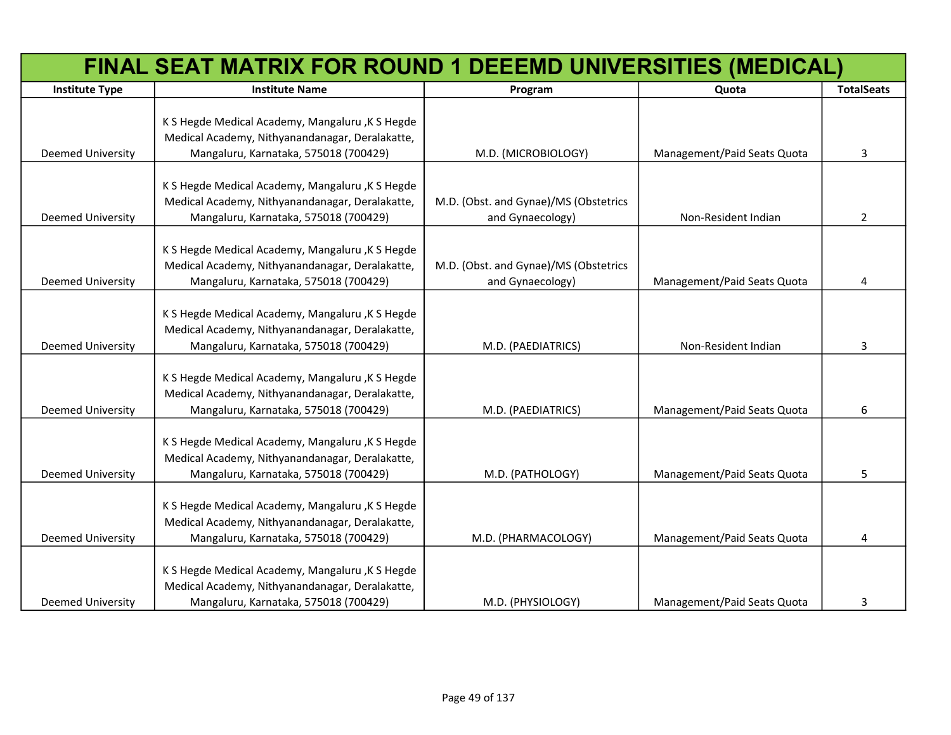|                          | FINAL SEAT MATRIX FOR ROUND 1 DEEEMD UNIVERSITIES (MEDICAL)                                                                                 |                                                           |                             |                   |  |
|--------------------------|---------------------------------------------------------------------------------------------------------------------------------------------|-----------------------------------------------------------|-----------------------------|-------------------|--|
| <b>Institute Type</b>    | <b>Institute Name</b>                                                                                                                       | Program                                                   | Quota                       | <b>TotalSeats</b> |  |
| Deemed University        | K S Hegde Medical Academy, Mangaluru, K S Hegde<br>Medical Academy, Nithyanandanagar, Deralakatte,<br>Mangaluru, Karnataka, 575018 (700429) | M.D. (MICROBIOLOGY)                                       | Management/Paid Seats Quota | 3                 |  |
| Deemed University        | K S Hegde Medical Academy, Mangaluru, K S Hegde<br>Medical Academy, Nithyanandanagar, Deralakatte,<br>Mangaluru, Karnataka, 575018 (700429) | M.D. (Obst. and Gynae)/MS (Obstetrics<br>and Gynaecology) | Non-Resident Indian         | $\overline{2}$    |  |
| Deemed University        | K S Hegde Medical Academy, Mangaluru, K S Hegde<br>Medical Academy, Nithyanandanagar, Deralakatte,<br>Mangaluru, Karnataka, 575018 (700429) | M.D. (Obst. and Gynae)/MS (Obstetrics<br>and Gynaecology) | Management/Paid Seats Quota | 4                 |  |
| <b>Deemed University</b> | K S Hegde Medical Academy, Mangaluru, K S Hegde<br>Medical Academy, Nithyanandanagar, Deralakatte,<br>Mangaluru, Karnataka, 575018 (700429) | M.D. (PAEDIATRICS)                                        | Non-Resident Indian         | 3                 |  |
| Deemed University        | K S Hegde Medical Academy, Mangaluru, K S Hegde<br>Medical Academy, Nithyanandanagar, Deralakatte,<br>Mangaluru, Karnataka, 575018 (700429) | M.D. (PAEDIATRICS)                                        | Management/Paid Seats Quota | 6                 |  |
| <b>Deemed University</b> | K S Hegde Medical Academy, Mangaluru, K S Hegde<br>Medical Academy, Nithyanandanagar, Deralakatte,<br>Mangaluru, Karnataka, 575018 (700429) | M.D. (PATHOLOGY)                                          | Management/Paid Seats Quota | 5                 |  |
| <b>Deemed University</b> | K S Hegde Medical Academy, Mangaluru, K S Hegde<br>Medical Academy, Nithyanandanagar, Deralakatte,<br>Mangaluru, Karnataka, 575018 (700429) | M.D. (PHARMACOLOGY)                                       | Management/Paid Seats Quota | 4                 |  |
| <b>Deemed University</b> | K S Hegde Medical Academy, Mangaluru, K S Hegde<br>Medical Academy, Nithyanandanagar, Deralakatte,<br>Mangaluru, Karnataka, 575018 (700429) | M.D. (PHYSIOLOGY)                                         | Management/Paid Seats Quota | 3                 |  |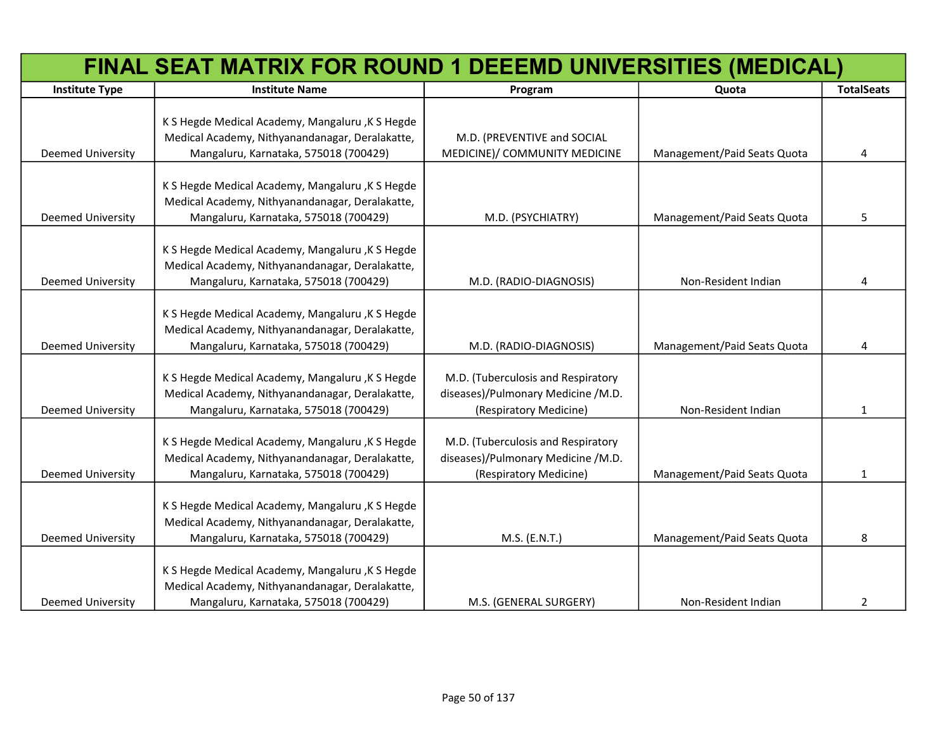|                          | FINAL SEAT MATRIX FOR ROUND 1 DEEEMD UNIVERSITIES (MEDICAL)                                                                                  |                                                                                                    |                             |                   |
|--------------------------|----------------------------------------------------------------------------------------------------------------------------------------------|----------------------------------------------------------------------------------------------------|-----------------------------|-------------------|
| <b>Institute Type</b>    | <b>Institute Name</b>                                                                                                                        | Program                                                                                            | Quota                       | <b>TotalSeats</b> |
| Deemed University        | K S Hegde Medical Academy, Mangaluru, K S Hegde<br>Medical Academy, Nithyanandanagar, Deralakatte,<br>Mangaluru, Karnataka, 575018 (700429)  | M.D. (PREVENTIVE and SOCIAL<br>MEDICINE)/ COMMUNITY MEDICINE                                       | Management/Paid Seats Quota | 4                 |
| Deemed University        | K S Hegde Medical Academy, Mangaluru , K S Hegde<br>Medical Academy, Nithyanandanagar, Deralakatte,<br>Mangaluru, Karnataka, 575018 (700429) | M.D. (PSYCHIATRY)                                                                                  | Management/Paid Seats Quota | 5                 |
| Deemed University        | K S Hegde Medical Academy, Mangaluru, K S Hegde<br>Medical Academy, Nithyanandanagar, Deralakatte,<br>Mangaluru, Karnataka, 575018 (700429)  | M.D. (RADIO-DIAGNOSIS)                                                                             | Non-Resident Indian         | 4                 |
| Deemed University        | K S Hegde Medical Academy, Mangaluru, K S Hegde<br>Medical Academy, Nithyanandanagar, Deralakatte,<br>Mangaluru, Karnataka, 575018 (700429)  | M.D. (RADIO-DIAGNOSIS)                                                                             | Management/Paid Seats Quota | 4                 |
| Deemed University        | K S Hegde Medical Academy, Mangaluru, K S Hegde<br>Medical Academy, Nithyanandanagar, Deralakatte,<br>Mangaluru, Karnataka, 575018 (700429)  | M.D. (Tuberculosis and Respiratory<br>diseases)/Pulmonary Medicine /M.D.<br>(Respiratory Medicine) | Non-Resident Indian         | $\mathbf{1}$      |
| Deemed University        | K S Hegde Medical Academy, Mangaluru, K S Hegde<br>Medical Academy, Nithyanandanagar, Deralakatte,<br>Mangaluru, Karnataka, 575018 (700429)  | M.D. (Tuberculosis and Respiratory<br>diseases)/Pulmonary Medicine /M.D.<br>(Respiratory Medicine) | Management/Paid Seats Quota | 1                 |
| Deemed University        | K S Hegde Medical Academy, Mangaluru, K S Hegde<br>Medical Academy, Nithyanandanagar, Deralakatte,<br>Mangaluru, Karnataka, 575018 (700429)  | M.S. (E.N.T.)                                                                                      | Management/Paid Seats Quota | 8                 |
| <b>Deemed University</b> | K S Hegde Medical Academy, Mangaluru , K S Hegde<br>Medical Academy, Nithyanandanagar, Deralakatte,<br>Mangaluru, Karnataka, 575018 (700429) | M.S. (GENERAL SURGERY)                                                                             | Non-Resident Indian         | 2                 |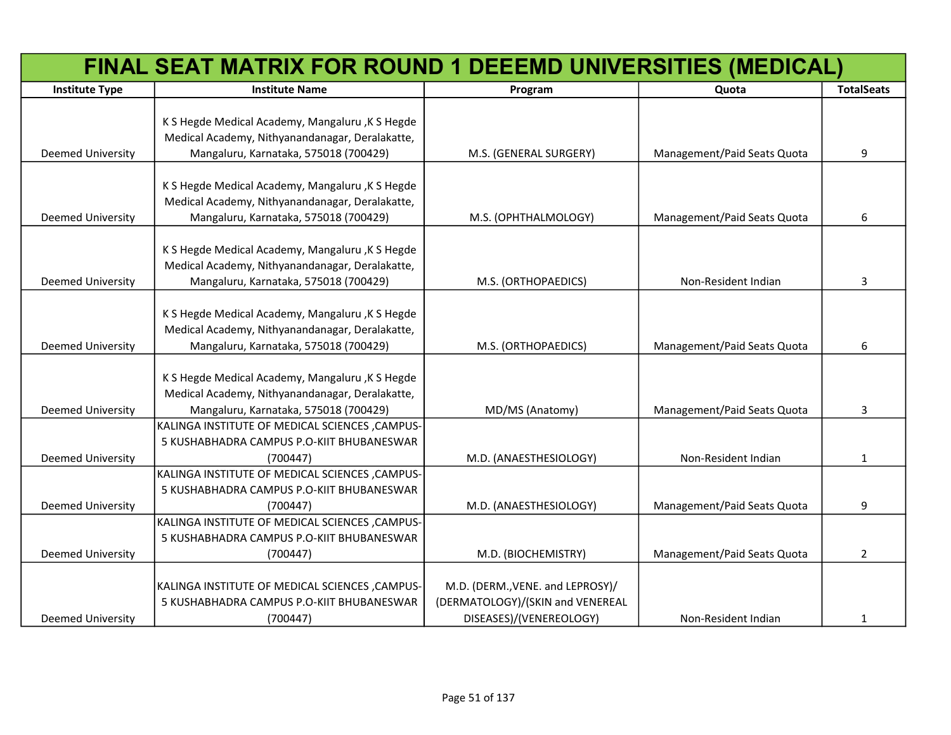|                          | FINAL SEAT MATRIX FOR ROUND 1 DEEEMD UNIVERSITIES (MEDICAL)                                        |                                  |                             |                   |
|--------------------------|----------------------------------------------------------------------------------------------------|----------------------------------|-----------------------------|-------------------|
| <b>Institute Type</b>    | <b>Institute Name</b>                                                                              | Program                          | Quota                       | <b>TotalSeats</b> |
|                          |                                                                                                    |                                  |                             |                   |
|                          | K S Hegde Medical Academy, Mangaluru, K S Hegde<br>Medical Academy, Nithyanandanagar, Deralakatte, |                                  |                             |                   |
| Deemed University        | Mangaluru, Karnataka, 575018 (700429)                                                              | M.S. (GENERAL SURGERY)           | Management/Paid Seats Quota | 9                 |
|                          |                                                                                                    |                                  |                             |                   |
|                          | K S Hegde Medical Academy, Mangaluru, K S Hegde                                                    |                                  |                             |                   |
|                          | Medical Academy, Nithyanandanagar, Deralakatte,                                                    |                                  |                             |                   |
| Deemed University        | Mangaluru, Karnataka, 575018 (700429)                                                              | M.S. (OPHTHALMOLOGY)             | Management/Paid Seats Quota | 6                 |
|                          |                                                                                                    |                                  |                             |                   |
|                          | K S Hegde Medical Academy, Mangaluru, K S Hegde                                                    |                                  |                             |                   |
|                          | Medical Academy, Nithyanandanagar, Deralakatte,                                                    |                                  |                             |                   |
| Deemed University        | Mangaluru, Karnataka, 575018 (700429)                                                              | M.S. (ORTHOPAEDICS)              | Non-Resident Indian         | 3                 |
|                          |                                                                                                    |                                  |                             |                   |
|                          | K S Hegde Medical Academy, Mangaluru, K S Hegde                                                    |                                  |                             |                   |
|                          | Medical Academy, Nithyanandanagar, Deralakatte,                                                    |                                  |                             |                   |
| Deemed University        | Mangaluru, Karnataka, 575018 (700429)                                                              | M.S. (ORTHOPAEDICS)              | Management/Paid Seats Quota | 6                 |
|                          |                                                                                                    |                                  |                             |                   |
|                          | K S Hegde Medical Academy, Mangaluru , K S Hegde                                                   |                                  |                             |                   |
|                          | Medical Academy, Nithyanandanagar, Deralakatte,                                                    |                                  |                             |                   |
| Deemed University        | Mangaluru, Karnataka, 575018 (700429)                                                              | MD/MS (Anatomy)                  | Management/Paid Seats Quota | 3                 |
|                          | KALINGA INSTITUTE OF MEDICAL SCIENCES , CAMPUS-                                                    |                                  |                             |                   |
|                          | 5 KUSHABHADRA CAMPUS P.O-KIIT BHUBANESWAR                                                          |                                  |                             |                   |
| Deemed University        | (700447)<br>KALINGA INSTITUTE OF MEDICAL SCIENCES , CAMPUS-                                        | M.D. (ANAESTHESIOLOGY)           | Non-Resident Indian         | $\mathbf{1}$      |
|                          | 5 KUSHABHADRA CAMPUS P.O-KIIT BHUBANESWAR                                                          |                                  |                             |                   |
| Deemed University        | (700447)                                                                                           | M.D. (ANAESTHESIOLOGY)           | Management/Paid Seats Quota | 9                 |
|                          | KALINGA INSTITUTE OF MEDICAL SCIENCES, CAMPUS-                                                     |                                  |                             |                   |
|                          | 5 KUSHABHADRA CAMPUS P.O-KIIT BHUBANESWAR                                                          |                                  |                             |                   |
| <b>Deemed University</b> | (700447)                                                                                           | M.D. (BIOCHEMISTRY)              | Management/Paid Seats Quota | $\overline{2}$    |
|                          |                                                                                                    |                                  |                             |                   |
|                          | KALINGA INSTITUTE OF MEDICAL SCIENCES, CAMPUS-                                                     | M.D. (DERM., VENE. and LEPROSY)/ |                             |                   |
|                          | 5 KUSHABHADRA CAMPUS P.O-KIIT BHUBANESWAR                                                          | (DERMATOLOGY)/(SKIN and VENEREAL |                             |                   |
| <b>Deemed University</b> | (700447)                                                                                           | DISEASES)/(VENEREOLOGY)          | Non-Resident Indian         | 1                 |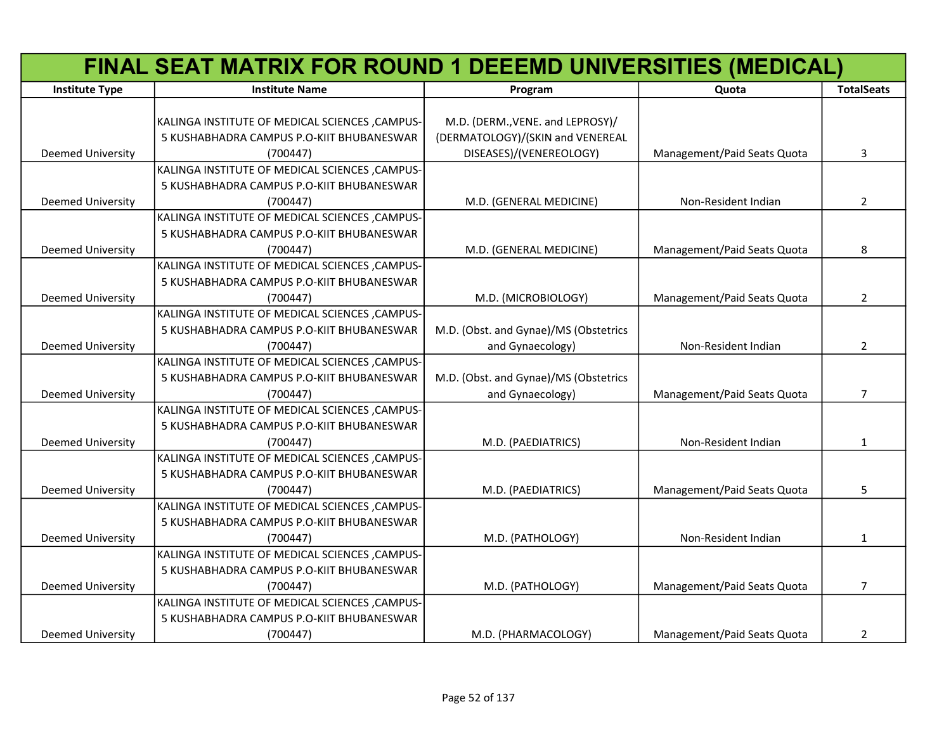|                          | FINAL SEAT MATRIX FOR ROUND 1 DEEEMD UNIVERSITIES (MEDICAL) |                                       |                             |                   |
|--------------------------|-------------------------------------------------------------|---------------------------------------|-----------------------------|-------------------|
| <b>Institute Type</b>    | <b>Institute Name</b>                                       | Program                               | Quota                       | <b>TotalSeats</b> |
|                          |                                                             |                                       |                             |                   |
|                          | KALINGA INSTITUTE OF MEDICAL SCIENCES, CAMPUS-              | M.D. (DERM., VENE. and LEPROSY)/      |                             |                   |
|                          | 5 KUSHABHADRA CAMPUS P.O-KIIT BHUBANESWAR                   | (DERMATOLOGY)/(SKIN and VENEREAL      |                             |                   |
| Deemed University        | (700447)                                                    | DISEASES)/(VENEREOLOGY)               | Management/Paid Seats Quota | 3                 |
|                          | KALINGA INSTITUTE OF MEDICAL SCIENCES , CAMPUS-             |                                       |                             |                   |
|                          | 5 KUSHABHADRA CAMPUS P.O-KIIT BHUBANESWAR                   |                                       |                             |                   |
| Deemed University        | (700447)                                                    | M.D. (GENERAL MEDICINE)               | Non-Resident Indian         | $\overline{2}$    |
|                          | KALINGA INSTITUTE OF MEDICAL SCIENCES , CAMPUS-             |                                       |                             |                   |
|                          | 5 KUSHABHADRA CAMPUS P.O-KIIT BHUBANESWAR                   |                                       |                             |                   |
| Deemed University        | (700447)                                                    | M.D. (GENERAL MEDICINE)               | Management/Paid Seats Quota | 8                 |
|                          | KALINGA INSTITUTE OF MEDICAL SCIENCES , CAMPUS-             |                                       |                             |                   |
|                          | 5 KUSHABHADRA CAMPUS P.O-KIIT BHUBANESWAR                   |                                       |                             |                   |
| <b>Deemed University</b> | (700447)                                                    | M.D. (MICROBIOLOGY)                   | Management/Paid Seats Quota | $\overline{2}$    |
|                          | KALINGA INSTITUTE OF MEDICAL SCIENCES , CAMPUS-             |                                       |                             |                   |
|                          | 5 KUSHABHADRA CAMPUS P.O-KIIT BHUBANESWAR                   | M.D. (Obst. and Gynae)/MS (Obstetrics |                             |                   |
| <b>Deemed University</b> | (700447)                                                    | and Gynaecology)                      | Non-Resident Indian         | $\overline{2}$    |
|                          | KALINGA INSTITUTE OF MEDICAL SCIENCES , CAMPUS-             |                                       |                             |                   |
|                          | 5 KUSHABHADRA CAMPUS P.O-KIIT BHUBANESWAR                   | M.D. (Obst. and Gynae)/MS (Obstetrics |                             |                   |
| Deemed University        | (700447)                                                    | and Gynaecology)                      | Management/Paid Seats Quota | 7                 |
|                          | KALINGA INSTITUTE OF MEDICAL SCIENCES , CAMPUS-             |                                       |                             |                   |
|                          | 5 KUSHABHADRA CAMPUS P.O-KIIT BHUBANESWAR                   |                                       |                             |                   |
| <b>Deemed University</b> | (700447)                                                    | M.D. (PAEDIATRICS)                    | Non-Resident Indian         | $\mathbf{1}$      |
|                          | KALINGA INSTITUTE OF MEDICAL SCIENCES , CAMPUS-             |                                       |                             |                   |
|                          | 5 KUSHABHADRA CAMPUS P.O-KIIT BHUBANESWAR                   |                                       |                             |                   |
| Deemed University        | (700447)                                                    | M.D. (PAEDIATRICS)                    | Management/Paid Seats Quota | 5                 |
|                          | KALINGA INSTITUTE OF MEDICAL SCIENCES , CAMPUS-             |                                       |                             |                   |
|                          | 5 KUSHABHADRA CAMPUS P.O-KIIT BHUBANESWAR                   |                                       |                             |                   |
| <b>Deemed University</b> | (700447)                                                    | M.D. (PATHOLOGY)                      | Non-Resident Indian         | 1                 |
|                          | KALINGA INSTITUTE OF MEDICAL SCIENCES , CAMPUS-             |                                       |                             |                   |
|                          | 5 KUSHABHADRA CAMPUS P.O-KIIT BHUBANESWAR                   |                                       |                             |                   |
| Deemed University        | (700447)                                                    | M.D. (PATHOLOGY)                      | Management/Paid Seats Quota | $\overline{7}$    |
|                          | KALINGA INSTITUTE OF MEDICAL SCIENCES , CAMPUS-             |                                       |                             |                   |
|                          | 5 KUSHABHADRA CAMPUS P.O-KIIT BHUBANESWAR                   |                                       |                             |                   |
| <b>Deemed University</b> | (700447)                                                    | M.D. (PHARMACOLOGY)                   | Management/Paid Seats Quota | $\overline{2}$    |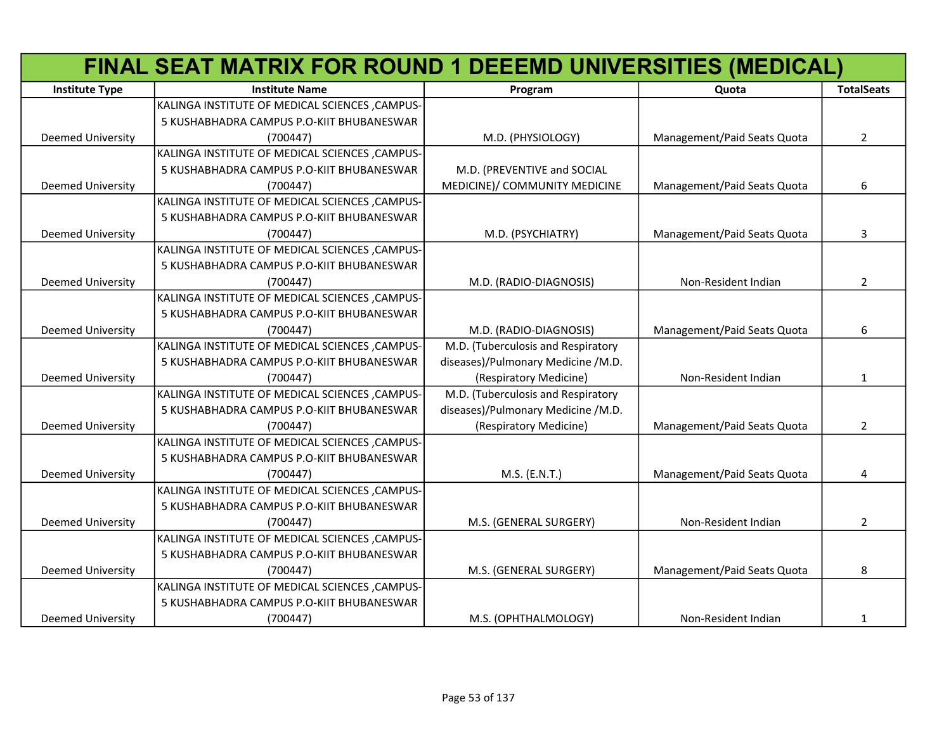|                          | FINAL SEAT MATRIX FOR ROUND 1 DEEEMD UNIVERSITIES (MEDICAL) |                                    |                             |                   |
|--------------------------|-------------------------------------------------------------|------------------------------------|-----------------------------|-------------------|
| <b>Institute Type</b>    | <b>Institute Name</b>                                       | Program                            | Quota                       | <b>TotalSeats</b> |
|                          | KALINGA INSTITUTE OF MEDICAL SCIENCES , CAMPUS-             |                                    |                             |                   |
|                          | 5 KUSHABHADRA CAMPUS P.O-KIIT BHUBANESWAR                   |                                    |                             |                   |
| <b>Deemed University</b> | (700447)                                                    | M.D. (PHYSIOLOGY)                  | Management/Paid Seats Quota | $\overline{2}$    |
|                          | KALINGA INSTITUTE OF MEDICAL SCIENCES , CAMPUS-             |                                    |                             |                   |
|                          | 5 KUSHABHADRA CAMPUS P.O-KIIT BHUBANESWAR                   | M.D. (PREVENTIVE and SOCIAL        |                             |                   |
| <b>Deemed University</b> | (700447)                                                    | MEDICINE)/ COMMUNITY MEDICINE      | Management/Paid Seats Quota | 6                 |
|                          | KALINGA INSTITUTE OF MEDICAL SCIENCES , CAMPUS-             |                                    |                             |                   |
|                          | 5 KUSHABHADRA CAMPUS P.O-KIIT BHUBANESWAR                   |                                    |                             |                   |
| <b>Deemed University</b> | (700447)                                                    | M.D. (PSYCHIATRY)                  | Management/Paid Seats Quota | 3                 |
|                          | KALINGA INSTITUTE OF MEDICAL SCIENCES , CAMPUS-             |                                    |                             |                   |
|                          | 5 KUSHABHADRA CAMPUS P.O-KIIT BHUBANESWAR                   |                                    |                             |                   |
| Deemed University        | (700447)                                                    | M.D. (RADIO-DIAGNOSIS)             | Non-Resident Indian         | $\overline{2}$    |
|                          | KALINGA INSTITUTE OF MEDICAL SCIENCES , CAMPUS-             |                                    |                             |                   |
|                          | 5 KUSHABHADRA CAMPUS P.O-KIIT BHUBANESWAR                   |                                    |                             |                   |
| Deemed University        | (700447)                                                    | M.D. (RADIO-DIAGNOSIS)             | Management/Paid Seats Quota | 6                 |
|                          | KALINGA INSTITUTE OF MEDICAL SCIENCES , CAMPUS-             | M.D. (Tuberculosis and Respiratory |                             |                   |
|                          | 5 KUSHABHADRA CAMPUS P.O-KIIT BHUBANESWAR                   | diseases)/Pulmonary Medicine /M.D. |                             |                   |
| <b>Deemed University</b> | (700447)                                                    | (Respiratory Medicine)             | Non-Resident Indian         | $\mathbf{1}$      |
|                          | KALINGA INSTITUTE OF MEDICAL SCIENCES , CAMPUS-             | M.D. (Tuberculosis and Respiratory |                             |                   |
|                          | 5 KUSHABHADRA CAMPUS P.O-KIIT BHUBANESWAR                   | diseases)/Pulmonary Medicine /M.D. |                             |                   |
| <b>Deemed University</b> | (700447)                                                    | (Respiratory Medicine)             | Management/Paid Seats Quota | $\overline{2}$    |
|                          | KALINGA INSTITUTE OF MEDICAL SCIENCES , CAMPUS-             |                                    |                             |                   |
|                          | 5 KUSHABHADRA CAMPUS P.O-KIIT BHUBANESWAR                   |                                    |                             |                   |
| <b>Deemed University</b> | (700447)                                                    | M.S. (E.N.T.)                      | Management/Paid Seats Quota | 4                 |
|                          | KALINGA INSTITUTE OF MEDICAL SCIENCES , CAMPUS-             |                                    |                             |                   |
|                          | 5 KUSHABHADRA CAMPUS P.O-KIIT BHUBANESWAR                   |                                    |                             |                   |
| <b>Deemed University</b> | (700447)                                                    | M.S. (GENERAL SURGERY)             | Non-Resident Indian         | $\overline{2}$    |
|                          | KALINGA INSTITUTE OF MEDICAL SCIENCES , CAMPUS-             |                                    |                             |                   |
|                          | 5 KUSHABHADRA CAMPUS P.O-KIIT BHUBANESWAR                   |                                    |                             |                   |
| <b>Deemed University</b> | (700447)                                                    | M.S. (GENERAL SURGERY)             | Management/Paid Seats Quota | 8                 |
|                          | KALINGA INSTITUTE OF MEDICAL SCIENCES , CAMPUS-             |                                    |                             |                   |
|                          | 5 KUSHABHADRA CAMPUS P.O-KIIT BHUBANESWAR                   |                                    |                             |                   |
| <b>Deemed University</b> | (700447)                                                    | M.S. (OPHTHALMOLOGY)               | Non-Resident Indian         | 1                 |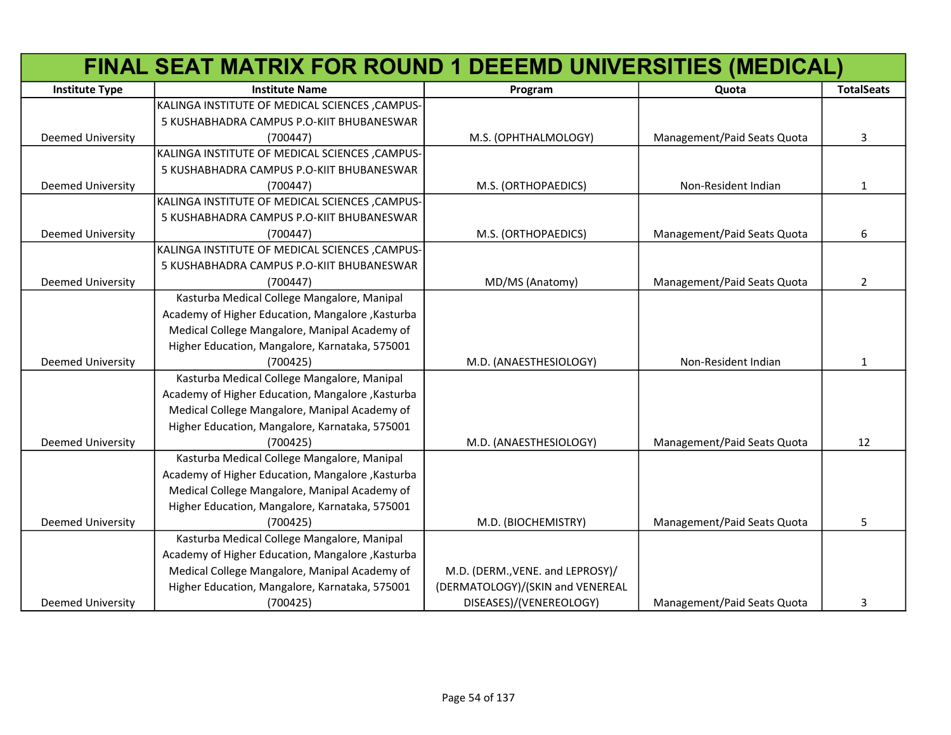|                          | FINAL SEAT MATRIX FOR ROUND 1 DEEEMD UNIVERSITIES (MEDICAL) |                                  |                             |                   |
|--------------------------|-------------------------------------------------------------|----------------------------------|-----------------------------|-------------------|
| <b>Institute Type</b>    | <b>Institute Name</b>                                       | Program                          | Quota                       | <b>TotalSeats</b> |
|                          | KALINGA INSTITUTE OF MEDICAL SCIENCES , CAMPUS-             |                                  |                             |                   |
|                          | 5 KUSHABHADRA CAMPUS P.O-KIIT BHUBANESWAR                   |                                  |                             |                   |
| <b>Deemed University</b> | (700447)                                                    | M.S. (OPHTHALMOLOGY)             | Management/Paid Seats Quota | 3                 |
|                          | KALINGA INSTITUTE OF MEDICAL SCIENCES , CAMPUS-             |                                  |                             |                   |
|                          | 5 KUSHABHADRA CAMPUS P.O-KIIT BHUBANESWAR                   |                                  |                             |                   |
| Deemed University        | (700447)                                                    | M.S. (ORTHOPAEDICS)              | Non-Resident Indian         | $\mathbf{1}$      |
|                          | KALINGA INSTITUTE OF MEDICAL SCIENCES, CAMPUS-              |                                  |                             |                   |
|                          | 5 KUSHABHADRA CAMPUS P.O-KIIT BHUBANESWAR                   |                                  |                             |                   |
| <b>Deemed University</b> | (700447)                                                    | M.S. (ORTHOPAEDICS)              | Management/Paid Seats Quota | 6                 |
|                          | KALINGA INSTITUTE OF MEDICAL SCIENCES , CAMPUS-             |                                  |                             |                   |
|                          | 5 KUSHABHADRA CAMPUS P.O-KIIT BHUBANESWAR                   |                                  |                             |                   |
| Deemed University        | (700447)                                                    | MD/MS (Anatomy)                  | Management/Paid Seats Quota | 2                 |
|                          | Kasturba Medical College Mangalore, Manipal                 |                                  |                             |                   |
|                          | Academy of Higher Education, Mangalore, Kasturba            |                                  |                             |                   |
|                          | Medical College Mangalore, Manipal Academy of               |                                  |                             |                   |
|                          | Higher Education, Mangalore, Karnataka, 575001              |                                  |                             |                   |
| <b>Deemed University</b> | (700425)                                                    | M.D. (ANAESTHESIOLOGY)           | Non-Resident Indian         | 1                 |
|                          | Kasturba Medical College Mangalore, Manipal                 |                                  |                             |                   |
|                          | Academy of Higher Education, Mangalore, Kasturba            |                                  |                             |                   |
|                          | Medical College Mangalore, Manipal Academy of               |                                  |                             |                   |
|                          | Higher Education, Mangalore, Karnataka, 575001              |                                  |                             |                   |
| <b>Deemed University</b> | (700425)                                                    | M.D. (ANAESTHESIOLOGY)           | Management/Paid Seats Quota | 12                |
|                          | Kasturba Medical College Mangalore, Manipal                 |                                  |                             |                   |
|                          | Academy of Higher Education, Mangalore, Kasturba            |                                  |                             |                   |
|                          | Medical College Mangalore, Manipal Academy of               |                                  |                             |                   |
|                          | Higher Education, Mangalore, Karnataka, 575001              |                                  |                             |                   |
| <b>Deemed University</b> | (700425)                                                    | M.D. (BIOCHEMISTRY)              | Management/Paid Seats Quota | 5                 |
|                          | Kasturba Medical College Mangalore, Manipal                 |                                  |                             |                   |
|                          | Academy of Higher Education, Mangalore, Kasturba            |                                  |                             |                   |
|                          | Medical College Mangalore, Manipal Academy of               | M.D. (DERM., VENE. and LEPROSY)/ |                             |                   |
|                          | Higher Education, Mangalore, Karnataka, 575001              | (DERMATOLOGY)/(SKIN and VENEREAL |                             |                   |
| <b>Deemed University</b> | (700425)                                                    | DISEASES)/(VENEREOLOGY)          | Management/Paid Seats Quota | 3                 |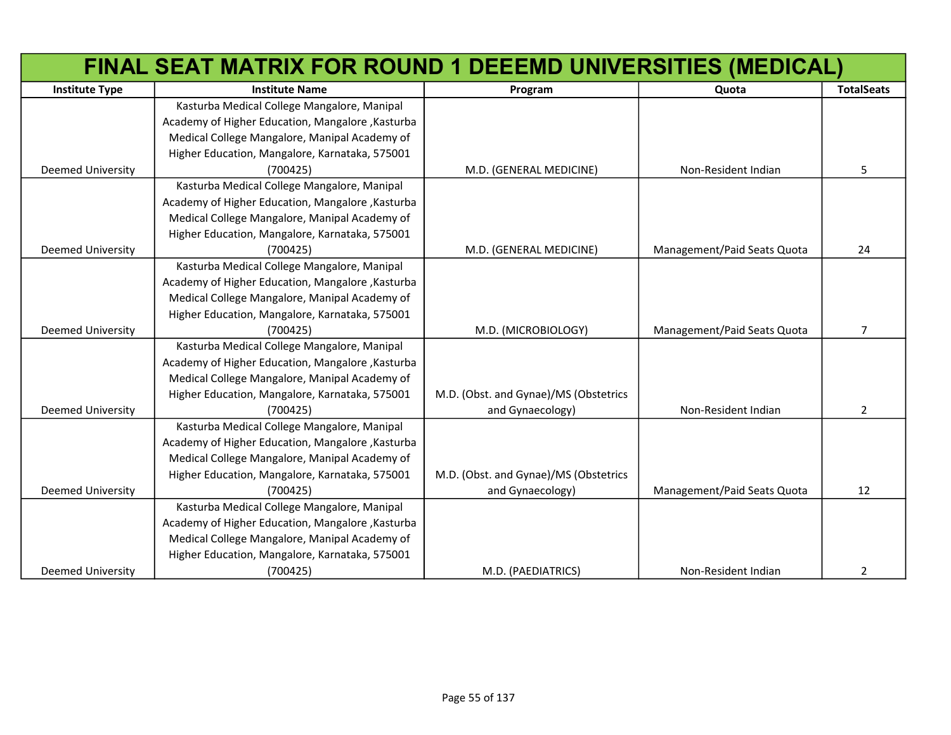|                          | FINAL SEAT MATRIX FOR ROUND 1 DEEEMD UNIVERSITIES (MEDICAL) |                                       |                             |                   |
|--------------------------|-------------------------------------------------------------|---------------------------------------|-----------------------------|-------------------|
| <b>Institute Type</b>    | <b>Institute Name</b>                                       | Program                               | Quota                       | <b>TotalSeats</b> |
|                          | Kasturba Medical College Mangalore, Manipal                 |                                       |                             |                   |
|                          | Academy of Higher Education, Mangalore, Kasturba            |                                       |                             |                   |
|                          | Medical College Mangalore, Manipal Academy of               |                                       |                             |                   |
|                          | Higher Education, Mangalore, Karnataka, 575001              |                                       |                             |                   |
| Deemed University        | (700425)                                                    | M.D. (GENERAL MEDICINE)               | Non-Resident Indian         | 5                 |
|                          | Kasturba Medical College Mangalore, Manipal                 |                                       |                             |                   |
|                          | Academy of Higher Education, Mangalore, Kasturba            |                                       |                             |                   |
|                          | Medical College Mangalore, Manipal Academy of               |                                       |                             |                   |
|                          | Higher Education, Mangalore, Karnataka, 575001              |                                       |                             |                   |
| <b>Deemed University</b> | (700425)                                                    | M.D. (GENERAL MEDICINE)               | Management/Paid Seats Quota | 24                |
|                          | Kasturba Medical College Mangalore, Manipal                 |                                       |                             |                   |
|                          | Academy of Higher Education, Mangalore, Kasturba            |                                       |                             |                   |
|                          | Medical College Mangalore, Manipal Academy of               |                                       |                             |                   |
|                          | Higher Education, Mangalore, Karnataka, 575001              |                                       |                             |                   |
| <b>Deemed University</b> | (700425)                                                    | M.D. (MICROBIOLOGY)                   | Management/Paid Seats Quota | $\overline{7}$    |
|                          | Kasturba Medical College Mangalore, Manipal                 |                                       |                             |                   |
|                          | Academy of Higher Education, Mangalore, Kasturba            |                                       |                             |                   |
|                          | Medical College Mangalore, Manipal Academy of               |                                       |                             |                   |
|                          | Higher Education, Mangalore, Karnataka, 575001              | M.D. (Obst. and Gynae)/MS (Obstetrics |                             |                   |
| <b>Deemed University</b> | (700425)                                                    | and Gynaecology)                      | Non-Resident Indian         | $\overline{2}$    |
|                          | Kasturba Medical College Mangalore, Manipal                 |                                       |                             |                   |
|                          | Academy of Higher Education, Mangalore, Kasturba            |                                       |                             |                   |
|                          | Medical College Mangalore, Manipal Academy of               |                                       |                             |                   |
|                          | Higher Education, Mangalore, Karnataka, 575001              | M.D. (Obst. and Gynae)/MS (Obstetrics |                             |                   |
| <b>Deemed University</b> | (700425)                                                    | and Gynaecology)                      | Management/Paid Seats Quota | 12                |
|                          | Kasturba Medical College Mangalore, Manipal                 |                                       |                             |                   |
|                          | Academy of Higher Education, Mangalore, Kasturba            |                                       |                             |                   |
|                          | Medical College Mangalore, Manipal Academy of               |                                       |                             |                   |
|                          | Higher Education, Mangalore, Karnataka, 575001              |                                       |                             |                   |
| <b>Deemed University</b> | (700425)                                                    | M.D. (PAEDIATRICS)                    | Non-Resident Indian         | 2                 |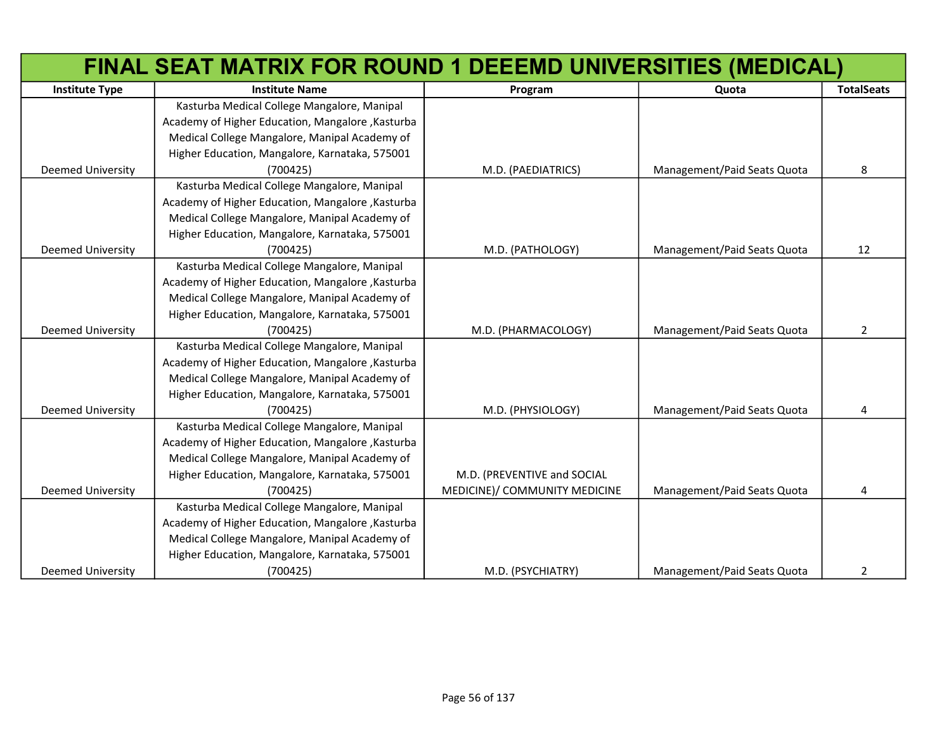|                          | FINAL SEAT MATRIX FOR ROUND 1 DEEEMD UNIVERSITIES (MEDICAL) |                               |                             |                   |
|--------------------------|-------------------------------------------------------------|-------------------------------|-----------------------------|-------------------|
| <b>Institute Type</b>    | <b>Institute Name</b>                                       | Program                       | Quota                       | <b>TotalSeats</b> |
|                          | Kasturba Medical College Mangalore, Manipal                 |                               |                             |                   |
|                          | Academy of Higher Education, Mangalore, Kasturba            |                               |                             |                   |
|                          | Medical College Mangalore, Manipal Academy of               |                               |                             |                   |
|                          | Higher Education, Mangalore, Karnataka, 575001              |                               |                             |                   |
| Deemed University        | (700425)                                                    | M.D. (PAEDIATRICS)            | Management/Paid Seats Quota | 8                 |
|                          | Kasturba Medical College Mangalore, Manipal                 |                               |                             |                   |
|                          | Academy of Higher Education, Mangalore, Kasturba            |                               |                             |                   |
|                          | Medical College Mangalore, Manipal Academy of               |                               |                             |                   |
|                          | Higher Education, Mangalore, Karnataka, 575001              |                               |                             |                   |
| <b>Deemed University</b> | (700425)                                                    | M.D. (PATHOLOGY)              | Management/Paid Seats Quota | 12                |
|                          | Kasturba Medical College Mangalore, Manipal                 |                               |                             |                   |
|                          | Academy of Higher Education, Mangalore, Kasturba            |                               |                             |                   |
|                          | Medical College Mangalore, Manipal Academy of               |                               |                             |                   |
|                          | Higher Education, Mangalore, Karnataka, 575001              |                               |                             |                   |
| <b>Deemed University</b> | (700425)                                                    | M.D. (PHARMACOLOGY)           | Management/Paid Seats Quota | $\overline{2}$    |
|                          | Kasturba Medical College Mangalore, Manipal                 |                               |                             |                   |
|                          | Academy of Higher Education, Mangalore, Kasturba            |                               |                             |                   |
|                          | Medical College Mangalore, Manipal Academy of               |                               |                             |                   |
|                          | Higher Education, Mangalore, Karnataka, 575001              |                               |                             |                   |
| <b>Deemed University</b> | (700425)                                                    | M.D. (PHYSIOLOGY)             | Management/Paid Seats Quota | 4                 |
|                          | Kasturba Medical College Mangalore, Manipal                 |                               |                             |                   |
|                          | Academy of Higher Education, Mangalore, Kasturba            |                               |                             |                   |
|                          | Medical College Mangalore, Manipal Academy of               |                               |                             |                   |
|                          | Higher Education, Mangalore, Karnataka, 575001              | M.D. (PREVENTIVE and SOCIAL   |                             |                   |
| <b>Deemed University</b> | (700425)                                                    | MEDICINE)/ COMMUNITY MEDICINE | Management/Paid Seats Quota | 4                 |
|                          | Kasturba Medical College Mangalore, Manipal                 |                               |                             |                   |
|                          | Academy of Higher Education, Mangalore, Kasturba            |                               |                             |                   |
|                          | Medical College Mangalore, Manipal Academy of               |                               |                             |                   |
|                          | Higher Education, Mangalore, Karnataka, 575001              |                               |                             |                   |
| <b>Deemed University</b> | (700425)                                                    | M.D. (PSYCHIATRY)             | Management/Paid Seats Quota | $\overline{2}$    |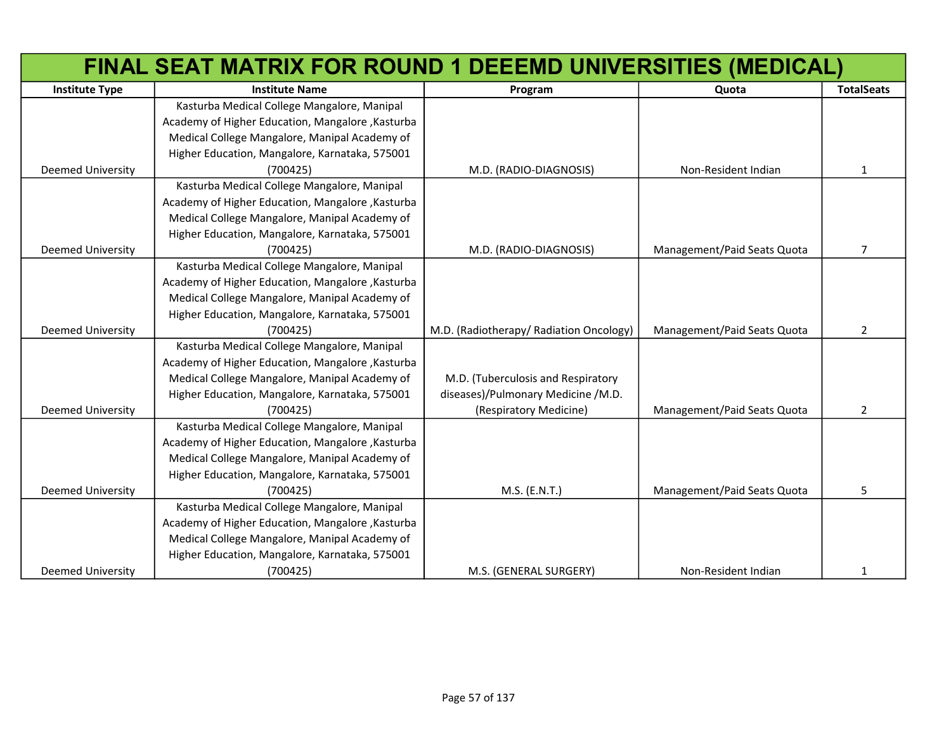|                          | FINAL SEAT MATRIX FOR ROUND 1 DEEEMD UNIVERSITIES (MEDICAL) |                                         |                             |                   |
|--------------------------|-------------------------------------------------------------|-----------------------------------------|-----------------------------|-------------------|
| <b>Institute Type</b>    | <b>Institute Name</b>                                       | Program                                 | Quota                       | <b>TotalSeats</b> |
|                          | Kasturba Medical College Mangalore, Manipal                 |                                         |                             |                   |
|                          | Academy of Higher Education, Mangalore, Kasturba            |                                         |                             |                   |
|                          | Medical College Mangalore, Manipal Academy of               |                                         |                             |                   |
|                          | Higher Education, Mangalore, Karnataka, 575001              |                                         |                             |                   |
| <b>Deemed University</b> | (700425)                                                    | M.D. (RADIO-DIAGNOSIS)                  | Non-Resident Indian         | $\mathbf{1}$      |
|                          | Kasturba Medical College Mangalore, Manipal                 |                                         |                             |                   |
|                          | Academy of Higher Education, Mangalore, Kasturba            |                                         |                             |                   |
|                          | Medical College Mangalore, Manipal Academy of               |                                         |                             |                   |
|                          | Higher Education, Mangalore, Karnataka, 575001              |                                         |                             |                   |
| <b>Deemed University</b> | (700425)                                                    | M.D. (RADIO-DIAGNOSIS)                  | Management/Paid Seats Quota | 7                 |
|                          | Kasturba Medical College Mangalore, Manipal                 |                                         |                             |                   |
|                          | Academy of Higher Education, Mangalore, Kasturba            |                                         |                             |                   |
|                          | Medical College Mangalore, Manipal Academy of               |                                         |                             |                   |
|                          | Higher Education, Mangalore, Karnataka, 575001              |                                         |                             |                   |
| <b>Deemed University</b> | (700425)                                                    | M.D. (Radiotherapy/ Radiation Oncology) | Management/Paid Seats Quota | 2                 |
|                          | Kasturba Medical College Mangalore, Manipal                 |                                         |                             |                   |
|                          | Academy of Higher Education, Mangalore, Kasturba            |                                         |                             |                   |
|                          | Medical College Mangalore, Manipal Academy of               | M.D. (Tuberculosis and Respiratory      |                             |                   |
|                          | Higher Education, Mangalore, Karnataka, 575001              | diseases)/Pulmonary Medicine /M.D.      |                             |                   |
| <b>Deemed University</b> | (700425)                                                    | (Respiratory Medicine)                  | Management/Paid Seats Quota | $\overline{2}$    |
|                          | Kasturba Medical College Mangalore, Manipal                 |                                         |                             |                   |
|                          | Academy of Higher Education, Mangalore, Kasturba            |                                         |                             |                   |
|                          | Medical College Mangalore, Manipal Academy of               |                                         |                             |                   |
|                          | Higher Education, Mangalore, Karnataka, 575001              |                                         |                             |                   |
| <b>Deemed University</b> | (700425)                                                    | M.S. (E.N.T.)                           | Management/Paid Seats Quota | 5.                |
|                          | Kasturba Medical College Mangalore, Manipal                 |                                         |                             |                   |
|                          | Academy of Higher Education, Mangalore, Kasturba            |                                         |                             |                   |
|                          | Medical College Mangalore, Manipal Academy of               |                                         |                             |                   |
|                          | Higher Education, Mangalore, Karnataka, 575001              |                                         |                             |                   |
| <b>Deemed University</b> | (700425)                                                    | M.S. (GENERAL SURGERY)                  | Non-Resident Indian         | 1                 |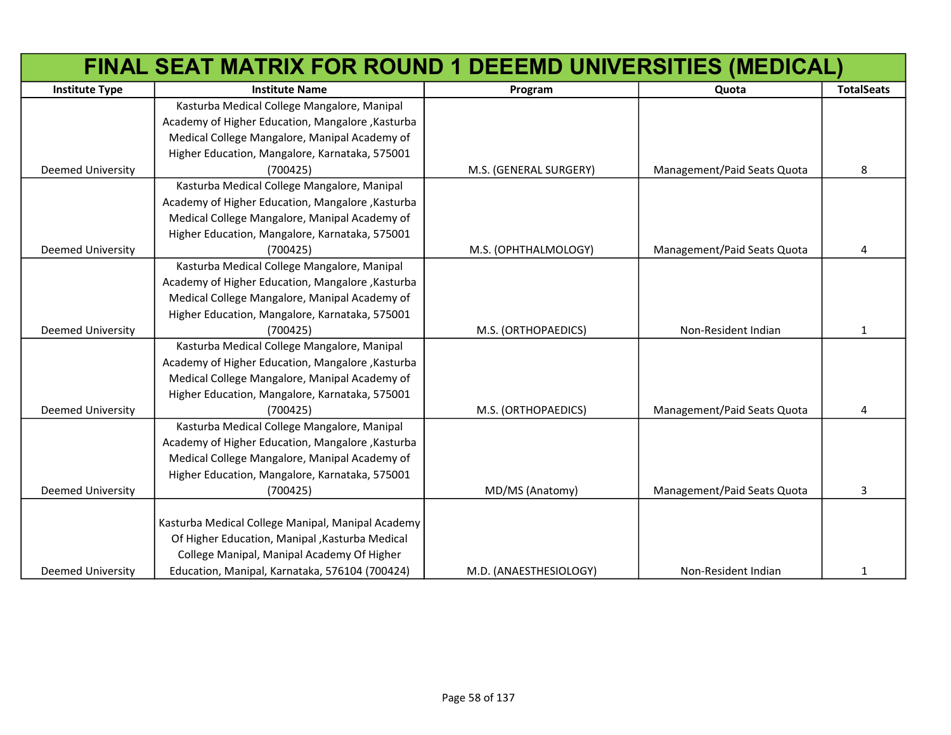|                          | FINAL SEAT MATRIX FOR ROUND 1 DEEEMD UNIVERSITIES (MEDICAL) |                        |                             |                   |
|--------------------------|-------------------------------------------------------------|------------------------|-----------------------------|-------------------|
| <b>Institute Type</b>    | <b>Institute Name</b>                                       | Program                | Quota                       | <b>TotalSeats</b> |
|                          | Kasturba Medical College Mangalore, Manipal                 |                        |                             |                   |
|                          | Academy of Higher Education, Mangalore, Kasturba            |                        |                             |                   |
|                          | Medical College Mangalore, Manipal Academy of               |                        |                             |                   |
|                          | Higher Education, Mangalore, Karnataka, 575001              |                        |                             |                   |
| Deemed University        | (700425)                                                    | M.S. (GENERAL SURGERY) | Management/Paid Seats Quota | 8                 |
|                          | Kasturba Medical College Mangalore, Manipal                 |                        |                             |                   |
|                          | Academy of Higher Education, Mangalore, Kasturba            |                        |                             |                   |
|                          | Medical College Mangalore, Manipal Academy of               |                        |                             |                   |
|                          | Higher Education, Mangalore, Karnataka, 575001              |                        |                             |                   |
| <b>Deemed University</b> | (700425)                                                    | M.S. (OPHTHALMOLOGY)   | Management/Paid Seats Quota | 4                 |
|                          | Kasturba Medical College Mangalore, Manipal                 |                        |                             |                   |
|                          | Academy of Higher Education, Mangalore, Kasturba            |                        |                             |                   |
|                          | Medical College Mangalore, Manipal Academy of               |                        |                             |                   |
|                          | Higher Education, Mangalore, Karnataka, 575001              |                        |                             |                   |
| Deemed University        | (700425)                                                    | M.S. (ORTHOPAEDICS)    | Non-Resident Indian         | 1                 |
|                          | Kasturba Medical College Mangalore, Manipal                 |                        |                             |                   |
|                          | Academy of Higher Education, Mangalore, Kasturba            |                        |                             |                   |
|                          | Medical College Mangalore, Manipal Academy of               |                        |                             |                   |
|                          | Higher Education, Mangalore, Karnataka, 575001              |                        |                             |                   |
| <b>Deemed University</b> | (700425)                                                    | M.S. (ORTHOPAEDICS)    | Management/Paid Seats Quota | 4                 |
|                          | Kasturba Medical College Mangalore, Manipal                 |                        |                             |                   |
|                          | Academy of Higher Education, Mangalore, Kasturba            |                        |                             |                   |
|                          | Medical College Mangalore, Manipal Academy of               |                        |                             |                   |
|                          | Higher Education, Mangalore, Karnataka, 575001              |                        |                             |                   |
| <b>Deemed University</b> | (700425)                                                    | MD/MS (Anatomy)        | Management/Paid Seats Quota | 3                 |
|                          |                                                             |                        |                             |                   |
|                          | Kasturba Medical College Manipal, Manipal Academy           |                        |                             |                   |
|                          | Of Higher Education, Manipal, Kasturba Medical              |                        |                             |                   |
|                          | College Manipal, Manipal Academy Of Higher                  |                        |                             |                   |
| <b>Deemed University</b> | Education, Manipal, Karnataka, 576104 (700424)              | M.D. (ANAESTHESIOLOGY) | Non-Resident Indian         | $\mathbf{1}$      |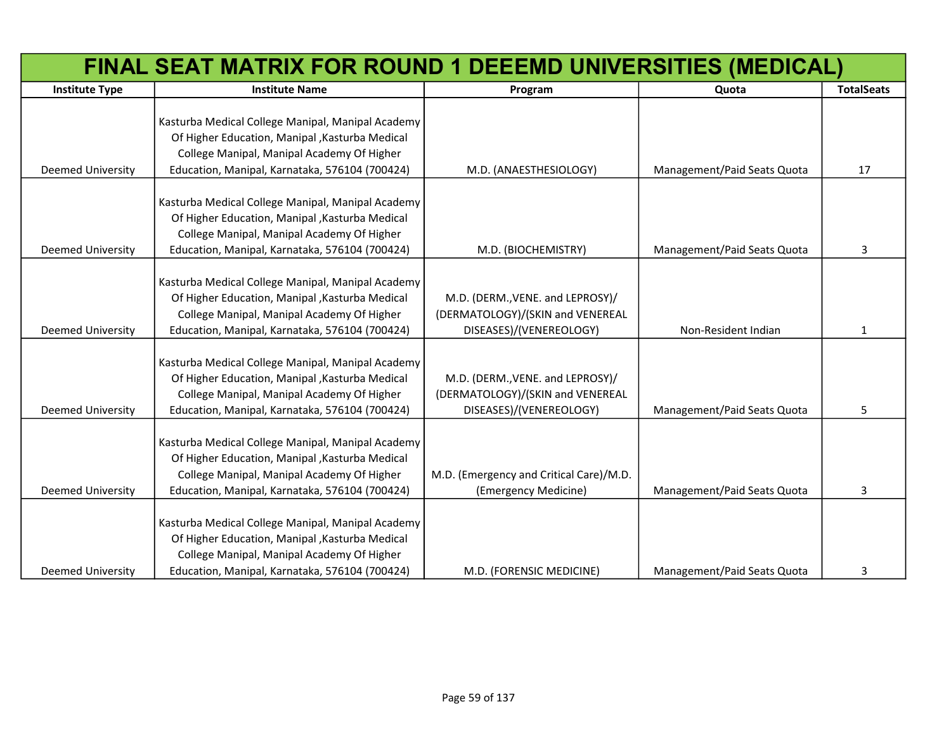|                          | FINAL SEAT MATRIX FOR ROUND 1 DEEEMD UNIVERSITIES (MEDICAL)                                          |                                         |                             |                   |
|--------------------------|------------------------------------------------------------------------------------------------------|-----------------------------------------|-----------------------------|-------------------|
| <b>Institute Type</b>    | <b>Institute Name</b>                                                                                | Program                                 | Quota                       | <b>TotalSeats</b> |
|                          |                                                                                                      |                                         |                             |                   |
|                          | Kasturba Medical College Manipal, Manipal Academy                                                    |                                         |                             |                   |
|                          | Of Higher Education, Manipal , Kasturba Medical                                                      |                                         |                             |                   |
|                          | College Manipal, Manipal Academy Of Higher                                                           |                                         |                             |                   |
| Deemed University        | Education, Manipal, Karnataka, 576104 (700424)                                                       | M.D. (ANAESTHESIOLOGY)                  | Management/Paid Seats Quota | 17                |
|                          |                                                                                                      |                                         |                             |                   |
|                          | Kasturba Medical College Manipal, Manipal Academy                                                    |                                         |                             |                   |
|                          | Of Higher Education, Manipal, Kasturba Medical                                                       |                                         |                             |                   |
|                          | College Manipal, Manipal Academy Of Higher                                                           |                                         |                             |                   |
| <b>Deemed University</b> | Education, Manipal, Karnataka, 576104 (700424)                                                       | M.D. (BIOCHEMISTRY)                     | Management/Paid Seats Quota | 3                 |
|                          | Kasturba Medical College Manipal, Manipal Academy                                                    |                                         |                             |                   |
|                          | Of Higher Education, Manipal , Kasturba Medical                                                      | M.D. (DERM., VENE. and LEPROSY)/        |                             |                   |
|                          | College Manipal, Manipal Academy Of Higher                                                           | (DERMATOLOGY)/(SKIN and VENEREAL        |                             |                   |
| <b>Deemed University</b> | Education, Manipal, Karnataka, 576104 (700424)                                                       | DISEASES)/(VENEREOLOGY)                 | Non-Resident Indian         | $\mathbf{1}$      |
|                          |                                                                                                      |                                         |                             |                   |
|                          | Kasturba Medical College Manipal, Manipal Academy                                                    |                                         |                             |                   |
|                          | Of Higher Education, Manipal , Kasturba Medical                                                      | M.D. (DERM., VENE. and LEPROSY)/        |                             |                   |
|                          | College Manipal, Manipal Academy Of Higher                                                           | (DERMATOLOGY)/(SKIN and VENEREAL        |                             |                   |
| <b>Deemed University</b> | Education, Manipal, Karnataka, 576104 (700424)                                                       | DISEASES)/(VENEREOLOGY)                 | Management/Paid Seats Quota | 5.                |
|                          |                                                                                                      |                                         |                             |                   |
|                          | Kasturba Medical College Manipal, Manipal Academy                                                    |                                         |                             |                   |
|                          | Of Higher Education, Manipal, Kasturba Medical                                                       |                                         |                             |                   |
|                          | College Manipal, Manipal Academy Of Higher                                                           | M.D. (Emergency and Critical Care)/M.D. |                             |                   |
| <b>Deemed University</b> | Education, Manipal, Karnataka, 576104 (700424)                                                       | (Emergency Medicine)                    | Management/Paid Seats Quota | 3                 |
|                          |                                                                                                      |                                         |                             |                   |
|                          | Kasturba Medical College Manipal, Manipal Academy<br>Of Higher Education, Manipal , Kasturba Medical |                                         |                             |                   |
|                          | College Manipal, Manipal Academy Of Higher                                                           |                                         |                             |                   |
| <b>Deemed University</b> | Education, Manipal, Karnataka, 576104 (700424)                                                       | M.D. (FORENSIC MEDICINE)                | Management/Paid Seats Quota | 3                 |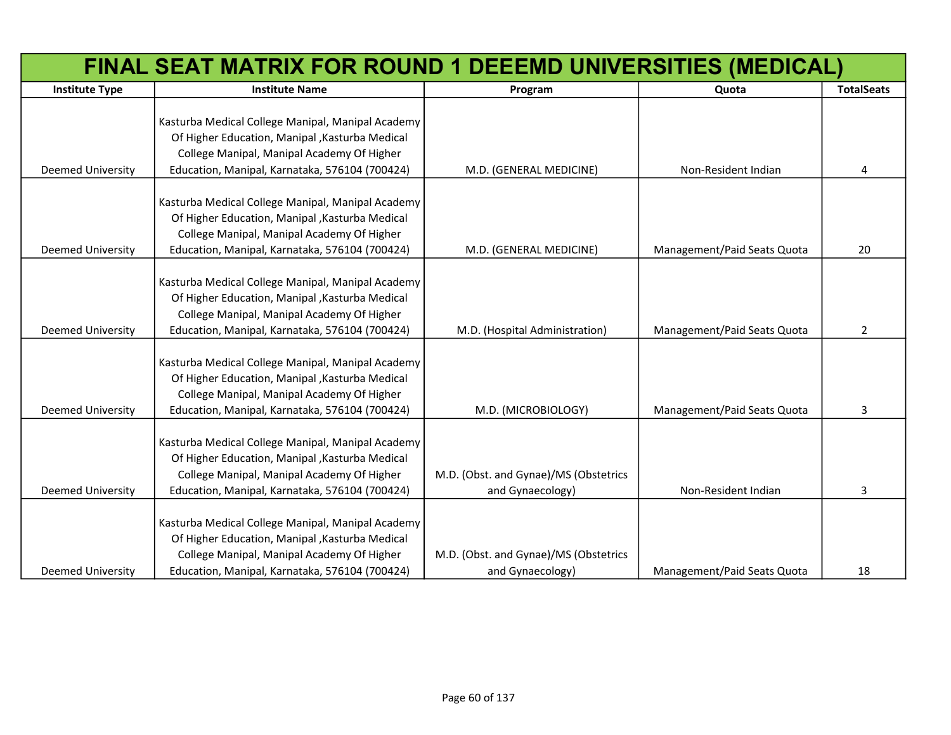|                          | FINAL SEAT MATRIX FOR ROUND 1 DEEEMD UNIVERSITIES (MEDICAL) |                                       |                             |                   |
|--------------------------|-------------------------------------------------------------|---------------------------------------|-----------------------------|-------------------|
| <b>Institute Type</b>    | <b>Institute Name</b>                                       | Program                               | Quota                       | <b>TotalSeats</b> |
|                          |                                                             |                                       |                             |                   |
|                          | Kasturba Medical College Manipal, Manipal Academy           |                                       |                             |                   |
|                          | Of Higher Education, Manipal, Kasturba Medical              |                                       |                             |                   |
|                          | College Manipal, Manipal Academy Of Higher                  |                                       |                             |                   |
| Deemed University        | Education, Manipal, Karnataka, 576104 (700424)              | M.D. (GENERAL MEDICINE)               | Non-Resident Indian         | 4                 |
|                          | Kasturba Medical College Manipal, Manipal Academy           |                                       |                             |                   |
|                          | Of Higher Education, Manipal, Kasturba Medical              |                                       |                             |                   |
|                          | College Manipal, Manipal Academy Of Higher                  |                                       |                             |                   |
| <b>Deemed University</b> | Education, Manipal, Karnataka, 576104 (700424)              | M.D. (GENERAL MEDICINE)               | Management/Paid Seats Quota | 20                |
|                          |                                                             |                                       |                             |                   |
|                          | Kasturba Medical College Manipal, Manipal Academy           |                                       |                             |                   |
|                          | Of Higher Education, Manipal, Kasturba Medical              |                                       |                             |                   |
|                          | College Manipal, Manipal Academy Of Higher                  |                                       |                             |                   |
| Deemed University        | Education, Manipal, Karnataka, 576104 (700424)              | M.D. (Hospital Administration)        | Management/Paid Seats Quota | $\overline{2}$    |
|                          |                                                             |                                       |                             |                   |
|                          | Kasturba Medical College Manipal, Manipal Academy           |                                       |                             |                   |
|                          | Of Higher Education, Manipal, Kasturba Medical              |                                       |                             |                   |
|                          | College Manipal, Manipal Academy Of Higher                  |                                       |                             |                   |
| <b>Deemed University</b> | Education, Manipal, Karnataka, 576104 (700424)              | M.D. (MICROBIOLOGY)                   | Management/Paid Seats Quota | 3                 |
|                          |                                                             |                                       |                             |                   |
|                          | Kasturba Medical College Manipal, Manipal Academy           |                                       |                             |                   |
|                          | Of Higher Education, Manipal, Kasturba Medical              |                                       |                             |                   |
|                          | College Manipal, Manipal Academy Of Higher                  | M.D. (Obst. and Gynae)/MS (Obstetrics |                             |                   |
| <b>Deemed University</b> | Education, Manipal, Karnataka, 576104 (700424)              | and Gynaecology)                      | Non-Resident Indian         | 3                 |
|                          | Kasturba Medical College Manipal, Manipal Academy           |                                       |                             |                   |
|                          | Of Higher Education, Manipal, Kasturba Medical              |                                       |                             |                   |
|                          | College Manipal, Manipal Academy Of Higher                  | M.D. (Obst. and Gynae)/MS (Obstetrics |                             |                   |
| <b>Deemed University</b> | Education, Manipal, Karnataka, 576104 (700424)              | and Gynaecology)                      | Management/Paid Seats Quota | 18                |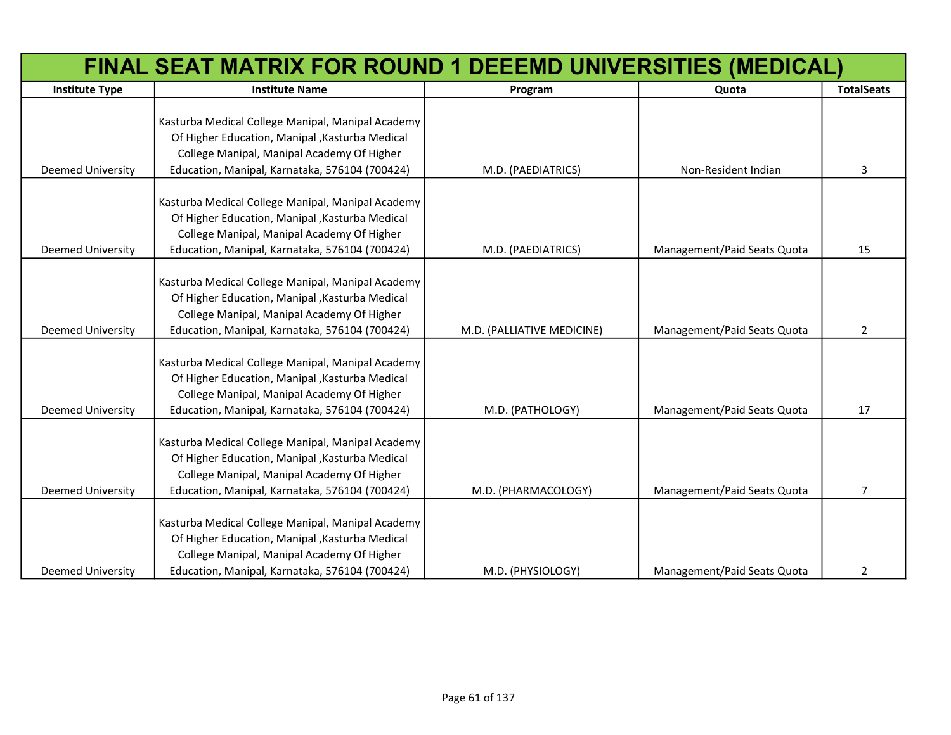|                          | FINAL SEAT MATRIX FOR ROUND 1 DEEEMD UNIVERSITIES (MEDICAL) |                            |                             |                   |
|--------------------------|-------------------------------------------------------------|----------------------------|-----------------------------|-------------------|
| <b>Institute Type</b>    | <b>Institute Name</b>                                       | Program                    | Quota                       | <b>TotalSeats</b> |
|                          |                                                             |                            |                             |                   |
|                          | Kasturba Medical College Manipal, Manipal Academy           |                            |                             |                   |
|                          | Of Higher Education, Manipal, Kasturba Medical              |                            |                             |                   |
|                          | College Manipal, Manipal Academy Of Higher                  |                            |                             |                   |
| Deemed University        | Education, Manipal, Karnataka, 576104 (700424)              | M.D. (PAEDIATRICS)         | Non-Resident Indian         | 3                 |
|                          | Kasturba Medical College Manipal, Manipal Academy           |                            |                             |                   |
|                          | Of Higher Education, Manipal, Kasturba Medical              |                            |                             |                   |
|                          | College Manipal, Manipal Academy Of Higher                  |                            |                             |                   |
| <b>Deemed University</b> | Education, Manipal, Karnataka, 576104 (700424)              | M.D. (PAEDIATRICS)         | Management/Paid Seats Quota | 15                |
|                          |                                                             |                            |                             |                   |
|                          | Kasturba Medical College Manipal, Manipal Academy           |                            |                             |                   |
|                          | Of Higher Education, Manipal, Kasturba Medical              |                            |                             |                   |
|                          | College Manipal, Manipal Academy Of Higher                  |                            |                             |                   |
| Deemed University        | Education, Manipal, Karnataka, 576104 (700424)              | M.D. (PALLIATIVE MEDICINE) | Management/Paid Seats Quota | $\overline{2}$    |
|                          |                                                             |                            |                             |                   |
|                          | Kasturba Medical College Manipal, Manipal Academy           |                            |                             |                   |
|                          | Of Higher Education, Manipal, Kasturba Medical              |                            |                             |                   |
|                          | College Manipal, Manipal Academy Of Higher                  |                            |                             |                   |
| <b>Deemed University</b> | Education, Manipal, Karnataka, 576104 (700424)              | M.D. (PATHOLOGY)           | Management/Paid Seats Quota | 17                |
|                          | Kasturba Medical College Manipal, Manipal Academy           |                            |                             |                   |
|                          | Of Higher Education, Manipal, Kasturba Medical              |                            |                             |                   |
|                          | College Manipal, Manipal Academy Of Higher                  |                            |                             |                   |
| <b>Deemed University</b> | Education, Manipal, Karnataka, 576104 (700424)              | M.D. (PHARMACOLOGY)        | Management/Paid Seats Quota | $\overline{7}$    |
|                          |                                                             |                            |                             |                   |
|                          | Kasturba Medical College Manipal, Manipal Academy           |                            |                             |                   |
|                          | Of Higher Education, Manipal, Kasturba Medical              |                            |                             |                   |
|                          | College Manipal, Manipal Academy Of Higher                  |                            |                             |                   |
| <b>Deemed University</b> | Education, Manipal, Karnataka, 576104 (700424)              | M.D. (PHYSIOLOGY)          | Management/Paid Seats Quota | $\overline{2}$    |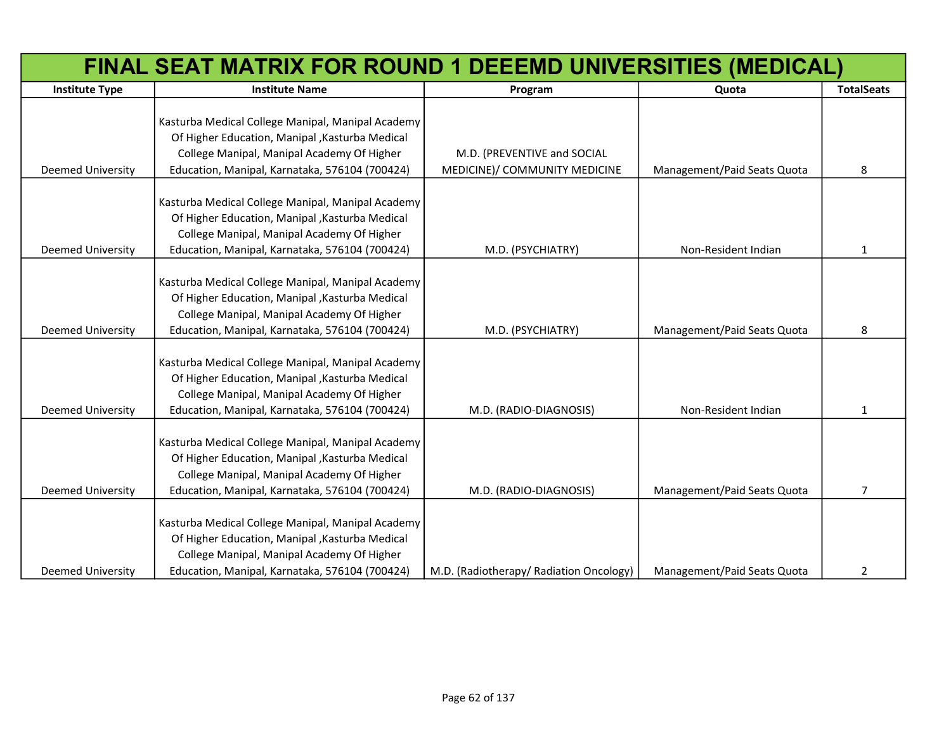|                          | FINAL SEAT MATRIX FOR ROUND 1 DEEEMD UNIVERSITIES (MEDICAL) |                                         |                             |                   |
|--------------------------|-------------------------------------------------------------|-----------------------------------------|-----------------------------|-------------------|
| <b>Institute Type</b>    | <b>Institute Name</b>                                       | Program                                 | Quota                       | <b>TotalSeats</b> |
|                          |                                                             |                                         |                             |                   |
|                          | Kasturba Medical College Manipal, Manipal Academy           |                                         |                             |                   |
|                          | Of Higher Education, Manipal , Kasturba Medical             |                                         |                             |                   |
|                          | College Manipal, Manipal Academy Of Higher                  | M.D. (PREVENTIVE and SOCIAL             |                             |                   |
| Deemed University        | Education, Manipal, Karnataka, 576104 (700424)              | MEDICINE)/ COMMUNITY MEDICINE           | Management/Paid Seats Quota | 8                 |
|                          |                                                             |                                         |                             |                   |
|                          | Kasturba Medical College Manipal, Manipal Academy           |                                         |                             |                   |
|                          | Of Higher Education, Manipal, Kasturba Medical              |                                         |                             |                   |
|                          | College Manipal, Manipal Academy Of Higher                  |                                         |                             |                   |
| <b>Deemed University</b> | Education, Manipal, Karnataka, 576104 (700424)              | M.D. (PSYCHIATRY)                       | Non-Resident Indian         | 1                 |
|                          |                                                             |                                         |                             |                   |
|                          | Kasturba Medical College Manipal, Manipal Academy           |                                         |                             |                   |
|                          | Of Higher Education, Manipal, Kasturba Medical              |                                         |                             |                   |
|                          | College Manipal, Manipal Academy Of Higher                  |                                         |                             |                   |
| <b>Deemed University</b> | Education, Manipal, Karnataka, 576104 (700424)              | M.D. (PSYCHIATRY)                       | Management/Paid Seats Quota | 8                 |
|                          |                                                             |                                         |                             |                   |
|                          | Kasturba Medical College Manipal, Manipal Academy           |                                         |                             |                   |
|                          | Of Higher Education, Manipal , Kasturba Medical             |                                         |                             |                   |
|                          | College Manipal, Manipal Academy Of Higher                  |                                         |                             |                   |
| <b>Deemed University</b> | Education, Manipal, Karnataka, 576104 (700424)              | M.D. (RADIO-DIAGNOSIS)                  | Non-Resident Indian         | 1                 |
|                          |                                                             |                                         |                             |                   |
|                          | Kasturba Medical College Manipal, Manipal Academy           |                                         |                             |                   |
|                          | Of Higher Education, Manipal, Kasturba Medical              |                                         |                             |                   |
|                          | College Manipal, Manipal Academy Of Higher                  |                                         |                             |                   |
| <b>Deemed University</b> | Education, Manipal, Karnataka, 576104 (700424)              | M.D. (RADIO-DIAGNOSIS)                  | Management/Paid Seats Quota | 7                 |
|                          |                                                             |                                         |                             |                   |
|                          | Kasturba Medical College Manipal, Manipal Academy           |                                         |                             |                   |
|                          | Of Higher Education, Manipal, Kasturba Medical              |                                         |                             |                   |
|                          | College Manipal, Manipal Academy Of Higher                  |                                         |                             |                   |
| <b>Deemed University</b> | Education, Manipal, Karnataka, 576104 (700424)              | M.D. (Radiotherapy/ Radiation Oncology) | Management/Paid Seats Quota | 2                 |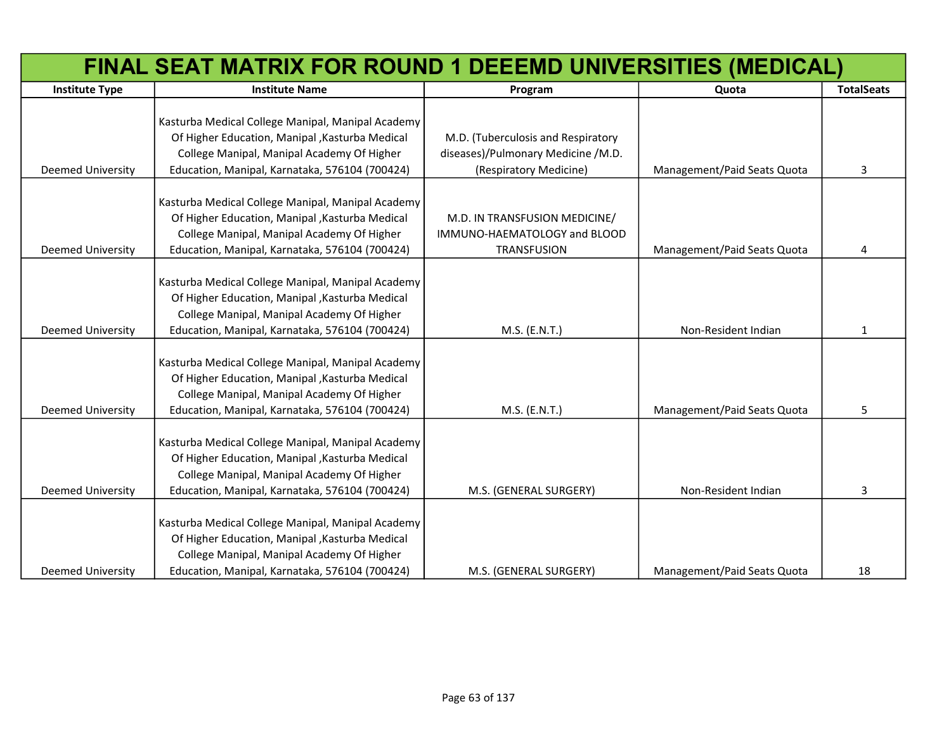|                          | FINAL SEAT MATRIX FOR ROUND 1 DEEEMD UNIVERSITIES (MEDICAL) |                                    |                             |                   |
|--------------------------|-------------------------------------------------------------|------------------------------------|-----------------------------|-------------------|
| <b>Institute Type</b>    | <b>Institute Name</b>                                       | Program                            | Quota                       | <b>TotalSeats</b> |
|                          |                                                             |                                    |                             |                   |
|                          | Kasturba Medical College Manipal, Manipal Academy           |                                    |                             |                   |
|                          | Of Higher Education, Manipal, Kasturba Medical              | M.D. (Tuberculosis and Respiratory |                             |                   |
|                          | College Manipal, Manipal Academy Of Higher                  | diseases)/Pulmonary Medicine /M.D. |                             |                   |
| <b>Deemed University</b> | Education, Manipal, Karnataka, 576104 (700424)              | (Respiratory Medicine)             | Management/Paid Seats Quota | 3                 |
|                          |                                                             |                                    |                             |                   |
|                          | Kasturba Medical College Manipal, Manipal Academy           |                                    |                             |                   |
|                          | Of Higher Education, Manipal, Kasturba Medical              | M.D. IN TRANSFUSION MEDICINE/      |                             |                   |
|                          | College Manipal, Manipal Academy Of Higher                  | IMMUNO-HAEMATOLOGY and BLOOD       |                             |                   |
| <b>Deemed University</b> | Education, Manipal, Karnataka, 576104 (700424)              | <b>TRANSFUSION</b>                 | Management/Paid Seats Quota | 4                 |
|                          |                                                             |                                    |                             |                   |
|                          | Kasturba Medical College Manipal, Manipal Academy           |                                    |                             |                   |
|                          | Of Higher Education, Manipal, Kasturba Medical              |                                    |                             |                   |
|                          | College Manipal, Manipal Academy Of Higher                  |                                    |                             |                   |
| <b>Deemed University</b> | Education, Manipal, Karnataka, 576104 (700424)              | M.S. (E.N.T.)                      | Non-Resident Indian         | 1                 |
|                          |                                                             |                                    |                             |                   |
|                          | Kasturba Medical College Manipal, Manipal Academy           |                                    |                             |                   |
|                          | Of Higher Education, Manipal, Kasturba Medical              |                                    |                             |                   |
|                          | College Manipal, Manipal Academy Of Higher                  |                                    |                             |                   |
| <b>Deemed University</b> | Education, Manipal, Karnataka, 576104 (700424)              | M.S. (E.N.T.)                      | Management/Paid Seats Quota | 5.                |
|                          |                                                             |                                    |                             |                   |
|                          | Kasturba Medical College Manipal, Manipal Academy           |                                    |                             |                   |
|                          | Of Higher Education, Manipal, Kasturba Medical              |                                    |                             |                   |
|                          | College Manipal, Manipal Academy Of Higher                  |                                    |                             |                   |
| <b>Deemed University</b> | Education, Manipal, Karnataka, 576104 (700424)              | M.S. (GENERAL SURGERY)             | Non-Resident Indian         | 3                 |
|                          |                                                             |                                    |                             |                   |
|                          | Kasturba Medical College Manipal, Manipal Academy           |                                    |                             |                   |
|                          | Of Higher Education, Manipal, Kasturba Medical              |                                    |                             |                   |
|                          | College Manipal, Manipal Academy Of Higher                  |                                    |                             |                   |
| <b>Deemed University</b> | Education, Manipal, Karnataka, 576104 (700424)              | M.S. (GENERAL SURGERY)             | Management/Paid Seats Quota | 18                |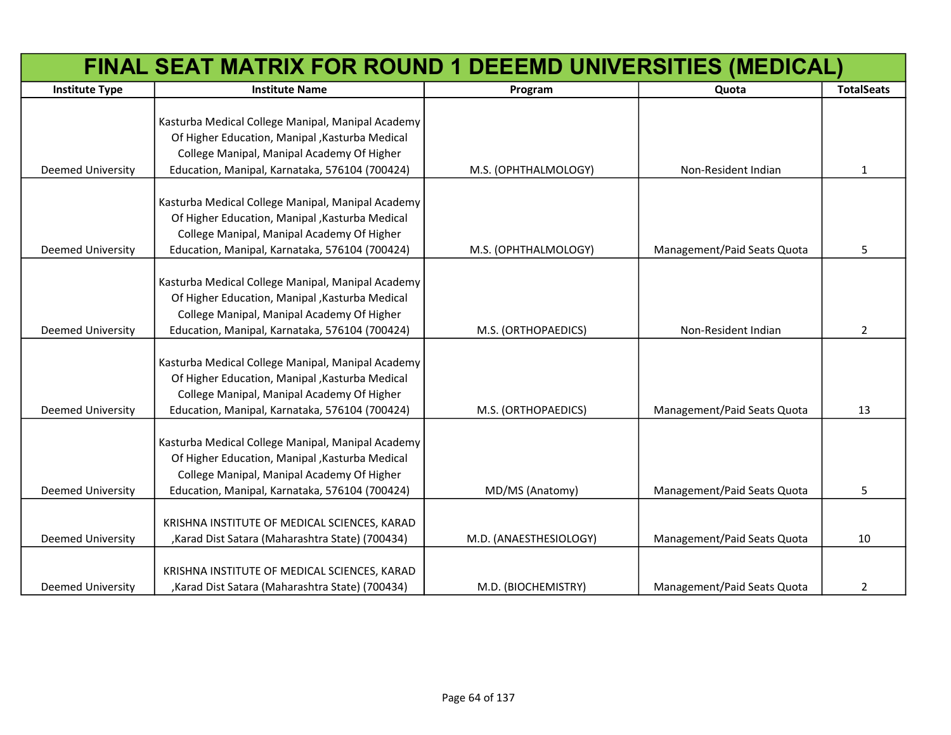|                          | FINAL SEAT MATRIX FOR ROUND 1 DEEEMD UNIVERSITIES (MEDICAL) |                        |                             |                   |
|--------------------------|-------------------------------------------------------------|------------------------|-----------------------------|-------------------|
| <b>Institute Type</b>    | <b>Institute Name</b>                                       | Program                | Quota                       | <b>TotalSeats</b> |
|                          |                                                             |                        |                             |                   |
|                          | Kasturba Medical College Manipal, Manipal Academy           |                        |                             |                   |
|                          | Of Higher Education, Manipal, Kasturba Medical              |                        |                             |                   |
|                          | College Manipal, Manipal Academy Of Higher                  |                        |                             |                   |
| <b>Deemed University</b> | Education, Manipal, Karnataka, 576104 (700424)              | M.S. (OPHTHALMOLOGY)   | Non-Resident Indian         | $\mathbf{1}$      |
|                          | Kasturba Medical College Manipal, Manipal Academy           |                        |                             |                   |
|                          | Of Higher Education, Manipal , Kasturba Medical             |                        |                             |                   |
|                          | College Manipal, Manipal Academy Of Higher                  |                        |                             |                   |
| <b>Deemed University</b> | Education, Manipal, Karnataka, 576104 (700424)              | M.S. (OPHTHALMOLOGY)   | Management/Paid Seats Quota | 5                 |
|                          |                                                             |                        |                             |                   |
|                          | Kasturba Medical College Manipal, Manipal Academy           |                        |                             |                   |
|                          | Of Higher Education, Manipal, Kasturba Medical              |                        |                             |                   |
|                          | College Manipal, Manipal Academy Of Higher                  |                        |                             |                   |
| <b>Deemed University</b> | Education, Manipal, Karnataka, 576104 (700424)              | M.S. (ORTHOPAEDICS)    | Non-Resident Indian         | $\overline{2}$    |
|                          |                                                             |                        |                             |                   |
|                          | Kasturba Medical College Manipal, Manipal Academy           |                        |                             |                   |
|                          | Of Higher Education, Manipal, Kasturba Medical              |                        |                             |                   |
|                          | College Manipal, Manipal Academy Of Higher                  |                        |                             |                   |
| <b>Deemed University</b> | Education, Manipal, Karnataka, 576104 (700424)              | M.S. (ORTHOPAEDICS)    | Management/Paid Seats Quota | 13                |
|                          | Kasturba Medical College Manipal, Manipal Academy           |                        |                             |                   |
|                          | Of Higher Education, Manipal , Kasturba Medical             |                        |                             |                   |
|                          | College Manipal, Manipal Academy Of Higher                  |                        |                             |                   |
| <b>Deemed University</b> | Education, Manipal, Karnataka, 576104 (700424)              | MD/MS (Anatomy)        | Management/Paid Seats Quota | 5.                |
|                          |                                                             |                        |                             |                   |
|                          | KRISHNA INSTITUTE OF MEDICAL SCIENCES, KARAD                |                        |                             |                   |
| <b>Deemed University</b> | , Karad Dist Satara (Maharashtra State) (700434)            | M.D. (ANAESTHESIOLOGY) | Management/Paid Seats Quota | 10                |
|                          | KRISHNA INSTITUTE OF MEDICAL SCIENCES, KARAD                |                        |                             |                   |
| <b>Deemed University</b> | ,Karad Dist Satara (Maharashtra State) (700434)             | M.D. (BIOCHEMISTRY)    | Management/Paid Seats Quota | $\overline{2}$    |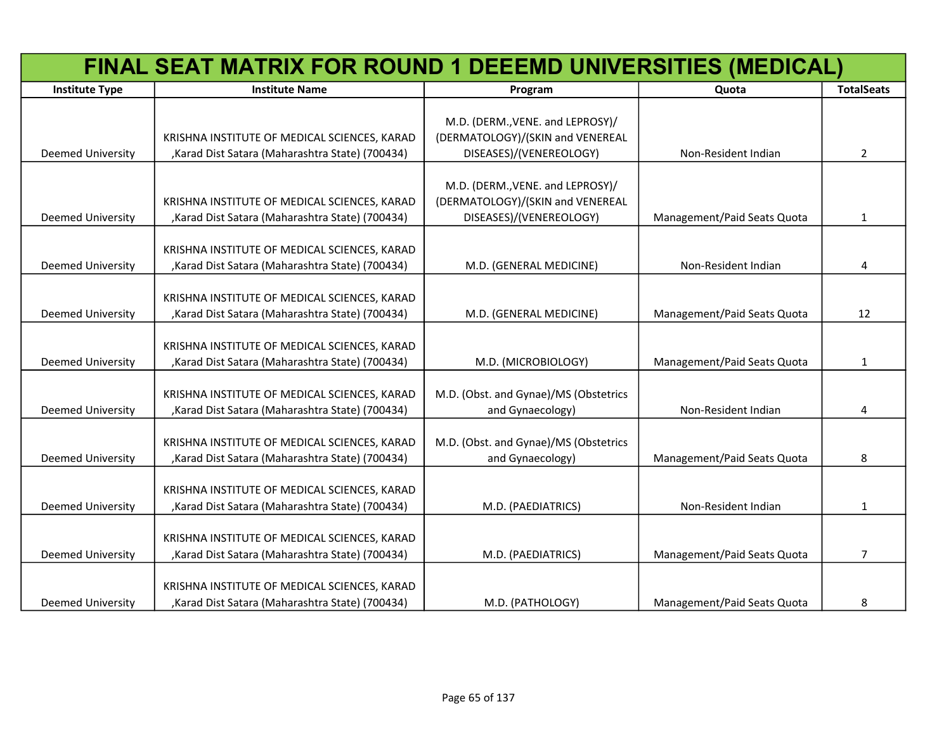|                          | FINAL SEAT MATRIX FOR ROUND 1 DEEEMD UNIVERSITIES (MEDICAL)                                      |                                       |                             |                   |
|--------------------------|--------------------------------------------------------------------------------------------------|---------------------------------------|-----------------------------|-------------------|
| <b>Institute Type</b>    | <b>Institute Name</b>                                                                            | Program                               | Quota                       | <b>TotalSeats</b> |
|                          |                                                                                                  |                                       |                             |                   |
|                          |                                                                                                  | M.D. (DERM., VENE. and LEPROSY)/      |                             |                   |
|                          | KRISHNA INSTITUTE OF MEDICAL SCIENCES, KARAD                                                     | (DERMATOLOGY)/(SKIN and VENEREAL      |                             |                   |
| <b>Deemed University</b> | , Karad Dist Satara (Maharashtra State) (700434)                                                 | DISEASES)/(VENEREOLOGY)               | Non-Resident Indian         | $\overline{2}$    |
|                          |                                                                                                  | M.D. (DERM., VENE. and LEPROSY)/      |                             |                   |
|                          | KRISHNA INSTITUTE OF MEDICAL SCIENCES, KARAD                                                     | (DERMATOLOGY)/(SKIN and VENEREAL      |                             |                   |
| <b>Deemed University</b> | , Karad Dist Satara (Maharashtra State) (700434)                                                 | DISEASES)/(VENEREOLOGY)               | Management/Paid Seats Quota | $\mathbf{1}$      |
|                          |                                                                                                  |                                       |                             |                   |
|                          | KRISHNA INSTITUTE OF MEDICAL SCIENCES, KARAD                                                     |                                       |                             |                   |
| <b>Deemed University</b> | , Karad Dist Satara (Maharashtra State) (700434)                                                 | M.D. (GENERAL MEDICINE)               | Non-Resident Indian         | 4                 |
|                          |                                                                                                  |                                       |                             |                   |
|                          | KRISHNA INSTITUTE OF MEDICAL SCIENCES, KARAD                                                     |                                       |                             |                   |
| <b>Deemed University</b> | , Karad Dist Satara (Maharashtra State) (700434)                                                 | M.D. (GENERAL MEDICINE)               | Management/Paid Seats Quota | 12                |
|                          | KRISHNA INSTITUTE OF MEDICAL SCIENCES, KARAD                                                     |                                       |                             |                   |
| <b>Deemed University</b> | , Karad Dist Satara (Maharashtra State) (700434)                                                 | M.D. (MICROBIOLOGY)                   | Management/Paid Seats Quota | $\mathbf{1}$      |
|                          |                                                                                                  |                                       |                             |                   |
|                          | KRISHNA INSTITUTE OF MEDICAL SCIENCES, KARAD                                                     | M.D. (Obst. and Gynae)/MS (Obstetrics |                             |                   |
| <b>Deemed University</b> | , Karad Dist Satara (Maharashtra State) (700434)                                                 | and Gynaecology)                      | Non-Resident Indian         | 4                 |
|                          |                                                                                                  |                                       |                             |                   |
|                          | KRISHNA INSTITUTE OF MEDICAL SCIENCES, KARAD                                                     | M.D. (Obst. and Gynae)/MS (Obstetrics |                             |                   |
| <b>Deemed University</b> | , Karad Dist Satara (Maharashtra State) (700434)                                                 | and Gynaecology)                      | Management/Paid Seats Quota | 8                 |
|                          |                                                                                                  |                                       |                             |                   |
| <b>Deemed University</b> | KRISHNA INSTITUTE OF MEDICAL SCIENCES, KARAD<br>, Karad Dist Satara (Maharashtra State) (700434) | M.D. (PAEDIATRICS)                    | Non-Resident Indian         | $\mathbf{1}$      |
|                          |                                                                                                  |                                       |                             |                   |
|                          | KRISHNA INSTITUTE OF MEDICAL SCIENCES, KARAD                                                     |                                       |                             |                   |
| <b>Deemed University</b> | , Karad Dist Satara (Maharashtra State) (700434)                                                 | M.D. (PAEDIATRICS)                    | Management/Paid Seats Quota | $\overline{7}$    |
|                          |                                                                                                  |                                       |                             |                   |
|                          | KRISHNA INSTITUTE OF MEDICAL SCIENCES, KARAD                                                     |                                       |                             |                   |
| <b>Deemed University</b> | , Karad Dist Satara (Maharashtra State) (700434)                                                 | M.D. (PATHOLOGY)                      | Management/Paid Seats Quota | 8                 |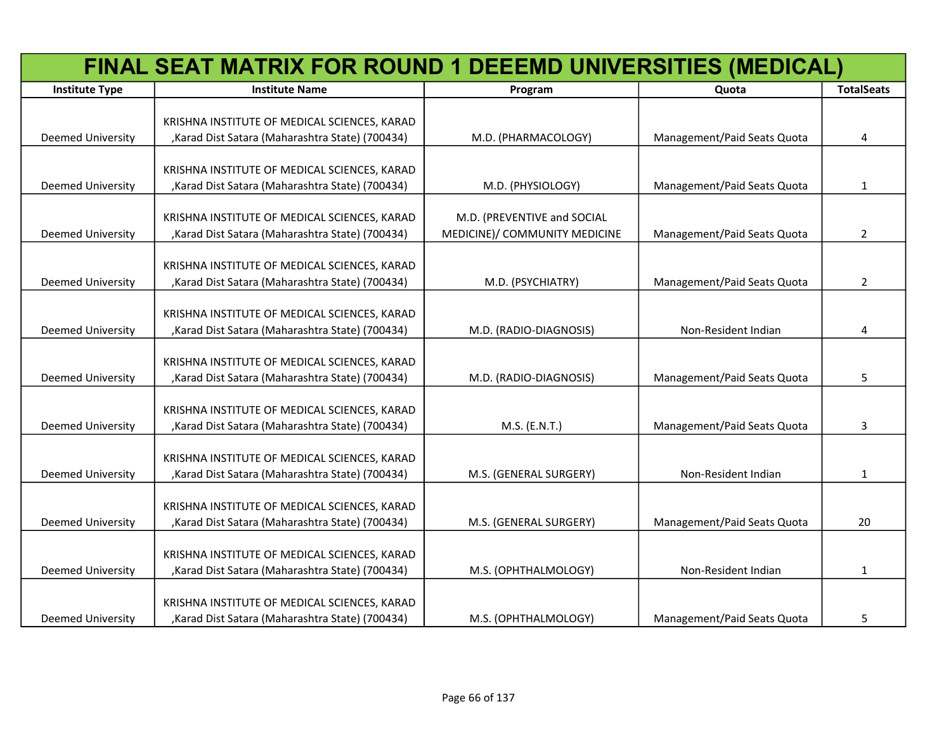|                          | FINAL SEAT MATRIX FOR ROUND 1 DEEEMD UNIVERSITIES (MEDICAL) |                               |                             |                   |
|--------------------------|-------------------------------------------------------------|-------------------------------|-----------------------------|-------------------|
| <b>Institute Type</b>    | <b>Institute Name</b>                                       | Program                       | Quota                       | <b>TotalSeats</b> |
|                          | KRISHNA INSTITUTE OF MEDICAL SCIENCES, KARAD                |                               |                             |                   |
| <b>Deemed University</b> | , Karad Dist Satara (Maharashtra State) (700434)            | M.D. (PHARMACOLOGY)           | Management/Paid Seats Quota | 4                 |
|                          | KRISHNA INSTITUTE OF MEDICAL SCIENCES, KARAD                |                               |                             |                   |
| <b>Deemed University</b> | , Karad Dist Satara (Maharashtra State) (700434)            | M.D. (PHYSIOLOGY)             | Management/Paid Seats Quota | $\mathbf{1}$      |
|                          | KRISHNA INSTITUTE OF MEDICAL SCIENCES, KARAD                | M.D. (PREVENTIVE and SOCIAL   |                             |                   |
| <b>Deemed University</b> | , Karad Dist Satara (Maharashtra State) (700434)            | MEDICINE)/ COMMUNITY MEDICINE | Management/Paid Seats Quota | $\overline{2}$    |
|                          | KRISHNA INSTITUTE OF MEDICAL SCIENCES, KARAD                |                               |                             |                   |
| <b>Deemed University</b> | , Karad Dist Satara (Maharashtra State) (700434)            | M.D. (PSYCHIATRY)             | Management/Paid Seats Quota | 2                 |
|                          | KRISHNA INSTITUTE OF MEDICAL SCIENCES, KARAD                |                               |                             |                   |
| <b>Deemed University</b> | , Karad Dist Satara (Maharashtra State) (700434)            | M.D. (RADIO-DIAGNOSIS)        | Non-Resident Indian         | 4                 |
|                          | KRISHNA INSTITUTE OF MEDICAL SCIENCES, KARAD                |                               |                             |                   |
| <b>Deemed University</b> | , Karad Dist Satara (Maharashtra State) (700434)            | M.D. (RADIO-DIAGNOSIS)        | Management/Paid Seats Quota | 5                 |
|                          | KRISHNA INSTITUTE OF MEDICAL SCIENCES, KARAD                |                               |                             |                   |
| <b>Deemed University</b> | , Karad Dist Satara (Maharashtra State) (700434)            | M.S. (E.N.T.)                 | Management/Paid Seats Quota | 3                 |
|                          | KRISHNA INSTITUTE OF MEDICAL SCIENCES, KARAD                |                               |                             |                   |
| <b>Deemed University</b> | , Karad Dist Satara (Maharashtra State) (700434)            | M.S. (GENERAL SURGERY)        | Non-Resident Indian         | $\mathbf{1}$      |
|                          | KRISHNA INSTITUTE OF MEDICAL SCIENCES, KARAD                |                               |                             |                   |
| <b>Deemed University</b> | , Karad Dist Satara (Maharashtra State) (700434)            | M.S. (GENERAL SURGERY)        | Management/Paid Seats Quota | 20                |
|                          | KRISHNA INSTITUTE OF MEDICAL SCIENCES, KARAD                |                               |                             |                   |
| <b>Deemed University</b> | , Karad Dist Satara (Maharashtra State) (700434)            | M.S. (OPHTHALMOLOGY)          | Non-Resident Indian         | $\mathbf{1}$      |
|                          | KRISHNA INSTITUTE OF MEDICAL SCIENCES, KARAD                |                               |                             |                   |
| Deemed University        | , Karad Dist Satara (Maharashtra State) (700434)            | M.S. (OPHTHALMOLOGY)          | Management/Paid Seats Quota | 5                 |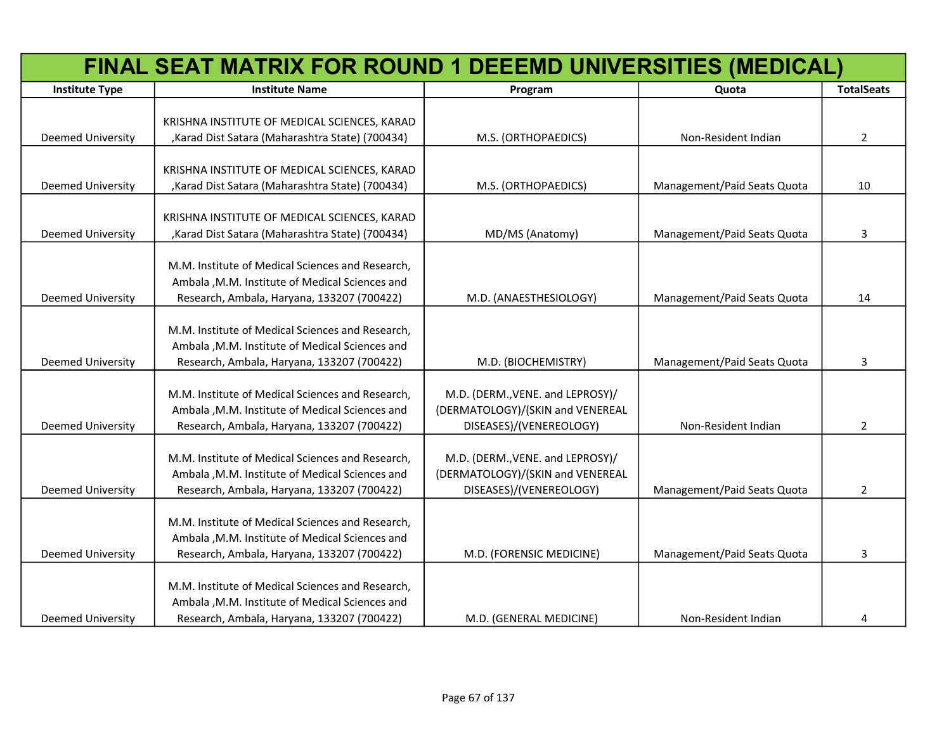|                          | FINAL SEAT MATRIX FOR ROUND 1 DEEEMD UNIVERSITIES (MEDICAL)                                      |                                  |                             |                   |
|--------------------------|--------------------------------------------------------------------------------------------------|----------------------------------|-----------------------------|-------------------|
| <b>Institute Type</b>    | <b>Institute Name</b>                                                                            | Program                          | Quota                       | <b>TotalSeats</b> |
|                          |                                                                                                  |                                  |                             |                   |
|                          | KRISHNA INSTITUTE OF MEDICAL SCIENCES, KARAD                                                     |                                  |                             |                   |
| <b>Deemed University</b> | , Karad Dist Satara (Maharashtra State) (700434)                                                 | M.S. (ORTHOPAEDICS)              | Non-Resident Indian         | $\overline{2}$    |
|                          |                                                                                                  |                                  |                             |                   |
| <b>Deemed University</b> | KRISHNA INSTITUTE OF MEDICAL SCIENCES, KARAD<br>, Karad Dist Satara (Maharashtra State) (700434) |                                  | Management/Paid Seats Quota |                   |
|                          |                                                                                                  | M.S. (ORTHOPAEDICS)              |                             | 10                |
|                          | KRISHNA INSTITUTE OF MEDICAL SCIENCES, KARAD                                                     |                                  |                             |                   |
| Deemed University        | , Karad Dist Satara (Maharashtra State) (700434)                                                 | MD/MS (Anatomy)                  | Management/Paid Seats Quota | 3                 |
|                          |                                                                                                  |                                  |                             |                   |
|                          | M.M. Institute of Medical Sciences and Research,                                                 |                                  |                             |                   |
|                          | Ambala , M.M. Institute of Medical Sciences and                                                  |                                  |                             |                   |
| <b>Deemed University</b> | Research, Ambala, Haryana, 133207 (700422)                                                       | M.D. (ANAESTHESIOLOGY)           | Management/Paid Seats Quota | 14                |
|                          |                                                                                                  |                                  |                             |                   |
|                          | M.M. Institute of Medical Sciences and Research,                                                 |                                  |                             |                   |
|                          | Ambala , M.M. Institute of Medical Sciences and                                                  |                                  |                             |                   |
| <b>Deemed University</b> | Research, Ambala, Haryana, 133207 (700422)                                                       | M.D. (BIOCHEMISTRY)              | Management/Paid Seats Quota | 3                 |
|                          |                                                                                                  |                                  |                             |                   |
|                          | M.M. Institute of Medical Sciences and Research,                                                 | M.D. (DERM., VENE. and LEPROSY)/ |                             |                   |
|                          | Ambala , M.M. Institute of Medical Sciences and                                                  | (DERMATOLOGY)/(SKIN and VENEREAL |                             |                   |
| Deemed University        | Research, Ambala, Haryana, 133207 (700422)                                                       | DISEASES)/(VENEREOLOGY)          | Non-Resident Indian         | $\overline{2}$    |
|                          | M.M. Institute of Medical Sciences and Research,                                                 | M.D. (DERM., VENE. and LEPROSY)/ |                             |                   |
|                          | Ambala , M.M. Institute of Medical Sciences and                                                  | (DERMATOLOGY)/(SKIN and VENEREAL |                             |                   |
| <b>Deemed University</b> | Research, Ambala, Haryana, 133207 (700422)                                                       | DISEASES)/(VENEREOLOGY)          | Management/Paid Seats Quota | $\overline{2}$    |
|                          |                                                                                                  |                                  |                             |                   |
|                          | M.M. Institute of Medical Sciences and Research,                                                 |                                  |                             |                   |
|                          | Ambala , M.M. Institute of Medical Sciences and                                                  |                                  |                             |                   |
| <b>Deemed University</b> | Research, Ambala, Haryana, 133207 (700422)                                                       | M.D. (FORENSIC MEDICINE)         | Management/Paid Seats Quota | 3                 |
|                          |                                                                                                  |                                  |                             |                   |
|                          | M.M. Institute of Medical Sciences and Research,                                                 |                                  |                             |                   |
|                          | Ambala , M.M. Institute of Medical Sciences and                                                  |                                  |                             |                   |
| <b>Deemed University</b> | Research, Ambala, Haryana, 133207 (700422)                                                       | M.D. (GENERAL MEDICINE)          | Non-Resident Indian         | 4                 |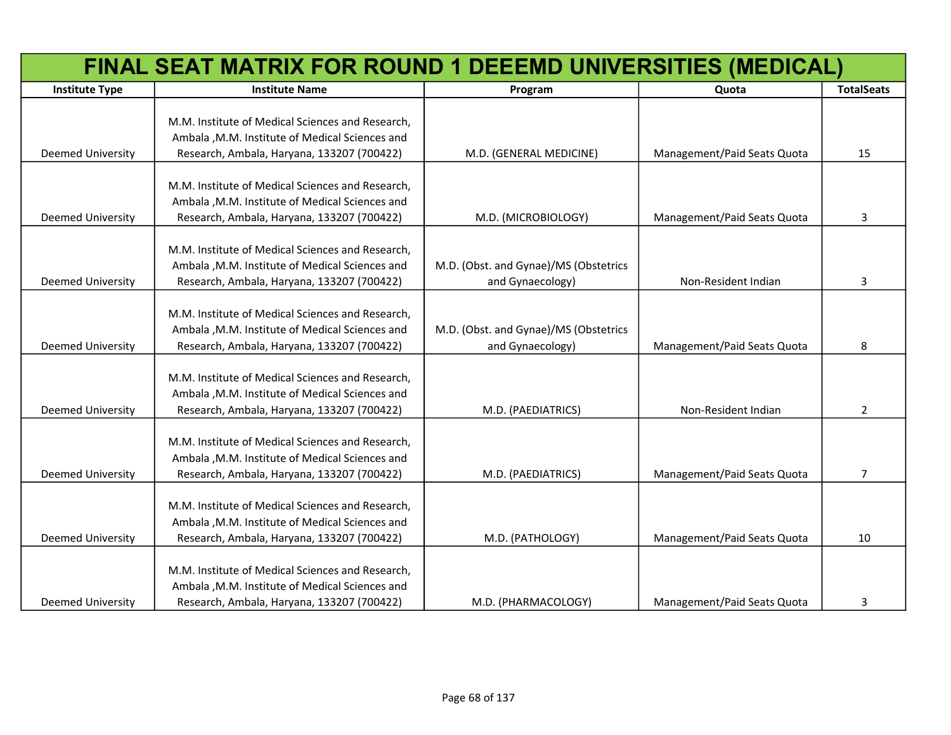| FINAL SEAT MATRIX FOR ROUND 1 DEEEMD UNIVERSITIES (MEDICAL) |                                                                                                                                                   |                                                           |                             |                   |
|-------------------------------------------------------------|---------------------------------------------------------------------------------------------------------------------------------------------------|-----------------------------------------------------------|-----------------------------|-------------------|
| <b>Institute Type</b>                                       | <b>Institute Name</b>                                                                                                                             | Program                                                   | Quota                       | <b>TotalSeats</b> |
| Deemed University                                           | M.M. Institute of Medical Sciences and Research,<br>Ambala , M.M. Institute of Medical Sciences and<br>Research, Ambala, Haryana, 133207 (700422) | M.D. (GENERAL MEDICINE)                                   | Management/Paid Seats Quota | 15                |
|                                                             | M.M. Institute of Medical Sciences and Research,<br>Ambala , M.M. Institute of Medical Sciences and                                               |                                                           |                             |                   |
| <b>Deemed University</b>                                    | Research, Ambala, Haryana, 133207 (700422)                                                                                                        | M.D. (MICROBIOLOGY)                                       | Management/Paid Seats Quota | 3                 |
| Deemed University                                           | M.M. Institute of Medical Sciences and Research,<br>Ambala , M.M. Institute of Medical Sciences and<br>Research, Ambala, Haryana, 133207 (700422) | M.D. (Obst. and Gynae)/MS (Obstetrics<br>and Gynaecology) | Non-Resident Indian         | 3                 |
| <b>Deemed University</b>                                    | M.M. Institute of Medical Sciences and Research,<br>Ambala , M.M. Institute of Medical Sciences and<br>Research, Ambala, Haryana, 133207 (700422) | M.D. (Obst. and Gynae)/MS (Obstetrics<br>and Gynaecology) | Management/Paid Seats Quota | 8                 |
| Deemed University                                           | M.M. Institute of Medical Sciences and Research,<br>Ambala , M.M. Institute of Medical Sciences and<br>Research, Ambala, Haryana, 133207 (700422) | M.D. (PAEDIATRICS)                                        | Non-Resident Indian         | 2                 |
| <b>Deemed University</b>                                    | M.M. Institute of Medical Sciences and Research,<br>Ambala , M.M. Institute of Medical Sciences and<br>Research, Ambala, Haryana, 133207 (700422) | M.D. (PAEDIATRICS)                                        | Management/Paid Seats Quota | $\overline{7}$    |
| <b>Deemed University</b>                                    | M.M. Institute of Medical Sciences and Research,<br>Ambala , M.M. Institute of Medical Sciences and<br>Research, Ambala, Haryana, 133207 (700422) | M.D. (PATHOLOGY)                                          | Management/Paid Seats Quota | 10                |
| <b>Deemed University</b>                                    | M.M. Institute of Medical Sciences and Research,<br>Ambala , M.M. Institute of Medical Sciences and<br>Research, Ambala, Haryana, 133207 (700422) | M.D. (PHARMACOLOGY)                                       | Management/Paid Seats Quota | 3                 |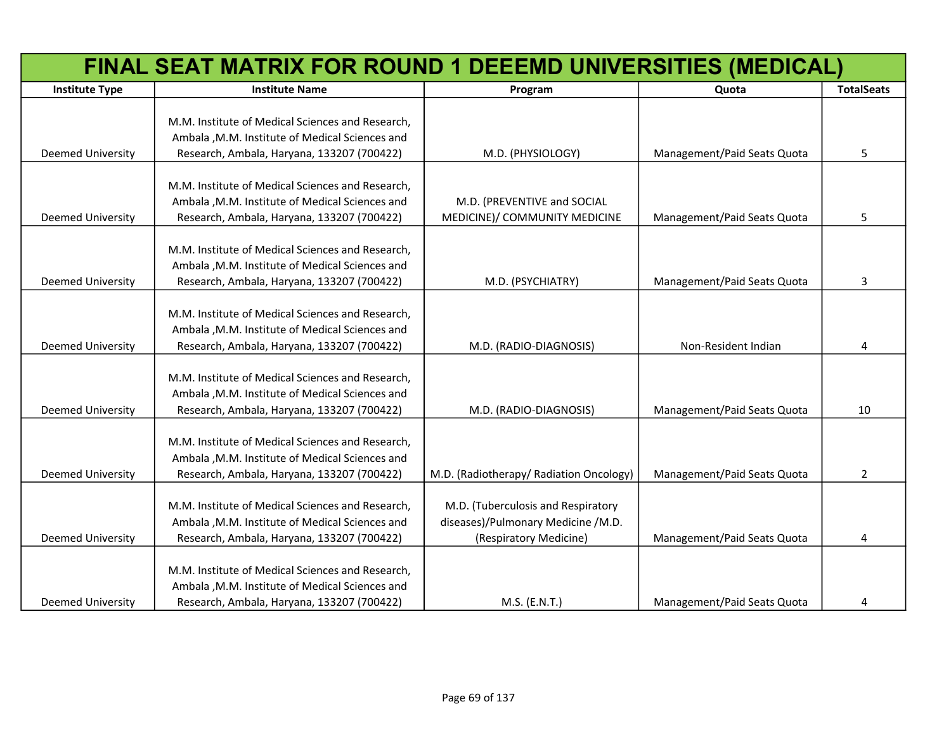|                          | FINAL SEAT MATRIX FOR ROUND 1 DEEEMD UNIVERSITIES (MEDICAL)                                                                                       |                                                                                                    |                             |                   |  |
|--------------------------|---------------------------------------------------------------------------------------------------------------------------------------------------|----------------------------------------------------------------------------------------------------|-----------------------------|-------------------|--|
| <b>Institute Type</b>    | <b>Institute Name</b>                                                                                                                             | Program                                                                                            | Quota                       | <b>TotalSeats</b> |  |
| Deemed University        | M.M. Institute of Medical Sciences and Research,<br>Ambala , M.M. Institute of Medical Sciences and<br>Research, Ambala, Haryana, 133207 (700422) | M.D. (PHYSIOLOGY)                                                                                  | Management/Paid Seats Quota | 5                 |  |
| Deemed University        | M.M. Institute of Medical Sciences and Research,<br>Ambala , M.M. Institute of Medical Sciences and<br>Research, Ambala, Haryana, 133207 (700422) | M.D. (PREVENTIVE and SOCIAL<br>MEDICINE)/ COMMUNITY MEDICINE                                       | Management/Paid Seats Quota | 5                 |  |
| Deemed University        | M.M. Institute of Medical Sciences and Research,<br>Ambala , M.M. Institute of Medical Sciences and<br>Research, Ambala, Haryana, 133207 (700422) | M.D. (PSYCHIATRY)                                                                                  | Management/Paid Seats Quota | 3                 |  |
| <b>Deemed University</b> | M.M. Institute of Medical Sciences and Research,<br>Ambala , M.M. Institute of Medical Sciences and<br>Research, Ambala, Haryana, 133207 (700422) | M.D. (RADIO-DIAGNOSIS)                                                                             | Non-Resident Indian         | 4                 |  |
| Deemed University        | M.M. Institute of Medical Sciences and Research,<br>Ambala , M.M. Institute of Medical Sciences and<br>Research, Ambala, Haryana, 133207 (700422) | M.D. (RADIO-DIAGNOSIS)                                                                             | Management/Paid Seats Quota | 10                |  |
| <b>Deemed University</b> | M.M. Institute of Medical Sciences and Research,<br>Ambala , M.M. Institute of Medical Sciences and<br>Research, Ambala, Haryana, 133207 (700422) | M.D. (Radiotherapy/ Radiation Oncology)                                                            | Management/Paid Seats Quota | $\overline{2}$    |  |
| <b>Deemed University</b> | M.M. Institute of Medical Sciences and Research,<br>Ambala , M.M. Institute of Medical Sciences and<br>Research, Ambala, Haryana, 133207 (700422) | M.D. (Tuberculosis and Respiratory<br>diseases)/Pulmonary Medicine /M.D.<br>(Respiratory Medicine) | Management/Paid Seats Quota | 4                 |  |
| <b>Deemed University</b> | M.M. Institute of Medical Sciences and Research,<br>Ambala , M.M. Institute of Medical Sciences and<br>Research, Ambala, Haryana, 133207 (700422) | M.S. (E.N.T.)                                                                                      | Management/Paid Seats Quota | 4                 |  |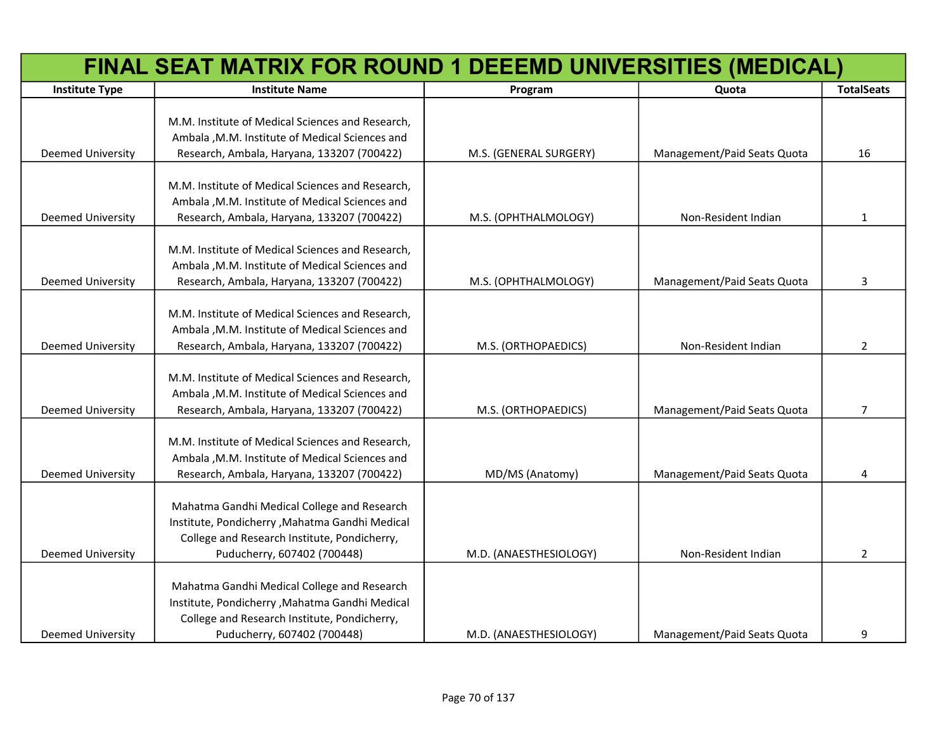|                          | FINAL SEAT MATRIX FOR ROUND 1 DEEEMD UNIVERSITIES (MEDICAL)                                                                                                                   |                        |                             |                   |
|--------------------------|-------------------------------------------------------------------------------------------------------------------------------------------------------------------------------|------------------------|-----------------------------|-------------------|
| <b>Institute Type</b>    | <b>Institute Name</b>                                                                                                                                                         | Program                | Quota                       | <b>TotalSeats</b> |
|                          | M.M. Institute of Medical Sciences and Research,<br>Ambala , M.M. Institute of Medical Sciences and                                                                           |                        |                             |                   |
| Deemed University        | Research, Ambala, Haryana, 133207 (700422)                                                                                                                                    | M.S. (GENERAL SURGERY) | Management/Paid Seats Quota | 16                |
| Deemed University        | M.M. Institute of Medical Sciences and Research,<br>Ambala , M.M. Institute of Medical Sciences and<br>Research, Ambala, Haryana, 133207 (700422)                             | M.S. (OPHTHALMOLOGY)   | Non-Resident Indian         | 1                 |
|                          |                                                                                                                                                                               |                        |                             |                   |
| Deemed University        | M.M. Institute of Medical Sciences and Research,<br>Ambala , M.M. Institute of Medical Sciences and<br>Research, Ambala, Haryana, 133207 (700422)                             | M.S. (OPHTHALMOLOGY)   | Management/Paid Seats Quota | 3                 |
| Deemed University        | M.M. Institute of Medical Sciences and Research,<br>Ambala , M.M. Institute of Medical Sciences and<br>Research, Ambala, Haryana, 133207 (700422)                             | M.S. (ORTHOPAEDICS)    | Non-Resident Indian         | $\overline{2}$    |
| <b>Deemed University</b> | M.M. Institute of Medical Sciences and Research,<br>Ambala , M.M. Institute of Medical Sciences and<br>Research, Ambala, Haryana, 133207 (700422)                             | M.S. (ORTHOPAEDICS)    | Management/Paid Seats Quota | $\overline{7}$    |
| <b>Deemed University</b> | M.M. Institute of Medical Sciences and Research,<br>Ambala , M.M. Institute of Medical Sciences and<br>Research, Ambala, Haryana, 133207 (700422)                             | MD/MS (Anatomy)        | Management/Paid Seats Quota | 4                 |
| <b>Deemed University</b> | Mahatma Gandhi Medical College and Research<br>Institute, Pondicherry , Mahatma Gandhi Medical<br>College and Research Institute, Pondicherry,<br>Puducherry, 607402 (700448) | M.D. (ANAESTHESIOLOGY) | Non-Resident Indian         | $\overline{2}$    |
| Deemed University        | Mahatma Gandhi Medical College and Research<br>Institute, Pondicherry , Mahatma Gandhi Medical<br>College and Research Institute, Pondicherry,<br>Puducherry, 607402 (700448) | M.D. (ANAESTHESIOLOGY) | Management/Paid Seats Quota | 9                 |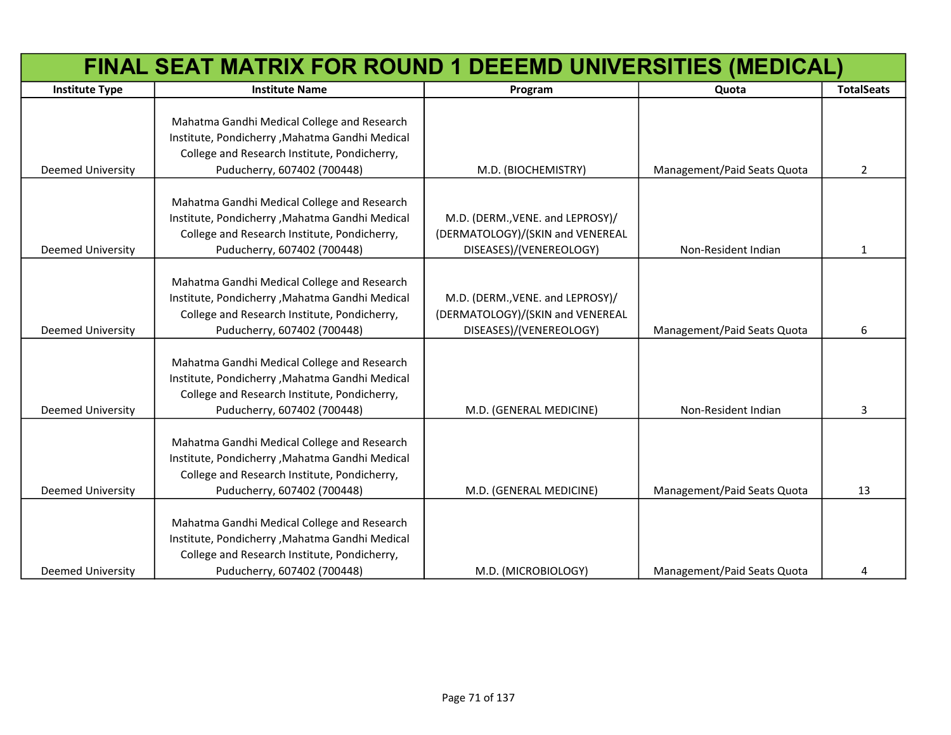|                          | FINAL SEAT MATRIX FOR ROUND 1 DEEEMD UNIVERSITIES (MEDICAL)                                                                                                                  |                                                                                                 |                             |                   |
|--------------------------|------------------------------------------------------------------------------------------------------------------------------------------------------------------------------|-------------------------------------------------------------------------------------------------|-----------------------------|-------------------|
| <b>Institute Type</b>    | <b>Institute Name</b>                                                                                                                                                        | Program                                                                                         | Quota                       | <b>TotalSeats</b> |
| Deemed University        | Mahatma Gandhi Medical College and Research<br>Institute, Pondicherry, Mahatma Gandhi Medical<br>College and Research Institute, Pondicherry,<br>Puducherry, 607402 (700448) | M.D. (BIOCHEMISTRY)                                                                             | Management/Paid Seats Quota | $\overline{2}$    |
|                          |                                                                                                                                                                              |                                                                                                 |                             |                   |
| <b>Deemed University</b> | Mahatma Gandhi Medical College and Research<br>Institute, Pondicherry, Mahatma Gandhi Medical<br>College and Research Institute, Pondicherry,<br>Puducherry, 607402 (700448) | M.D. (DERM., VENE. and LEPROSY)/<br>(DERMATOLOGY)/(SKIN and VENEREAL<br>DISEASES)/(VENEREOLOGY) | Non-Resident Indian         | $\mathbf{1}$      |
| <b>Deemed University</b> | Mahatma Gandhi Medical College and Research<br>Institute, Pondicherry, Mahatma Gandhi Medical<br>College and Research Institute, Pondicherry,<br>Puducherry, 607402 (700448) | M.D. (DERM., VENE. and LEPROSY)/<br>(DERMATOLOGY)/(SKIN and VENEREAL<br>DISEASES)/(VENEREOLOGY) | Management/Paid Seats Quota | 6                 |
| <b>Deemed University</b> | Mahatma Gandhi Medical College and Research<br>Institute, Pondicherry, Mahatma Gandhi Medical<br>College and Research Institute, Pondicherry,<br>Puducherry, 607402 (700448) | M.D. (GENERAL MEDICINE)                                                                         | Non-Resident Indian         | 3                 |
| <b>Deemed University</b> | Mahatma Gandhi Medical College and Research<br>Institute, Pondicherry, Mahatma Gandhi Medical<br>College and Research Institute, Pondicherry,<br>Puducherry, 607402 (700448) | M.D. (GENERAL MEDICINE)                                                                         | Management/Paid Seats Quota | 13                |
| <b>Deemed University</b> | Mahatma Gandhi Medical College and Research<br>Institute, Pondicherry, Mahatma Gandhi Medical<br>College and Research Institute, Pondicherry,<br>Puducherry, 607402 (700448) | M.D. (MICROBIOLOGY)                                                                             | Management/Paid Seats Quota | 4                 |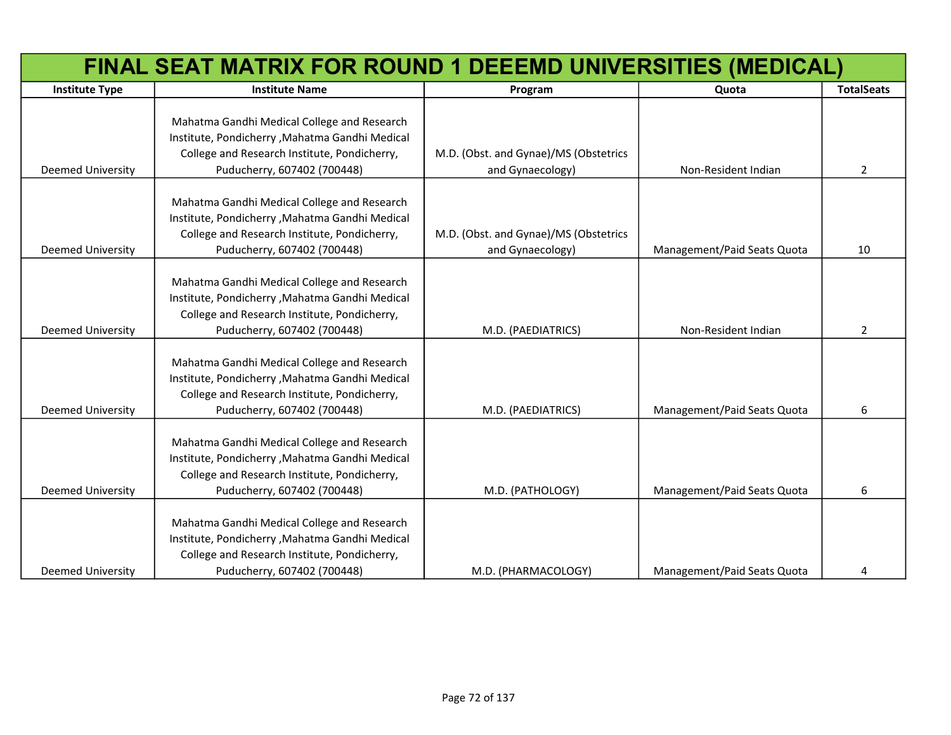|                          | FINAL SEAT MATRIX FOR ROUND 1 DEEEMD UNIVERSITIES (MEDICAL)                                                                                                                  |                                                           |                             |                   |  |
|--------------------------|------------------------------------------------------------------------------------------------------------------------------------------------------------------------------|-----------------------------------------------------------|-----------------------------|-------------------|--|
| <b>Institute Type</b>    | <b>Institute Name</b>                                                                                                                                                        | Program                                                   | Quota                       | <b>TotalSeats</b> |  |
| <b>Deemed University</b> | Mahatma Gandhi Medical College and Research<br>Institute, Pondicherry, Mahatma Gandhi Medical<br>College and Research Institute, Pondicherry,<br>Puducherry, 607402 (700448) | M.D. (Obst. and Gynae)/MS (Obstetrics<br>and Gynaecology) | Non-Resident Indian         | $\overline{2}$    |  |
| <b>Deemed University</b> | Mahatma Gandhi Medical College and Research<br>Institute, Pondicherry, Mahatma Gandhi Medical<br>College and Research Institute, Pondicherry,<br>Puducherry, 607402 (700448) | M.D. (Obst. and Gynae)/MS (Obstetrics<br>and Gynaecology) | Management/Paid Seats Quota | 10                |  |
| <b>Deemed University</b> | Mahatma Gandhi Medical College and Research<br>Institute, Pondicherry, Mahatma Gandhi Medical<br>College and Research Institute, Pondicherry,<br>Puducherry, 607402 (700448) | M.D. (PAEDIATRICS)                                        | Non-Resident Indian         | 2                 |  |
| <b>Deemed University</b> | Mahatma Gandhi Medical College and Research<br>Institute, Pondicherry, Mahatma Gandhi Medical<br>College and Research Institute, Pondicherry,<br>Puducherry, 607402 (700448) | M.D. (PAEDIATRICS)                                        | Management/Paid Seats Quota | 6                 |  |
| <b>Deemed University</b> | Mahatma Gandhi Medical College and Research<br>Institute, Pondicherry, Mahatma Gandhi Medical<br>College and Research Institute, Pondicherry,<br>Puducherry, 607402 (700448) | M.D. (PATHOLOGY)                                          | Management/Paid Seats Quota | 6                 |  |
| <b>Deemed University</b> | Mahatma Gandhi Medical College and Research<br>Institute, Pondicherry, Mahatma Gandhi Medical<br>College and Research Institute, Pondicherry,<br>Puducherry, 607402 (700448) | M.D. (PHARMACOLOGY)                                       | Management/Paid Seats Quota | 4                 |  |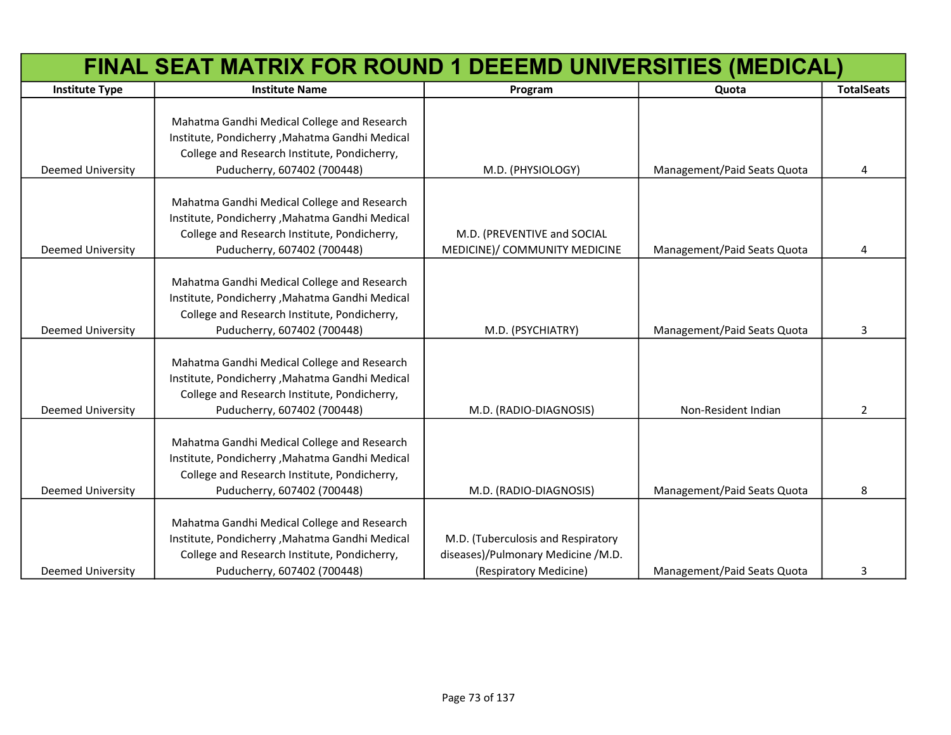|                          | FINAL SEAT MATRIX FOR ROUND 1 DEEEMD UNIVERSITIES (MEDICAL)                                                                                                                  |                                                                                                    |                             |                   |  |
|--------------------------|------------------------------------------------------------------------------------------------------------------------------------------------------------------------------|----------------------------------------------------------------------------------------------------|-----------------------------|-------------------|--|
| <b>Institute Type</b>    | <b>Institute Name</b>                                                                                                                                                        | Program                                                                                            | Quota                       | <b>TotalSeats</b> |  |
| <b>Deemed University</b> | Mahatma Gandhi Medical College and Research<br>Institute, Pondicherry, Mahatma Gandhi Medical<br>College and Research Institute, Pondicherry,<br>Puducherry, 607402 (700448) | M.D. (PHYSIOLOGY)                                                                                  | Management/Paid Seats Quota | 4                 |  |
| <b>Deemed University</b> | Mahatma Gandhi Medical College and Research<br>Institute, Pondicherry, Mahatma Gandhi Medical<br>College and Research Institute, Pondicherry,<br>Puducherry, 607402 (700448) | M.D. (PREVENTIVE and SOCIAL<br>MEDICINE)/ COMMUNITY MEDICINE                                       | Management/Paid Seats Quota | 4                 |  |
| <b>Deemed University</b> | Mahatma Gandhi Medical College and Research<br>Institute, Pondicherry, Mahatma Gandhi Medical<br>College and Research Institute, Pondicherry,<br>Puducherry, 607402 (700448) | M.D. (PSYCHIATRY)                                                                                  | Management/Paid Seats Quota | 3                 |  |
| <b>Deemed University</b> | Mahatma Gandhi Medical College and Research<br>Institute, Pondicherry, Mahatma Gandhi Medical<br>College and Research Institute, Pondicherry,<br>Puducherry, 607402 (700448) | M.D. (RADIO-DIAGNOSIS)                                                                             | Non-Resident Indian         | $\overline{2}$    |  |
| <b>Deemed University</b> | Mahatma Gandhi Medical College and Research<br>Institute, Pondicherry, Mahatma Gandhi Medical<br>College and Research Institute, Pondicherry,<br>Puducherry, 607402 (700448) | M.D. (RADIO-DIAGNOSIS)                                                                             | Management/Paid Seats Quota | 8                 |  |
| <b>Deemed University</b> | Mahatma Gandhi Medical College and Research<br>Institute, Pondicherry, Mahatma Gandhi Medical<br>College and Research Institute, Pondicherry,<br>Puducherry, 607402 (700448) | M.D. (Tuberculosis and Respiratory<br>diseases)/Pulmonary Medicine /M.D.<br>(Respiratory Medicine) | Management/Paid Seats Quota | 3                 |  |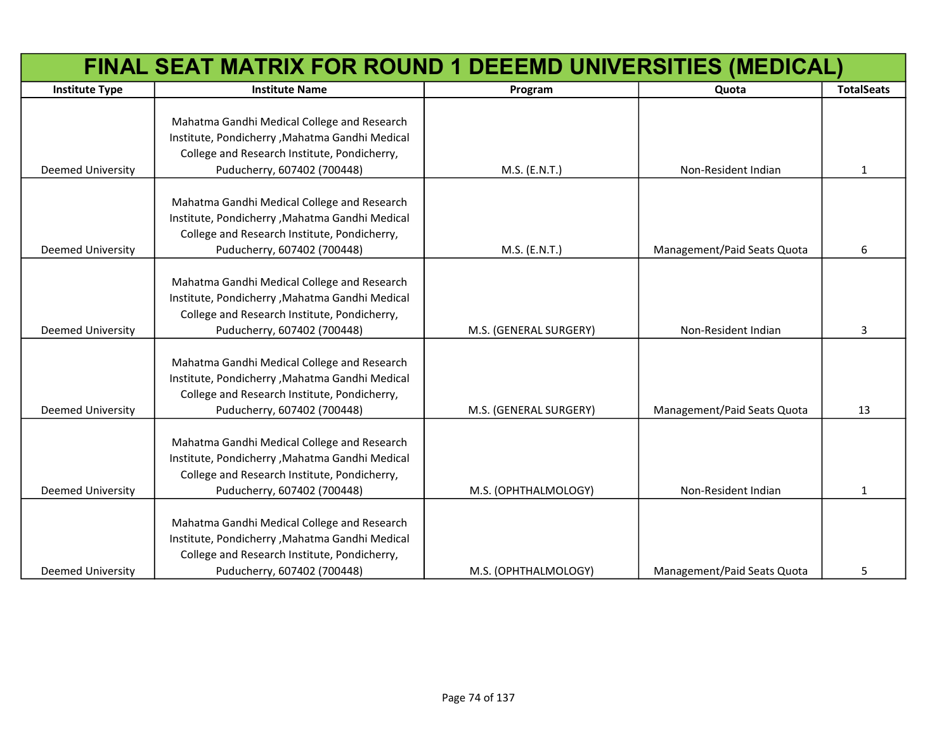|                          | FINAL SEAT MATRIX FOR ROUND 1 DEEEMD UNIVERSITIES (MEDICAL)                                                                                                                  |                        |                             |                   |  |
|--------------------------|------------------------------------------------------------------------------------------------------------------------------------------------------------------------------|------------------------|-----------------------------|-------------------|--|
| <b>Institute Type</b>    | <b>Institute Name</b>                                                                                                                                                        | Program                | Quota                       | <b>TotalSeats</b> |  |
| <b>Deemed University</b> | Mahatma Gandhi Medical College and Research<br>Institute, Pondicherry, Mahatma Gandhi Medical<br>College and Research Institute, Pondicherry,<br>Puducherry, 607402 (700448) | M.S. (E.N.T.)          | Non-Resident Indian         | $\mathbf{1}$      |  |
| <b>Deemed University</b> | Mahatma Gandhi Medical College and Research<br>Institute, Pondicherry, Mahatma Gandhi Medical<br>College and Research Institute, Pondicherry,<br>Puducherry, 607402 (700448) | M.S. (E.N.T.)          | Management/Paid Seats Quota | 6                 |  |
| <b>Deemed University</b> | Mahatma Gandhi Medical College and Research<br>Institute, Pondicherry, Mahatma Gandhi Medical<br>College and Research Institute, Pondicherry,<br>Puducherry, 607402 (700448) | M.S. (GENERAL SURGERY) | Non-Resident Indian         | 3                 |  |
| <b>Deemed University</b> | Mahatma Gandhi Medical College and Research<br>Institute, Pondicherry, Mahatma Gandhi Medical<br>College and Research Institute, Pondicherry,<br>Puducherry, 607402 (700448) | M.S. (GENERAL SURGERY) | Management/Paid Seats Quota | 13                |  |
| <b>Deemed University</b> | Mahatma Gandhi Medical College and Research<br>Institute, Pondicherry, Mahatma Gandhi Medical<br>College and Research Institute, Pondicherry,<br>Puducherry, 607402 (700448) | M.S. (OPHTHALMOLOGY)   | Non-Resident Indian         | 1                 |  |
| <b>Deemed University</b> | Mahatma Gandhi Medical College and Research<br>Institute, Pondicherry, Mahatma Gandhi Medical<br>College and Research Institute, Pondicherry,<br>Puducherry, 607402 (700448) | M.S. (OPHTHALMOLOGY)   | Management/Paid Seats Quota | 5                 |  |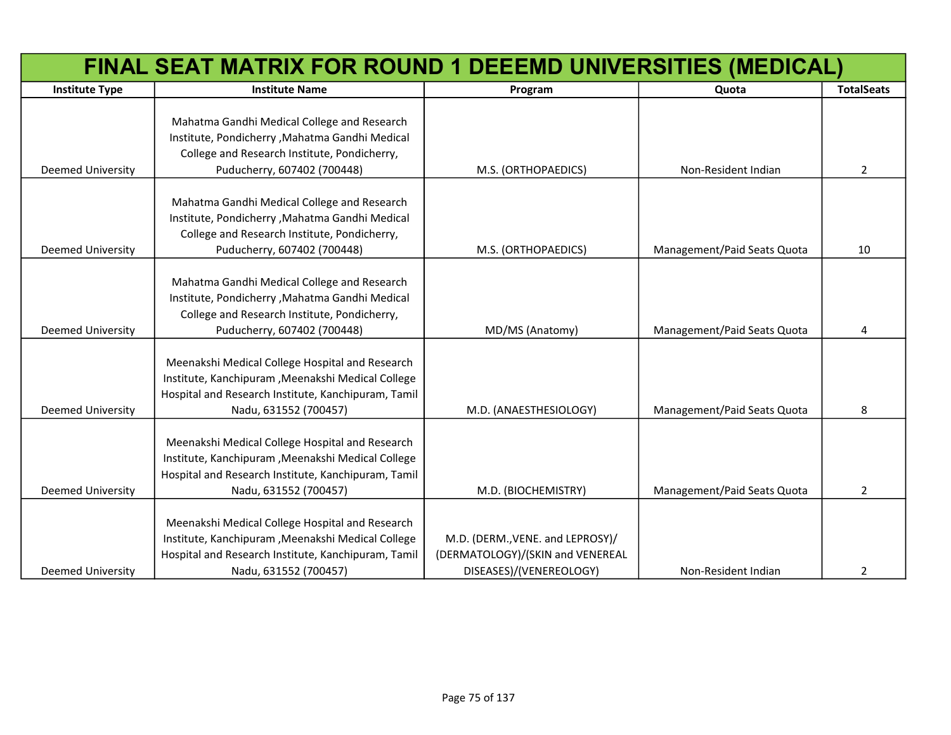|                          | FINAL SEAT MATRIX FOR ROUND 1 DEEEMD UNIVERSITIES (MEDICAL)                                                                                                                           |                                                                                                 |                             |                   |  |
|--------------------------|---------------------------------------------------------------------------------------------------------------------------------------------------------------------------------------|-------------------------------------------------------------------------------------------------|-----------------------------|-------------------|--|
| <b>Institute Type</b>    | <b>Institute Name</b>                                                                                                                                                                 | Program                                                                                         | Quota                       | <b>TotalSeats</b> |  |
|                          | Mahatma Gandhi Medical College and Research<br>Institute, Pondicherry, Mahatma Gandhi Medical<br>College and Research Institute, Pondicherry,                                         |                                                                                                 |                             |                   |  |
| Deemed University        | Puducherry, 607402 (700448)                                                                                                                                                           | M.S. (ORTHOPAEDICS)                                                                             | Non-Resident Indian         | $\overline{2}$    |  |
| <b>Deemed University</b> | Mahatma Gandhi Medical College and Research<br>Institute, Pondicherry, Mahatma Gandhi Medical<br>College and Research Institute, Pondicherry,<br>Puducherry, 607402 (700448)          | M.S. (ORTHOPAEDICS)                                                                             | Management/Paid Seats Quota | 10                |  |
|                          |                                                                                                                                                                                       |                                                                                                 |                             |                   |  |
| <b>Deemed University</b> | Mahatma Gandhi Medical College and Research<br>Institute, Pondicherry, Mahatma Gandhi Medical<br>College and Research Institute, Pondicherry,<br>Puducherry, 607402 (700448)          | MD/MS (Anatomy)                                                                                 | Management/Paid Seats Quota | 4                 |  |
|                          |                                                                                                                                                                                       |                                                                                                 |                             |                   |  |
| <b>Deemed University</b> | Meenakshi Medical College Hospital and Research<br>Institute, Kanchipuram , Meenakshi Medical College<br>Hospital and Research Institute, Kanchipuram, Tamil<br>Nadu, 631552 (700457) | M.D. (ANAESTHESIOLOGY)                                                                          | Management/Paid Seats Quota | 8                 |  |
| <b>Deemed University</b> | Meenakshi Medical College Hospital and Research<br>Institute, Kanchipuram , Meenakshi Medical College<br>Hospital and Research Institute, Kanchipuram, Tamil<br>Nadu, 631552 (700457) | M.D. (BIOCHEMISTRY)                                                                             | Management/Paid Seats Quota | $\overline{2}$    |  |
| <b>Deemed University</b> | Meenakshi Medical College Hospital and Research<br>Institute, Kanchipuram , Meenakshi Medical College<br>Hospital and Research Institute, Kanchipuram, Tamil<br>Nadu, 631552 (700457) | M.D. (DERM., VENE. and LEPROSY)/<br>(DERMATOLOGY)/(SKIN and VENEREAL<br>DISEASES)/(VENEREOLOGY) | Non-Resident Indian         | 2                 |  |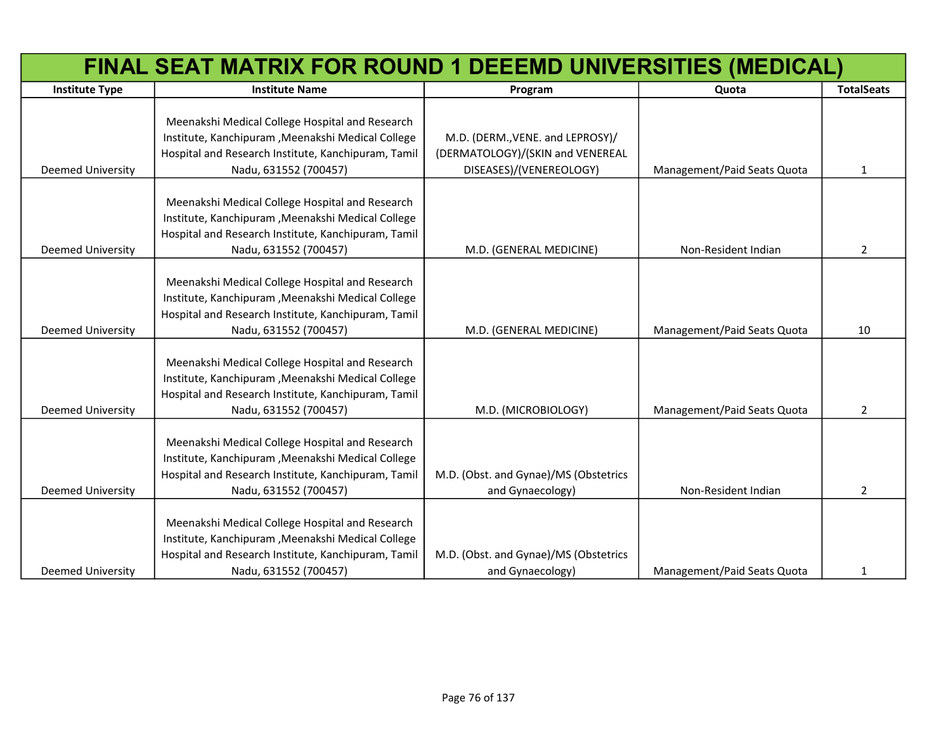|                          | FINAL SEAT MATRIX FOR ROUND 1 DEEEMD UNIVERSITIES (MEDICAL)                                                                                                                           |                                                                                                 |                             |                   |  |
|--------------------------|---------------------------------------------------------------------------------------------------------------------------------------------------------------------------------------|-------------------------------------------------------------------------------------------------|-----------------------------|-------------------|--|
| <b>Institute Type</b>    | <b>Institute Name</b>                                                                                                                                                                 | Program                                                                                         | Quota                       | <b>TotalSeats</b> |  |
| <b>Deemed University</b> | Meenakshi Medical College Hospital and Research<br>Institute, Kanchipuram , Meenakshi Medical College<br>Hospital and Research Institute, Kanchipuram, Tamil<br>Nadu, 631552 (700457) | M.D. (DERM., VENE. and LEPROSY)/<br>(DERMATOLOGY)/(SKIN and VENEREAL<br>DISEASES)/(VENEREOLOGY) | Management/Paid Seats Quota | $\mathbf{1}$      |  |
| <b>Deemed University</b> | Meenakshi Medical College Hospital and Research<br>Institute, Kanchipuram , Meenakshi Medical College<br>Hospital and Research Institute, Kanchipuram, Tamil<br>Nadu, 631552 (700457) | M.D. (GENERAL MEDICINE)                                                                         | Non-Resident Indian         | $\overline{2}$    |  |
| Deemed University        | Meenakshi Medical College Hospital and Research<br>Institute, Kanchipuram , Meenakshi Medical College<br>Hospital and Research Institute, Kanchipuram, Tamil<br>Nadu, 631552 (700457) | M.D. (GENERAL MEDICINE)                                                                         | Management/Paid Seats Quota | 10                |  |
| <b>Deemed University</b> | Meenakshi Medical College Hospital and Research<br>Institute, Kanchipuram , Meenakshi Medical College<br>Hospital and Research Institute, Kanchipuram, Tamil<br>Nadu, 631552 (700457) | M.D. (MICROBIOLOGY)                                                                             | Management/Paid Seats Quota | $\overline{2}$    |  |
| Deemed University        | Meenakshi Medical College Hospital and Research<br>Institute, Kanchipuram , Meenakshi Medical College<br>Hospital and Research Institute, Kanchipuram, Tamil<br>Nadu, 631552 (700457) | M.D. (Obst. and Gynae)/MS (Obstetrics<br>and Gynaecology)                                       | Non-Resident Indian         | $\overline{2}$    |  |
| <b>Deemed University</b> | Meenakshi Medical College Hospital and Research<br>Institute, Kanchipuram , Meenakshi Medical College<br>Hospital and Research Institute, Kanchipuram, Tamil<br>Nadu, 631552 (700457) | M.D. (Obst. and Gynae)/MS (Obstetrics<br>and Gynaecology)                                       | Management/Paid Seats Quota | $\mathbf{1}$      |  |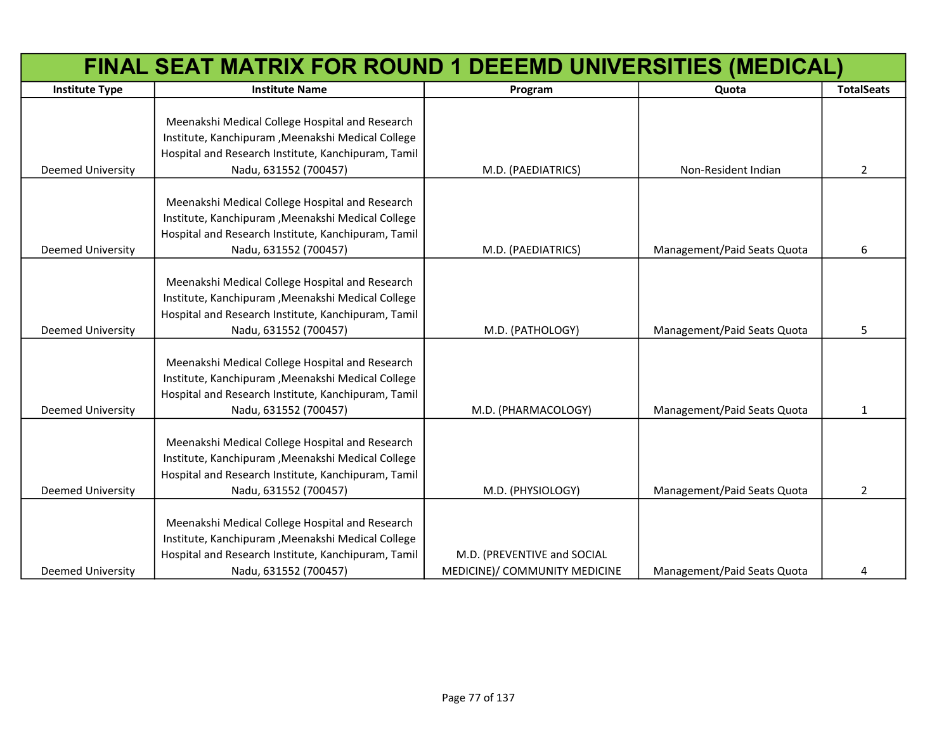|                          | FINAL SEAT MATRIX FOR ROUND 1 DEEEMD UNIVERSITIES (MEDICAL)                                                                                                                           |                                                              |                             |                   |
|--------------------------|---------------------------------------------------------------------------------------------------------------------------------------------------------------------------------------|--------------------------------------------------------------|-----------------------------|-------------------|
| <b>Institute Type</b>    | <b>Institute Name</b>                                                                                                                                                                 | Program                                                      | Quota                       | <b>TotalSeats</b> |
| <b>Deemed University</b> | Meenakshi Medical College Hospital and Research<br>Institute, Kanchipuram , Meenakshi Medical College<br>Hospital and Research Institute, Kanchipuram, Tamil<br>Nadu, 631552 (700457) | M.D. (PAEDIATRICS)                                           | Non-Resident Indian         | $\overline{2}$    |
| <b>Deemed University</b> | Meenakshi Medical College Hospital and Research<br>Institute, Kanchipuram , Meenakshi Medical College<br>Hospital and Research Institute, Kanchipuram, Tamil<br>Nadu, 631552 (700457) | M.D. (PAEDIATRICS)                                           | Management/Paid Seats Quota | 6                 |
| <b>Deemed University</b> | Meenakshi Medical College Hospital and Research<br>Institute, Kanchipuram , Meenakshi Medical College<br>Hospital and Research Institute, Kanchipuram, Tamil<br>Nadu, 631552 (700457) | M.D. (PATHOLOGY)                                             | Management/Paid Seats Quota | 5                 |
| <b>Deemed University</b> | Meenakshi Medical College Hospital and Research<br>Institute, Kanchipuram , Meenakshi Medical College<br>Hospital and Research Institute, Kanchipuram, Tamil<br>Nadu, 631552 (700457) | M.D. (PHARMACOLOGY)                                          | Management/Paid Seats Quota | $\mathbf{1}$      |
| <b>Deemed University</b> | Meenakshi Medical College Hospital and Research<br>Institute, Kanchipuram , Meenakshi Medical College<br>Hospital and Research Institute, Kanchipuram, Tamil<br>Nadu, 631552 (700457) | M.D. (PHYSIOLOGY)                                            | Management/Paid Seats Quota | $\overline{2}$    |
| <b>Deemed University</b> | Meenakshi Medical College Hospital and Research<br>Institute, Kanchipuram , Meenakshi Medical College<br>Hospital and Research Institute, Kanchipuram, Tamil<br>Nadu, 631552 (700457) | M.D. (PREVENTIVE and SOCIAL<br>MEDICINE)/ COMMUNITY MEDICINE | Management/Paid Seats Quota | 4                 |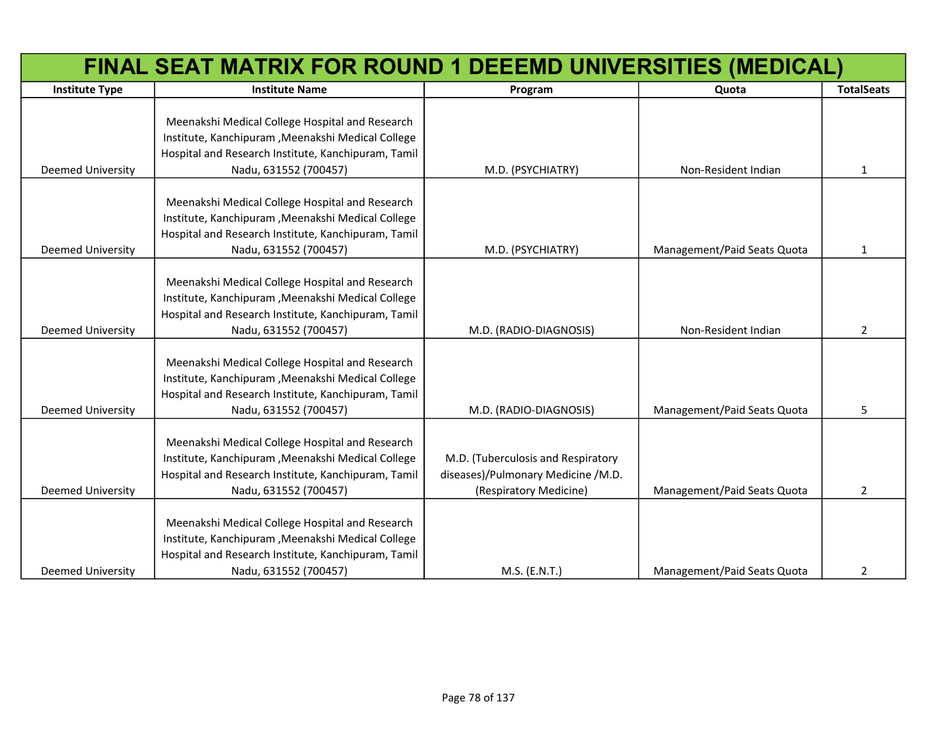|                          | FINAL SEAT MATRIX FOR ROUND 1 DEEEMD UNIVERSITIES (MEDICAL)                                                                                                                           |                                                                                                    |                             |                   |  |
|--------------------------|---------------------------------------------------------------------------------------------------------------------------------------------------------------------------------------|----------------------------------------------------------------------------------------------------|-----------------------------|-------------------|--|
| <b>Institute Type</b>    | <b>Institute Name</b>                                                                                                                                                                 | Program                                                                                            | Quota                       | <b>TotalSeats</b> |  |
| Deemed University        | Meenakshi Medical College Hospital and Research<br>Institute, Kanchipuram , Meenakshi Medical College<br>Hospital and Research Institute, Kanchipuram, Tamil<br>Nadu, 631552 (700457) | M.D. (PSYCHIATRY)                                                                                  | Non-Resident Indian         | $\mathbf{1}$      |  |
| Deemed University        | Meenakshi Medical College Hospital and Research<br>Institute, Kanchipuram , Meenakshi Medical College<br>Hospital and Research Institute, Kanchipuram, Tamil<br>Nadu, 631552 (700457) | M.D. (PSYCHIATRY)                                                                                  | Management/Paid Seats Quota | $\mathbf{1}$      |  |
| Deemed University        | Meenakshi Medical College Hospital and Research<br>Institute, Kanchipuram , Meenakshi Medical College<br>Hospital and Research Institute, Kanchipuram, Tamil<br>Nadu, 631552 (700457) | M.D. (RADIO-DIAGNOSIS)                                                                             | Non-Resident Indian         | $\overline{2}$    |  |
| <b>Deemed University</b> | Meenakshi Medical College Hospital and Research<br>Institute, Kanchipuram , Meenakshi Medical College<br>Hospital and Research Institute, Kanchipuram, Tamil<br>Nadu, 631552 (700457) | M.D. (RADIO-DIAGNOSIS)                                                                             | Management/Paid Seats Quota | 5.                |  |
| Deemed University        | Meenakshi Medical College Hospital and Research<br>Institute, Kanchipuram , Meenakshi Medical College<br>Hospital and Research Institute, Kanchipuram, Tamil<br>Nadu, 631552 (700457) | M.D. (Tuberculosis and Respiratory<br>diseases)/Pulmonary Medicine /M.D.<br>(Respiratory Medicine) | Management/Paid Seats Quota | $\overline{2}$    |  |
| <b>Deemed University</b> | Meenakshi Medical College Hospital and Research<br>Institute, Kanchipuram , Meenakshi Medical College<br>Hospital and Research Institute, Kanchipuram, Tamil<br>Nadu, 631552 (700457) | M.S. (E.N.T.)                                                                                      | Management/Paid Seats Quota | $\overline{2}$    |  |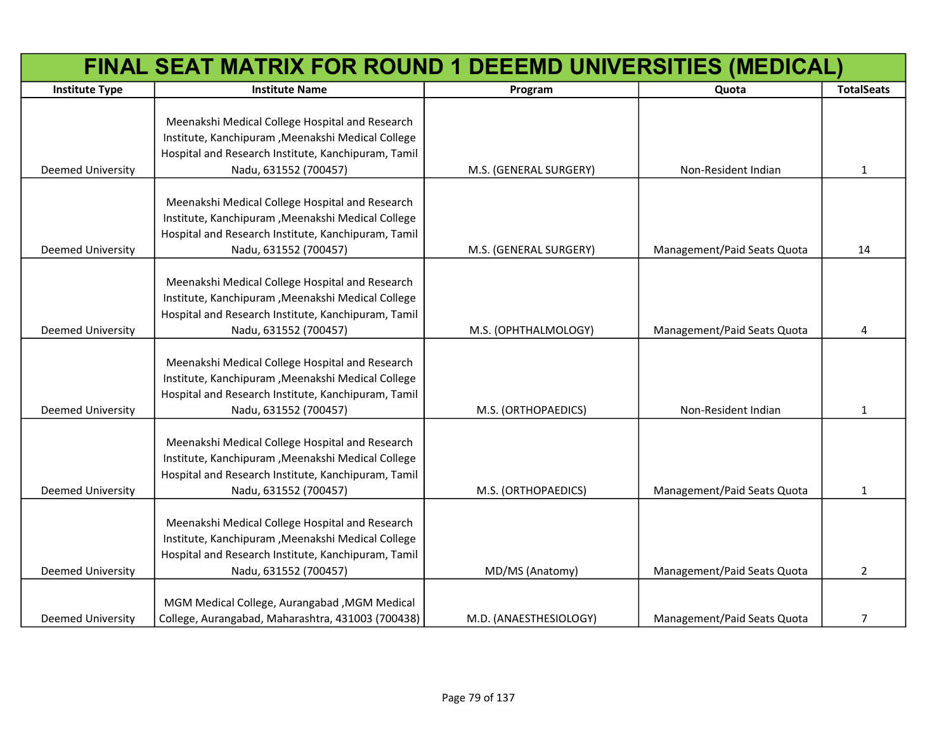|                          | FINAL SEAT MATRIX FOR ROUND 1 DEEEMD UNIVERSITIES (MEDICAL)                                                                                                                           |                        |                             |                   |
|--------------------------|---------------------------------------------------------------------------------------------------------------------------------------------------------------------------------------|------------------------|-----------------------------|-------------------|
| <b>Institute Type</b>    | <b>Institute Name</b>                                                                                                                                                                 | Program                | Quota                       | <b>TotalSeats</b> |
| <b>Deemed University</b> | Meenakshi Medical College Hospital and Research<br>Institute, Kanchipuram , Meenakshi Medical College<br>Hospital and Research Institute, Kanchipuram, Tamil<br>Nadu, 631552 (700457) | M.S. (GENERAL SURGERY) | Non-Resident Indian         | 1                 |
| <b>Deemed University</b> | Meenakshi Medical College Hospital and Research<br>Institute, Kanchipuram , Meenakshi Medical College<br>Hospital and Research Institute, Kanchipuram, Tamil<br>Nadu, 631552 (700457) | M.S. (GENERAL SURGERY) | Management/Paid Seats Quota | 14                |
| <b>Deemed University</b> | Meenakshi Medical College Hospital and Research<br>Institute, Kanchipuram , Meenakshi Medical College<br>Hospital and Research Institute, Kanchipuram, Tamil<br>Nadu, 631552 (700457) | M.S. (OPHTHALMOLOGY)   | Management/Paid Seats Quota | 4                 |
| <b>Deemed University</b> | Meenakshi Medical College Hospital and Research<br>Institute, Kanchipuram , Meenakshi Medical College<br>Hospital and Research Institute, Kanchipuram, Tamil<br>Nadu, 631552 (700457) | M.S. (ORTHOPAEDICS)    | Non-Resident Indian         | $\mathbf{1}$      |
| <b>Deemed University</b> | Meenakshi Medical College Hospital and Research<br>Institute, Kanchipuram , Meenakshi Medical College<br>Hospital and Research Institute, Kanchipuram, Tamil<br>Nadu, 631552 (700457) | M.S. (ORTHOPAEDICS)    | Management/Paid Seats Quota | $\mathbf{1}$      |
| <b>Deemed University</b> | Meenakshi Medical College Hospital and Research<br>Institute, Kanchipuram , Meenakshi Medical College<br>Hospital and Research Institute, Kanchipuram, Tamil<br>Nadu, 631552 (700457) | MD/MS (Anatomy)        | Management/Paid Seats Quota | $\overline{2}$    |
| <b>Deemed University</b> | MGM Medical College, Aurangabad , MGM Medical<br>College, Aurangabad, Maharashtra, 431003 (700438)                                                                                    | M.D. (ANAESTHESIOLOGY) | Management/Paid Seats Quota | $\overline{7}$    |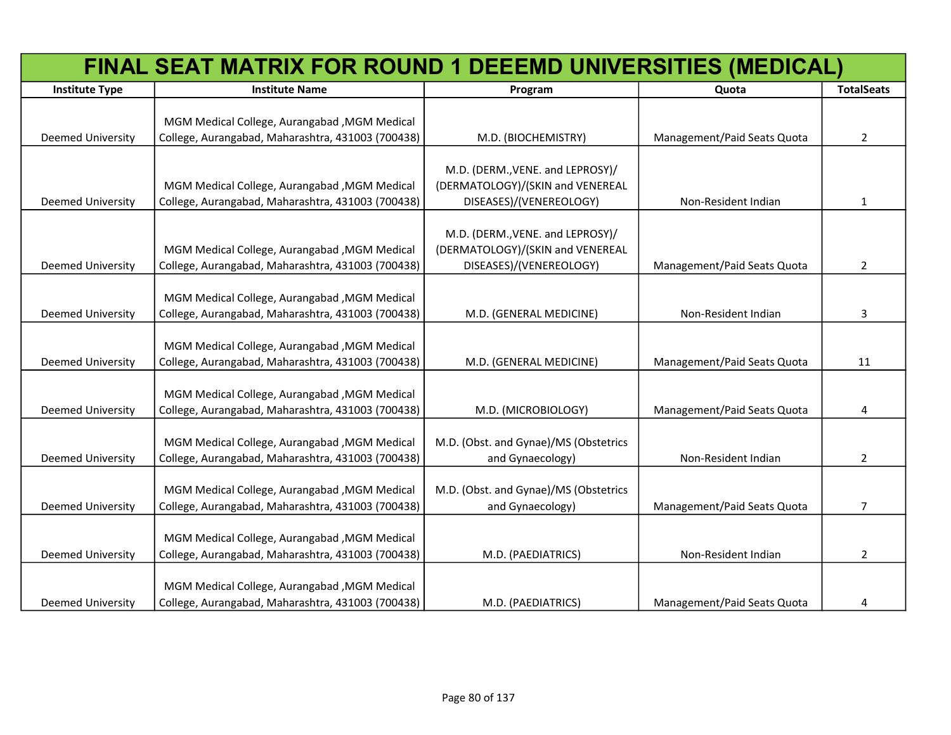|                          | FINAL SEAT MATRIX FOR ROUND 1 DEEEMD UNIVERSITIES (MEDICAL) |                                       |                             |                   |
|--------------------------|-------------------------------------------------------------|---------------------------------------|-----------------------------|-------------------|
| <b>Institute Type</b>    | <b>Institute Name</b>                                       | Program                               | Quota                       | <b>TotalSeats</b> |
|                          |                                                             |                                       |                             |                   |
|                          | MGM Medical College, Aurangabad, MGM Medical                |                                       |                             |                   |
| Deemed University        | College, Aurangabad, Maharashtra, 431003 (700438)           | M.D. (BIOCHEMISTRY)                   | Management/Paid Seats Quota | $\overline{2}$    |
|                          |                                                             |                                       |                             |                   |
|                          |                                                             | M.D. (DERM., VENE. and LEPROSY)/      |                             |                   |
|                          | MGM Medical College, Aurangabad, MGM Medical                | (DERMATOLOGY)/(SKIN and VENEREAL      |                             |                   |
| <b>Deemed University</b> | College, Aurangabad, Maharashtra, 431003 (700438)           | DISEASES)/(VENEREOLOGY)               | Non-Resident Indian         | $\mathbf{1}$      |
|                          |                                                             |                                       |                             |                   |
|                          |                                                             | M.D. (DERM., VENE. and LEPROSY)/      |                             |                   |
|                          | MGM Medical College, Aurangabad, MGM Medical                | (DERMATOLOGY)/(SKIN and VENEREAL      |                             |                   |
| Deemed University        | College, Aurangabad, Maharashtra, 431003 (700438)           | DISEASES)/(VENEREOLOGY)               | Management/Paid Seats Quota | $\overline{2}$    |
|                          | MGM Medical College, Aurangabad, MGM Medical                |                                       |                             |                   |
| <b>Deemed University</b> | College, Aurangabad, Maharashtra, 431003 (700438)           | M.D. (GENERAL MEDICINE)               | Non-Resident Indian         | 3                 |
|                          |                                                             |                                       |                             |                   |
|                          | MGM Medical College, Aurangabad, MGM Medical                |                                       |                             |                   |
| <b>Deemed University</b> | College, Aurangabad, Maharashtra, 431003 (700438)           | M.D. (GENERAL MEDICINE)               | Management/Paid Seats Quota | 11                |
|                          |                                                             |                                       |                             |                   |
|                          | MGM Medical College, Aurangabad, MGM Medical                |                                       |                             |                   |
| Deemed University        | College, Aurangabad, Maharashtra, 431003 (700438)           | M.D. (MICROBIOLOGY)                   | Management/Paid Seats Quota | 4                 |
|                          |                                                             |                                       |                             |                   |
|                          | MGM Medical College, Aurangabad, MGM Medical                | M.D. (Obst. and Gynae)/MS (Obstetrics |                             |                   |
| <b>Deemed University</b> | College, Aurangabad, Maharashtra, 431003 (700438)           | and Gynaecology)                      | Non-Resident Indian         | $\overline{2}$    |
|                          |                                                             |                                       |                             |                   |
|                          | MGM Medical College, Aurangabad, MGM Medical                | M.D. (Obst. and Gynae)/MS (Obstetrics |                             |                   |
| Deemed University        | College, Aurangabad, Maharashtra, 431003 (700438)           | and Gynaecology)                      | Management/Paid Seats Quota | 7                 |
|                          |                                                             |                                       |                             |                   |
|                          | MGM Medical College, Aurangabad, MGM Medical                |                                       |                             |                   |
| <b>Deemed University</b> | College, Aurangabad, Maharashtra, 431003 (700438)           | M.D. (PAEDIATRICS)                    | Non-Resident Indian         | $\overline{2}$    |
|                          |                                                             |                                       |                             |                   |
|                          | MGM Medical College, Aurangabad, MGM Medical                |                                       |                             |                   |
| <b>Deemed University</b> | College, Aurangabad, Maharashtra, 431003 (700438)           | M.D. (PAEDIATRICS)                    | Management/Paid Seats Quota | 4                 |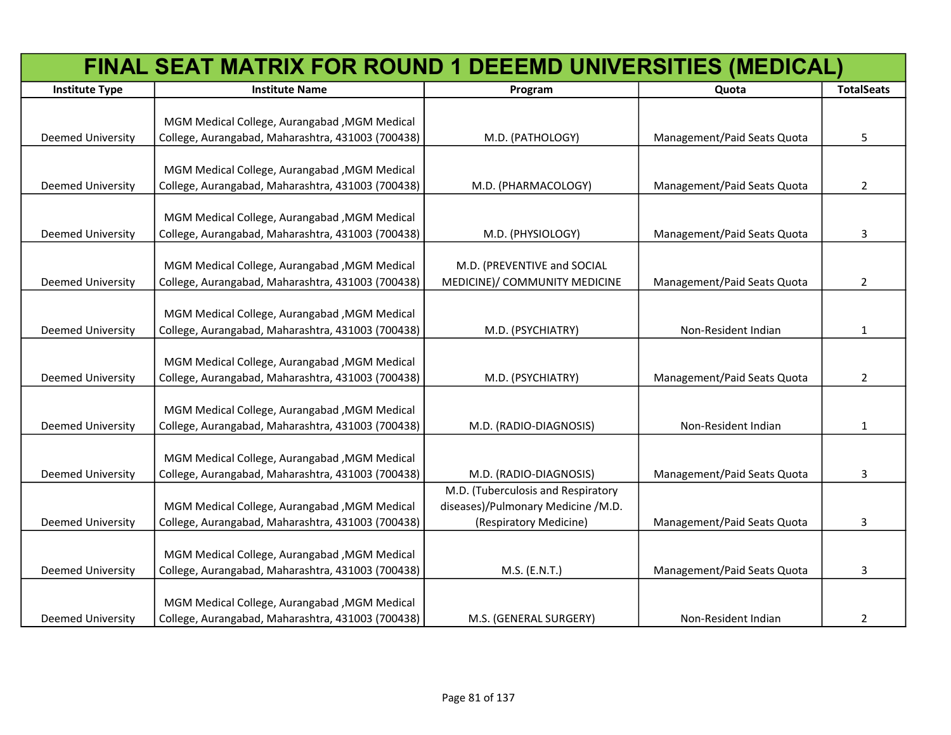|                          | FINAL SEAT MATRIX FOR ROUND 1 DEEEMD UNIVERSITIES (MEDICAL) |                                    |                             |                   |
|--------------------------|-------------------------------------------------------------|------------------------------------|-----------------------------|-------------------|
| <b>Institute Type</b>    | <b>Institute Name</b>                                       | Program                            | Quota                       | <b>TotalSeats</b> |
|                          |                                                             |                                    |                             |                   |
|                          | MGM Medical College, Aurangabad , MGM Medical               |                                    |                             |                   |
| <b>Deemed University</b> | College, Aurangabad, Maharashtra, 431003 (700438)           | M.D. (PATHOLOGY)                   | Management/Paid Seats Quota | 5                 |
|                          |                                                             |                                    |                             |                   |
|                          | MGM Medical College, Aurangabad, MGM Medical                |                                    |                             |                   |
| Deemed University        | College, Aurangabad, Maharashtra, 431003 (700438)           | M.D. (PHARMACOLOGY)                | Management/Paid Seats Quota | $\overline{2}$    |
|                          |                                                             |                                    |                             |                   |
|                          | MGM Medical College, Aurangabad, MGM Medical                |                                    |                             |                   |
| Deemed University        | College, Aurangabad, Maharashtra, 431003 (700438)           | M.D. (PHYSIOLOGY)                  | Management/Paid Seats Quota | 3                 |
|                          | MGM Medical College, Aurangabad, MGM Medical                | M.D. (PREVENTIVE and SOCIAL        |                             |                   |
| <b>Deemed University</b> | College, Aurangabad, Maharashtra, 431003 (700438)           | MEDICINE)/ COMMUNITY MEDICINE      | Management/Paid Seats Quota | $\overline{2}$    |
|                          |                                                             |                                    |                             |                   |
|                          | MGM Medical College, Aurangabad , MGM Medical               |                                    |                             |                   |
| <b>Deemed University</b> | College, Aurangabad, Maharashtra, 431003 (700438)           | M.D. (PSYCHIATRY)                  | Non-Resident Indian         | 1                 |
|                          |                                                             |                                    |                             |                   |
|                          | MGM Medical College, Aurangabad, MGM Medical                |                                    |                             |                   |
| <b>Deemed University</b> | College, Aurangabad, Maharashtra, 431003 (700438)           | M.D. (PSYCHIATRY)                  | Management/Paid Seats Quota | $\overline{2}$    |
|                          |                                                             |                                    |                             |                   |
|                          | MGM Medical College, Aurangabad, MGM Medical                |                                    |                             |                   |
| <b>Deemed University</b> | College, Aurangabad, Maharashtra, 431003 (700438)           | M.D. (RADIO-DIAGNOSIS)             | Non-Resident Indian         | $\mathbf{1}$      |
|                          |                                                             |                                    |                             |                   |
|                          | MGM Medical College, Aurangabad, MGM Medical                |                                    |                             |                   |
| <b>Deemed University</b> | College, Aurangabad, Maharashtra, 431003 (700438)           | M.D. (RADIO-DIAGNOSIS)             | Management/Paid Seats Quota | 3                 |
|                          |                                                             | M.D. (Tuberculosis and Respiratory |                             |                   |
|                          | MGM Medical College, Aurangabad , MGM Medical               | diseases)/Pulmonary Medicine /M.D. |                             |                   |
| <b>Deemed University</b> | College, Aurangabad, Maharashtra, 431003 (700438)           | (Respiratory Medicine)             | Management/Paid Seats Quota | 3                 |
|                          |                                                             |                                    |                             |                   |
|                          | MGM Medical College, Aurangabad, MGM Medical                |                                    |                             |                   |
| <b>Deemed University</b> | College, Aurangabad, Maharashtra, 431003 (700438)           | M.S. (E.N.T.)                      | Management/Paid Seats Quota | 3                 |
|                          |                                                             |                                    |                             |                   |
|                          | MGM Medical College, Aurangabad , MGM Medical               |                                    |                             |                   |
| <b>Deemed University</b> | College, Aurangabad, Maharashtra, 431003 (700438)           | M.S. (GENERAL SURGERY)             | Non-Resident Indian         | $\overline{2}$    |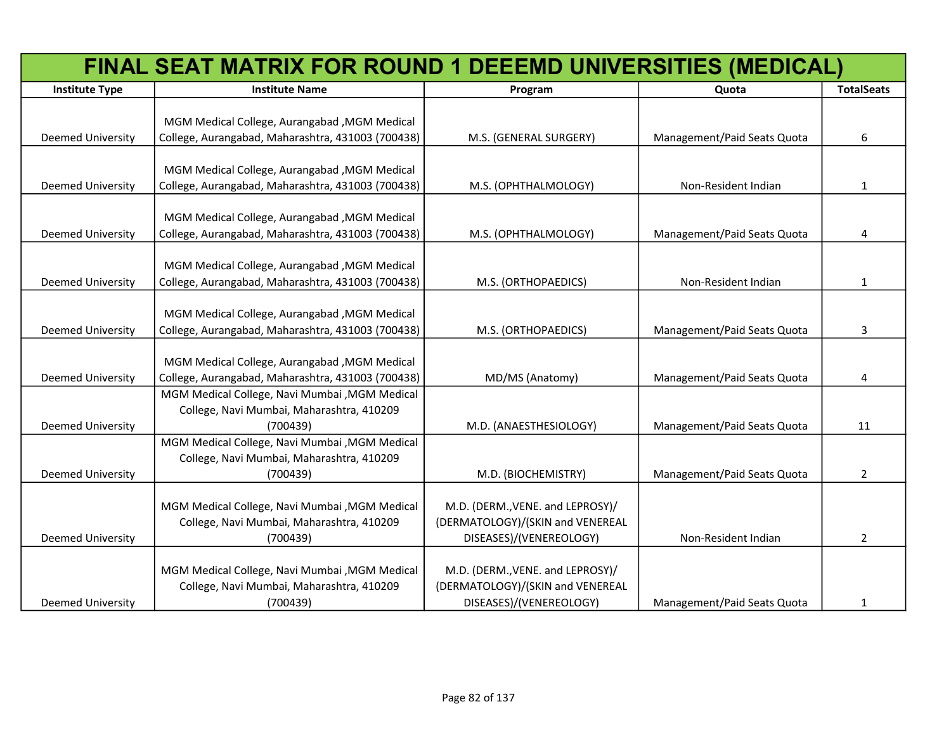|                          | FINAL SEAT MATRIX FOR ROUND 1 DEEEMD UNIVERSITIES (MEDICAL) |                                  |                             |                   |
|--------------------------|-------------------------------------------------------------|----------------------------------|-----------------------------|-------------------|
| <b>Institute Type</b>    | <b>Institute Name</b>                                       | Program                          | Quota                       | <b>TotalSeats</b> |
|                          |                                                             |                                  |                             |                   |
|                          | MGM Medical College, Aurangabad, MGM Medical                |                                  |                             |                   |
| <b>Deemed University</b> | College, Aurangabad, Maharashtra, 431003 (700438)           | M.S. (GENERAL SURGERY)           | Management/Paid Seats Quota | 6                 |
|                          |                                                             |                                  |                             |                   |
|                          | MGM Medical College, Aurangabad , MGM Medical               |                                  |                             |                   |
| <b>Deemed University</b> | College, Aurangabad, Maharashtra, 431003 (700438)           | M.S. (OPHTHALMOLOGY)             | Non-Resident Indian         | 1                 |
|                          |                                                             |                                  |                             |                   |
|                          | MGM Medical College, Aurangabad , MGM Medical               |                                  |                             |                   |
| <b>Deemed University</b> | College, Aurangabad, Maharashtra, 431003 (700438)           | M.S. (OPHTHALMOLOGY)             | Management/Paid Seats Quota | 4                 |
|                          |                                                             |                                  |                             |                   |
|                          | MGM Medical College, Aurangabad, MGM Medical                |                                  |                             |                   |
| <b>Deemed University</b> | College, Aurangabad, Maharashtra, 431003 (700438)           | M.S. (ORTHOPAEDICS)              | Non-Resident Indian         | $\mathbf{1}$      |
|                          |                                                             |                                  |                             |                   |
| <b>Deemed University</b> | MGM Medical College, Aurangabad, MGM Medical                |                                  | Management/Paid Seats Quota |                   |
|                          | College, Aurangabad, Maharashtra, 431003 (700438)           | M.S. (ORTHOPAEDICS)              |                             | 3                 |
|                          | MGM Medical College, Aurangabad, MGM Medical                |                                  |                             |                   |
| <b>Deemed University</b> | College, Aurangabad, Maharashtra, 431003 (700438)           | MD/MS (Anatomy)                  | Management/Paid Seats Quota | 4                 |
|                          | MGM Medical College, Navi Mumbai , MGM Medical              |                                  |                             |                   |
|                          | College, Navi Mumbai, Maharashtra, 410209                   |                                  |                             |                   |
| <b>Deemed University</b> | (700439)                                                    | M.D. (ANAESTHESIOLOGY)           | Management/Paid Seats Quota | 11                |
|                          | MGM Medical College, Navi Mumbai , MGM Medical              |                                  |                             |                   |
|                          | College, Navi Mumbai, Maharashtra, 410209                   |                                  |                             |                   |
| <b>Deemed University</b> | (700439)                                                    | M.D. (BIOCHEMISTRY)              | Management/Paid Seats Quota | $\overline{2}$    |
|                          |                                                             |                                  |                             |                   |
|                          | MGM Medical College, Navi Mumbai , MGM Medical              | M.D. (DERM., VENE. and LEPROSY)/ |                             |                   |
|                          | College, Navi Mumbai, Maharashtra, 410209                   | (DERMATOLOGY)/(SKIN and VENEREAL |                             |                   |
| <b>Deemed University</b> | (700439)                                                    | DISEASES)/(VENEREOLOGY)          | Non-Resident Indian         | 2                 |
|                          |                                                             |                                  |                             |                   |
|                          | MGM Medical College, Navi Mumbai , MGM Medical              | M.D. (DERM., VENE. and LEPROSY)/ |                             |                   |
|                          | College, Navi Mumbai, Maharashtra, 410209                   | (DERMATOLOGY)/(SKIN and VENEREAL |                             |                   |
| Deemed University        | (700439)                                                    | DISEASES)/(VENEREOLOGY)          | Management/Paid Seats Quota | 1                 |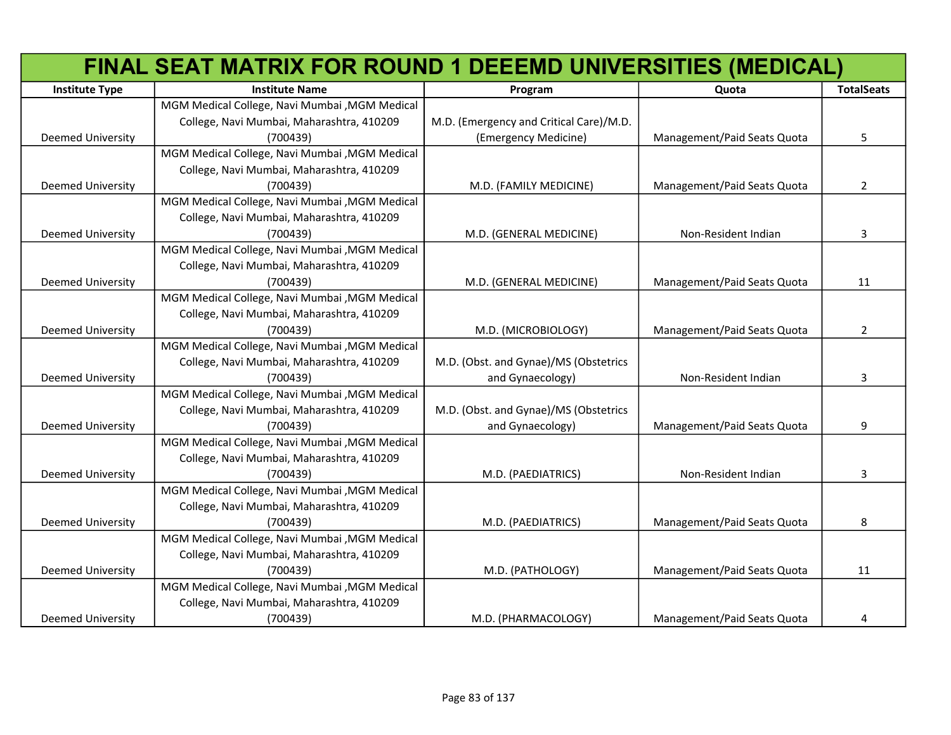|                          | FINAL SEAT MATRIX FOR ROUND 1 DEEEMD UNIVERSITIES (MEDICAL) |                                         |                             |                   |
|--------------------------|-------------------------------------------------------------|-----------------------------------------|-----------------------------|-------------------|
| <b>Institute Type</b>    | <b>Institute Name</b>                                       | Program                                 | Quota                       | <b>TotalSeats</b> |
|                          | MGM Medical College, Navi Mumbai , MGM Medical              |                                         |                             |                   |
|                          | College, Navi Mumbai, Maharashtra, 410209                   | M.D. (Emergency and Critical Care)/M.D. |                             |                   |
| <b>Deemed University</b> | (700439)                                                    | (Emergency Medicine)                    | Management/Paid Seats Quota | 5                 |
|                          | MGM Medical College, Navi Mumbai , MGM Medical              |                                         |                             |                   |
|                          | College, Navi Mumbai, Maharashtra, 410209                   |                                         |                             |                   |
| <b>Deemed University</b> | (700439)                                                    | M.D. (FAMILY MEDICINE)                  | Management/Paid Seats Quota | $\overline{2}$    |
|                          | MGM Medical College, Navi Mumbai , MGM Medical              |                                         |                             |                   |
|                          | College, Navi Mumbai, Maharashtra, 410209                   |                                         |                             |                   |
| <b>Deemed University</b> | (700439)                                                    | M.D. (GENERAL MEDICINE)                 | Non-Resident Indian         | 3                 |
|                          | MGM Medical College, Navi Mumbai , MGM Medical              |                                         |                             |                   |
|                          | College, Navi Mumbai, Maharashtra, 410209                   |                                         |                             |                   |
| <b>Deemed University</b> | (700439)                                                    | M.D. (GENERAL MEDICINE)                 | Management/Paid Seats Quota | 11                |
|                          | MGM Medical College, Navi Mumbai , MGM Medical              |                                         |                             |                   |
|                          | College, Navi Mumbai, Maharashtra, 410209                   |                                         |                             |                   |
| <b>Deemed University</b> | (700439)                                                    | M.D. (MICROBIOLOGY)                     | Management/Paid Seats Quota | $\overline{2}$    |
|                          | MGM Medical College, Navi Mumbai , MGM Medical              |                                         |                             |                   |
|                          | College, Navi Mumbai, Maharashtra, 410209                   | M.D. (Obst. and Gynae)/MS (Obstetrics   |                             |                   |
| <b>Deemed University</b> | (700439)                                                    | and Gynaecology)                        | Non-Resident Indian         | 3                 |
|                          | MGM Medical College, Navi Mumbai , MGM Medical              |                                         |                             |                   |
|                          | College, Navi Mumbai, Maharashtra, 410209                   | M.D. (Obst. and Gynae)/MS (Obstetrics   |                             |                   |
| Deemed University        | (700439)                                                    | and Gynaecology)                        | Management/Paid Seats Quota | 9                 |
|                          | MGM Medical College, Navi Mumbai , MGM Medical              |                                         |                             |                   |
|                          | College, Navi Mumbai, Maharashtra, 410209                   |                                         |                             |                   |
| <b>Deemed University</b> | (700439)                                                    | M.D. (PAEDIATRICS)                      | Non-Resident Indian         | 3                 |
|                          | MGM Medical College, Navi Mumbai , MGM Medical              |                                         |                             |                   |
|                          | College, Navi Mumbai, Maharashtra, 410209                   |                                         |                             |                   |
| <b>Deemed University</b> | (700439)                                                    | M.D. (PAEDIATRICS)                      | Management/Paid Seats Quota | 8                 |
|                          | MGM Medical College, Navi Mumbai , MGM Medical              |                                         |                             |                   |
|                          | College, Navi Mumbai, Maharashtra, 410209                   |                                         |                             |                   |
| <b>Deemed University</b> | (700439)                                                    | M.D. (PATHOLOGY)                        | Management/Paid Seats Quota | 11                |
|                          | MGM Medical College, Navi Mumbai , MGM Medical              |                                         |                             |                   |
|                          | College, Navi Mumbai, Maharashtra, 410209                   |                                         |                             |                   |
| <b>Deemed University</b> | (700439)                                                    | M.D. (PHARMACOLOGY)                     | Management/Paid Seats Quota | 4                 |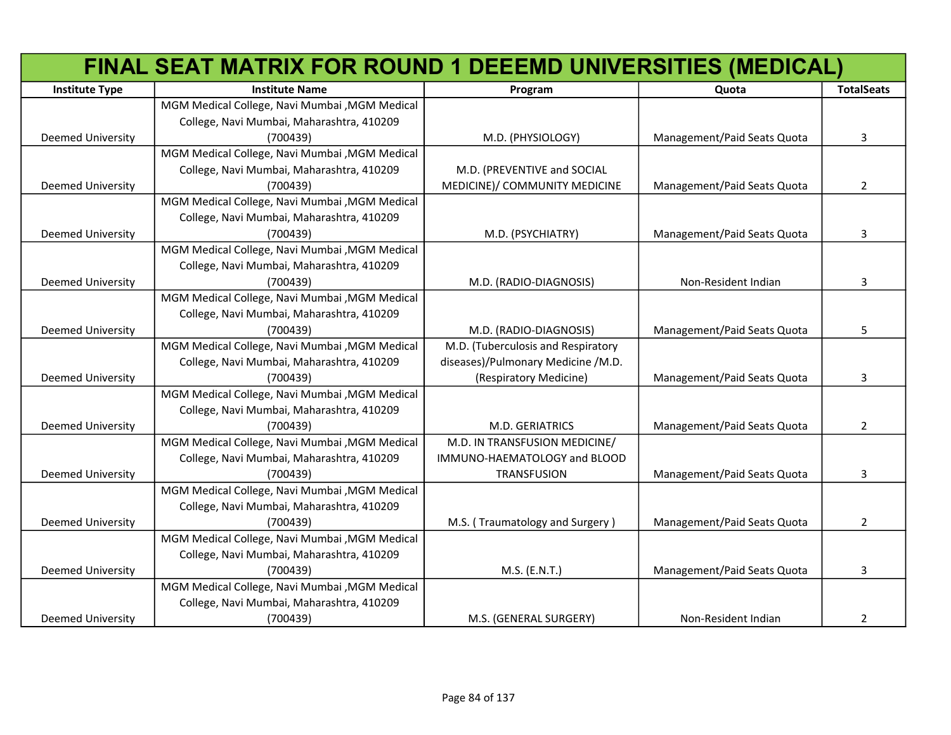|                          | FINAL SEAT MATRIX FOR ROUND 1 DEEEMD UNIVERSITIES (MEDICAL) |                                    |                             |                   |
|--------------------------|-------------------------------------------------------------|------------------------------------|-----------------------------|-------------------|
| <b>Institute Type</b>    | <b>Institute Name</b>                                       | Program                            | Quota                       | <b>TotalSeats</b> |
|                          | MGM Medical College, Navi Mumbai , MGM Medical              |                                    |                             |                   |
|                          | College, Navi Mumbai, Maharashtra, 410209                   |                                    |                             |                   |
| <b>Deemed University</b> | (700439)                                                    | M.D. (PHYSIOLOGY)                  | Management/Paid Seats Quota | 3                 |
|                          | MGM Medical College, Navi Mumbai , MGM Medical              |                                    |                             |                   |
|                          | College, Navi Mumbai, Maharashtra, 410209                   | M.D. (PREVENTIVE and SOCIAL        |                             |                   |
| <b>Deemed University</b> | (700439)                                                    | MEDICINE)/ COMMUNITY MEDICINE      | Management/Paid Seats Quota | $\overline{2}$    |
|                          | MGM Medical College, Navi Mumbai , MGM Medical              |                                    |                             |                   |
|                          | College, Navi Mumbai, Maharashtra, 410209                   |                                    |                             |                   |
| <b>Deemed University</b> | (700439)                                                    | M.D. (PSYCHIATRY)                  | Management/Paid Seats Quota | 3                 |
|                          | MGM Medical College, Navi Mumbai , MGM Medical              |                                    |                             |                   |
|                          | College, Navi Mumbai, Maharashtra, 410209                   |                                    |                             |                   |
| Deemed University        | (700439)                                                    | M.D. (RADIO-DIAGNOSIS)             | Non-Resident Indian         | 3                 |
|                          | MGM Medical College, Navi Mumbai , MGM Medical              |                                    |                             |                   |
|                          | College, Navi Mumbai, Maharashtra, 410209                   |                                    |                             |                   |
| Deemed University        | (700439)                                                    | M.D. (RADIO-DIAGNOSIS)             | Management/Paid Seats Quota | 5                 |
|                          | MGM Medical College, Navi Mumbai , MGM Medical              | M.D. (Tuberculosis and Respiratory |                             |                   |
|                          | College, Navi Mumbai, Maharashtra, 410209                   | diseases)/Pulmonary Medicine /M.D. |                             |                   |
| Deemed University        | (700439)                                                    | (Respiratory Medicine)             | Management/Paid Seats Quota | 3                 |
|                          | MGM Medical College, Navi Mumbai , MGM Medical              |                                    |                             |                   |
|                          | College, Navi Mumbai, Maharashtra, 410209                   |                                    |                             |                   |
| Deemed University        | (700439)                                                    | M.D. GERIATRICS                    | Management/Paid Seats Quota | $\overline{2}$    |
|                          | MGM Medical College, Navi Mumbai , MGM Medical              | M.D. IN TRANSFUSION MEDICINE/      |                             |                   |
|                          | College, Navi Mumbai, Maharashtra, 410209                   | IMMUNO-HAEMATOLOGY and BLOOD       |                             |                   |
| Deemed University        | (700439)                                                    | <b>TRANSFUSION</b>                 | Management/Paid Seats Quota | 3                 |
|                          | MGM Medical College, Navi Mumbai , MGM Medical              |                                    |                             |                   |
|                          | College, Navi Mumbai, Maharashtra, 410209                   |                                    |                             |                   |
| <b>Deemed University</b> | (700439)                                                    | M.S. (Traumatology and Surgery)    | Management/Paid Seats Quota | $\overline{2}$    |
|                          | MGM Medical College, Navi Mumbai , MGM Medical              |                                    |                             |                   |
|                          | College, Navi Mumbai, Maharashtra, 410209                   |                                    |                             |                   |
| <b>Deemed University</b> | (700439)                                                    | M.S. (E.N.T.)                      | Management/Paid Seats Quota | 3                 |
|                          | MGM Medical College, Navi Mumbai , MGM Medical              |                                    |                             |                   |
|                          | College, Navi Mumbai, Maharashtra, 410209                   |                                    |                             |                   |
| <b>Deemed University</b> | (700439)                                                    | M.S. (GENERAL SURGERY)             | Non-Resident Indian         | 2                 |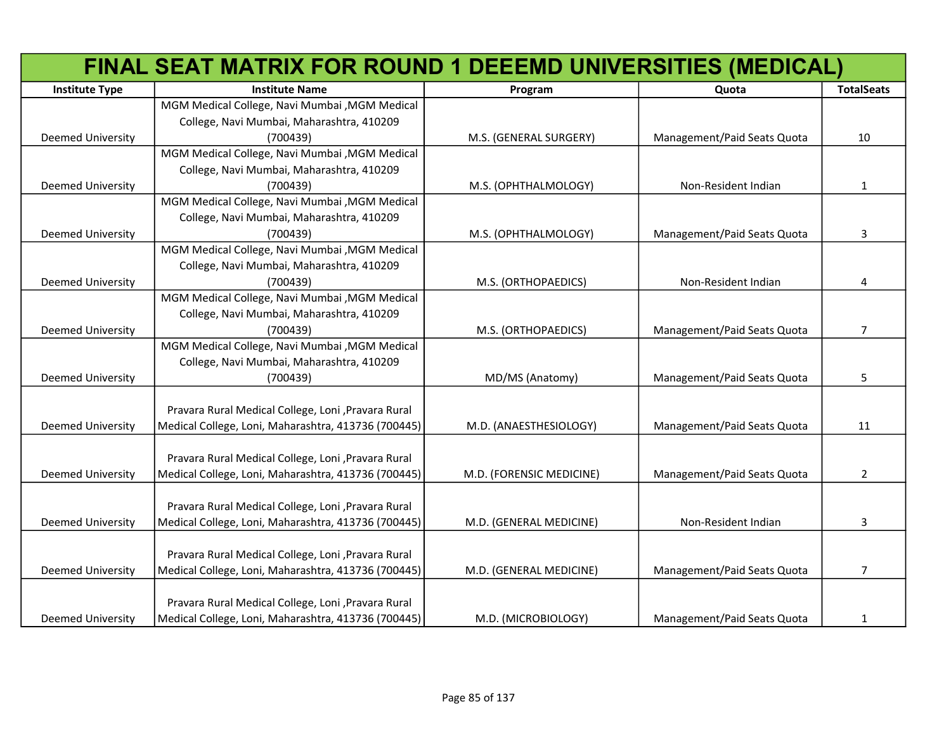|                          | FINAL SEAT MATRIX FOR ROUND 1 DEEEMD UNIVERSITIES (MEDICAL) |                          |                             |                   |
|--------------------------|-------------------------------------------------------------|--------------------------|-----------------------------|-------------------|
| <b>Institute Type</b>    | <b>Institute Name</b>                                       | Program                  | Quota                       | <b>TotalSeats</b> |
|                          | MGM Medical College, Navi Mumbai , MGM Medical              |                          |                             |                   |
|                          | College, Navi Mumbai, Maharashtra, 410209                   |                          |                             |                   |
| <b>Deemed University</b> | (700439)                                                    | M.S. (GENERAL SURGERY)   | Management/Paid Seats Quota | 10                |
|                          | MGM Medical College, Navi Mumbai , MGM Medical              |                          |                             |                   |
|                          | College, Navi Mumbai, Maharashtra, 410209                   |                          |                             |                   |
| <b>Deemed University</b> | (700439)                                                    | M.S. (OPHTHALMOLOGY)     | Non-Resident Indian         | $\mathbf{1}$      |
|                          | MGM Medical College, Navi Mumbai , MGM Medical              |                          |                             |                   |
|                          | College, Navi Mumbai, Maharashtra, 410209                   |                          |                             |                   |
| Deemed University        | (700439)                                                    | M.S. (OPHTHALMOLOGY)     | Management/Paid Seats Quota | 3                 |
|                          | MGM Medical College, Navi Mumbai , MGM Medical              |                          |                             |                   |
|                          | College, Navi Mumbai, Maharashtra, 410209                   |                          |                             |                   |
| Deemed University        | (700439)                                                    | M.S. (ORTHOPAEDICS)      | Non-Resident Indian         | 4                 |
|                          | MGM Medical College, Navi Mumbai , MGM Medical              |                          |                             |                   |
|                          | College, Navi Mumbai, Maharashtra, 410209                   |                          |                             |                   |
| Deemed University        | (700439)                                                    | M.S. (ORTHOPAEDICS)      | Management/Paid Seats Quota | $\overline{7}$    |
|                          | MGM Medical College, Navi Mumbai , MGM Medical              |                          |                             |                   |
|                          | College, Navi Mumbai, Maharashtra, 410209                   |                          |                             |                   |
| Deemed University        | (700439)                                                    | MD/MS (Anatomy)          | Management/Paid Seats Quota | 5                 |
|                          |                                                             |                          |                             |                   |
|                          | Pravara Rural Medical College, Loni, Pravara Rural          |                          |                             |                   |
| Deemed University        | Medical College, Loni, Maharashtra, 413736 (700445)         | M.D. (ANAESTHESIOLOGY)   | Management/Paid Seats Quota | 11                |
|                          |                                                             |                          |                             |                   |
|                          | Pravara Rural Medical College, Loni , Pravara Rural         |                          |                             |                   |
| <b>Deemed University</b> | Medical College, Loni, Maharashtra, 413736 (700445)         | M.D. (FORENSIC MEDICINE) | Management/Paid Seats Quota | $\overline{2}$    |
|                          |                                                             |                          |                             |                   |
|                          | Pravara Rural Medical College, Loni, Pravara Rural          |                          |                             |                   |
| <b>Deemed University</b> | Medical College, Loni, Maharashtra, 413736 (700445)         | M.D. (GENERAL MEDICINE)  | Non-Resident Indian         | 3                 |
|                          |                                                             |                          |                             |                   |
|                          | Pravara Rural Medical College, Loni, Pravara Rural          |                          |                             |                   |
| <b>Deemed University</b> | Medical College, Loni, Maharashtra, 413736 (700445)         | M.D. (GENERAL MEDICINE)  | Management/Paid Seats Quota | $\overline{7}$    |
|                          |                                                             |                          |                             |                   |
|                          | Pravara Rural Medical College, Loni , Pravara Rural         |                          |                             |                   |
| <b>Deemed University</b> | Medical College, Loni, Maharashtra, 413736 (700445)         | M.D. (MICROBIOLOGY)      | Management/Paid Seats Quota | 1                 |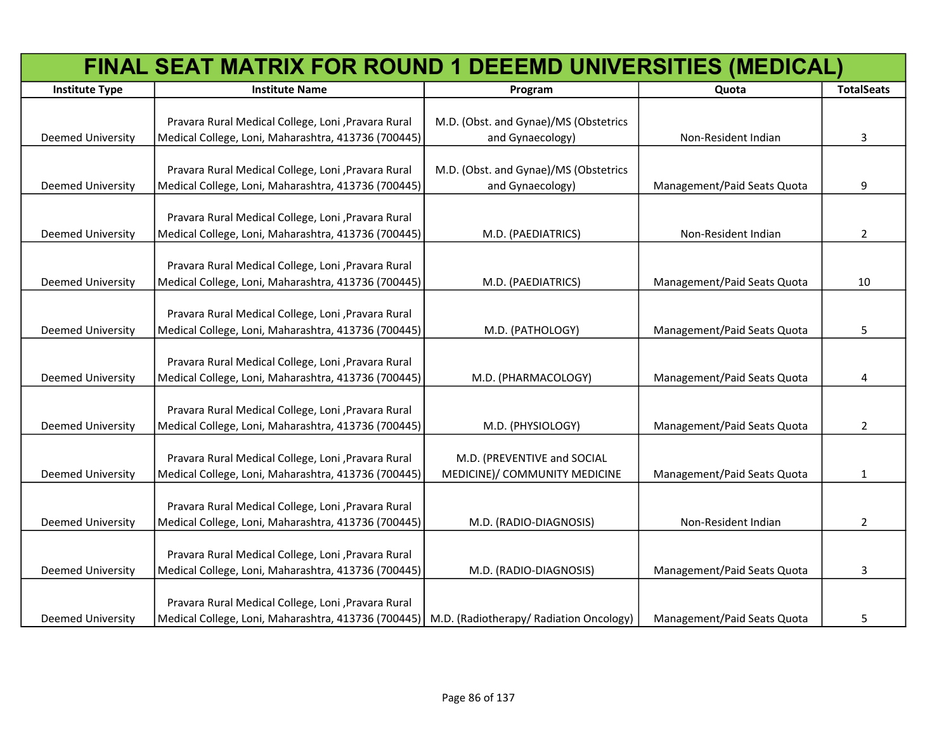|                          | FINAL SEAT MATRIX FOR ROUND 1 DEEEMD UNIVERSITIES (MEDICAL)                                   |                                       |                             |                   |
|--------------------------|-----------------------------------------------------------------------------------------------|---------------------------------------|-----------------------------|-------------------|
| <b>Institute Type</b>    | <b>Institute Name</b>                                                                         | Program                               | Quota                       | <b>TotalSeats</b> |
|                          |                                                                                               |                                       |                             |                   |
|                          | Pravara Rural Medical College, Loni , Pravara Rural                                           | M.D. (Obst. and Gynae)/MS (Obstetrics |                             |                   |
| <b>Deemed University</b> | Medical College, Loni, Maharashtra, 413736 (700445)                                           | and Gynaecology)                      | Non-Resident Indian         | 3                 |
|                          |                                                                                               |                                       |                             |                   |
|                          | Pravara Rural Medical College, Loni , Pravara Rural                                           | M.D. (Obst. and Gynae)/MS (Obstetrics |                             |                   |
| <b>Deemed University</b> | Medical College, Loni, Maharashtra, 413736 (700445)                                           | and Gynaecology)                      | Management/Paid Seats Quota | 9                 |
|                          |                                                                                               |                                       |                             |                   |
|                          | Pravara Rural Medical College, Loni , Pravara Rural                                           |                                       |                             |                   |
| <b>Deemed University</b> | Medical College, Loni, Maharashtra, 413736 (700445)                                           | M.D. (PAEDIATRICS)                    | Non-Resident Indian         | 2                 |
|                          | Pravara Rural Medical College, Loni , Pravara Rural                                           |                                       |                             |                   |
| <b>Deemed University</b> | Medical College, Loni, Maharashtra, 413736 (700445)                                           | M.D. (PAEDIATRICS)                    | Management/Paid Seats Quota | 10                |
|                          |                                                                                               |                                       |                             |                   |
|                          | Pravara Rural Medical College, Loni , Pravara Rural                                           |                                       |                             |                   |
| <b>Deemed University</b> | Medical College, Loni, Maharashtra, 413736 (700445)                                           | M.D. (PATHOLOGY)                      | Management/Paid Seats Quota | 5                 |
|                          |                                                                                               |                                       |                             |                   |
|                          | Pravara Rural Medical College, Loni , Pravara Rural                                           |                                       |                             |                   |
| Deemed University        | Medical College, Loni, Maharashtra, 413736 (700445)                                           | M.D. (PHARMACOLOGY)                   | Management/Paid Seats Quota | 4                 |
|                          |                                                                                               |                                       |                             |                   |
|                          | Pravara Rural Medical College, Loni, Pravara Rural                                            |                                       |                             |                   |
| <b>Deemed University</b> | Medical College, Loni, Maharashtra, 413736 (700445)                                           | M.D. (PHYSIOLOGY)                     | Management/Paid Seats Quota | $\overline{2}$    |
|                          |                                                                                               |                                       |                             |                   |
|                          | Pravara Rural Medical College, Loni , Pravara Rural                                           | M.D. (PREVENTIVE and SOCIAL           |                             |                   |
| <b>Deemed University</b> | Medical College, Loni, Maharashtra, 413736 (700445)                                           | MEDICINE)/ COMMUNITY MEDICINE         | Management/Paid Seats Quota | 1                 |
|                          |                                                                                               |                                       |                             |                   |
|                          | Pravara Rural Medical College, Loni, Pravara Rural                                            |                                       |                             |                   |
| <b>Deemed University</b> | Medical College, Loni, Maharashtra, 413736 (700445)                                           | M.D. (RADIO-DIAGNOSIS)                | Non-Resident Indian         | $\overline{2}$    |
|                          |                                                                                               |                                       |                             |                   |
|                          | Pravara Rural Medical College, Loni , Pravara Rural                                           |                                       |                             |                   |
| <b>Deemed University</b> | Medical College, Loni, Maharashtra, 413736 (700445)                                           | M.D. (RADIO-DIAGNOSIS)                | Management/Paid Seats Quota | 3                 |
|                          |                                                                                               |                                       |                             |                   |
|                          | Pravara Rural Medical College, Loni , Pravara Rural                                           |                                       |                             |                   |
| <b>Deemed University</b> | Medical College, Loni, Maharashtra, 413736 (700445)   M.D. (Radiotherapy/ Radiation Oncology) |                                       | Management/Paid Seats Quota | 5                 |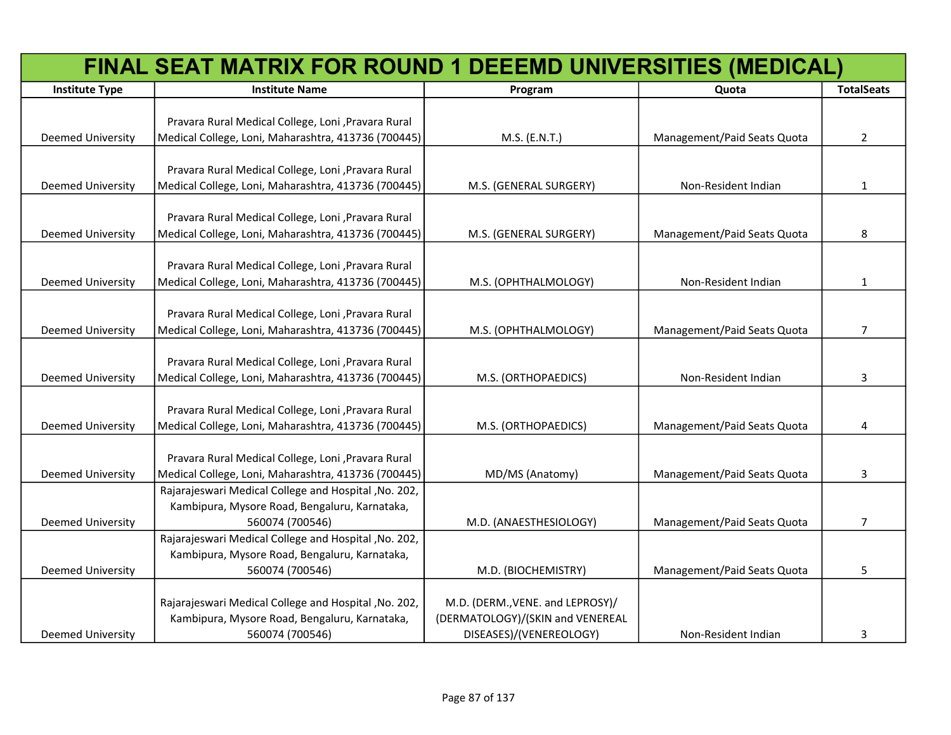|                          | FINAL SEAT MATRIX FOR ROUND 1 DEEEMD UNIVERSITIES (MEDICAL)                                                  |                                  |                             |                   |
|--------------------------|--------------------------------------------------------------------------------------------------------------|----------------------------------|-----------------------------|-------------------|
| <b>Institute Type</b>    | <b>Institute Name</b>                                                                                        | Program                          | Quota                       | <b>TotalSeats</b> |
|                          |                                                                                                              |                                  |                             |                   |
|                          | Pravara Rural Medical College, Loni , Pravara Rural                                                          |                                  |                             |                   |
| <b>Deemed University</b> | Medical College, Loni, Maharashtra, 413736 (700445)                                                          | M.S. (E.N.T.)                    | Management/Paid Seats Quota | $\overline{2}$    |
|                          |                                                                                                              |                                  |                             |                   |
|                          | Pravara Rural Medical College, Loni , Pravara Rural                                                          |                                  |                             |                   |
| <b>Deemed University</b> | Medical College, Loni, Maharashtra, 413736 (700445)                                                          | M.S. (GENERAL SURGERY)           | Non-Resident Indian         | 1                 |
|                          | Pravara Rural Medical College, Loni , Pravara Rural                                                          |                                  |                             |                   |
| <b>Deemed University</b> | Medical College, Loni, Maharashtra, 413736 (700445)                                                          | M.S. (GENERAL SURGERY)           | Management/Paid Seats Quota | 8                 |
|                          |                                                                                                              |                                  |                             |                   |
|                          | Pravara Rural Medical College, Loni , Pravara Rural                                                          |                                  |                             |                   |
| <b>Deemed University</b> | Medical College, Loni, Maharashtra, 413736 (700445)                                                          | M.S. (OPHTHALMOLOGY)             | Non-Resident Indian         | 1                 |
|                          |                                                                                                              |                                  |                             |                   |
|                          | Pravara Rural Medical College, Loni , Pravara Rural                                                          |                                  |                             |                   |
| <b>Deemed University</b> | Medical College, Loni, Maharashtra, 413736 (700445)                                                          | M.S. (OPHTHALMOLOGY)             | Management/Paid Seats Quota | 7                 |
|                          |                                                                                                              |                                  |                             |                   |
|                          | Pravara Rural Medical College, Loni , Pravara Rural                                                          |                                  |                             |                   |
| <b>Deemed University</b> | Medical College, Loni, Maharashtra, 413736 (700445)                                                          | M.S. (ORTHOPAEDICS)              | Non-Resident Indian         | 3                 |
|                          |                                                                                                              |                                  |                             |                   |
|                          | Pravara Rural Medical College, Loni , Pravara Rural                                                          |                                  |                             |                   |
| <b>Deemed University</b> | Medical College, Loni, Maharashtra, 413736 (700445)                                                          | M.S. (ORTHOPAEDICS)              | Management/Paid Seats Quota | 4                 |
|                          |                                                                                                              |                                  |                             |                   |
|                          | Pravara Rural Medical College, Loni , Pravara Rural                                                          |                                  |                             |                   |
| <b>Deemed University</b> | Medical College, Loni, Maharashtra, 413736 (700445)<br>Rajarajeswari Medical College and Hospital , No. 202, | MD/MS (Anatomy)                  | Management/Paid Seats Quota | 3                 |
|                          | Kambipura, Mysore Road, Bengaluru, Karnataka,                                                                |                                  |                             |                   |
| <b>Deemed University</b> | 560074 (700546)                                                                                              | M.D. (ANAESTHESIOLOGY)           | Management/Paid Seats Quota | $\overline{7}$    |
|                          | Rajarajeswari Medical College and Hospital, No. 202,                                                         |                                  |                             |                   |
|                          | Kambipura, Mysore Road, Bengaluru, Karnataka,                                                                |                                  |                             |                   |
| Deemed University        | 560074 (700546)                                                                                              | M.D. (BIOCHEMISTRY)              | Management/Paid Seats Quota | 5                 |
|                          |                                                                                                              |                                  |                             |                   |
|                          | Rajarajeswari Medical College and Hospital , No. 202,                                                        | M.D. (DERM., VENE. and LEPROSY)/ |                             |                   |
|                          | Kambipura, Mysore Road, Bengaluru, Karnataka,                                                                | (DERMATOLOGY)/(SKIN and VENEREAL |                             |                   |
| Deemed University        | 560074 (700546)                                                                                              | DISEASES)/(VENEREOLOGY)          | Non-Resident Indian         | 3                 |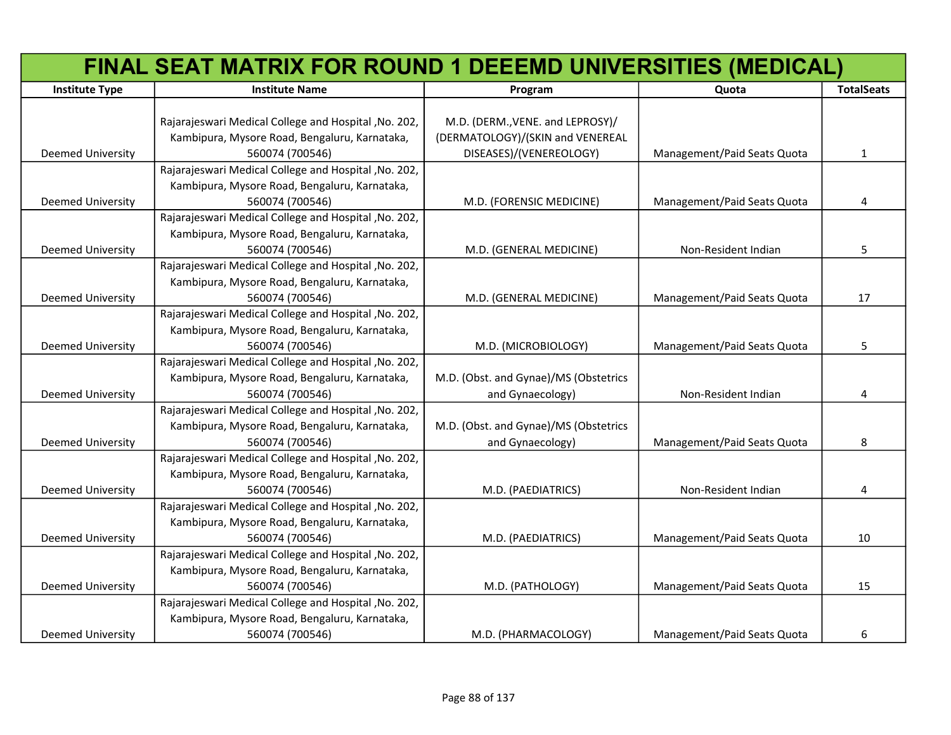|                          | FINAL SEAT MATRIX FOR ROUND 1 DEEEMD UNIVERSITIES (MEDICAL) |                                       |                             |                   |
|--------------------------|-------------------------------------------------------------|---------------------------------------|-----------------------------|-------------------|
| <b>Institute Type</b>    | <b>Institute Name</b>                                       | Program                               | Quota                       | <b>TotalSeats</b> |
|                          |                                                             |                                       |                             |                   |
|                          | Rajarajeswari Medical College and Hospital , No. 202,       | M.D. (DERM., VENE. and LEPROSY)/      |                             |                   |
|                          | Kambipura, Mysore Road, Bengaluru, Karnataka,               | (DERMATOLOGY)/(SKIN and VENEREAL      |                             |                   |
| Deemed University        | 560074 (700546)                                             | DISEASES)/(VENEREOLOGY)               | Management/Paid Seats Quota | $\mathbf{1}$      |
|                          | Rajarajeswari Medical College and Hospital , No. 202,       |                                       |                             |                   |
|                          | Kambipura, Mysore Road, Bengaluru, Karnataka,               |                                       |                             |                   |
| Deemed University        | 560074 (700546)                                             | M.D. (FORENSIC MEDICINE)              | Management/Paid Seats Quota | 4                 |
|                          | Rajarajeswari Medical College and Hospital , No. 202,       |                                       |                             |                   |
|                          | Kambipura, Mysore Road, Bengaluru, Karnataka,               |                                       |                             |                   |
| Deemed University        | 560074 (700546)                                             | M.D. (GENERAL MEDICINE)               | Non-Resident Indian         | 5                 |
|                          | Rajarajeswari Medical College and Hospital , No. 202,       |                                       |                             |                   |
|                          | Kambipura, Mysore Road, Bengaluru, Karnataka,               |                                       |                             |                   |
| <b>Deemed University</b> | 560074 (700546)                                             | M.D. (GENERAL MEDICINE)               | Management/Paid Seats Quota | 17                |
|                          | Rajarajeswari Medical College and Hospital , No. 202,       |                                       |                             |                   |
|                          | Kambipura, Mysore Road, Bengaluru, Karnataka,               |                                       |                             |                   |
| <b>Deemed University</b> | 560074 (700546)                                             | M.D. (MICROBIOLOGY)                   | Management/Paid Seats Quota | 5                 |
|                          | Rajarajeswari Medical College and Hospital , No. 202,       |                                       |                             |                   |
|                          | Kambipura, Mysore Road, Bengaluru, Karnataka,               | M.D. (Obst. and Gynae)/MS (Obstetrics |                             |                   |
| <b>Deemed University</b> | 560074 (700546)                                             | and Gynaecology)                      | Non-Resident Indian         | 4                 |
|                          | Rajarajeswari Medical College and Hospital , No. 202,       |                                       |                             |                   |
|                          | Kambipura, Mysore Road, Bengaluru, Karnataka,               | M.D. (Obst. and Gynae)/MS (Obstetrics |                             |                   |
| <b>Deemed University</b> | 560074 (700546)                                             | and Gynaecology)                      | Management/Paid Seats Quota | 8                 |
|                          | Rajarajeswari Medical College and Hospital , No. 202,       |                                       |                             |                   |
|                          | Kambipura, Mysore Road, Bengaluru, Karnataka,               |                                       |                             |                   |
| <b>Deemed University</b> | 560074 (700546)                                             | M.D. (PAEDIATRICS)                    | Non-Resident Indian         | 4                 |
|                          | Rajarajeswari Medical College and Hospital , No. 202,       |                                       |                             |                   |
|                          | Kambipura, Mysore Road, Bengaluru, Karnataka,               |                                       |                             |                   |
| <b>Deemed University</b> | 560074 (700546)                                             | M.D. (PAEDIATRICS)                    | Management/Paid Seats Quota | 10                |
|                          | Rajarajeswari Medical College and Hospital , No. 202,       |                                       |                             |                   |
|                          | Kambipura, Mysore Road, Bengaluru, Karnataka,               |                                       |                             |                   |
| Deemed University        | 560074 (700546)                                             | M.D. (PATHOLOGY)                      | Management/Paid Seats Quota | 15                |
|                          | Rajarajeswari Medical College and Hospital , No. 202,       |                                       |                             |                   |
|                          | Kambipura, Mysore Road, Bengaluru, Karnataka,               |                                       |                             |                   |
| <b>Deemed University</b> | 560074 (700546)                                             | M.D. (PHARMACOLOGY)                   | Management/Paid Seats Quota | 6                 |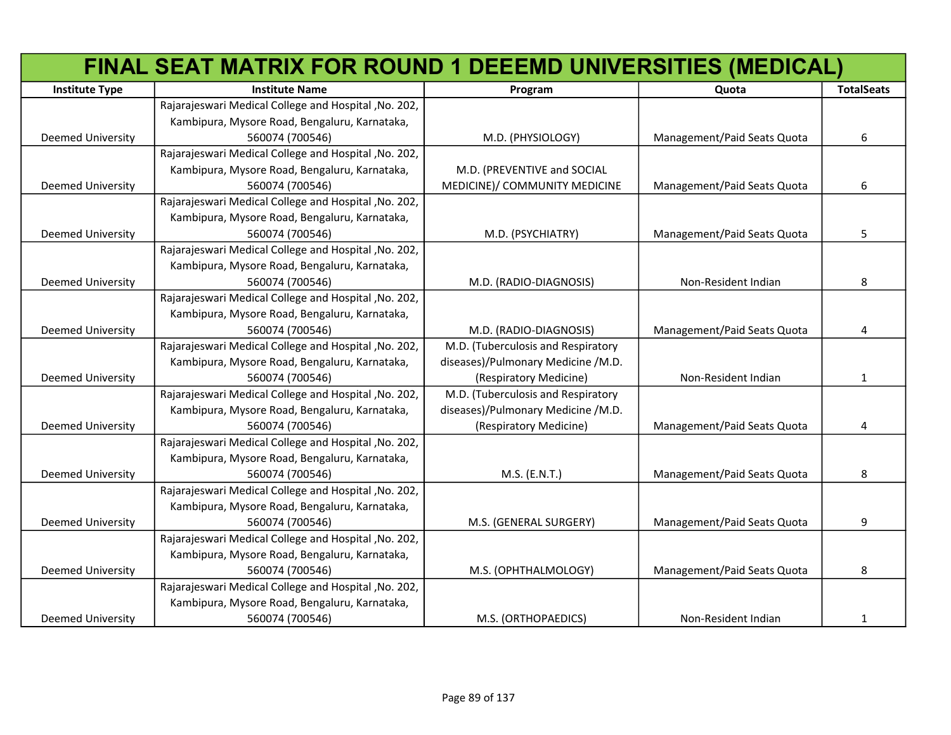|                          | FINAL SEAT MATRIX FOR ROUND 1 DEEEMD UNIVERSITIES (MEDICAL) |                                    |                             |                   |
|--------------------------|-------------------------------------------------------------|------------------------------------|-----------------------------|-------------------|
| <b>Institute Type</b>    | <b>Institute Name</b>                                       | Program                            | Quota                       | <b>TotalSeats</b> |
|                          | Rajarajeswari Medical College and Hospital , No. 202,       |                                    |                             |                   |
|                          | Kambipura, Mysore Road, Bengaluru, Karnataka,               |                                    |                             |                   |
| <b>Deemed University</b> | 560074 (700546)                                             | M.D. (PHYSIOLOGY)                  | Management/Paid Seats Quota | 6                 |
|                          | Rajarajeswari Medical College and Hospital , No. 202,       |                                    |                             |                   |
|                          | Kambipura, Mysore Road, Bengaluru, Karnataka,               | M.D. (PREVENTIVE and SOCIAL        |                             |                   |
| <b>Deemed University</b> | 560074 (700546)                                             | MEDICINE)/ COMMUNITY MEDICINE      | Management/Paid Seats Quota | 6                 |
|                          | Rajarajeswari Medical College and Hospital , No. 202,       |                                    |                             |                   |
|                          | Kambipura, Mysore Road, Bengaluru, Karnataka,               |                                    |                             |                   |
| Deemed University        | 560074 (700546)                                             | M.D. (PSYCHIATRY)                  | Management/Paid Seats Quota | 5                 |
|                          | Rajarajeswari Medical College and Hospital , No. 202,       |                                    |                             |                   |
|                          | Kambipura, Mysore Road, Bengaluru, Karnataka,               |                                    |                             |                   |
| Deemed University        | 560074 (700546)                                             | M.D. (RADIO-DIAGNOSIS)             | Non-Resident Indian         | 8                 |
|                          | Rajarajeswari Medical College and Hospital, No. 202,        |                                    |                             |                   |
|                          | Kambipura, Mysore Road, Bengaluru, Karnataka,               |                                    |                             |                   |
| Deemed University        | 560074 (700546)                                             | M.D. (RADIO-DIAGNOSIS)             | Management/Paid Seats Quota | 4                 |
|                          | Rajarajeswari Medical College and Hospital , No. 202,       | M.D. (Tuberculosis and Respiratory |                             |                   |
|                          | Kambipura, Mysore Road, Bengaluru, Karnataka,               | diseases)/Pulmonary Medicine /M.D. |                             |                   |
| <b>Deemed University</b> | 560074 (700546)                                             | (Respiratory Medicine)             | Non-Resident Indian         | $\mathbf{1}$      |
|                          | Rajarajeswari Medical College and Hospital , No. 202,       | M.D. (Tuberculosis and Respiratory |                             |                   |
|                          | Kambipura, Mysore Road, Bengaluru, Karnataka,               | diseases)/Pulmonary Medicine /M.D. |                             |                   |
| Deemed University        | 560074 (700546)                                             | (Respiratory Medicine)             | Management/Paid Seats Quota | 4                 |
|                          | Rajarajeswari Medical College and Hospital , No. 202,       |                                    |                             |                   |
|                          | Kambipura, Mysore Road, Bengaluru, Karnataka,               |                                    |                             |                   |
| <b>Deemed University</b> | 560074 (700546)                                             | M.S. (E.N.T.)                      | Management/Paid Seats Quota | 8                 |
|                          | Rajarajeswari Medical College and Hospital , No. 202,       |                                    |                             |                   |
|                          | Kambipura, Mysore Road, Bengaluru, Karnataka,               |                                    |                             |                   |
| <b>Deemed University</b> | 560074 (700546)                                             | M.S. (GENERAL SURGERY)             | Management/Paid Seats Quota | 9                 |
|                          | Rajarajeswari Medical College and Hospital , No. 202,       |                                    |                             |                   |
|                          | Kambipura, Mysore Road, Bengaluru, Karnataka,               |                                    |                             |                   |
| <b>Deemed University</b> | 560074 (700546)                                             | M.S. (OPHTHALMOLOGY)               | Management/Paid Seats Quota | 8                 |
|                          | Rajarajeswari Medical College and Hospital , No. 202,       |                                    |                             |                   |
|                          | Kambipura, Mysore Road, Bengaluru, Karnataka,               |                                    |                             |                   |
| <b>Deemed University</b> | 560074 (700546)                                             | M.S. (ORTHOPAEDICS)                | Non-Resident Indian         | $\mathbf{1}$      |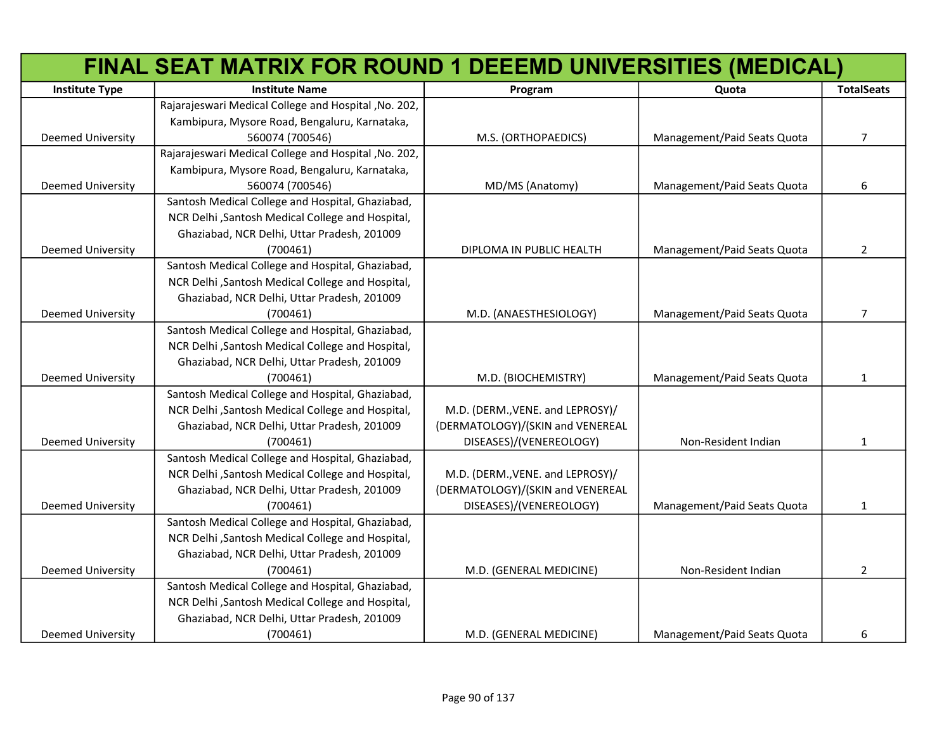|                          | FINAL SEAT MATRIX FOR ROUND 1 DEEEMD UNIVERSITIES (MEDICAL) |                                  |                             |                   |
|--------------------------|-------------------------------------------------------------|----------------------------------|-----------------------------|-------------------|
| <b>Institute Type</b>    | <b>Institute Name</b>                                       | Program                          | Quota                       | <b>TotalSeats</b> |
|                          | Rajarajeswari Medical College and Hospital , No. 202,       |                                  |                             |                   |
|                          | Kambipura, Mysore Road, Bengaluru, Karnataka,               |                                  |                             |                   |
| Deemed University        | 560074 (700546)                                             | M.S. (ORTHOPAEDICS)              | Management/Paid Seats Quota | 7                 |
|                          | Rajarajeswari Medical College and Hospital, No. 202,        |                                  |                             |                   |
|                          | Kambipura, Mysore Road, Bengaluru, Karnataka,               |                                  |                             |                   |
| <b>Deemed University</b> | 560074 (700546)                                             | MD/MS (Anatomy)                  | Management/Paid Seats Quota | 6                 |
|                          | Santosh Medical College and Hospital, Ghaziabad,            |                                  |                             |                   |
|                          | NCR Delhi , Santosh Medical College and Hospital,           |                                  |                             |                   |
|                          | Ghaziabad, NCR Delhi, Uttar Pradesh, 201009                 |                                  |                             |                   |
| Deemed University        | (700461)                                                    | DIPLOMA IN PUBLIC HEALTH         | Management/Paid Seats Quota | $\overline{2}$    |
|                          | Santosh Medical College and Hospital, Ghaziabad,            |                                  |                             |                   |
|                          | NCR Delhi , Santosh Medical College and Hospital,           |                                  |                             |                   |
|                          | Ghaziabad, NCR Delhi, Uttar Pradesh, 201009                 |                                  |                             |                   |
| <b>Deemed University</b> | (700461)                                                    | M.D. (ANAESTHESIOLOGY)           | Management/Paid Seats Quota | 7                 |
|                          | Santosh Medical College and Hospital, Ghaziabad,            |                                  |                             |                   |
|                          | NCR Delhi , Santosh Medical College and Hospital,           |                                  |                             |                   |
|                          | Ghaziabad, NCR Delhi, Uttar Pradesh, 201009                 |                                  |                             |                   |
| <b>Deemed University</b> | (700461)                                                    | M.D. (BIOCHEMISTRY)              | Management/Paid Seats Quota | $\mathbf{1}$      |
|                          | Santosh Medical College and Hospital, Ghaziabad,            |                                  |                             |                   |
|                          | NCR Delhi , Santosh Medical College and Hospital,           | M.D. (DERM., VENE. and LEPROSY)/ |                             |                   |
|                          | Ghaziabad, NCR Delhi, Uttar Pradesh, 201009                 | (DERMATOLOGY)/(SKIN and VENEREAL |                             |                   |
| <b>Deemed University</b> | (700461)                                                    | DISEASES)/(VENEREOLOGY)          | Non-Resident Indian         | $\mathbf{1}$      |
|                          | Santosh Medical College and Hospital, Ghaziabad,            |                                  |                             |                   |
|                          | NCR Delhi , Santosh Medical College and Hospital,           | M.D. (DERM., VENE. and LEPROSY)/ |                             |                   |
|                          | Ghaziabad, NCR Delhi, Uttar Pradesh, 201009                 | (DERMATOLOGY)/(SKIN and VENEREAL |                             |                   |
| <b>Deemed University</b> | (700461)                                                    | DISEASES)/(VENEREOLOGY)          | Management/Paid Seats Quota | $\mathbf{1}$      |
|                          | Santosh Medical College and Hospital, Ghaziabad,            |                                  |                             |                   |
|                          | NCR Delhi , Santosh Medical College and Hospital,           |                                  |                             |                   |
|                          | Ghaziabad, NCR Delhi, Uttar Pradesh, 201009                 |                                  |                             |                   |
| <b>Deemed University</b> | (700461)                                                    | M.D. (GENERAL MEDICINE)          | Non-Resident Indian         | $\overline{2}$    |
|                          | Santosh Medical College and Hospital, Ghaziabad,            |                                  |                             |                   |
|                          | NCR Delhi , Santosh Medical College and Hospital,           |                                  |                             |                   |
|                          | Ghaziabad, NCR Delhi, Uttar Pradesh, 201009                 |                                  |                             |                   |
| Deemed University        | (700461)                                                    | M.D. (GENERAL MEDICINE)          | Management/Paid Seats Quota | 6                 |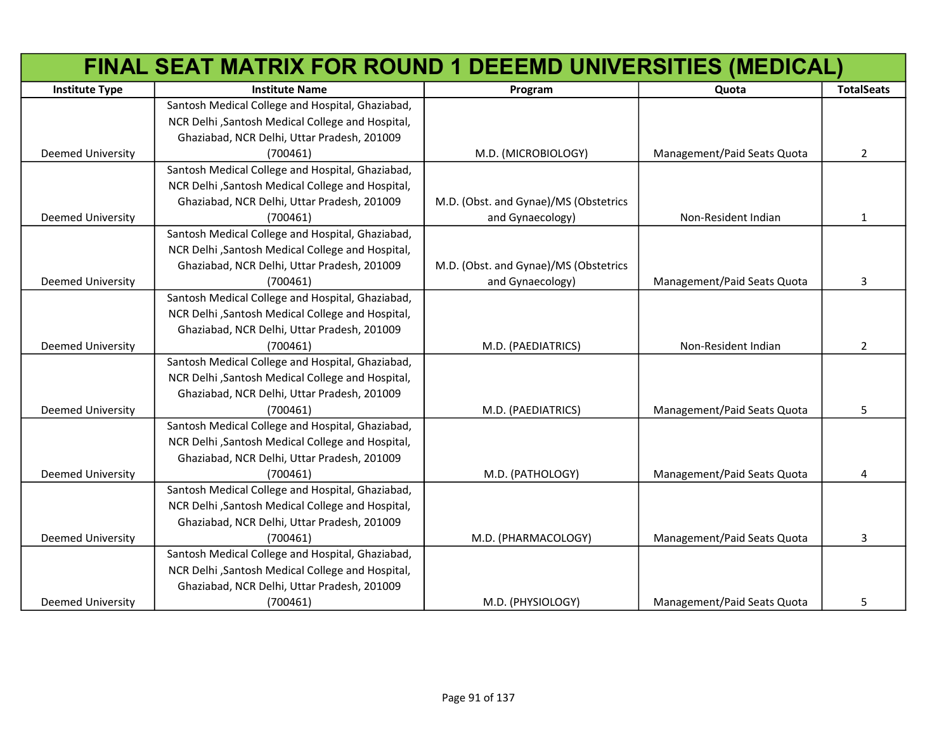|                          | FINAL SEAT MATRIX FOR ROUND 1 DEEEMD UNIVERSITIES (MEDICAL) |                                       |                             |                   |
|--------------------------|-------------------------------------------------------------|---------------------------------------|-----------------------------|-------------------|
| <b>Institute Type</b>    | <b>Institute Name</b>                                       | Program                               | Quota                       | <b>TotalSeats</b> |
|                          | Santosh Medical College and Hospital, Ghaziabad,            |                                       |                             |                   |
|                          | NCR Delhi , Santosh Medical College and Hospital,           |                                       |                             |                   |
|                          | Ghaziabad, NCR Delhi, Uttar Pradesh, 201009                 |                                       |                             |                   |
| <b>Deemed University</b> | (700461)                                                    | M.D. (MICROBIOLOGY)                   | Management/Paid Seats Quota | $\overline{2}$    |
|                          | Santosh Medical College and Hospital, Ghaziabad,            |                                       |                             |                   |
|                          | NCR Delhi , Santosh Medical College and Hospital,           |                                       |                             |                   |
|                          | Ghaziabad, NCR Delhi, Uttar Pradesh, 201009                 | M.D. (Obst. and Gynae)/MS (Obstetrics |                             |                   |
| <b>Deemed University</b> | (700461)                                                    | and Gynaecology)                      | Non-Resident Indian         | $\mathbf{1}$      |
|                          | Santosh Medical College and Hospital, Ghaziabad,            |                                       |                             |                   |
|                          | NCR Delhi , Santosh Medical College and Hospital,           |                                       |                             |                   |
|                          | Ghaziabad, NCR Delhi, Uttar Pradesh, 201009                 | M.D. (Obst. and Gynae)/MS (Obstetrics |                             |                   |
| <b>Deemed University</b> | (700461)                                                    | and Gynaecology)                      | Management/Paid Seats Quota | 3                 |
|                          | Santosh Medical College and Hospital, Ghaziabad,            |                                       |                             |                   |
|                          | NCR Delhi , Santosh Medical College and Hospital,           |                                       |                             |                   |
|                          | Ghaziabad, NCR Delhi, Uttar Pradesh, 201009                 |                                       |                             |                   |
| <b>Deemed University</b> | (700461)                                                    | M.D. (PAEDIATRICS)                    | Non-Resident Indian         | 2                 |
|                          | Santosh Medical College and Hospital, Ghaziabad,            |                                       |                             |                   |
|                          | NCR Delhi , Santosh Medical College and Hospital,           |                                       |                             |                   |
|                          | Ghaziabad, NCR Delhi, Uttar Pradesh, 201009                 |                                       |                             |                   |
| <b>Deemed University</b> | (700461)                                                    | M.D. (PAEDIATRICS)                    | Management/Paid Seats Quota | 5                 |
|                          | Santosh Medical College and Hospital, Ghaziabad,            |                                       |                             |                   |
|                          | NCR Delhi , Santosh Medical College and Hospital,           |                                       |                             |                   |
|                          | Ghaziabad, NCR Delhi, Uttar Pradesh, 201009                 |                                       |                             |                   |
| <b>Deemed University</b> | (700461)                                                    | M.D. (PATHOLOGY)                      | Management/Paid Seats Quota | 4                 |
|                          | Santosh Medical College and Hospital, Ghaziabad,            |                                       |                             |                   |
|                          | NCR Delhi , Santosh Medical College and Hospital,           |                                       |                             |                   |
|                          | Ghaziabad, NCR Delhi, Uttar Pradesh, 201009                 |                                       |                             |                   |
| <b>Deemed University</b> | (700461)                                                    | M.D. (PHARMACOLOGY)                   | Management/Paid Seats Quota | 3                 |
|                          | Santosh Medical College and Hospital, Ghaziabad,            |                                       |                             |                   |
|                          | NCR Delhi , Santosh Medical College and Hospital,           |                                       |                             |                   |
|                          | Ghaziabad, NCR Delhi, Uttar Pradesh, 201009                 |                                       |                             |                   |
| <b>Deemed University</b> | (700461)                                                    | M.D. (PHYSIOLOGY)                     | Management/Paid Seats Quota | 5                 |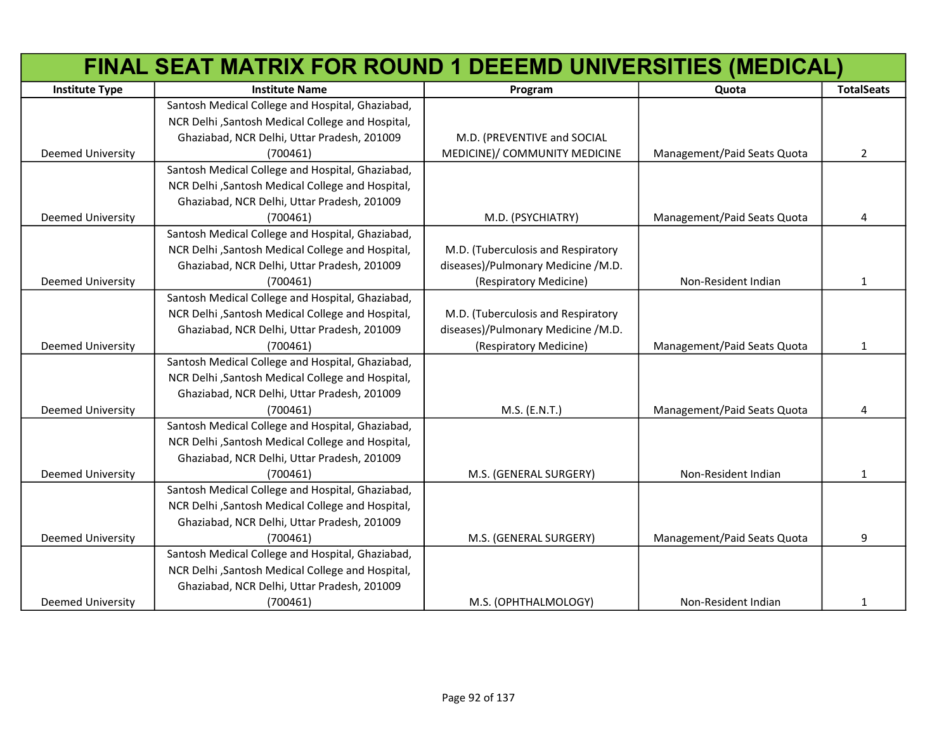|                          | FINAL SEAT MATRIX FOR ROUND 1 DEEEMD UNIVERSITIES (MEDICAL) |                                    |                             |                   |
|--------------------------|-------------------------------------------------------------|------------------------------------|-----------------------------|-------------------|
| <b>Institute Type</b>    | <b>Institute Name</b>                                       | Program                            | Quota                       | <b>TotalSeats</b> |
|                          | Santosh Medical College and Hospital, Ghaziabad,            |                                    |                             |                   |
|                          | NCR Delhi , Santosh Medical College and Hospital,           |                                    |                             |                   |
|                          | Ghaziabad, NCR Delhi, Uttar Pradesh, 201009                 | M.D. (PREVENTIVE and SOCIAL        |                             |                   |
| Deemed University        | (700461)                                                    | MEDICINE)/ COMMUNITY MEDICINE      | Management/Paid Seats Quota | $\overline{2}$    |
|                          | Santosh Medical College and Hospital, Ghaziabad,            |                                    |                             |                   |
|                          | NCR Delhi , Santosh Medical College and Hospital,           |                                    |                             |                   |
|                          | Ghaziabad, NCR Delhi, Uttar Pradesh, 201009                 |                                    |                             |                   |
| <b>Deemed University</b> | (700461)                                                    | M.D. (PSYCHIATRY)                  | Management/Paid Seats Quota | 4                 |
|                          | Santosh Medical College and Hospital, Ghaziabad,            |                                    |                             |                   |
|                          | NCR Delhi , Santosh Medical College and Hospital,           | M.D. (Tuberculosis and Respiratory |                             |                   |
|                          | Ghaziabad, NCR Delhi, Uttar Pradesh, 201009                 | diseases)/Pulmonary Medicine /M.D. |                             |                   |
| Deemed University        | (700461)                                                    | (Respiratory Medicine)             | Non-Resident Indian         | 1                 |
|                          | Santosh Medical College and Hospital, Ghaziabad,            |                                    |                             |                   |
|                          | NCR Delhi , Santosh Medical College and Hospital,           | M.D. (Tuberculosis and Respiratory |                             |                   |
|                          | Ghaziabad, NCR Delhi, Uttar Pradesh, 201009                 | diseases)/Pulmonary Medicine /M.D. |                             |                   |
| Deemed University        | (700461)                                                    | (Respiratory Medicine)             | Management/Paid Seats Quota | 1                 |
|                          | Santosh Medical College and Hospital, Ghaziabad,            |                                    |                             |                   |
|                          | NCR Delhi , Santosh Medical College and Hospital,           |                                    |                             |                   |
|                          | Ghaziabad, NCR Delhi, Uttar Pradesh, 201009                 |                                    |                             |                   |
| Deemed University        | (700461)                                                    | M.S. (E.N.T.)                      | Management/Paid Seats Quota | 4                 |
|                          | Santosh Medical College and Hospital, Ghaziabad,            |                                    |                             |                   |
|                          | NCR Delhi , Santosh Medical College and Hospital,           |                                    |                             |                   |
|                          | Ghaziabad, NCR Delhi, Uttar Pradesh, 201009                 |                                    |                             |                   |
| Deemed University        | (700461)                                                    | M.S. (GENERAL SURGERY)             | Non-Resident Indian         | 1                 |
|                          | Santosh Medical College and Hospital, Ghaziabad,            |                                    |                             |                   |
|                          | NCR Delhi , Santosh Medical College and Hospital,           |                                    |                             |                   |
|                          | Ghaziabad, NCR Delhi, Uttar Pradesh, 201009                 |                                    |                             |                   |
| Deemed University        | (700461)                                                    | M.S. (GENERAL SURGERY)             | Management/Paid Seats Quota | 9                 |
|                          | Santosh Medical College and Hospital, Ghaziabad,            |                                    |                             |                   |
|                          | NCR Delhi , Santosh Medical College and Hospital,           |                                    |                             |                   |
|                          | Ghaziabad, NCR Delhi, Uttar Pradesh, 201009                 |                                    |                             |                   |
| <b>Deemed University</b> | (700461)                                                    | M.S. (OPHTHALMOLOGY)               | Non-Resident Indian         | 1                 |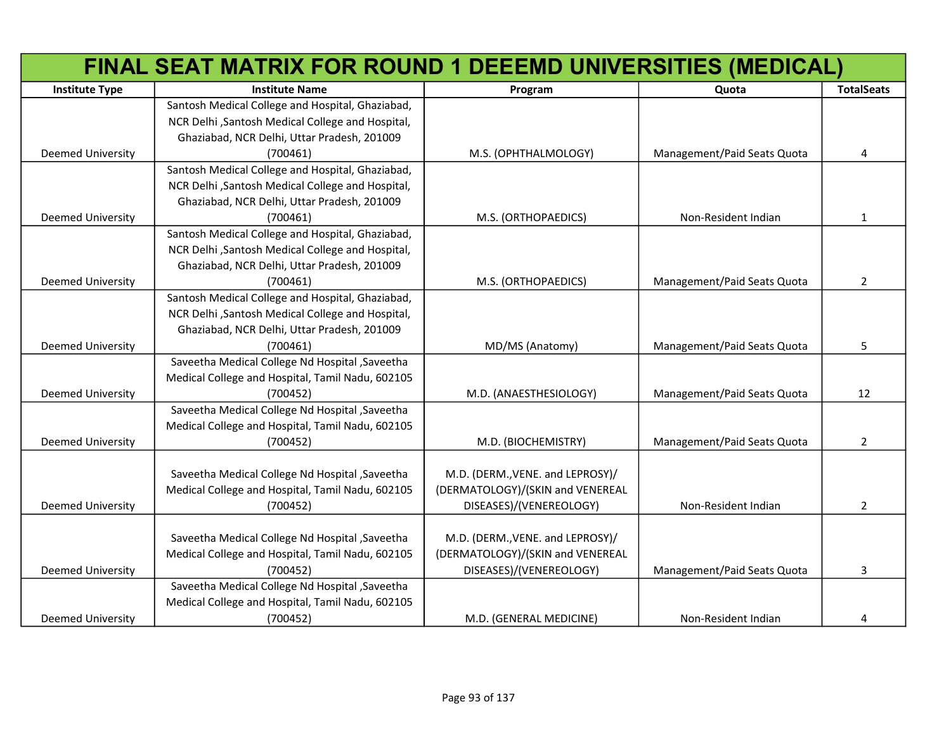|                          | FINAL SEAT MATRIX FOR ROUND 1 DEEEMD UNIVERSITIES (MEDICAL) |                                  |                             |                   |
|--------------------------|-------------------------------------------------------------|----------------------------------|-----------------------------|-------------------|
| <b>Institute Type</b>    | <b>Institute Name</b>                                       | Program                          | Quota                       | <b>TotalSeats</b> |
|                          | Santosh Medical College and Hospital, Ghaziabad,            |                                  |                             |                   |
|                          | NCR Delhi , Santosh Medical College and Hospital,           |                                  |                             |                   |
|                          | Ghaziabad, NCR Delhi, Uttar Pradesh, 201009                 |                                  |                             |                   |
| Deemed University        | (700461)                                                    | M.S. (OPHTHALMOLOGY)             | Management/Paid Seats Quota | 4                 |
|                          | Santosh Medical College and Hospital, Ghaziabad,            |                                  |                             |                   |
|                          | NCR Delhi , Santosh Medical College and Hospital,           |                                  |                             |                   |
|                          | Ghaziabad, NCR Delhi, Uttar Pradesh, 201009                 |                                  |                             |                   |
| Deemed University        | (700461)                                                    | M.S. (ORTHOPAEDICS)              | Non-Resident Indian         | 1                 |
|                          | Santosh Medical College and Hospital, Ghaziabad,            |                                  |                             |                   |
|                          | NCR Delhi , Santosh Medical College and Hospital,           |                                  |                             |                   |
|                          | Ghaziabad, NCR Delhi, Uttar Pradesh, 201009                 |                                  |                             |                   |
| Deemed University        | (700461)                                                    | M.S. (ORTHOPAEDICS)              | Management/Paid Seats Quota | $\overline{2}$    |
|                          | Santosh Medical College and Hospital, Ghaziabad,            |                                  |                             |                   |
|                          | NCR Delhi , Santosh Medical College and Hospital,           |                                  |                             |                   |
|                          | Ghaziabad, NCR Delhi, Uttar Pradesh, 201009                 |                                  |                             |                   |
| Deemed University        | (700461)                                                    | MD/MS (Anatomy)                  | Management/Paid Seats Quota | 5                 |
|                          | Saveetha Medical College Nd Hospital , Saveetha             |                                  |                             |                   |
|                          | Medical College and Hospital, Tamil Nadu, 602105            |                                  |                             |                   |
| Deemed University        | (700452)                                                    | M.D. (ANAESTHESIOLOGY)           | Management/Paid Seats Quota | 12                |
|                          | Saveetha Medical College Nd Hospital , Saveetha             |                                  |                             |                   |
|                          | Medical College and Hospital, Tamil Nadu, 602105            |                                  |                             |                   |
| Deemed University        | (700452)                                                    | M.D. (BIOCHEMISTRY)              | Management/Paid Seats Quota | $\overline{2}$    |
|                          |                                                             |                                  |                             |                   |
|                          | Saveetha Medical College Nd Hospital , Saveetha             | M.D. (DERM., VENE. and LEPROSY)/ |                             |                   |
|                          | Medical College and Hospital, Tamil Nadu, 602105            | (DERMATOLOGY)/(SKIN and VENEREAL |                             |                   |
| Deemed University        | (700452)                                                    | DISEASES)/(VENEREOLOGY)          | Non-Resident Indian         | 2                 |
|                          |                                                             |                                  |                             |                   |
|                          | Saveetha Medical College Nd Hospital , Saveetha             | M.D. (DERM., VENE. and LEPROSY)/ |                             |                   |
|                          | Medical College and Hospital, Tamil Nadu, 602105            | (DERMATOLOGY)/(SKIN and VENEREAL |                             |                   |
| <b>Deemed University</b> | (700452)                                                    | DISEASES)/(VENEREOLOGY)          | Management/Paid Seats Quota | 3                 |
|                          | Saveetha Medical College Nd Hospital , Saveetha             |                                  |                             |                   |
|                          | Medical College and Hospital, Tamil Nadu, 602105            |                                  |                             |                   |
| <b>Deemed University</b> | (700452)                                                    | M.D. (GENERAL MEDICINE)          | Non-Resident Indian         | 4                 |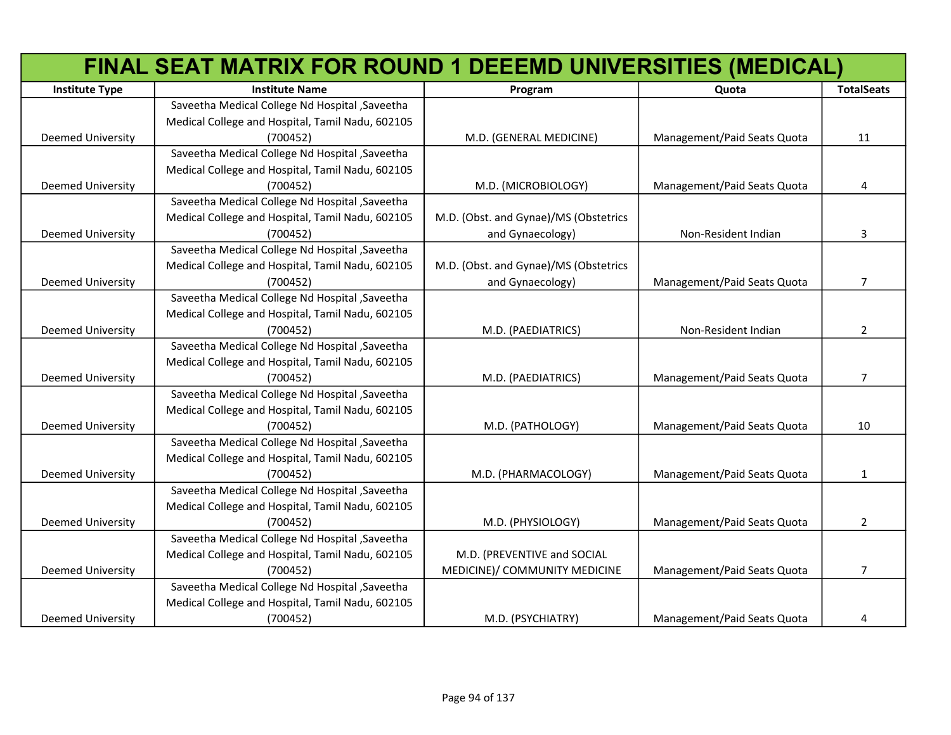|                          | FINAL SEAT MATRIX FOR ROUND 1 DEEEMD UNIVERSITIES (MEDICAL) |                                       |                             |                   |
|--------------------------|-------------------------------------------------------------|---------------------------------------|-----------------------------|-------------------|
| <b>Institute Type</b>    | <b>Institute Name</b>                                       | Program                               | Quota                       | <b>TotalSeats</b> |
|                          | Saveetha Medical College Nd Hospital , Saveetha             |                                       |                             |                   |
|                          | Medical College and Hospital, Tamil Nadu, 602105            |                                       |                             |                   |
| <b>Deemed University</b> | (700452)                                                    | M.D. (GENERAL MEDICINE)               | Management/Paid Seats Quota | 11                |
|                          | Saveetha Medical College Nd Hospital , Saveetha             |                                       |                             |                   |
|                          | Medical College and Hospital, Tamil Nadu, 602105            |                                       |                             |                   |
| <b>Deemed University</b> | (700452)                                                    | M.D. (MICROBIOLOGY)                   | Management/Paid Seats Quota | 4                 |
|                          | Saveetha Medical College Nd Hospital , Saveetha             |                                       |                             |                   |
|                          | Medical College and Hospital, Tamil Nadu, 602105            | M.D. (Obst. and Gynae)/MS (Obstetrics |                             |                   |
| <b>Deemed University</b> | (700452)                                                    | and Gynaecology)                      | Non-Resident Indian         | 3                 |
|                          | Saveetha Medical College Nd Hospital , Saveetha             |                                       |                             |                   |
|                          | Medical College and Hospital, Tamil Nadu, 602105            | M.D. (Obst. and Gynae)/MS (Obstetrics |                             |                   |
| <b>Deemed University</b> | (700452)                                                    | and Gynaecology)                      | Management/Paid Seats Quota | $\overline{7}$    |
|                          | Saveetha Medical College Nd Hospital , Saveetha             |                                       |                             |                   |
|                          | Medical College and Hospital, Tamil Nadu, 602105            |                                       |                             |                   |
| <b>Deemed University</b> | (700452)                                                    | M.D. (PAEDIATRICS)                    | Non-Resident Indian         | 2                 |
|                          | Saveetha Medical College Nd Hospital , Saveetha             |                                       |                             |                   |
|                          | Medical College and Hospital, Tamil Nadu, 602105            |                                       |                             |                   |
| <b>Deemed University</b> | (700452)                                                    | M.D. (PAEDIATRICS)                    | Management/Paid Seats Quota | 7                 |
|                          | Saveetha Medical College Nd Hospital , Saveetha             |                                       |                             |                   |
|                          | Medical College and Hospital, Tamil Nadu, 602105            |                                       |                             |                   |
| <b>Deemed University</b> | (700452)                                                    | M.D. (PATHOLOGY)                      | Management/Paid Seats Quota | 10                |
|                          | Saveetha Medical College Nd Hospital , Saveetha             |                                       |                             |                   |
|                          | Medical College and Hospital, Tamil Nadu, 602105            |                                       |                             |                   |
| <b>Deemed University</b> | (700452)                                                    | M.D. (PHARMACOLOGY)                   | Management/Paid Seats Quota | 1                 |
|                          | Saveetha Medical College Nd Hospital , Saveetha             |                                       |                             |                   |
|                          | Medical College and Hospital, Tamil Nadu, 602105            |                                       |                             |                   |
| <b>Deemed University</b> | (700452)                                                    | M.D. (PHYSIOLOGY)                     | Management/Paid Seats Quota | $\overline{2}$    |
|                          | Saveetha Medical College Nd Hospital , Saveetha             |                                       |                             |                   |
|                          | Medical College and Hospital, Tamil Nadu, 602105            | M.D. (PREVENTIVE and SOCIAL           |                             |                   |
| <b>Deemed University</b> | (700452)                                                    | MEDICINE)/ COMMUNITY MEDICINE         | Management/Paid Seats Quota | 7                 |
|                          | Saveetha Medical College Nd Hospital , Saveetha             |                                       |                             |                   |
|                          | Medical College and Hospital, Tamil Nadu, 602105            |                                       |                             |                   |
| <b>Deemed University</b> | (700452)                                                    | M.D. (PSYCHIATRY)                     | Management/Paid Seats Quota | 4                 |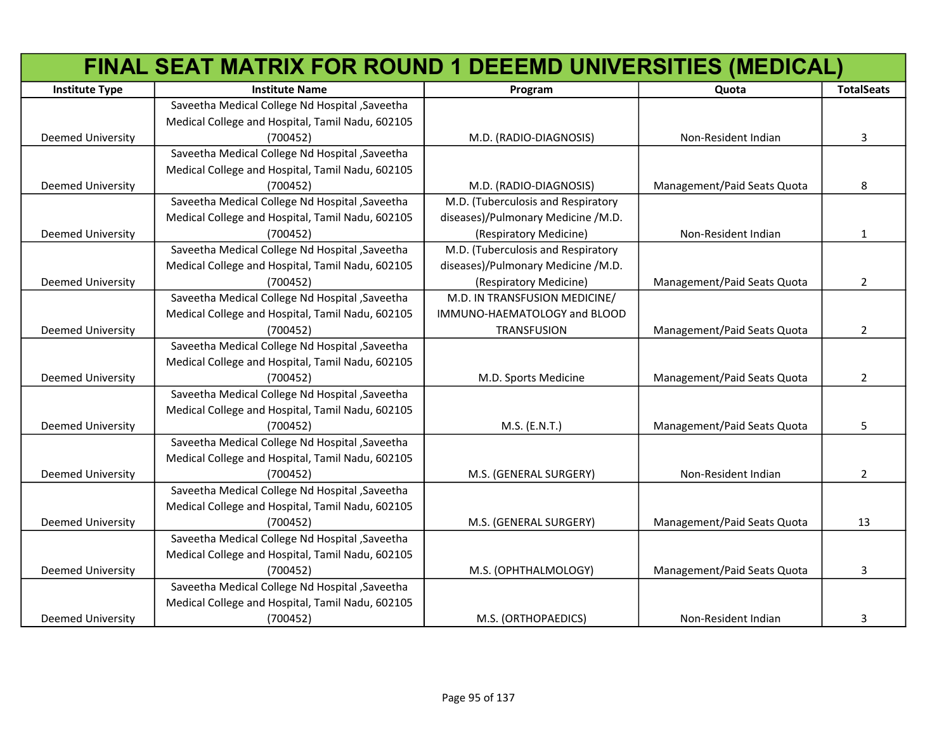|                          | FINAL SEAT MATRIX FOR ROUND 1 DEEEMD UNIVERSITIES (MEDICAL) |                                    |                             |                   |
|--------------------------|-------------------------------------------------------------|------------------------------------|-----------------------------|-------------------|
| <b>Institute Type</b>    | <b>Institute Name</b>                                       | Program                            | Quota                       | <b>TotalSeats</b> |
|                          | Saveetha Medical College Nd Hospital , Saveetha             |                                    |                             |                   |
|                          | Medical College and Hospital, Tamil Nadu, 602105            |                                    |                             |                   |
| <b>Deemed University</b> | (700452)                                                    | M.D. (RADIO-DIAGNOSIS)             | Non-Resident Indian         | 3                 |
|                          | Saveetha Medical College Nd Hospital , Saveetha             |                                    |                             |                   |
|                          | Medical College and Hospital, Tamil Nadu, 602105            |                                    |                             |                   |
| <b>Deemed University</b> | (700452)                                                    | M.D. (RADIO-DIAGNOSIS)             | Management/Paid Seats Quota | 8                 |
|                          | Saveetha Medical College Nd Hospital , Saveetha             | M.D. (Tuberculosis and Respiratory |                             |                   |
|                          | Medical College and Hospital, Tamil Nadu, 602105            | diseases)/Pulmonary Medicine /M.D. |                             |                   |
| <b>Deemed University</b> | (700452)                                                    | (Respiratory Medicine)             | Non-Resident Indian         | $\mathbf{1}$      |
|                          | Saveetha Medical College Nd Hospital , Saveetha             | M.D. (Tuberculosis and Respiratory |                             |                   |
|                          | Medical College and Hospital, Tamil Nadu, 602105            | diseases)/Pulmonary Medicine /M.D. |                             |                   |
| Deemed University        | (700452)                                                    | (Respiratory Medicine)             | Management/Paid Seats Quota | $\overline{2}$    |
|                          | Saveetha Medical College Nd Hospital , Saveetha             | M.D. IN TRANSFUSION MEDICINE/      |                             |                   |
|                          | Medical College and Hospital, Tamil Nadu, 602105            | IMMUNO-HAEMATOLOGY and BLOOD       |                             |                   |
| <b>Deemed University</b> | (700452)                                                    | TRANSFUSION                        | Management/Paid Seats Quota | $\overline{2}$    |
|                          | Saveetha Medical College Nd Hospital , Saveetha             |                                    |                             |                   |
|                          | Medical College and Hospital, Tamil Nadu, 602105            |                                    |                             |                   |
| <b>Deemed University</b> | (700452)                                                    | M.D. Sports Medicine               | Management/Paid Seats Quota | $\overline{2}$    |
|                          | Saveetha Medical College Nd Hospital , Saveetha             |                                    |                             |                   |
|                          | Medical College and Hospital, Tamil Nadu, 602105            |                                    |                             |                   |
| <b>Deemed University</b> | (700452)                                                    | M.S. (E.N.T.)                      | Management/Paid Seats Quota | 5                 |
|                          | Saveetha Medical College Nd Hospital , Saveetha             |                                    |                             |                   |
|                          | Medical College and Hospital, Tamil Nadu, 602105            |                                    |                             |                   |
| <b>Deemed University</b> | (700452)                                                    | M.S. (GENERAL SURGERY)             | Non-Resident Indian         | $\overline{2}$    |
|                          | Saveetha Medical College Nd Hospital , Saveetha             |                                    |                             |                   |
|                          | Medical College and Hospital, Tamil Nadu, 602105            |                                    |                             |                   |
| <b>Deemed University</b> | (700452)                                                    | M.S. (GENERAL SURGERY)             | Management/Paid Seats Quota | 13                |
|                          | Saveetha Medical College Nd Hospital , Saveetha             |                                    |                             |                   |
|                          | Medical College and Hospital, Tamil Nadu, 602105            |                                    |                             |                   |
| <b>Deemed University</b> | (700452)                                                    | M.S. (OPHTHALMOLOGY)               | Management/Paid Seats Quota | 3                 |
|                          | Saveetha Medical College Nd Hospital , Saveetha             |                                    |                             |                   |
|                          | Medical College and Hospital, Tamil Nadu, 602105            |                                    |                             |                   |
| <b>Deemed University</b> | (700452)                                                    | M.S. (ORTHOPAEDICS)                | Non-Resident Indian         | 3                 |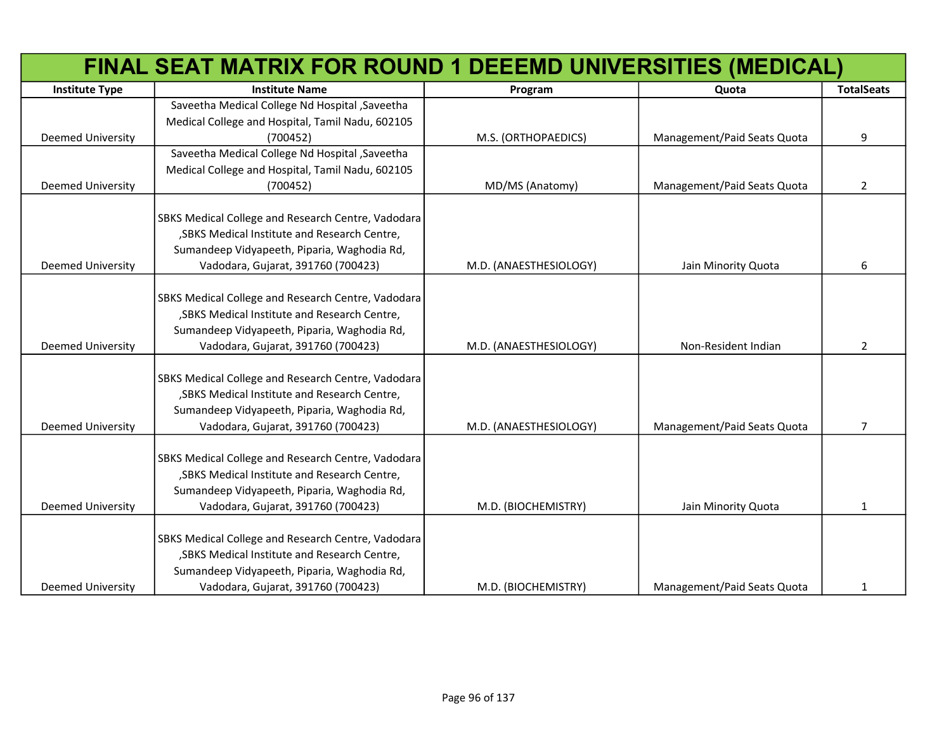|                          | FINAL SEAT MATRIX FOR ROUND 1 DEEEMD UNIVERSITIES (MEDICAL) |                        |                             |                   |
|--------------------------|-------------------------------------------------------------|------------------------|-----------------------------|-------------------|
| <b>Institute Type</b>    | <b>Institute Name</b>                                       | Program                | Quota                       | <b>TotalSeats</b> |
|                          | Saveetha Medical College Nd Hospital , Saveetha             |                        |                             |                   |
|                          | Medical College and Hospital, Tamil Nadu, 602105            |                        |                             |                   |
| <b>Deemed University</b> | (700452)                                                    | M.S. (ORTHOPAEDICS)    | Management/Paid Seats Quota | 9                 |
|                          | Saveetha Medical College Nd Hospital , Saveetha             |                        |                             |                   |
|                          | Medical College and Hospital, Tamil Nadu, 602105            |                        |                             |                   |
| <b>Deemed University</b> | (700452)                                                    | MD/MS (Anatomy)        | Management/Paid Seats Quota | $\overline{2}$    |
|                          | SBKS Medical College and Research Centre, Vadodara          |                        |                             |                   |
|                          | , SBKS Medical Institute and Research Centre,               |                        |                             |                   |
|                          | Sumandeep Vidyapeeth, Piparia, Waghodia Rd,                 |                        |                             |                   |
| <b>Deemed University</b> | Vadodara, Gujarat, 391760 (700423)                          | M.D. (ANAESTHESIOLOGY) | Jain Minority Quota         | 6                 |
|                          |                                                             |                        |                             |                   |
|                          | SBKS Medical College and Research Centre, Vadodara          |                        |                             |                   |
|                          | , SBKS Medical Institute and Research Centre,               |                        |                             |                   |
|                          | Sumandeep Vidyapeeth, Piparia, Waghodia Rd,                 |                        |                             |                   |
| <b>Deemed University</b> | Vadodara, Gujarat, 391760 (700423)                          | M.D. (ANAESTHESIOLOGY) | Non-Resident Indian         | 2                 |
|                          | SBKS Medical College and Research Centre, Vadodara          |                        |                             |                   |
|                          | , SBKS Medical Institute and Research Centre,               |                        |                             |                   |
|                          | Sumandeep Vidyapeeth, Piparia, Waghodia Rd,                 |                        |                             |                   |
| <b>Deemed University</b> | Vadodara, Gujarat, 391760 (700423)                          | M.D. (ANAESTHESIOLOGY) | Management/Paid Seats Quota | $\overline{7}$    |
|                          | SBKS Medical College and Research Centre, Vadodara          |                        |                             |                   |
|                          | , SBKS Medical Institute and Research Centre,               |                        |                             |                   |
|                          | Sumandeep Vidyapeeth, Piparia, Waghodia Rd,                 |                        |                             |                   |
| <b>Deemed University</b> | Vadodara, Gujarat, 391760 (700423)                          | M.D. (BIOCHEMISTRY)    | Jain Minority Quota         | $\mathbf{1}$      |
|                          |                                                             |                        |                             |                   |
|                          | SBKS Medical College and Research Centre, Vadodara          |                        |                             |                   |
|                          | , SBKS Medical Institute and Research Centre,               |                        |                             |                   |
|                          | Sumandeep Vidyapeeth, Piparia, Waghodia Rd,                 |                        |                             |                   |
| <b>Deemed University</b> | Vadodara, Gujarat, 391760 (700423)                          | M.D. (BIOCHEMISTRY)    | Management/Paid Seats Quota | 1                 |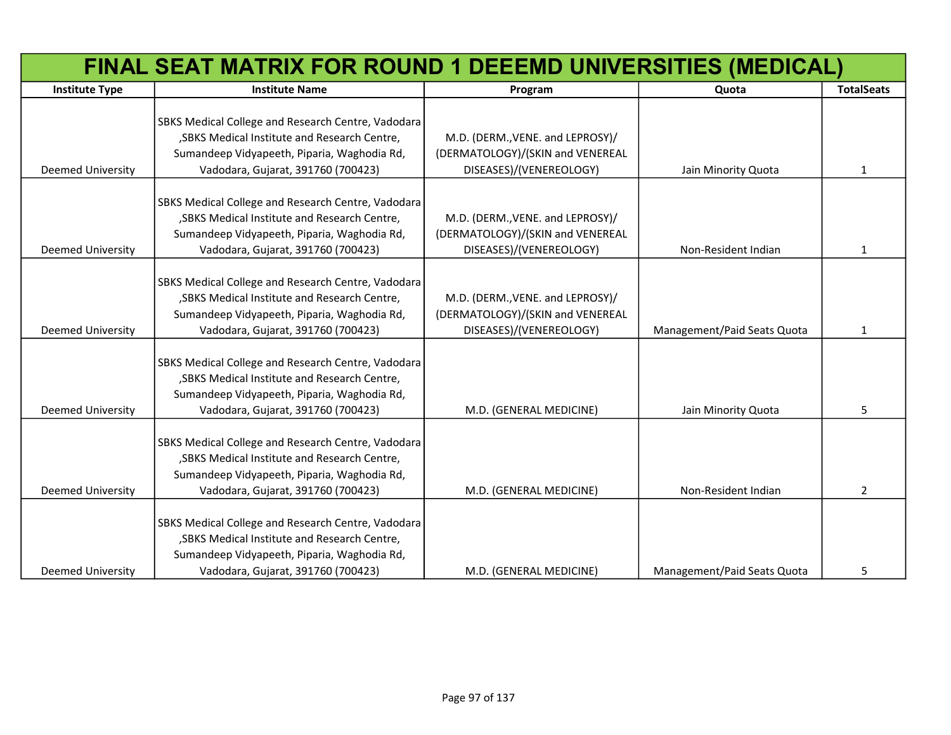|                          | FINAL SEAT MATRIX FOR ROUND 1 DEEEMD UNIVERSITIES (MEDICAL)                                  |                                                                      |                             |                   |
|--------------------------|----------------------------------------------------------------------------------------------|----------------------------------------------------------------------|-----------------------------|-------------------|
| <b>Institute Type</b>    | <b>Institute Name</b>                                                                        | Program                                                              | Quota                       | <b>TotalSeats</b> |
|                          |                                                                                              |                                                                      |                             |                   |
|                          | SBKS Medical College and Research Centre, Vadodara                                           |                                                                      |                             |                   |
|                          | , SBKS Medical Institute and Research Centre,<br>Sumandeep Vidyapeeth, Piparia, Waghodia Rd, | M.D. (DERM., VENE. and LEPROSY)/<br>(DERMATOLOGY)/(SKIN and VENEREAL |                             |                   |
|                          |                                                                                              |                                                                      |                             |                   |
| <b>Deemed University</b> | Vadodara, Gujarat, 391760 (700423)                                                           | DISEASES)/(VENEREOLOGY)                                              | Jain Minority Quota         | $\mathbf{1}$      |
|                          | SBKS Medical College and Research Centre, Vadodara                                           |                                                                      |                             |                   |
|                          | , SBKS Medical Institute and Research Centre,                                                | M.D. (DERM., VENE. and LEPROSY)/                                     |                             |                   |
|                          | Sumandeep Vidyapeeth, Piparia, Waghodia Rd,                                                  | (DERMATOLOGY)/(SKIN and VENEREAL                                     |                             |                   |
| <b>Deemed University</b> | Vadodara, Gujarat, 391760 (700423)                                                           | DISEASES)/(VENEREOLOGY)                                              | Non-Resident Indian         | $\mathbf{1}$      |
|                          |                                                                                              |                                                                      |                             |                   |
|                          | SBKS Medical College and Research Centre, Vadodara                                           |                                                                      |                             |                   |
|                          | , SBKS Medical Institute and Research Centre,                                                | M.D. (DERM., VENE. and LEPROSY)/                                     |                             |                   |
|                          | Sumandeep Vidyapeeth, Piparia, Waghodia Rd,                                                  | (DERMATOLOGY)/(SKIN and VENEREAL                                     |                             |                   |
| <b>Deemed University</b> | Vadodara, Gujarat, 391760 (700423)                                                           | DISEASES)/(VENEREOLOGY)                                              | Management/Paid Seats Quota | $\mathbf{1}$      |
|                          |                                                                                              |                                                                      |                             |                   |
|                          | SBKS Medical College and Research Centre, Vadodara                                           |                                                                      |                             |                   |
|                          | , SBKS Medical Institute and Research Centre,                                                |                                                                      |                             |                   |
|                          | Sumandeep Vidyapeeth, Piparia, Waghodia Rd,                                                  |                                                                      |                             |                   |
| <b>Deemed University</b> | Vadodara, Gujarat, 391760 (700423)                                                           | M.D. (GENERAL MEDICINE)                                              | Jain Minority Quota         | 5                 |
|                          |                                                                                              |                                                                      |                             |                   |
|                          | SBKS Medical College and Research Centre, Vadodara                                           |                                                                      |                             |                   |
|                          | , SBKS Medical Institute and Research Centre,                                                |                                                                      |                             |                   |
|                          | Sumandeep Vidyapeeth, Piparia, Waghodia Rd,                                                  |                                                                      |                             |                   |
| <b>Deemed University</b> | Vadodara, Gujarat, 391760 (700423)                                                           | M.D. (GENERAL MEDICINE)                                              | Non-Resident Indian         | 2                 |
|                          | SBKS Medical College and Research Centre, Vadodara                                           |                                                                      |                             |                   |
|                          | , SBKS Medical Institute and Research Centre,                                                |                                                                      |                             |                   |
|                          | Sumandeep Vidyapeeth, Piparia, Waghodia Rd,                                                  |                                                                      |                             |                   |
| <b>Deemed University</b> | Vadodara, Gujarat, 391760 (700423)                                                           | M.D. (GENERAL MEDICINE)                                              | Management/Paid Seats Quota | 5                 |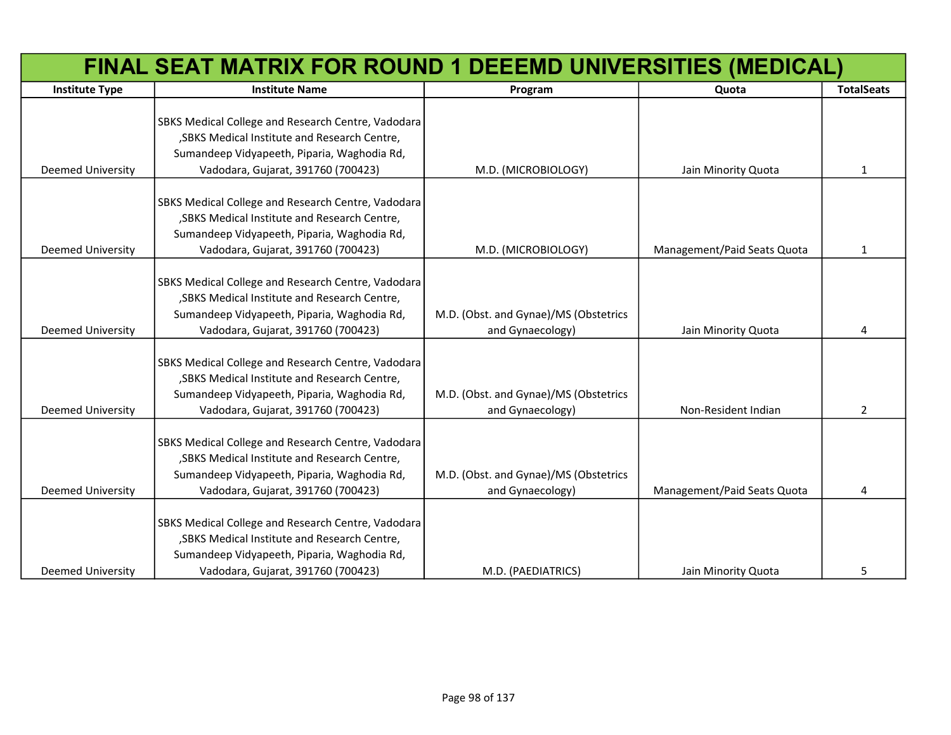|                          | FINAL SEAT MATRIX FOR ROUND 1 DEEEMD UNIVERSITIES (MEDICAL)                                         |                                       |                             |                   |
|--------------------------|-----------------------------------------------------------------------------------------------------|---------------------------------------|-----------------------------|-------------------|
| <b>Institute Type</b>    | <b>Institute Name</b>                                                                               | Program                               | Quota                       | <b>TotalSeats</b> |
|                          |                                                                                                     |                                       |                             |                   |
|                          | SBKS Medical College and Research Centre, Vadodara                                                  |                                       |                             |                   |
|                          | , SBKS Medical Institute and Research Centre,                                                       |                                       |                             |                   |
|                          | Sumandeep Vidyapeeth, Piparia, Waghodia Rd,                                                         |                                       |                             |                   |
| Deemed University        | Vadodara, Gujarat, 391760 (700423)                                                                  | M.D. (MICROBIOLOGY)                   | Jain Minority Quota         | 1                 |
|                          |                                                                                                     |                                       |                             |                   |
|                          | SBKS Medical College and Research Centre, Vadodara<br>, SBKS Medical Institute and Research Centre, |                                       |                             |                   |
|                          | Sumandeep Vidyapeeth, Piparia, Waghodia Rd,                                                         |                                       |                             |                   |
| Deemed University        | Vadodara, Gujarat, 391760 (700423)                                                                  | M.D. (MICROBIOLOGY)                   | Management/Paid Seats Quota | 1                 |
|                          |                                                                                                     |                                       |                             |                   |
|                          | SBKS Medical College and Research Centre, Vadodara                                                  |                                       |                             |                   |
|                          | , SBKS Medical Institute and Research Centre,                                                       |                                       |                             |                   |
|                          | Sumandeep Vidyapeeth, Piparia, Waghodia Rd,                                                         | M.D. (Obst. and Gynae)/MS (Obstetrics |                             |                   |
| Deemed University        | Vadodara, Gujarat, 391760 (700423)                                                                  | and Gynaecology)                      | Jain Minority Quota         | 4                 |
|                          |                                                                                                     |                                       |                             |                   |
|                          | SBKS Medical College and Research Centre, Vadodara                                                  |                                       |                             |                   |
|                          | , SBKS Medical Institute and Research Centre,                                                       |                                       |                             |                   |
|                          | Sumandeep Vidyapeeth, Piparia, Waghodia Rd,                                                         | M.D. (Obst. and Gynae)/MS (Obstetrics |                             |                   |
| Deemed University        | Vadodara, Gujarat, 391760 (700423)                                                                  | and Gynaecology)                      | Non-Resident Indian         | $\overline{2}$    |
|                          |                                                                                                     |                                       |                             |                   |
|                          | SBKS Medical College and Research Centre, Vadodara                                                  |                                       |                             |                   |
|                          | , SBKS Medical Institute and Research Centre,                                                       |                                       |                             |                   |
|                          | Sumandeep Vidyapeeth, Piparia, Waghodia Rd,                                                         | M.D. (Obst. and Gynae)/MS (Obstetrics |                             |                   |
| <b>Deemed University</b> | Vadodara, Gujarat, 391760 (700423)                                                                  | and Gynaecology)                      | Management/Paid Seats Quota | 4                 |
|                          |                                                                                                     |                                       |                             |                   |
|                          | SBKS Medical College and Research Centre, Vadodara                                                  |                                       |                             |                   |
|                          | , SBKS Medical Institute and Research Centre,                                                       |                                       |                             |                   |
|                          | Sumandeep Vidyapeeth, Piparia, Waghodia Rd,                                                         |                                       |                             |                   |
| <b>Deemed University</b> | Vadodara, Gujarat, 391760 (700423)                                                                  | M.D. (PAEDIATRICS)                    | Jain Minority Quota         | 5                 |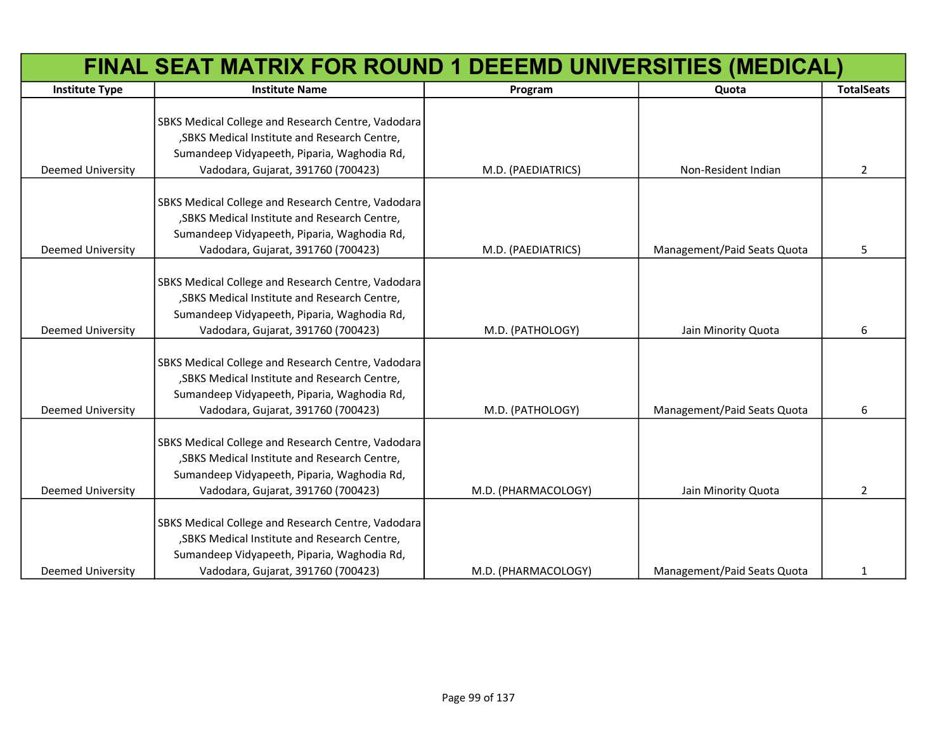|                          | FINAL SEAT MATRIX FOR ROUND 1 DEEEMD UNIVERSITIES (MEDICAL)                                                                                                                              |                     |                             |                   |
|--------------------------|------------------------------------------------------------------------------------------------------------------------------------------------------------------------------------------|---------------------|-----------------------------|-------------------|
| <b>Institute Type</b>    | <b>Institute Name</b>                                                                                                                                                                    | Program             | Quota                       | <b>TotalSeats</b> |
| Deemed University        | SBKS Medical College and Research Centre, Vadodara<br>, SBKS Medical Institute and Research Centre,<br>Sumandeep Vidyapeeth, Piparia, Waghodia Rd,<br>Vadodara, Gujarat, 391760 (700423) | M.D. (PAEDIATRICS)  | Non-Resident Indian         | $\overline{2}$    |
| <b>Deemed University</b> | SBKS Medical College and Research Centre, Vadodara<br>, SBKS Medical Institute and Research Centre,<br>Sumandeep Vidyapeeth, Piparia, Waghodia Rd,<br>Vadodara, Gujarat, 391760 (700423) | M.D. (PAEDIATRICS)  | Management/Paid Seats Quota | 5                 |
| Deemed University        | SBKS Medical College and Research Centre, Vadodara<br>, SBKS Medical Institute and Research Centre,<br>Sumandeep Vidyapeeth, Piparia, Waghodia Rd,<br>Vadodara, Gujarat, 391760 (700423) | M.D. (PATHOLOGY)    | Jain Minority Quota         | 6                 |
| Deemed University        | SBKS Medical College and Research Centre, Vadodara<br>, SBKS Medical Institute and Research Centre,<br>Sumandeep Vidyapeeth, Piparia, Waghodia Rd,<br>Vadodara, Gujarat, 391760 (700423) | M.D. (PATHOLOGY)    | Management/Paid Seats Quota | 6                 |
| Deemed University        | SBKS Medical College and Research Centre, Vadodara<br>, SBKS Medical Institute and Research Centre,<br>Sumandeep Vidyapeeth, Piparia, Waghodia Rd,<br>Vadodara, Gujarat, 391760 (700423) | M.D. (PHARMACOLOGY) | Jain Minority Quota         | $\overline{2}$    |
| <b>Deemed University</b> | SBKS Medical College and Research Centre, Vadodara<br>, SBKS Medical Institute and Research Centre,<br>Sumandeep Vidyapeeth, Piparia, Waghodia Rd,<br>Vadodara, Gujarat, 391760 (700423) | M.D. (PHARMACOLOGY) | Management/Paid Seats Quota | 1                 |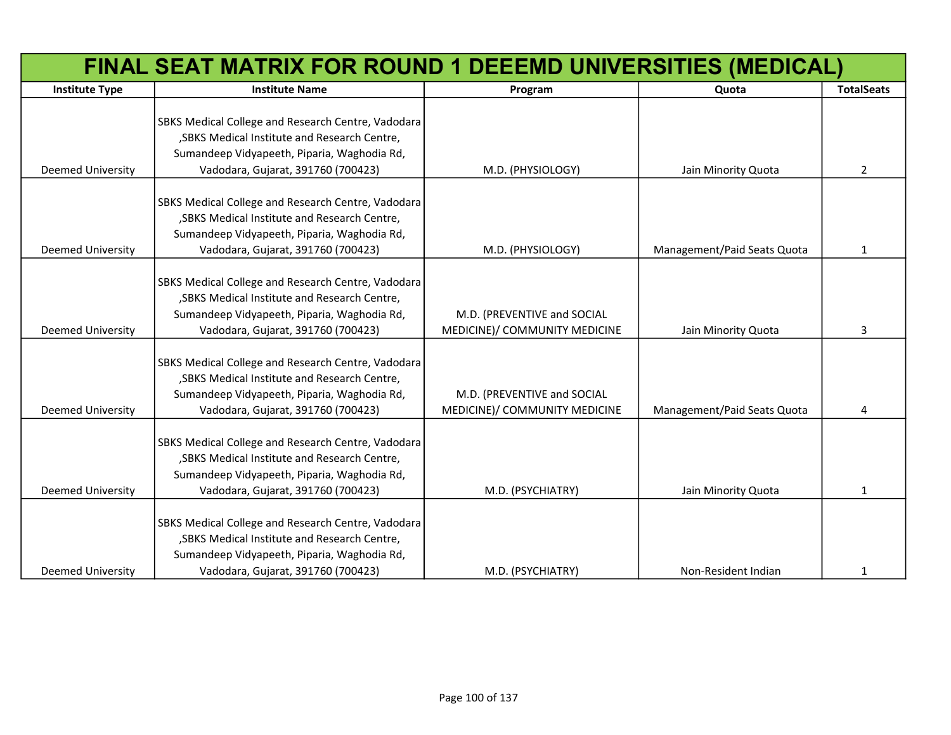| FINAL SEAT MATRIX FOR ROUND 1 DEEEMD UNIVERSITIES (MEDICAL) |                                                                                                                                                                                          |                                                              |                             |                   |
|-------------------------------------------------------------|------------------------------------------------------------------------------------------------------------------------------------------------------------------------------------------|--------------------------------------------------------------|-----------------------------|-------------------|
| <b>Institute Type</b>                                       | <b>Institute Name</b>                                                                                                                                                                    | Program                                                      | Quota                       | <b>TotalSeats</b> |
|                                                             | SBKS Medical College and Research Centre, Vadodara<br>, SBKS Medical Institute and Research Centre,                                                                                      |                                                              |                             |                   |
|                                                             | Sumandeep Vidyapeeth, Piparia, Waghodia Rd,                                                                                                                                              |                                                              |                             |                   |
| <b>Deemed University</b>                                    | Vadodara, Gujarat, 391760 (700423)                                                                                                                                                       | M.D. (PHYSIOLOGY)                                            | Jain Minority Quota         | $\overline{2}$    |
|                                                             | SBKS Medical College and Research Centre, Vadodara<br>, SBKS Medical Institute and Research Centre,<br>Sumandeep Vidyapeeth, Piparia, Waghodia Rd,                                       |                                                              |                             |                   |
| <b>Deemed University</b>                                    | Vadodara, Gujarat, 391760 (700423)                                                                                                                                                       | M.D. (PHYSIOLOGY)                                            | Management/Paid Seats Quota | $\mathbf{1}$      |
| <b>Deemed University</b>                                    | SBKS Medical College and Research Centre, Vadodara<br>, SBKS Medical Institute and Research Centre,<br>Sumandeep Vidyapeeth, Piparia, Waghodia Rd,<br>Vadodara, Gujarat, 391760 (700423) | M.D. (PREVENTIVE and SOCIAL<br>MEDICINE)/ COMMUNITY MEDICINE | Jain Minority Quota         | 3                 |
| <b>Deemed University</b>                                    | SBKS Medical College and Research Centre, Vadodara<br>, SBKS Medical Institute and Research Centre,<br>Sumandeep Vidyapeeth, Piparia, Waghodia Rd,<br>Vadodara, Gujarat, 391760 (700423) | M.D. (PREVENTIVE and SOCIAL<br>MEDICINE)/ COMMUNITY MEDICINE | Management/Paid Seats Quota | 4                 |
| <b>Deemed University</b>                                    | SBKS Medical College and Research Centre, Vadodara<br>, SBKS Medical Institute and Research Centre,<br>Sumandeep Vidyapeeth, Piparia, Waghodia Rd,<br>Vadodara, Gujarat, 391760 (700423) | M.D. (PSYCHIATRY)                                            | Jain Minority Quota         | 1                 |
| <b>Deemed University</b>                                    | SBKS Medical College and Research Centre, Vadodara<br>, SBKS Medical Institute and Research Centre,<br>Sumandeep Vidyapeeth, Piparia, Waghodia Rd,<br>Vadodara, Gujarat, 391760 (700423) | M.D. (PSYCHIATRY)                                            | Non-Resident Indian         | 1                 |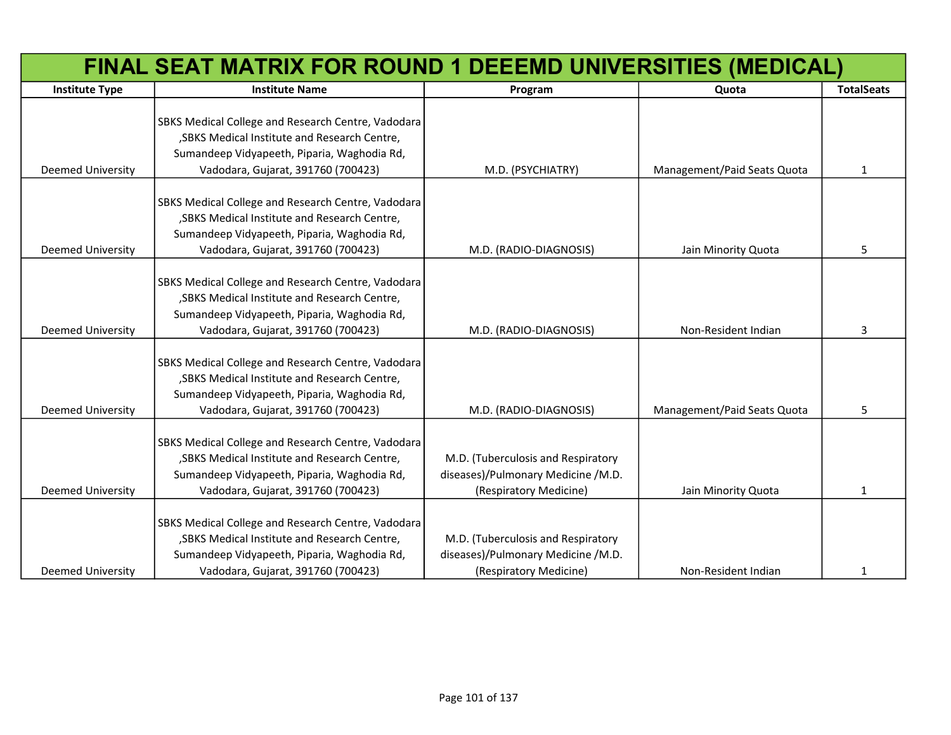|                          | FINAL SEAT MATRIX FOR ROUND 1 DEEEMD UNIVERSITIES (MEDICAL)                                                                                                                              |                                                                                                    |                             |                   |
|--------------------------|------------------------------------------------------------------------------------------------------------------------------------------------------------------------------------------|----------------------------------------------------------------------------------------------------|-----------------------------|-------------------|
| <b>Institute Type</b>    | <b>Institute Name</b>                                                                                                                                                                    | Program                                                                                            | Quota                       | <b>TotalSeats</b> |
|                          | SBKS Medical College and Research Centre, Vadodara<br>, SBKS Medical Institute and Research Centre,<br>Sumandeep Vidyapeeth, Piparia, Waghodia Rd,                                       |                                                                                                    |                             |                   |
| Deemed University        | Vadodara, Gujarat, 391760 (700423)                                                                                                                                                       | M.D. (PSYCHIATRY)                                                                                  | Management/Paid Seats Quota | $\mathbf{1}$      |
| Deemed University        | SBKS Medical College and Research Centre, Vadodara<br>, SBKS Medical Institute and Research Centre,<br>Sumandeep Vidyapeeth, Piparia, Waghodia Rd,<br>Vadodara, Gujarat, 391760 (700423) | M.D. (RADIO-DIAGNOSIS)                                                                             | Jain Minority Quota         | 5                 |
| Deemed University        | SBKS Medical College and Research Centre, Vadodara<br>, SBKS Medical Institute and Research Centre,<br>Sumandeep Vidyapeeth, Piparia, Waghodia Rd,<br>Vadodara, Gujarat, 391760 (700423) | M.D. (RADIO-DIAGNOSIS)                                                                             | Non-Resident Indian         | 3                 |
| <b>Deemed University</b> | SBKS Medical College and Research Centre, Vadodara<br>, SBKS Medical Institute and Research Centre,<br>Sumandeep Vidyapeeth, Piparia, Waghodia Rd,<br>Vadodara, Gujarat, 391760 (700423) | M.D. (RADIO-DIAGNOSIS)                                                                             | Management/Paid Seats Quota | 5.                |
| Deemed University        | SBKS Medical College and Research Centre, Vadodara<br>, SBKS Medical Institute and Research Centre,<br>Sumandeep Vidyapeeth, Piparia, Waghodia Rd,<br>Vadodara, Gujarat, 391760 (700423) | M.D. (Tuberculosis and Respiratory<br>diseases)/Pulmonary Medicine /M.D.<br>(Respiratory Medicine) | Jain Minority Quota         | 1                 |
| <b>Deemed University</b> | SBKS Medical College and Research Centre, Vadodara<br>, SBKS Medical Institute and Research Centre,<br>Sumandeep Vidyapeeth, Piparia, Waghodia Rd,<br>Vadodara, Gujarat, 391760 (700423) | M.D. (Tuberculosis and Respiratory<br>diseases)/Pulmonary Medicine /M.D.<br>(Respiratory Medicine) | Non-Resident Indian         | $\mathbf{1}$      |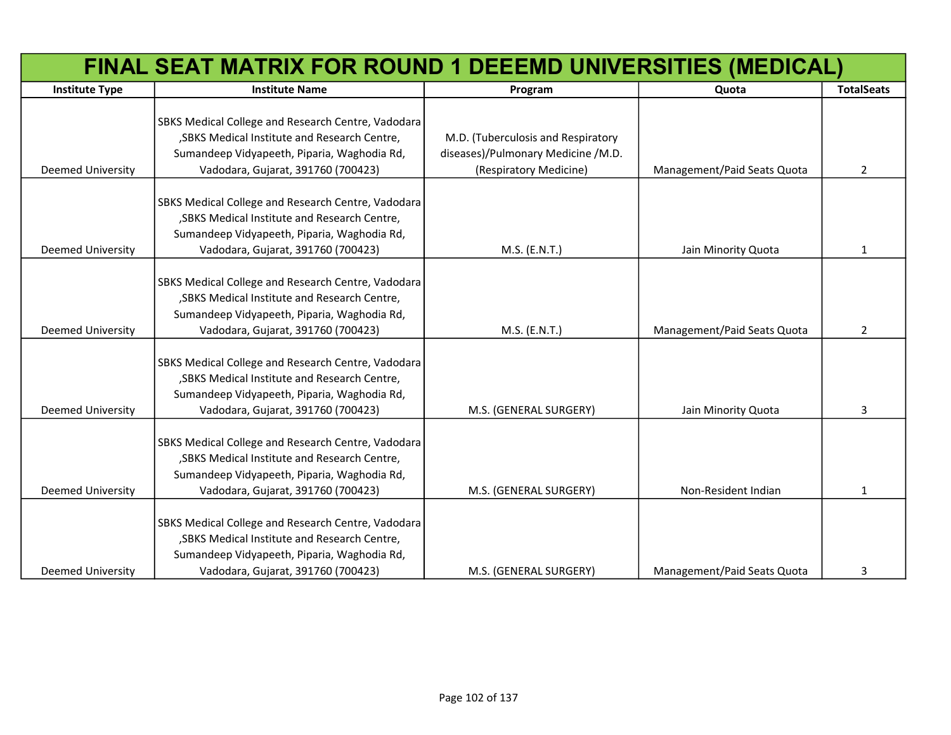|                          | FINAL SEAT MATRIX FOR ROUND 1 DEEEMD UNIVERSITIES (MEDICAL)                                                                                                                              |                                                                                                    |                             |                   |
|--------------------------|------------------------------------------------------------------------------------------------------------------------------------------------------------------------------------------|----------------------------------------------------------------------------------------------------|-----------------------------|-------------------|
| <b>Institute Type</b>    | <b>Institute Name</b>                                                                                                                                                                    | Program                                                                                            | Quota                       | <b>TotalSeats</b> |
| <b>Deemed University</b> | SBKS Medical College and Research Centre, Vadodara<br>, SBKS Medical Institute and Research Centre,<br>Sumandeep Vidyapeeth, Piparia, Waghodia Rd,<br>Vadodara, Gujarat, 391760 (700423) | M.D. (Tuberculosis and Respiratory<br>diseases)/Pulmonary Medicine /M.D.<br>(Respiratory Medicine) | Management/Paid Seats Quota | $\overline{2}$    |
| <b>Deemed University</b> | SBKS Medical College and Research Centre, Vadodara<br>, SBKS Medical Institute and Research Centre,<br>Sumandeep Vidyapeeth, Piparia, Waghodia Rd,<br>Vadodara, Gujarat, 391760 (700423) | M.S. (E.N.T.)                                                                                      | Jain Minority Quota         | 1                 |
| <b>Deemed University</b> | SBKS Medical College and Research Centre, Vadodara<br>, SBKS Medical Institute and Research Centre,<br>Sumandeep Vidyapeeth, Piparia, Waghodia Rd,<br>Vadodara, Gujarat, 391760 (700423) | M.S. (E.N.T.)                                                                                      | Management/Paid Seats Quota | $\overline{2}$    |
| <b>Deemed University</b> | SBKS Medical College and Research Centre, Vadodara<br>, SBKS Medical Institute and Research Centre,<br>Sumandeep Vidyapeeth, Piparia, Waghodia Rd,<br>Vadodara, Gujarat, 391760 (700423) | M.S. (GENERAL SURGERY)                                                                             | Jain Minority Quota         | 3                 |
| <b>Deemed University</b> | SBKS Medical College and Research Centre, Vadodara<br>, SBKS Medical Institute and Research Centre,<br>Sumandeep Vidyapeeth, Piparia, Waghodia Rd,<br>Vadodara, Gujarat, 391760 (700423) | M.S. (GENERAL SURGERY)                                                                             | Non-Resident Indian         | 1                 |
| <b>Deemed University</b> | SBKS Medical College and Research Centre, Vadodara<br>, SBKS Medical Institute and Research Centre,<br>Sumandeep Vidyapeeth, Piparia, Waghodia Rd,<br>Vadodara, Gujarat, 391760 (700423) | M.S. (GENERAL SURGERY)                                                                             | Management/Paid Seats Quota | 3                 |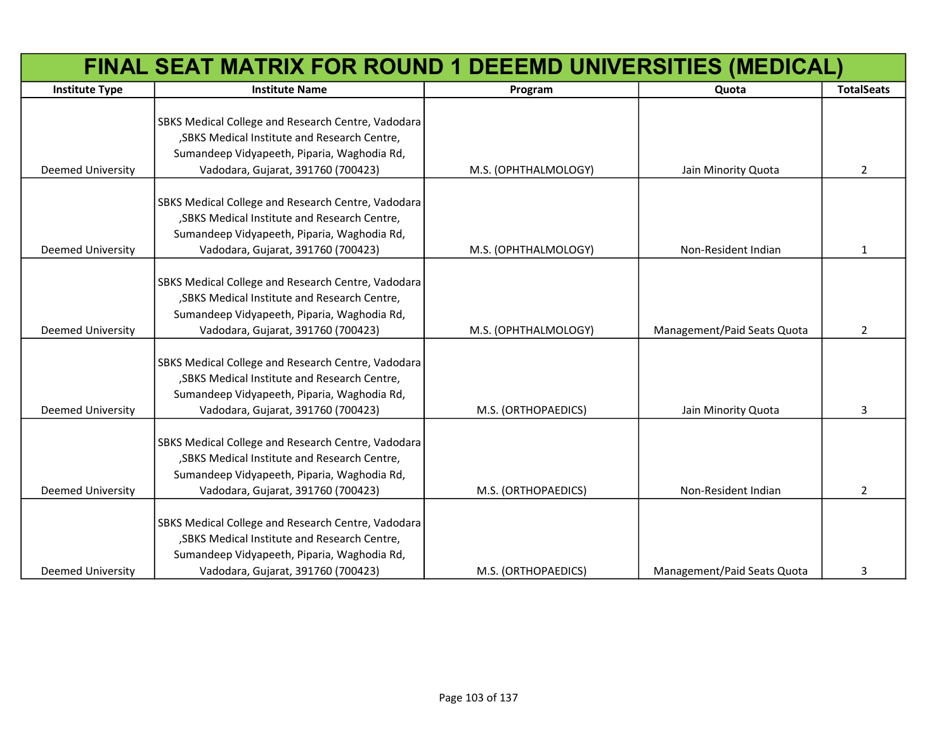|                          | FINAL SEAT MATRIX FOR ROUND 1 DEEEMD UNIVERSITIES (MEDICAL)                                         |                      |                             |                   |
|--------------------------|-----------------------------------------------------------------------------------------------------|----------------------|-----------------------------|-------------------|
| <b>Institute Type</b>    | <b>Institute Name</b>                                                                               | Program              | Quota                       | <b>TotalSeats</b> |
|                          | SBKS Medical College and Research Centre, Vadodara                                                  |                      |                             |                   |
|                          | , SBKS Medical Institute and Research Centre,                                                       |                      |                             |                   |
|                          | Sumandeep Vidyapeeth, Piparia, Waghodia Rd,                                                         |                      |                             |                   |
| <b>Deemed University</b> | Vadodara, Gujarat, 391760 (700423)                                                                  | M.S. (OPHTHALMOLOGY) | Jain Minority Quota         | $\overline{2}$    |
|                          |                                                                                                     |                      |                             |                   |
|                          | SBKS Medical College and Research Centre, Vadodara<br>, SBKS Medical Institute and Research Centre, |                      |                             |                   |
|                          | Sumandeep Vidyapeeth, Piparia, Waghodia Rd,                                                         |                      |                             |                   |
| <b>Deemed University</b> | Vadodara, Gujarat, 391760 (700423)                                                                  | M.S. (OPHTHALMOLOGY) | Non-Resident Indian         | 1                 |
|                          |                                                                                                     |                      |                             |                   |
|                          | SBKS Medical College and Research Centre, Vadodara                                                  |                      |                             |                   |
|                          | , SBKS Medical Institute and Research Centre,                                                       |                      |                             |                   |
|                          | Sumandeep Vidyapeeth, Piparia, Waghodia Rd,                                                         |                      |                             |                   |
| <b>Deemed University</b> | Vadodara, Gujarat, 391760 (700423)                                                                  | M.S. (OPHTHALMOLOGY) | Management/Paid Seats Quota | 2                 |
|                          |                                                                                                     |                      |                             |                   |
|                          | SBKS Medical College and Research Centre, Vadodara                                                  |                      |                             |                   |
|                          | , SBKS Medical Institute and Research Centre,                                                       |                      |                             |                   |
|                          | Sumandeep Vidyapeeth, Piparia, Waghodia Rd,                                                         |                      |                             |                   |
| <b>Deemed University</b> | Vadodara, Gujarat, 391760 (700423)                                                                  | M.S. (ORTHOPAEDICS)  | Jain Minority Quota         | 3                 |
|                          | SBKS Medical College and Research Centre, Vadodara                                                  |                      |                             |                   |
|                          | , SBKS Medical Institute and Research Centre,                                                       |                      |                             |                   |
|                          | Sumandeep Vidyapeeth, Piparia, Waghodia Rd,                                                         |                      |                             |                   |
| <b>Deemed University</b> | Vadodara, Gujarat, 391760 (700423)                                                                  | M.S. (ORTHOPAEDICS)  | Non-Resident Indian         | $\overline{2}$    |
|                          |                                                                                                     |                      |                             |                   |
|                          | SBKS Medical College and Research Centre, Vadodara                                                  |                      |                             |                   |
|                          | , SBKS Medical Institute and Research Centre,                                                       |                      |                             |                   |
|                          | Sumandeep Vidyapeeth, Piparia, Waghodia Rd,                                                         |                      |                             |                   |
| <b>Deemed University</b> | Vadodara, Gujarat, 391760 (700423)                                                                  | M.S. (ORTHOPAEDICS)  | Management/Paid Seats Quota | 3                 |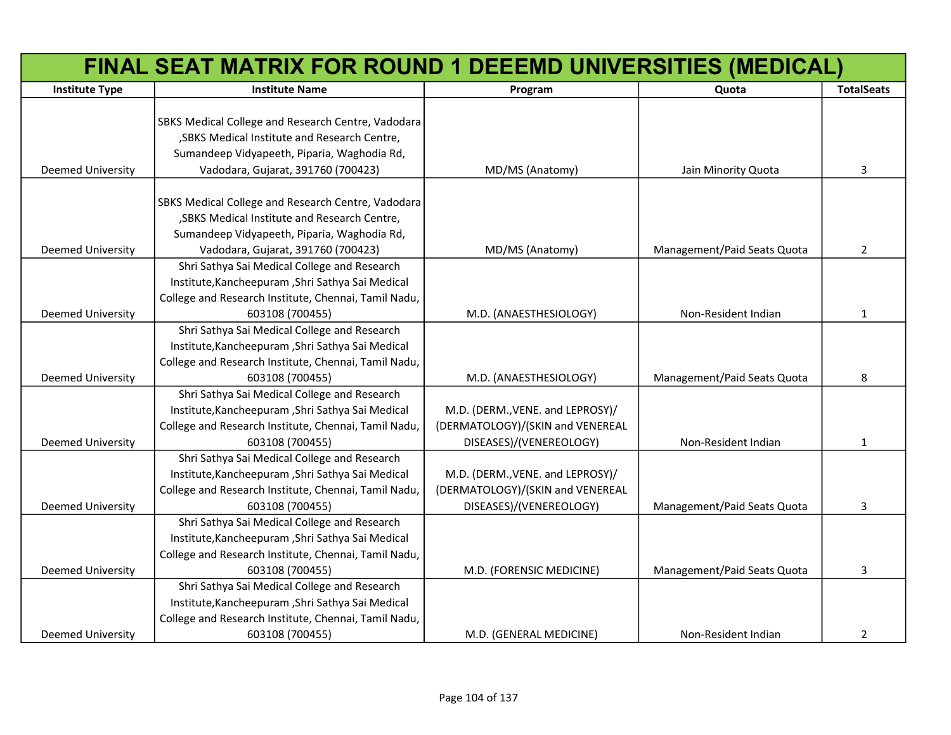|                          | FINAL SEAT MATRIX FOR ROUND 1 DEEEMD UNIVERSITIES (MEDICAL) |                                  |                             |                   |
|--------------------------|-------------------------------------------------------------|----------------------------------|-----------------------------|-------------------|
| <b>Institute Type</b>    | <b>Institute Name</b>                                       | Program                          | Quota                       | <b>TotalSeats</b> |
|                          |                                                             |                                  |                             |                   |
|                          | SBKS Medical College and Research Centre, Vadodara          |                                  |                             |                   |
|                          | , SBKS Medical Institute and Research Centre,               |                                  |                             |                   |
|                          | Sumandeep Vidyapeeth, Piparia, Waghodia Rd,                 |                                  |                             |                   |
| Deemed University        | Vadodara, Gujarat, 391760 (700423)                          | MD/MS (Anatomy)                  | Jain Minority Quota         | 3                 |
|                          |                                                             |                                  |                             |                   |
|                          | SBKS Medical College and Research Centre, Vadodara          |                                  |                             |                   |
|                          | , SBKS Medical Institute and Research Centre,               |                                  |                             |                   |
|                          | Sumandeep Vidyapeeth, Piparia, Waghodia Rd,                 |                                  |                             |                   |
| Deemed University        | Vadodara, Gujarat, 391760 (700423)                          | MD/MS (Anatomy)                  | Management/Paid Seats Quota | $\overline{2}$    |
|                          | Shri Sathya Sai Medical College and Research                |                                  |                             |                   |
|                          | Institute, Kancheepuram, Shri Sathya Sai Medical            |                                  |                             |                   |
|                          | College and Research Institute, Chennai, Tamil Nadu,        |                                  |                             |                   |
| <b>Deemed University</b> | 603108 (700455)                                             | M.D. (ANAESTHESIOLOGY)           | Non-Resident Indian         | 1                 |
|                          | Shri Sathya Sai Medical College and Research                |                                  |                             |                   |
|                          | Institute, Kancheepuram, Shri Sathya Sai Medical            |                                  |                             |                   |
|                          | College and Research Institute, Chennai, Tamil Nadu,        |                                  |                             |                   |
| <b>Deemed University</b> | 603108 (700455)                                             | M.D. (ANAESTHESIOLOGY)           | Management/Paid Seats Quota | 8                 |
|                          | Shri Sathya Sai Medical College and Research                |                                  |                             |                   |
|                          | Institute, Kancheepuram, Shri Sathya Sai Medical            | M.D. (DERM., VENE. and LEPROSY)/ |                             |                   |
|                          | College and Research Institute, Chennai, Tamil Nadu,        | (DERMATOLOGY)/(SKIN and VENEREAL |                             |                   |
| <b>Deemed University</b> | 603108 (700455)                                             | DISEASES)/(VENEREOLOGY)          | Non-Resident Indian         | 1                 |
|                          | Shri Sathya Sai Medical College and Research                |                                  |                             |                   |
|                          | Institute, Kancheepuram, Shri Sathya Sai Medical            | M.D. (DERM., VENE. and LEPROSY)/ |                             |                   |
|                          | College and Research Institute, Chennai, Tamil Nadu,        | (DERMATOLOGY)/(SKIN and VENEREAL |                             |                   |
| Deemed University        | 603108 (700455)                                             | DISEASES)/(VENEREOLOGY)          | Management/Paid Seats Quota | 3                 |
|                          | Shri Sathya Sai Medical College and Research                |                                  |                             |                   |
|                          | Institute, Kancheepuram, Shri Sathya Sai Medical            |                                  |                             |                   |
|                          | College and Research Institute, Chennai, Tamil Nadu,        |                                  |                             |                   |
| Deemed University        | 603108 (700455)                                             | M.D. (FORENSIC MEDICINE)         | Management/Paid Seats Quota | 3                 |
|                          | Shri Sathya Sai Medical College and Research                |                                  |                             |                   |
|                          | Institute, Kancheepuram, Shri Sathya Sai Medical            |                                  |                             |                   |
|                          | College and Research Institute, Chennai, Tamil Nadu,        |                                  |                             |                   |
| Deemed University        | 603108 (700455)                                             | M.D. (GENERAL MEDICINE)          | Non-Resident Indian         | $\overline{2}$    |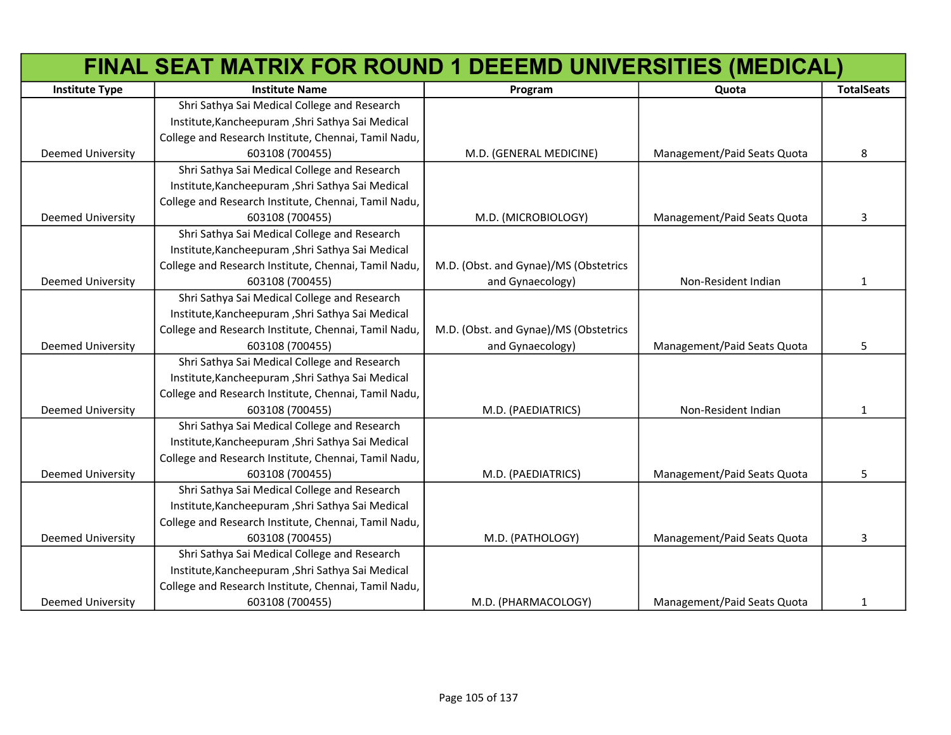|                          | FINAL SEAT MATRIX FOR ROUND 1 DEEEMD UNIVERSITIES (MEDICAL) |                                       |                             |                   |
|--------------------------|-------------------------------------------------------------|---------------------------------------|-----------------------------|-------------------|
| <b>Institute Type</b>    | <b>Institute Name</b>                                       | Program                               | Quota                       | <b>TotalSeats</b> |
|                          | Shri Sathya Sai Medical College and Research                |                                       |                             |                   |
|                          | Institute, Kancheepuram, Shri Sathya Sai Medical            |                                       |                             |                   |
|                          | College and Research Institute, Chennai, Tamil Nadu,        |                                       |                             |                   |
| <b>Deemed University</b> | 603108 (700455)                                             | M.D. (GENERAL MEDICINE)               | Management/Paid Seats Quota | 8                 |
|                          | Shri Sathya Sai Medical College and Research                |                                       |                             |                   |
|                          | Institute, Kancheepuram, Shri Sathya Sai Medical            |                                       |                             |                   |
|                          | College and Research Institute, Chennai, Tamil Nadu,        |                                       |                             |                   |
| <b>Deemed University</b> | 603108 (700455)                                             | M.D. (MICROBIOLOGY)                   | Management/Paid Seats Quota | 3                 |
|                          | Shri Sathya Sai Medical College and Research                |                                       |                             |                   |
|                          | Institute, Kancheepuram, Shri Sathya Sai Medical            |                                       |                             |                   |
|                          | College and Research Institute, Chennai, Tamil Nadu,        | M.D. (Obst. and Gynae)/MS (Obstetrics |                             |                   |
| Deemed University        | 603108 (700455)                                             | and Gynaecology)                      | Non-Resident Indian         | $\mathbf{1}$      |
|                          | Shri Sathya Sai Medical College and Research                |                                       |                             |                   |
|                          | Institute, Kancheepuram, Shri Sathya Sai Medical            |                                       |                             |                   |
|                          | College and Research Institute, Chennai, Tamil Nadu,        | M.D. (Obst. and Gynae)/MS (Obstetrics |                             |                   |
| <b>Deemed University</b> | 603108 (700455)                                             | and Gynaecology)                      | Management/Paid Seats Quota | 5                 |
|                          | Shri Sathya Sai Medical College and Research                |                                       |                             |                   |
|                          | Institute, Kancheepuram, Shri Sathya Sai Medical            |                                       |                             |                   |
|                          | College and Research Institute, Chennai, Tamil Nadu,        |                                       |                             |                   |
| <b>Deemed University</b> | 603108 (700455)                                             | M.D. (PAEDIATRICS)                    | Non-Resident Indian         | 1                 |
|                          | Shri Sathya Sai Medical College and Research                |                                       |                             |                   |
|                          | Institute, Kancheepuram, Shri Sathya Sai Medical            |                                       |                             |                   |
|                          | College and Research Institute, Chennai, Tamil Nadu,        |                                       |                             |                   |
| <b>Deemed University</b> | 603108 (700455)                                             | M.D. (PAEDIATRICS)                    | Management/Paid Seats Quota | 5                 |
|                          | Shri Sathya Sai Medical College and Research                |                                       |                             |                   |
|                          | Institute, Kancheepuram, Shri Sathya Sai Medical            |                                       |                             |                   |
|                          | College and Research Institute, Chennai, Tamil Nadu,        |                                       |                             |                   |
| <b>Deemed University</b> | 603108 (700455)                                             | M.D. (PATHOLOGY)                      | Management/Paid Seats Quota | 3                 |
|                          | Shri Sathya Sai Medical College and Research                |                                       |                             |                   |
|                          | Institute, Kancheepuram, Shri Sathya Sai Medical            |                                       |                             |                   |
|                          | College and Research Institute, Chennai, Tamil Nadu,        |                                       |                             |                   |
| <b>Deemed University</b> | 603108 (700455)                                             | M.D. (PHARMACOLOGY)                   | Management/Paid Seats Quota | 1                 |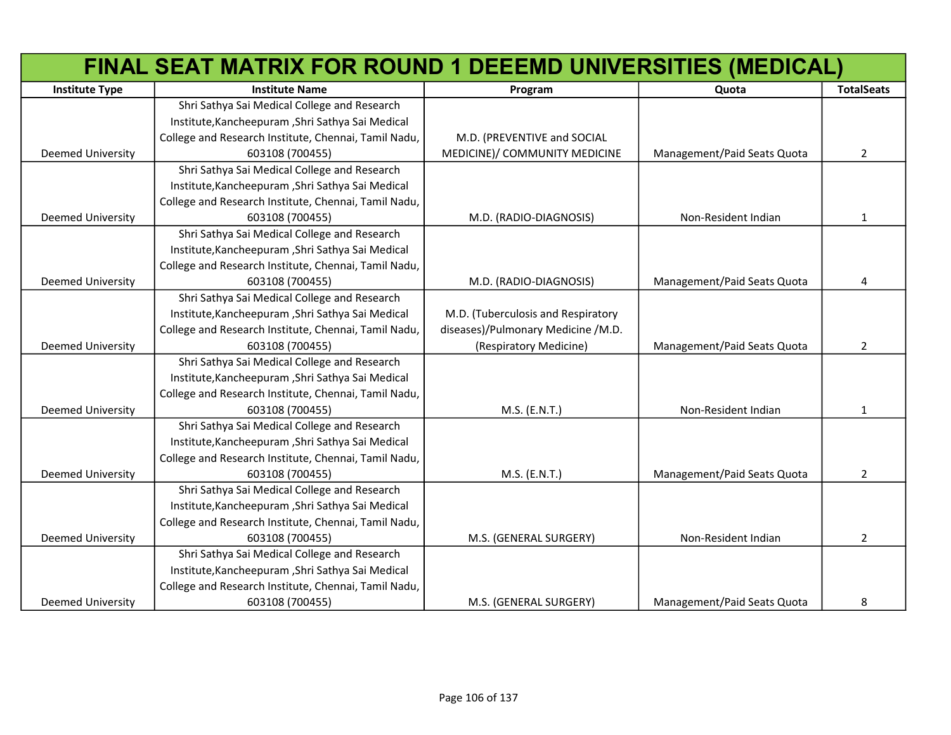|                          | FINAL SEAT MATRIX FOR ROUND 1 DEEEMD UNIVERSITIES (MEDICAL) |                                    |                             |                   |
|--------------------------|-------------------------------------------------------------|------------------------------------|-----------------------------|-------------------|
| <b>Institute Type</b>    | <b>Institute Name</b>                                       | Program                            | Quota                       | <b>TotalSeats</b> |
|                          | Shri Sathya Sai Medical College and Research                |                                    |                             |                   |
|                          | Institute, Kancheepuram, Shri Sathya Sai Medical            |                                    |                             |                   |
|                          | College and Research Institute, Chennai, Tamil Nadu,        | M.D. (PREVENTIVE and SOCIAL        |                             |                   |
| <b>Deemed University</b> | 603108 (700455)                                             | MEDICINE)/ COMMUNITY MEDICINE      | Management/Paid Seats Quota | $\overline{2}$    |
|                          | Shri Sathya Sai Medical College and Research                |                                    |                             |                   |
|                          | Institute, Kancheepuram, Shri Sathya Sai Medical            |                                    |                             |                   |
|                          | College and Research Institute, Chennai, Tamil Nadu,        |                                    |                             |                   |
| <b>Deemed University</b> | 603108 (700455)                                             | M.D. (RADIO-DIAGNOSIS)             | Non-Resident Indian         | 1                 |
|                          | Shri Sathya Sai Medical College and Research                |                                    |                             |                   |
|                          | Institute, Kancheepuram, Shri Sathya Sai Medical            |                                    |                             |                   |
|                          | College and Research Institute, Chennai, Tamil Nadu,        |                                    |                             |                   |
| <b>Deemed University</b> | 603108 (700455)                                             | M.D. (RADIO-DIAGNOSIS)             | Management/Paid Seats Quota | 4                 |
|                          | Shri Sathya Sai Medical College and Research                |                                    |                             |                   |
|                          | Institute, Kancheepuram, Shri Sathya Sai Medical            | M.D. (Tuberculosis and Respiratory |                             |                   |
|                          | College and Research Institute, Chennai, Tamil Nadu,        | diseases)/Pulmonary Medicine /M.D. |                             |                   |
| <b>Deemed University</b> | 603108 (700455)                                             | (Respiratory Medicine)             | Management/Paid Seats Quota | $\overline{2}$    |
|                          | Shri Sathya Sai Medical College and Research                |                                    |                             |                   |
|                          | Institute, Kancheepuram, Shri Sathya Sai Medical            |                                    |                             |                   |
|                          | College and Research Institute, Chennai, Tamil Nadu,        |                                    |                             |                   |
| <b>Deemed University</b> | 603108 (700455)                                             | M.S. (E.N.T.)                      | Non-Resident Indian         | 1                 |
|                          | Shri Sathya Sai Medical College and Research                |                                    |                             |                   |
|                          | Institute, Kancheepuram, Shri Sathya Sai Medical            |                                    |                             |                   |
|                          | College and Research Institute, Chennai, Tamil Nadu,        |                                    |                             |                   |
| <b>Deemed University</b> | 603108 (700455)                                             | M.S. (E.N.T.)                      | Management/Paid Seats Quota | $\overline{2}$    |
|                          | Shri Sathya Sai Medical College and Research                |                                    |                             |                   |
|                          | Institute, Kancheepuram, Shri Sathya Sai Medical            |                                    |                             |                   |
|                          | College and Research Institute, Chennai, Tamil Nadu,        |                                    |                             |                   |
| <b>Deemed University</b> | 603108 (700455)                                             | M.S. (GENERAL SURGERY)             | Non-Resident Indian         | $\overline{2}$    |
|                          | Shri Sathya Sai Medical College and Research                |                                    |                             |                   |
|                          | Institute, Kancheepuram, Shri Sathya Sai Medical            |                                    |                             |                   |
|                          | College and Research Institute, Chennai, Tamil Nadu,        |                                    |                             |                   |
| <b>Deemed University</b> | 603108 (700455)                                             | M.S. (GENERAL SURGERY)             | Management/Paid Seats Quota | 8                 |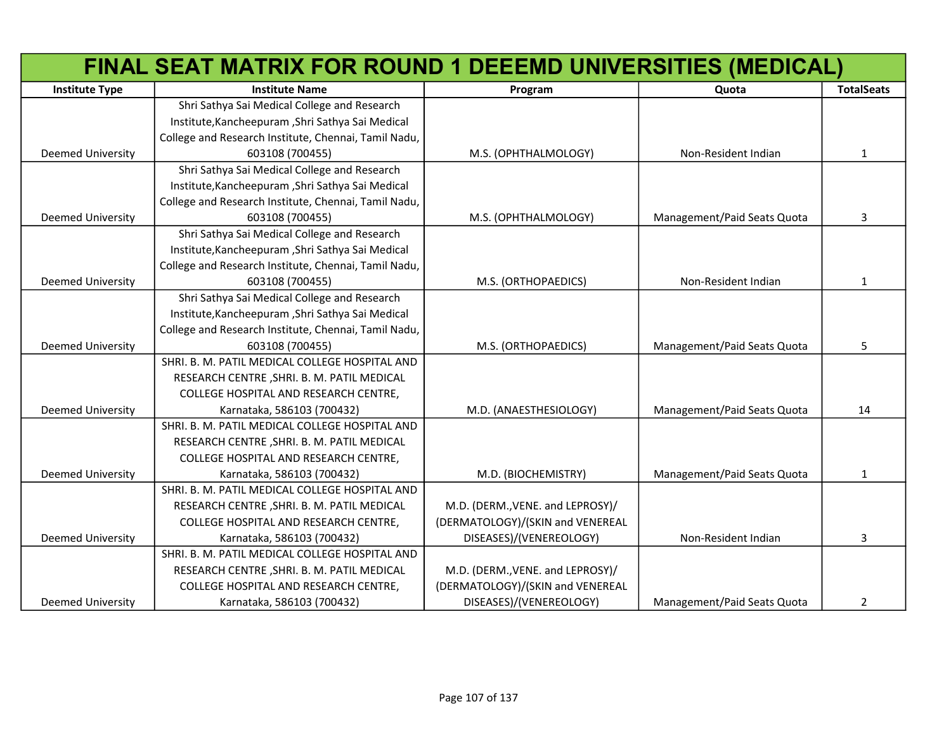|                          | FINAL SEAT MATRIX FOR ROUND 1 DEEEMD UNIVERSITIES (MEDICAL) |                                  |                             |                   |
|--------------------------|-------------------------------------------------------------|----------------------------------|-----------------------------|-------------------|
| <b>Institute Type</b>    | <b>Institute Name</b>                                       | Program                          | Quota                       | <b>TotalSeats</b> |
|                          | Shri Sathya Sai Medical College and Research                |                                  |                             |                   |
|                          | Institute, Kancheepuram, Shri Sathya Sai Medical            |                                  |                             |                   |
|                          | College and Research Institute, Chennai, Tamil Nadu,        |                                  |                             |                   |
| Deemed University        | 603108 (700455)                                             | M.S. (OPHTHALMOLOGY)             | Non-Resident Indian         | 1                 |
|                          | Shri Sathya Sai Medical College and Research                |                                  |                             |                   |
|                          | Institute, Kancheepuram, Shri Sathya Sai Medical            |                                  |                             |                   |
|                          | College and Research Institute, Chennai, Tamil Nadu,        |                                  |                             |                   |
| <b>Deemed University</b> | 603108 (700455)                                             | M.S. (OPHTHALMOLOGY)             | Management/Paid Seats Quota | 3                 |
|                          | Shri Sathya Sai Medical College and Research                |                                  |                             |                   |
|                          | Institute, Kancheepuram, Shri Sathya Sai Medical            |                                  |                             |                   |
|                          | College and Research Institute, Chennai, Tamil Nadu,        |                                  |                             |                   |
| <b>Deemed University</b> | 603108 (700455)                                             | M.S. (ORTHOPAEDICS)              | Non-Resident Indian         | 1                 |
|                          | Shri Sathya Sai Medical College and Research                |                                  |                             |                   |
|                          | Institute, Kancheepuram, Shri Sathya Sai Medical            |                                  |                             |                   |
|                          | College and Research Institute, Chennai, Tamil Nadu,        |                                  |                             |                   |
| <b>Deemed University</b> | 603108 (700455)                                             | M.S. (ORTHOPAEDICS)              | Management/Paid Seats Quota | 5                 |
|                          | SHRI. B. M. PATIL MEDICAL COLLEGE HOSPITAL AND              |                                  |                             |                   |
|                          | RESEARCH CENTRE, SHRI. B. M. PATIL MEDICAL                  |                                  |                             |                   |
|                          | COLLEGE HOSPITAL AND RESEARCH CENTRE,                       |                                  |                             |                   |
| <b>Deemed University</b> | Karnataka, 586103 (700432)                                  | M.D. (ANAESTHESIOLOGY)           | Management/Paid Seats Quota | 14                |
|                          | SHRI. B. M. PATIL MEDICAL COLLEGE HOSPITAL AND              |                                  |                             |                   |
|                          | RESEARCH CENTRE, SHRI. B. M. PATIL MEDICAL                  |                                  |                             |                   |
|                          | COLLEGE HOSPITAL AND RESEARCH CENTRE,                       |                                  |                             |                   |
| <b>Deemed University</b> | Karnataka, 586103 (700432)                                  | M.D. (BIOCHEMISTRY)              | Management/Paid Seats Quota | 1                 |
|                          | SHRI. B. M. PATIL MEDICAL COLLEGE HOSPITAL AND              |                                  |                             |                   |
|                          | RESEARCH CENTRE, SHRI. B. M. PATIL MEDICAL                  | M.D. (DERM., VENE. and LEPROSY)/ |                             |                   |
|                          | COLLEGE HOSPITAL AND RESEARCH CENTRE,                       | (DERMATOLOGY)/(SKIN and VENEREAL |                             |                   |
| <b>Deemed University</b> | Karnataka, 586103 (700432)                                  | DISEASES)/(VENEREOLOGY)          | Non-Resident Indian         | 3                 |
|                          | SHRI. B. M. PATIL MEDICAL COLLEGE HOSPITAL AND              |                                  |                             |                   |
|                          | RESEARCH CENTRE, SHRI. B. M. PATIL MEDICAL                  | M.D. (DERM., VENE. and LEPROSY)/ |                             |                   |
|                          | COLLEGE HOSPITAL AND RESEARCH CENTRE,                       | (DERMATOLOGY)/(SKIN and VENEREAL |                             |                   |
| <b>Deemed University</b> | Karnataka, 586103 (700432)                                  | DISEASES)/(VENEREOLOGY)          | Management/Paid Seats Quota | 2                 |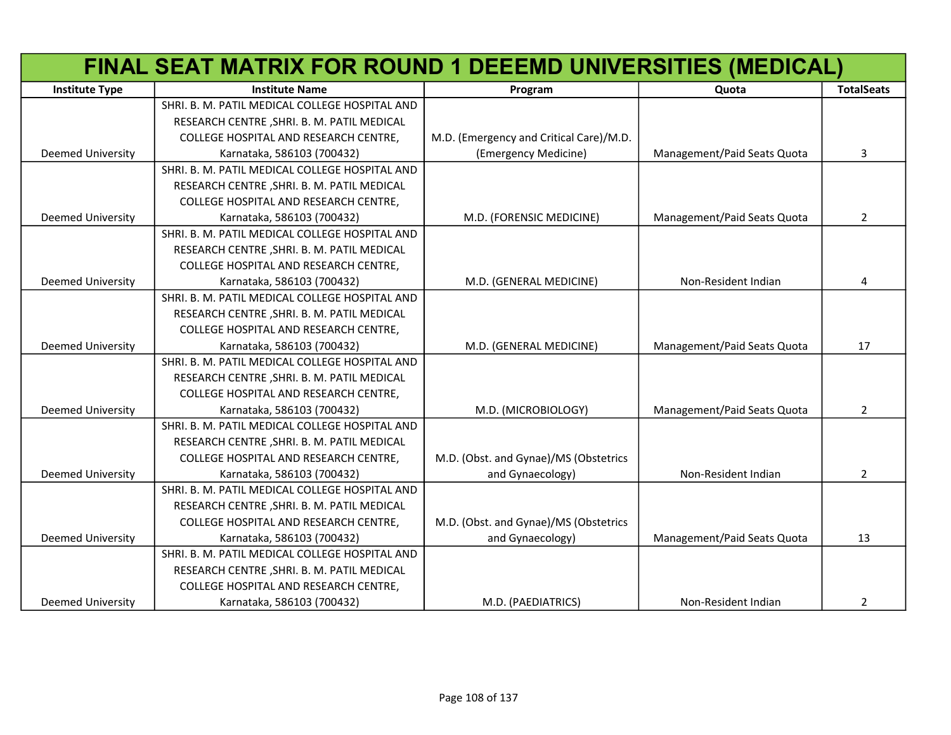|                          | FINAL SEAT MATRIX FOR ROUND 1 DEEEMD UNIVERSITIES (MEDICAL) |                                         |                             |                   |
|--------------------------|-------------------------------------------------------------|-----------------------------------------|-----------------------------|-------------------|
| <b>Institute Type</b>    | <b>Institute Name</b>                                       | Program                                 | Quota                       | <b>TotalSeats</b> |
|                          | SHRI. B. M. PATIL MEDICAL COLLEGE HOSPITAL AND              |                                         |                             |                   |
|                          | RESEARCH CENTRE, SHRI. B. M. PATIL MEDICAL                  |                                         |                             |                   |
|                          | COLLEGE HOSPITAL AND RESEARCH CENTRE,                       | M.D. (Emergency and Critical Care)/M.D. |                             |                   |
| Deemed University        | Karnataka, 586103 (700432)                                  | (Emergency Medicine)                    | Management/Paid Seats Quota | 3                 |
|                          | SHRI. B. M. PATIL MEDICAL COLLEGE HOSPITAL AND              |                                         |                             |                   |
|                          | RESEARCH CENTRE, SHRI. B. M. PATIL MEDICAL                  |                                         |                             |                   |
|                          | COLLEGE HOSPITAL AND RESEARCH CENTRE,                       |                                         |                             |                   |
| <b>Deemed University</b> | Karnataka, 586103 (700432)                                  | M.D. (FORENSIC MEDICINE)                | Management/Paid Seats Quota | $\overline{2}$    |
|                          | SHRI. B. M. PATIL MEDICAL COLLEGE HOSPITAL AND              |                                         |                             |                   |
|                          | RESEARCH CENTRE, SHRI. B. M. PATIL MEDICAL                  |                                         |                             |                   |
|                          | COLLEGE HOSPITAL AND RESEARCH CENTRE,                       |                                         |                             |                   |
| <b>Deemed University</b> | Karnataka, 586103 (700432)                                  | M.D. (GENERAL MEDICINE)                 | Non-Resident Indian         | 4                 |
|                          | SHRI. B. M. PATIL MEDICAL COLLEGE HOSPITAL AND              |                                         |                             |                   |
|                          | RESEARCH CENTRE, SHRI. B. M. PATIL MEDICAL                  |                                         |                             |                   |
|                          | COLLEGE HOSPITAL AND RESEARCH CENTRE,                       |                                         |                             |                   |
| <b>Deemed University</b> | Karnataka, 586103 (700432)                                  | M.D. (GENERAL MEDICINE)                 | Management/Paid Seats Quota | 17                |
|                          | SHRI. B. M. PATIL MEDICAL COLLEGE HOSPITAL AND              |                                         |                             |                   |
|                          | RESEARCH CENTRE, SHRI. B. M. PATIL MEDICAL                  |                                         |                             |                   |
|                          | COLLEGE HOSPITAL AND RESEARCH CENTRE,                       |                                         |                             |                   |
| <b>Deemed University</b> | Karnataka, 586103 (700432)                                  | M.D. (MICROBIOLOGY)                     | Management/Paid Seats Quota | $\overline{2}$    |
|                          | SHRI. B. M. PATIL MEDICAL COLLEGE HOSPITAL AND              |                                         |                             |                   |
|                          | RESEARCH CENTRE, SHRI. B. M. PATIL MEDICAL                  |                                         |                             |                   |
|                          | COLLEGE HOSPITAL AND RESEARCH CENTRE,                       | M.D. (Obst. and Gynae)/MS (Obstetrics   |                             |                   |
| <b>Deemed University</b> | Karnataka, 586103 (700432)                                  | and Gynaecology)                        | Non-Resident Indian         | $\overline{2}$    |
|                          | SHRI. B. M. PATIL MEDICAL COLLEGE HOSPITAL AND              |                                         |                             |                   |
|                          | RESEARCH CENTRE, SHRI. B. M. PATIL MEDICAL                  |                                         |                             |                   |
|                          | COLLEGE HOSPITAL AND RESEARCH CENTRE,                       | M.D. (Obst. and Gynae)/MS (Obstetrics   |                             |                   |
| <b>Deemed University</b> | Karnataka, 586103 (700432)                                  | and Gynaecology)                        | Management/Paid Seats Quota | 13                |
|                          | SHRI. B. M. PATIL MEDICAL COLLEGE HOSPITAL AND              |                                         |                             |                   |
|                          | RESEARCH CENTRE, SHRI. B. M. PATIL MEDICAL                  |                                         |                             |                   |
|                          | COLLEGE HOSPITAL AND RESEARCH CENTRE,                       |                                         |                             |                   |
| <b>Deemed University</b> | Karnataka, 586103 (700432)                                  | M.D. (PAEDIATRICS)                      | Non-Resident Indian         | 2                 |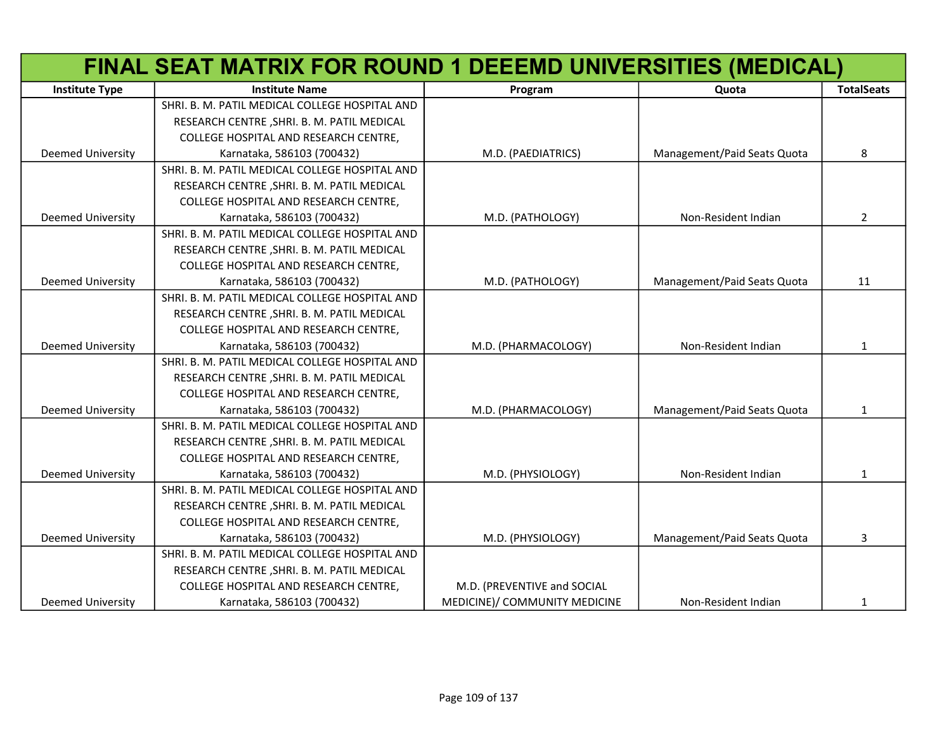|                          | FINAL SEAT MATRIX FOR ROUND 1 DEEEMD UNIVERSITIES (MEDICAL) |                               |                             |                   |
|--------------------------|-------------------------------------------------------------|-------------------------------|-----------------------------|-------------------|
| <b>Institute Type</b>    | <b>Institute Name</b>                                       | Program                       | Quota                       | <b>TotalSeats</b> |
|                          | SHRI. B. M. PATIL MEDICAL COLLEGE HOSPITAL AND              |                               |                             |                   |
|                          | RESEARCH CENTRE, SHRI. B. M. PATIL MEDICAL                  |                               |                             |                   |
|                          | COLLEGE HOSPITAL AND RESEARCH CENTRE,                       |                               |                             |                   |
| <b>Deemed University</b> | Karnataka, 586103 (700432)                                  | M.D. (PAEDIATRICS)            | Management/Paid Seats Quota | 8                 |
|                          | SHRI. B. M. PATIL MEDICAL COLLEGE HOSPITAL AND              |                               |                             |                   |
|                          | RESEARCH CENTRE, SHRI. B. M. PATIL MEDICAL                  |                               |                             |                   |
|                          | COLLEGE HOSPITAL AND RESEARCH CENTRE,                       |                               |                             |                   |
| <b>Deemed University</b> | Karnataka, 586103 (700432)                                  | M.D. (PATHOLOGY)              | Non-Resident Indian         | $\overline{2}$    |
|                          | SHRI. B. M. PATIL MEDICAL COLLEGE HOSPITAL AND              |                               |                             |                   |
|                          | RESEARCH CENTRE, SHRI. B. M. PATIL MEDICAL                  |                               |                             |                   |
|                          | COLLEGE HOSPITAL AND RESEARCH CENTRE,                       |                               |                             |                   |
| <b>Deemed University</b> | Karnataka, 586103 (700432)                                  | M.D. (PATHOLOGY)              | Management/Paid Seats Quota | 11                |
|                          | SHRI. B. M. PATIL MEDICAL COLLEGE HOSPITAL AND              |                               |                             |                   |
|                          | RESEARCH CENTRE, SHRI. B. M. PATIL MEDICAL                  |                               |                             |                   |
|                          | COLLEGE HOSPITAL AND RESEARCH CENTRE,                       |                               |                             |                   |
| <b>Deemed University</b> | Karnataka, 586103 (700432)                                  | M.D. (PHARMACOLOGY)           | Non-Resident Indian         | $\mathbf{1}$      |
|                          | SHRI. B. M. PATIL MEDICAL COLLEGE HOSPITAL AND              |                               |                             |                   |
|                          | RESEARCH CENTRE, SHRI. B. M. PATIL MEDICAL                  |                               |                             |                   |
|                          | COLLEGE HOSPITAL AND RESEARCH CENTRE,                       |                               |                             |                   |
| <b>Deemed University</b> | Karnataka, 586103 (700432)                                  | M.D. (PHARMACOLOGY)           | Management/Paid Seats Quota | 1                 |
|                          | SHRI. B. M. PATIL MEDICAL COLLEGE HOSPITAL AND              |                               |                             |                   |
|                          | RESEARCH CENTRE, SHRI. B. M. PATIL MEDICAL                  |                               |                             |                   |
|                          | COLLEGE HOSPITAL AND RESEARCH CENTRE,                       |                               |                             |                   |
| <b>Deemed University</b> | Karnataka, 586103 (700432)                                  | M.D. (PHYSIOLOGY)             | Non-Resident Indian         | 1                 |
|                          | SHRI. B. M. PATIL MEDICAL COLLEGE HOSPITAL AND              |                               |                             |                   |
|                          | RESEARCH CENTRE, SHRI. B. M. PATIL MEDICAL                  |                               |                             |                   |
|                          | COLLEGE HOSPITAL AND RESEARCH CENTRE,                       |                               |                             |                   |
| <b>Deemed University</b> | Karnataka, 586103 (700432)                                  | M.D. (PHYSIOLOGY)             | Management/Paid Seats Quota | 3                 |
|                          | SHRI. B. M. PATIL MEDICAL COLLEGE HOSPITAL AND              |                               |                             |                   |
|                          | RESEARCH CENTRE, SHRI. B. M. PATIL MEDICAL                  |                               |                             |                   |
|                          | COLLEGE HOSPITAL AND RESEARCH CENTRE,                       | M.D. (PREVENTIVE and SOCIAL   |                             |                   |
| <b>Deemed University</b> | Karnataka, 586103 (700432)                                  | MEDICINE)/ COMMUNITY MEDICINE | Non-Resident Indian         | $\mathbf{1}$      |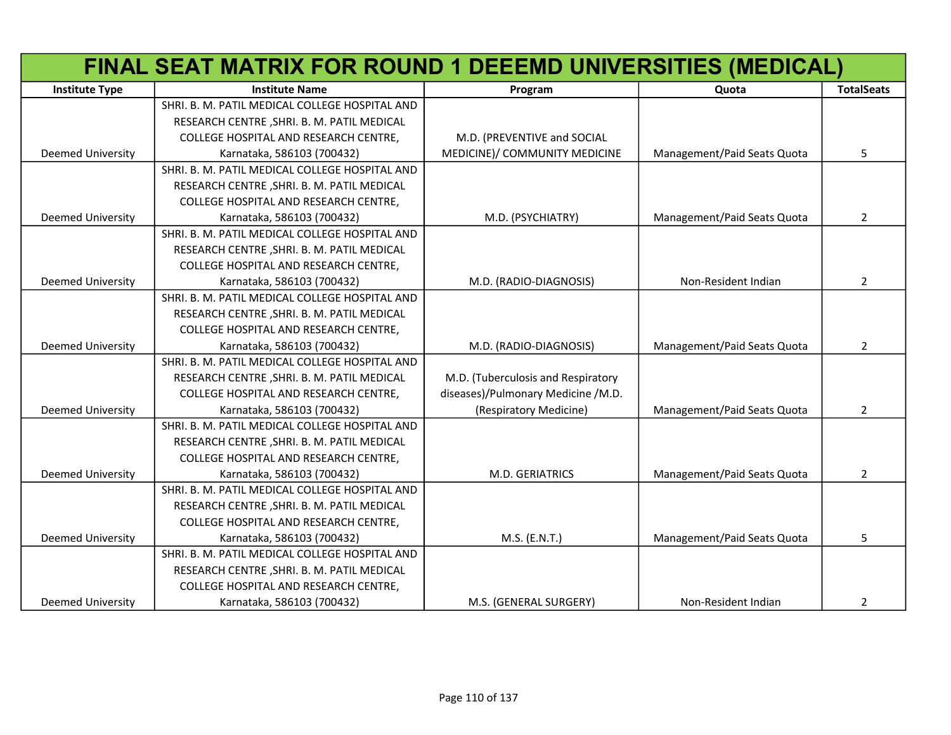|                          | FINAL SEAT MATRIX FOR ROUND 1 DEEEMD UNIVERSITIES (MEDICAL) |                                    |                             |                   |
|--------------------------|-------------------------------------------------------------|------------------------------------|-----------------------------|-------------------|
| <b>Institute Type</b>    | <b>Institute Name</b>                                       | Program                            | Quota                       | <b>TotalSeats</b> |
|                          | SHRI. B. M. PATIL MEDICAL COLLEGE HOSPITAL AND              |                                    |                             |                   |
|                          | RESEARCH CENTRE, SHRI. B. M. PATIL MEDICAL                  |                                    |                             |                   |
|                          | COLLEGE HOSPITAL AND RESEARCH CENTRE,                       | M.D. (PREVENTIVE and SOCIAL        |                             |                   |
| Deemed University        | Karnataka, 586103 (700432)                                  | MEDICINE)/ COMMUNITY MEDICINE      | Management/Paid Seats Quota | 5                 |
|                          | SHRI. B. M. PATIL MEDICAL COLLEGE HOSPITAL AND              |                                    |                             |                   |
|                          | RESEARCH CENTRE, SHRI. B. M. PATIL MEDICAL                  |                                    |                             |                   |
|                          | COLLEGE HOSPITAL AND RESEARCH CENTRE,                       |                                    |                             |                   |
| <b>Deemed University</b> | Karnataka, 586103 (700432)                                  | M.D. (PSYCHIATRY)                  | Management/Paid Seats Quota | $\overline{2}$    |
|                          | SHRI. B. M. PATIL MEDICAL COLLEGE HOSPITAL AND              |                                    |                             |                   |
|                          | RESEARCH CENTRE, SHRI. B. M. PATIL MEDICAL                  |                                    |                             |                   |
|                          | COLLEGE HOSPITAL AND RESEARCH CENTRE,                       |                                    |                             |                   |
| <b>Deemed University</b> | Karnataka, 586103 (700432)                                  | M.D. (RADIO-DIAGNOSIS)             | Non-Resident Indian         | $\overline{2}$    |
|                          | SHRI. B. M. PATIL MEDICAL COLLEGE HOSPITAL AND              |                                    |                             |                   |
|                          | RESEARCH CENTRE, SHRI. B. M. PATIL MEDICAL                  |                                    |                             |                   |
|                          | COLLEGE HOSPITAL AND RESEARCH CENTRE,                       |                                    |                             |                   |
| <b>Deemed University</b> | Karnataka, 586103 (700432)                                  | M.D. (RADIO-DIAGNOSIS)             | Management/Paid Seats Quota | $\overline{2}$    |
|                          | SHRI. B. M. PATIL MEDICAL COLLEGE HOSPITAL AND              |                                    |                             |                   |
|                          | RESEARCH CENTRE, SHRI. B. M. PATIL MEDICAL                  | M.D. (Tuberculosis and Respiratory |                             |                   |
|                          | COLLEGE HOSPITAL AND RESEARCH CENTRE,                       | diseases)/Pulmonary Medicine /M.D. |                             |                   |
| <b>Deemed University</b> | Karnataka, 586103 (700432)                                  | (Respiratory Medicine)             | Management/Paid Seats Quota | $\overline{2}$    |
|                          | SHRI. B. M. PATIL MEDICAL COLLEGE HOSPITAL AND              |                                    |                             |                   |
|                          | RESEARCH CENTRE, SHRI. B. M. PATIL MEDICAL                  |                                    |                             |                   |
|                          | COLLEGE HOSPITAL AND RESEARCH CENTRE,                       |                                    |                             |                   |
| <b>Deemed University</b> | Karnataka, 586103 (700432)                                  | M.D. GERIATRICS                    | Management/Paid Seats Quota | $\overline{2}$    |
|                          | SHRI. B. M. PATIL MEDICAL COLLEGE HOSPITAL AND              |                                    |                             |                   |
|                          | RESEARCH CENTRE, SHRI. B. M. PATIL MEDICAL                  |                                    |                             |                   |
|                          | COLLEGE HOSPITAL AND RESEARCH CENTRE,                       |                                    |                             |                   |
| <b>Deemed University</b> | Karnataka, 586103 (700432)                                  | M.S. (E.N.T.)                      | Management/Paid Seats Quota | 5                 |
|                          | SHRI. B. M. PATIL MEDICAL COLLEGE HOSPITAL AND              |                                    |                             |                   |
|                          | RESEARCH CENTRE, SHRI. B. M. PATIL MEDICAL                  |                                    |                             |                   |
|                          | COLLEGE HOSPITAL AND RESEARCH CENTRE,                       |                                    |                             |                   |
| <b>Deemed University</b> | Karnataka, 586103 (700432)                                  | M.S. (GENERAL SURGERY)             | Non-Resident Indian         | 2                 |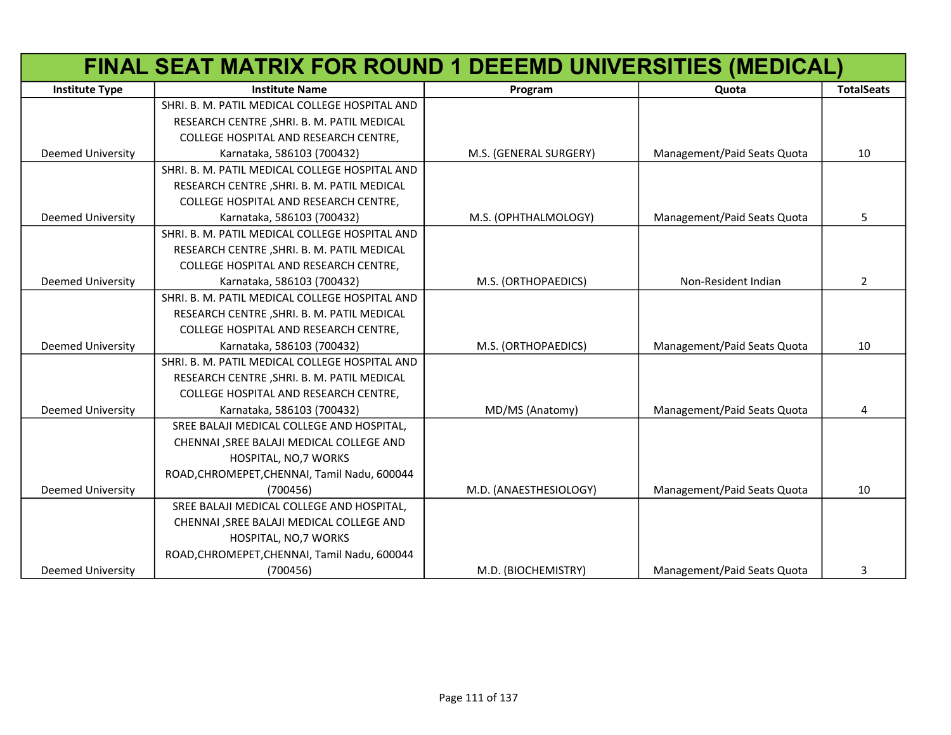|                          | FINAL SEAT MATRIX FOR ROUND 1 DEEEMD UNIVERSITIES (MEDICAL) |                        |                             |                   |
|--------------------------|-------------------------------------------------------------|------------------------|-----------------------------|-------------------|
| <b>Institute Type</b>    | <b>Institute Name</b>                                       | Program                | Quota                       | <b>TotalSeats</b> |
|                          | SHRI. B. M. PATIL MEDICAL COLLEGE HOSPITAL AND              |                        |                             |                   |
|                          | RESEARCH CENTRE, SHRI. B. M. PATIL MEDICAL                  |                        |                             |                   |
|                          | COLLEGE HOSPITAL AND RESEARCH CENTRE,                       |                        |                             |                   |
| <b>Deemed University</b> | Karnataka, 586103 (700432)                                  | M.S. (GENERAL SURGERY) | Management/Paid Seats Quota | 10                |
|                          | SHRI. B. M. PATIL MEDICAL COLLEGE HOSPITAL AND              |                        |                             |                   |
|                          | RESEARCH CENTRE, SHRI. B. M. PATIL MEDICAL                  |                        |                             |                   |
|                          | COLLEGE HOSPITAL AND RESEARCH CENTRE,                       |                        |                             |                   |
| <b>Deemed University</b> | Karnataka, 586103 (700432)                                  | M.S. (OPHTHALMOLOGY)   | Management/Paid Seats Quota | 5                 |
|                          | SHRI. B. M. PATIL MEDICAL COLLEGE HOSPITAL AND              |                        |                             |                   |
|                          | RESEARCH CENTRE, SHRI. B. M. PATIL MEDICAL                  |                        |                             |                   |
|                          | COLLEGE HOSPITAL AND RESEARCH CENTRE,                       |                        |                             |                   |
| <b>Deemed University</b> | Karnataka, 586103 (700432)                                  | M.S. (ORTHOPAEDICS)    | Non-Resident Indian         | $\overline{2}$    |
|                          | SHRI. B. M. PATIL MEDICAL COLLEGE HOSPITAL AND              |                        |                             |                   |
|                          | RESEARCH CENTRE, SHRI. B. M. PATIL MEDICAL                  |                        |                             |                   |
|                          | COLLEGE HOSPITAL AND RESEARCH CENTRE,                       |                        |                             |                   |
| <b>Deemed University</b> | Karnataka, 586103 (700432)                                  | M.S. (ORTHOPAEDICS)    | Management/Paid Seats Quota | 10                |
|                          | SHRI. B. M. PATIL MEDICAL COLLEGE HOSPITAL AND              |                        |                             |                   |
|                          | RESEARCH CENTRE, SHRI. B. M. PATIL MEDICAL                  |                        |                             |                   |
|                          | COLLEGE HOSPITAL AND RESEARCH CENTRE,                       |                        |                             |                   |
| <b>Deemed University</b> | Karnataka, 586103 (700432)                                  | MD/MS (Anatomy)        | Management/Paid Seats Quota | 4                 |
|                          | SREE BALAJI MEDICAL COLLEGE AND HOSPITAL,                   |                        |                             |                   |
|                          | CHENNAI , SREE BALAJI MEDICAL COLLEGE AND                   |                        |                             |                   |
|                          | HOSPITAL, NO, 7 WORKS                                       |                        |                             |                   |
|                          | ROAD, CHROMEPET, CHENNAI, Tamil Nadu, 600044                |                        |                             |                   |
| <b>Deemed University</b> | (700456)                                                    | M.D. (ANAESTHESIOLOGY) | Management/Paid Seats Quota | 10                |
|                          | SREE BALAJI MEDICAL COLLEGE AND HOSPITAL,                   |                        |                             |                   |
|                          | CHENNAI , SREE BALAJI MEDICAL COLLEGE AND                   |                        |                             |                   |
|                          | HOSPITAL, NO, 7 WORKS                                       |                        |                             |                   |
|                          | ROAD, CHROMEPET, CHENNAI, Tamil Nadu, 600044                |                        |                             |                   |
| <b>Deemed University</b> | (700456)                                                    | M.D. (BIOCHEMISTRY)    | Management/Paid Seats Quota | 3                 |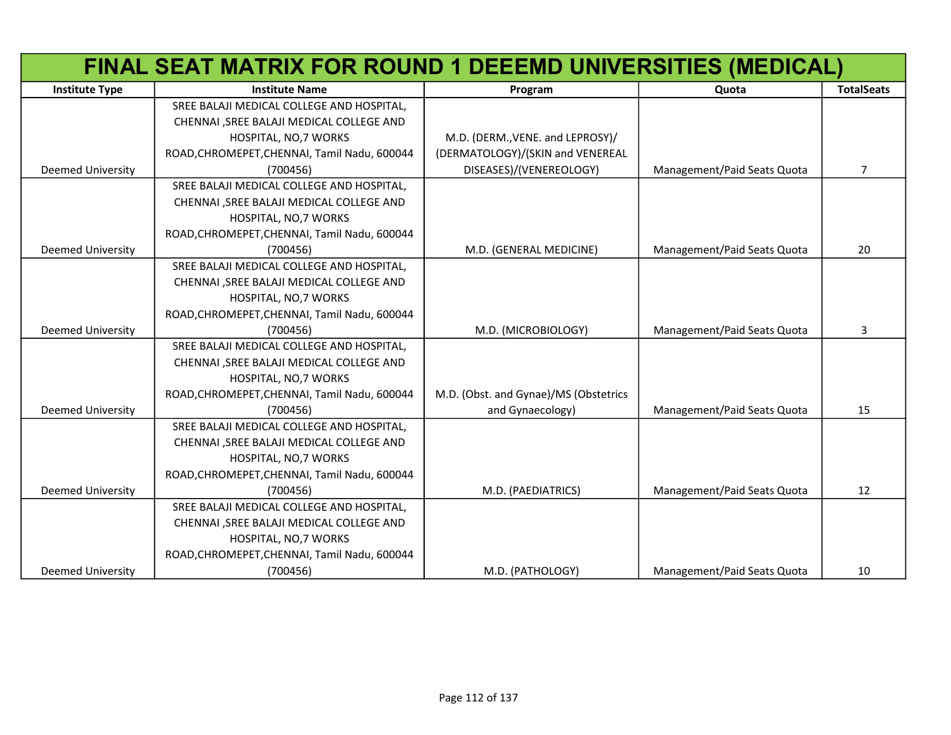|                          | FINAL SEAT MATRIX FOR ROUND 1 DEEEMD UNIVERSITIES (MEDICAL) |                                       |                             |                   |
|--------------------------|-------------------------------------------------------------|---------------------------------------|-----------------------------|-------------------|
| <b>Institute Type</b>    | <b>Institute Name</b>                                       | Program                               | Quota                       | <b>TotalSeats</b> |
|                          | SREE BALAJI MEDICAL COLLEGE AND HOSPITAL,                   |                                       |                             |                   |
|                          | CHENNAI , SREE BALAJI MEDICAL COLLEGE AND                   |                                       |                             |                   |
|                          | HOSPITAL, NO, 7 WORKS                                       | M.D. (DERM., VENE. and LEPROSY)/      |                             |                   |
|                          | ROAD, CHROMEPET, CHENNAI, Tamil Nadu, 600044                | (DERMATOLOGY)/(SKIN and VENEREAL      |                             |                   |
| <b>Deemed University</b> | (700456)                                                    | DISEASES)/(VENEREOLOGY)               | Management/Paid Seats Quota | $\overline{7}$    |
|                          | SREE BALAJI MEDICAL COLLEGE AND HOSPITAL,                   |                                       |                             |                   |
|                          | CHENNAI , SREE BALAJI MEDICAL COLLEGE AND                   |                                       |                             |                   |
|                          | HOSPITAL, NO, 7 WORKS                                       |                                       |                             |                   |
|                          | ROAD, CHROMEPET, CHENNAI, Tamil Nadu, 600044                |                                       |                             |                   |
| <b>Deemed University</b> | (700456)                                                    | M.D. (GENERAL MEDICINE)               | Management/Paid Seats Quota | 20                |
|                          | SREE BALAJI MEDICAL COLLEGE AND HOSPITAL,                   |                                       |                             |                   |
|                          | CHENNAI , SREE BALAJI MEDICAL COLLEGE AND                   |                                       |                             |                   |
|                          | HOSPITAL, NO, 7 WORKS                                       |                                       |                             |                   |
|                          | ROAD, CHROMEPET, CHENNAI, Tamil Nadu, 600044                |                                       |                             |                   |
| <b>Deemed University</b> | (700456)                                                    | M.D. (MICROBIOLOGY)                   | Management/Paid Seats Quota | 3                 |
|                          | SREE BALAJI MEDICAL COLLEGE AND HOSPITAL,                   |                                       |                             |                   |
|                          | CHENNAI , SREE BALAJI MEDICAL COLLEGE AND                   |                                       |                             |                   |
|                          | HOSPITAL, NO, 7 WORKS                                       |                                       |                             |                   |
|                          | ROAD, CHROMEPET, CHENNAI, Tamil Nadu, 600044                | M.D. (Obst. and Gynae)/MS (Obstetrics |                             |                   |
| <b>Deemed University</b> | (700456)                                                    | and Gynaecology)                      | Management/Paid Seats Quota | 15                |
|                          | SREE BALAJI MEDICAL COLLEGE AND HOSPITAL,                   |                                       |                             |                   |
|                          | CHENNAI , SREE BALAJI MEDICAL COLLEGE AND                   |                                       |                             |                   |
|                          | HOSPITAL, NO, 7 WORKS                                       |                                       |                             |                   |
|                          | ROAD, CHROMEPET, CHENNAI, Tamil Nadu, 600044                |                                       |                             |                   |
| <b>Deemed University</b> | (700456)                                                    | M.D. (PAEDIATRICS)                    | Management/Paid Seats Quota | 12                |
|                          | SREE BALAJI MEDICAL COLLEGE AND HOSPITAL,                   |                                       |                             |                   |
|                          | CHENNAI , SREE BALAJI MEDICAL COLLEGE AND                   |                                       |                             |                   |
|                          | HOSPITAL, NO, 7 WORKS                                       |                                       |                             |                   |
|                          | ROAD, CHROMEPET, CHENNAI, Tamil Nadu, 600044                |                                       |                             |                   |
| <b>Deemed University</b> | (700456)                                                    | M.D. (PATHOLOGY)                      | Management/Paid Seats Quota | 10                |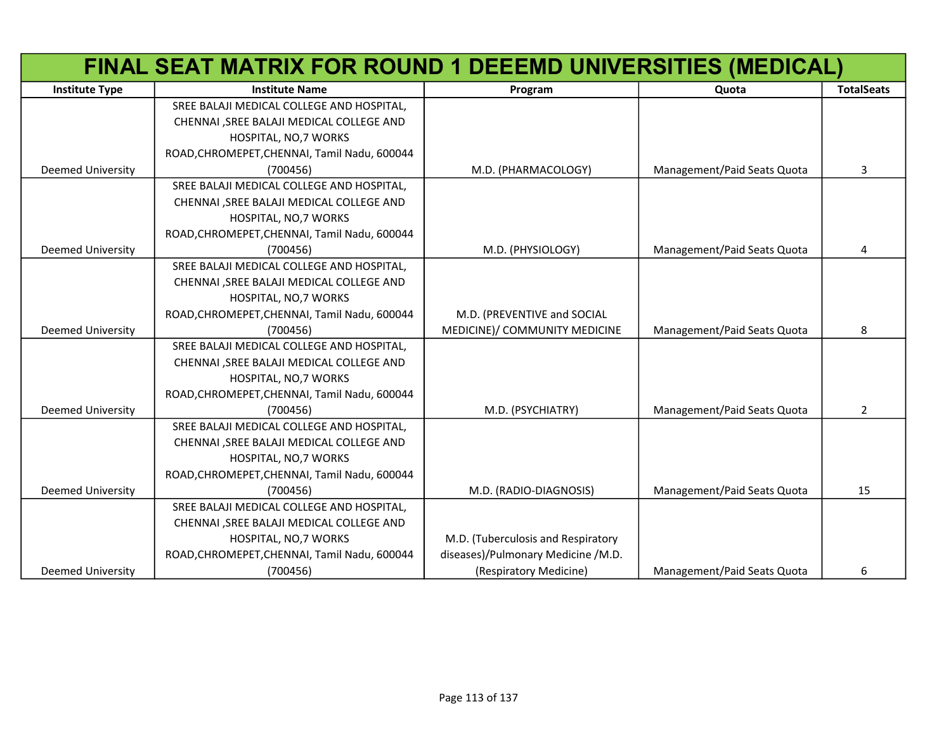|                          | FINAL SEAT MATRIX FOR ROUND 1 DEEEMD UNIVERSITIES (MEDICAL) |                                    |                             |                   |
|--------------------------|-------------------------------------------------------------|------------------------------------|-----------------------------|-------------------|
| <b>Institute Type</b>    | <b>Institute Name</b>                                       | Program                            | Quota                       | <b>TotalSeats</b> |
|                          | SREE BALAJI MEDICAL COLLEGE AND HOSPITAL,                   |                                    |                             |                   |
|                          | CHENNAI , SREE BALAJI MEDICAL COLLEGE AND                   |                                    |                             |                   |
|                          | HOSPITAL, NO, 7 WORKS                                       |                                    |                             |                   |
|                          | ROAD, CHROMEPET, CHENNAI, Tamil Nadu, 600044                |                                    |                             |                   |
| <b>Deemed University</b> | (700456)                                                    | M.D. (PHARMACOLOGY)                | Management/Paid Seats Quota | 3                 |
|                          | SREE BALAJI MEDICAL COLLEGE AND HOSPITAL,                   |                                    |                             |                   |
|                          | CHENNAI , SREE BALAJI MEDICAL COLLEGE AND                   |                                    |                             |                   |
|                          | HOSPITAL, NO, 7 WORKS                                       |                                    |                             |                   |
|                          | ROAD, CHROMEPET, CHENNAI, Tamil Nadu, 600044                |                                    |                             |                   |
| <b>Deemed University</b> | (700456)                                                    | M.D. (PHYSIOLOGY)                  | Management/Paid Seats Quota | 4                 |
|                          | SREE BALAJI MEDICAL COLLEGE AND HOSPITAL,                   |                                    |                             |                   |
|                          | CHENNAI , SREE BALAJI MEDICAL COLLEGE AND                   |                                    |                             |                   |
|                          | HOSPITAL, NO, 7 WORKS                                       |                                    |                             |                   |
|                          | ROAD, CHROMEPET, CHENNAI, Tamil Nadu, 600044                | M.D. (PREVENTIVE and SOCIAL        |                             |                   |
| <b>Deemed University</b> | (700456)                                                    | MEDICINE)/ COMMUNITY MEDICINE      | Management/Paid Seats Quota | 8                 |
|                          | SREE BALAJI MEDICAL COLLEGE AND HOSPITAL,                   |                                    |                             |                   |
|                          | CHENNAI , SREE BALAJI MEDICAL COLLEGE AND                   |                                    |                             |                   |
|                          | HOSPITAL, NO, 7 WORKS                                       |                                    |                             |                   |
|                          | ROAD, CHROMEPET, CHENNAI, Tamil Nadu, 600044                |                                    |                             |                   |
| Deemed University        | (700456)                                                    | M.D. (PSYCHIATRY)                  | Management/Paid Seats Quota | $\overline{2}$    |
|                          | SREE BALAJI MEDICAL COLLEGE AND HOSPITAL,                   |                                    |                             |                   |
|                          | CHENNAI , SREE BALAJI MEDICAL COLLEGE AND                   |                                    |                             |                   |
|                          | HOSPITAL, NO, 7 WORKS                                       |                                    |                             |                   |
|                          | ROAD, CHROMEPET, CHENNAI, Tamil Nadu, 600044                |                                    |                             |                   |
| <b>Deemed University</b> | (700456)                                                    | M.D. (RADIO-DIAGNOSIS)             | Management/Paid Seats Quota | 15                |
|                          | SREE BALAJI MEDICAL COLLEGE AND HOSPITAL,                   |                                    |                             |                   |
|                          | CHENNAI , SREE BALAJI MEDICAL COLLEGE AND                   |                                    |                             |                   |
|                          | HOSPITAL, NO, 7 WORKS                                       | M.D. (Tuberculosis and Respiratory |                             |                   |
|                          | ROAD, CHROMEPET, CHENNAI, Tamil Nadu, 600044                | diseases)/Pulmonary Medicine /M.D. |                             |                   |
| <b>Deemed University</b> | (700456)                                                    | (Respiratory Medicine)             | Management/Paid Seats Quota | 6                 |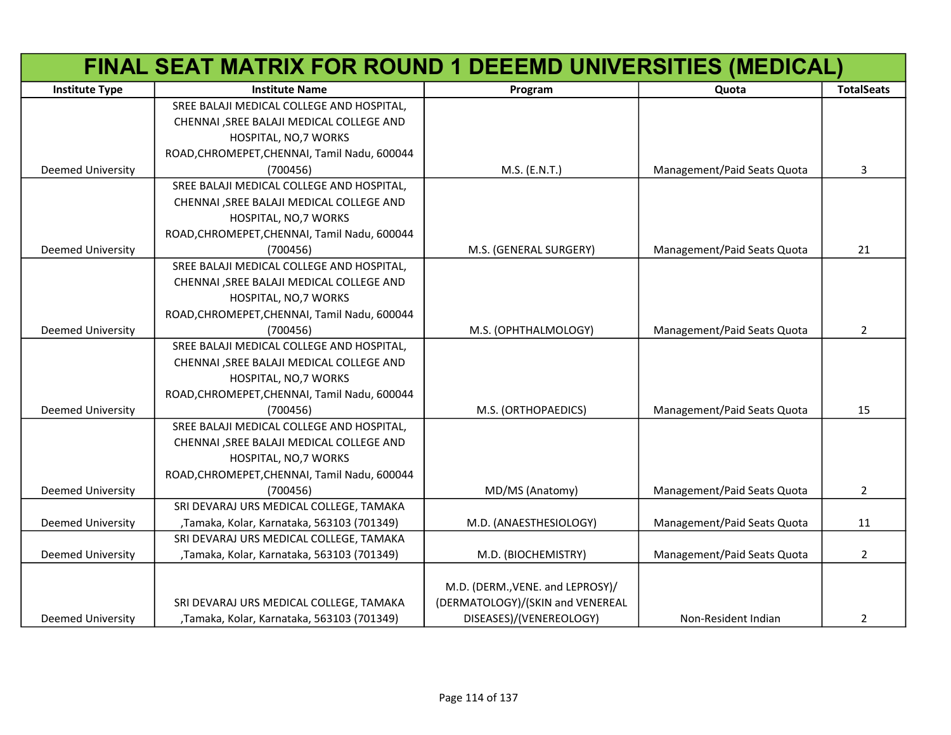|                          | FINAL SEAT MATRIX FOR ROUND 1 DEEEMD UNIVERSITIES (MEDICAL) |                                  |                             |                   |
|--------------------------|-------------------------------------------------------------|----------------------------------|-----------------------------|-------------------|
| <b>Institute Type</b>    | <b>Institute Name</b>                                       | Program                          | Quota                       | <b>TotalSeats</b> |
|                          | SREE BALAJI MEDICAL COLLEGE AND HOSPITAL,                   |                                  |                             |                   |
|                          | CHENNAI , SREE BALAJI MEDICAL COLLEGE AND                   |                                  |                             |                   |
|                          | HOSPITAL, NO, 7 WORKS                                       |                                  |                             |                   |
|                          | ROAD, CHROMEPET, CHENNAI, Tamil Nadu, 600044                |                                  |                             |                   |
| <b>Deemed University</b> | (700456)                                                    | M.S. (E.N.T.)                    | Management/Paid Seats Quota | 3                 |
|                          | SREE BALAJI MEDICAL COLLEGE AND HOSPITAL,                   |                                  |                             |                   |
|                          | CHENNAI , SREE BALAJI MEDICAL COLLEGE AND                   |                                  |                             |                   |
|                          | HOSPITAL, NO, 7 WORKS                                       |                                  |                             |                   |
|                          | ROAD, CHROMEPET, CHENNAI, Tamil Nadu, 600044                |                                  |                             |                   |
| Deemed University        | (700456)                                                    | M.S. (GENERAL SURGERY)           | Management/Paid Seats Quota | 21                |
|                          | SREE BALAJI MEDICAL COLLEGE AND HOSPITAL,                   |                                  |                             |                   |
|                          | CHENNAI , SREE BALAJI MEDICAL COLLEGE AND                   |                                  |                             |                   |
|                          | HOSPITAL, NO, 7 WORKS                                       |                                  |                             |                   |
|                          | ROAD, CHROMEPET, CHENNAI, Tamil Nadu, 600044                |                                  |                             |                   |
| <b>Deemed University</b> | (700456)                                                    | M.S. (OPHTHALMOLOGY)             | Management/Paid Seats Quota | $\overline{2}$    |
|                          | SREE BALAJI MEDICAL COLLEGE AND HOSPITAL,                   |                                  |                             |                   |
|                          | CHENNAI , SREE BALAJI MEDICAL COLLEGE AND                   |                                  |                             |                   |
|                          | HOSPITAL, NO, 7 WORKS                                       |                                  |                             |                   |
|                          | ROAD, CHROMEPET, CHENNAI, Tamil Nadu, 600044                |                                  |                             |                   |
| <b>Deemed University</b> | (700456)                                                    | M.S. (ORTHOPAEDICS)              | Management/Paid Seats Quota | 15                |
|                          | SREE BALAJI MEDICAL COLLEGE AND HOSPITAL,                   |                                  |                             |                   |
|                          | CHENNAI , SREE BALAJI MEDICAL COLLEGE AND                   |                                  |                             |                   |
|                          | HOSPITAL, NO, 7 WORKS                                       |                                  |                             |                   |
|                          | ROAD, CHROMEPET, CHENNAI, Tamil Nadu, 600044                |                                  |                             |                   |
| <b>Deemed University</b> | (700456)                                                    | MD/MS (Anatomy)                  | Management/Paid Seats Quota | $\overline{2}$    |
|                          | SRI DEVARAJ URS MEDICAL COLLEGE, TAMAKA                     |                                  |                             |                   |
| <b>Deemed University</b> | , Tamaka, Kolar, Karnataka, 563103 (701349)                 | M.D. (ANAESTHESIOLOGY)           | Management/Paid Seats Quota | 11                |
|                          | SRI DEVARAJ URS MEDICAL COLLEGE, TAMAKA                     |                                  |                             |                   |
| <b>Deemed University</b> | , Tamaka, Kolar, Karnataka, 563103 (701349)                 | M.D. (BIOCHEMISTRY)              | Management/Paid Seats Quota | $\overline{2}$    |
|                          |                                                             |                                  |                             |                   |
|                          |                                                             | M.D. (DERM., VENE. and LEPROSY)/ |                             |                   |
|                          | SRI DEVARAJ URS MEDICAL COLLEGE, TAMAKA                     | (DERMATOLOGY)/(SKIN and VENEREAL |                             |                   |
| <b>Deemed University</b> | ,Tamaka, Kolar, Karnataka, 563103 (701349)                  | DISEASES)/(VENEREOLOGY)          | Non-Resident Indian         | 2                 |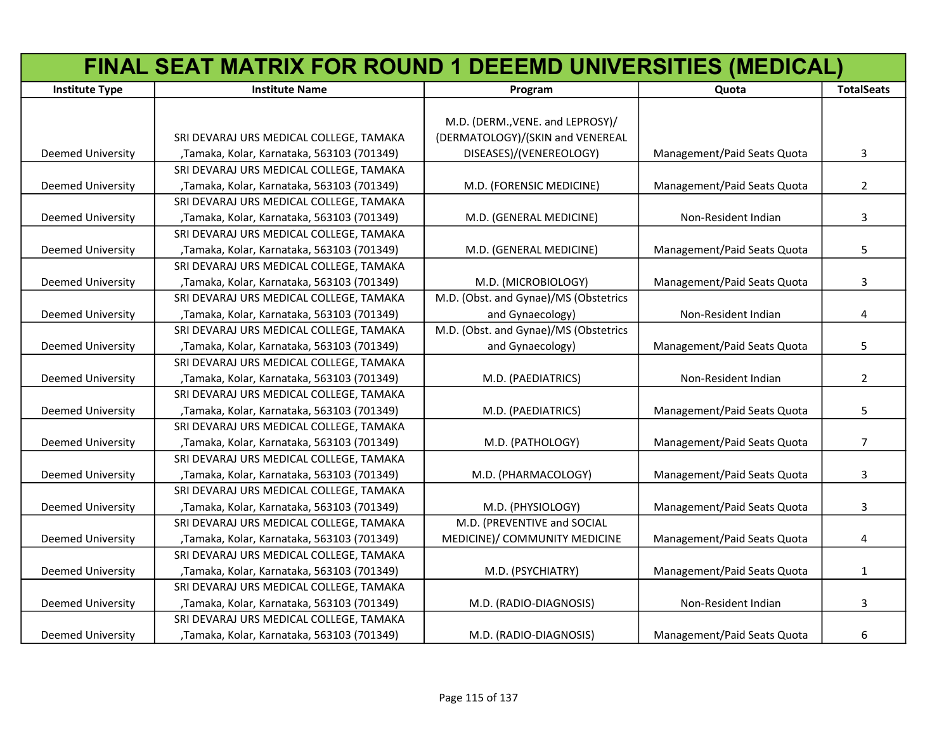|                          | FINAL SEAT MATRIX FOR ROUND 1 DEEEMD UNIVERSITIES (MEDICAL) |                                       |                             |                   |
|--------------------------|-------------------------------------------------------------|---------------------------------------|-----------------------------|-------------------|
| <b>Institute Type</b>    | <b>Institute Name</b>                                       | Program                               | Quota                       | <b>TotalSeats</b> |
|                          |                                                             |                                       |                             |                   |
|                          |                                                             | M.D. (DERM., VENE. and LEPROSY)/      |                             |                   |
|                          | SRI DEVARAJ URS MEDICAL COLLEGE, TAMAKA                     | (DERMATOLOGY)/(SKIN and VENEREAL      |                             |                   |
| <b>Deemed University</b> | , Tamaka, Kolar, Karnataka, 563103 (701349)                 | DISEASES)/(VENEREOLOGY)               | Management/Paid Seats Quota | 3                 |
|                          | SRI DEVARAJ URS MEDICAL COLLEGE, TAMAKA                     |                                       |                             |                   |
| <b>Deemed University</b> | , Tamaka, Kolar, Karnataka, 563103 (701349)                 | M.D. (FORENSIC MEDICINE)              | Management/Paid Seats Quota | $\overline{2}$    |
|                          | SRI DEVARAJ URS MEDICAL COLLEGE, TAMAKA                     |                                       |                             |                   |
| Deemed University        | , Tamaka, Kolar, Karnataka, 563103 (701349)                 | M.D. (GENERAL MEDICINE)               | Non-Resident Indian         | 3                 |
|                          | SRI DEVARAJ URS MEDICAL COLLEGE, TAMAKA                     |                                       |                             |                   |
| <b>Deemed University</b> | , Tamaka, Kolar, Karnataka, 563103 (701349)                 | M.D. (GENERAL MEDICINE)               | Management/Paid Seats Quota | 5                 |
|                          | SRI DEVARAJ URS MEDICAL COLLEGE, TAMAKA                     |                                       |                             |                   |
| Deemed University        | , Tamaka, Kolar, Karnataka, 563103 (701349)                 | M.D. (MICROBIOLOGY)                   | Management/Paid Seats Quota | 3                 |
|                          | SRI DEVARAJ URS MEDICAL COLLEGE, TAMAKA                     | M.D. (Obst. and Gynae)/MS (Obstetrics |                             |                   |
| <b>Deemed University</b> | ,Tamaka, Kolar, Karnataka, 563103 (701349)                  | and Gynaecology)                      | Non-Resident Indian         | 4                 |
|                          | SRI DEVARAJ URS MEDICAL COLLEGE, TAMAKA                     | M.D. (Obst. and Gynae)/MS (Obstetrics |                             |                   |
| <b>Deemed University</b> | , Tamaka, Kolar, Karnataka, 563103 (701349)                 | and Gynaecology)                      | Management/Paid Seats Quota | 5                 |
|                          | SRI DEVARAJ URS MEDICAL COLLEGE, TAMAKA                     |                                       |                             |                   |
| <b>Deemed University</b> | , Tamaka, Kolar, Karnataka, 563103 (701349)                 | M.D. (PAEDIATRICS)                    | Non-Resident Indian         | $\overline{2}$    |
|                          | SRI DEVARAJ URS MEDICAL COLLEGE, TAMAKA                     |                                       |                             |                   |
| <b>Deemed University</b> | , Tamaka, Kolar, Karnataka, 563103 (701349)                 | M.D. (PAEDIATRICS)                    | Management/Paid Seats Quota | 5                 |
|                          | SRI DEVARAJ URS MEDICAL COLLEGE, TAMAKA                     |                                       |                             |                   |
| <b>Deemed University</b> | , Tamaka, Kolar, Karnataka, 563103 (701349)                 | M.D. (PATHOLOGY)                      | Management/Paid Seats Quota | $\overline{7}$    |
|                          | SRI DEVARAJ URS MEDICAL COLLEGE, TAMAKA                     |                                       |                             |                   |
| <b>Deemed University</b> | ,Tamaka, Kolar, Karnataka, 563103 (701349)                  | M.D. (PHARMACOLOGY)                   | Management/Paid Seats Quota | 3                 |
|                          | SRI DEVARAJ URS MEDICAL COLLEGE, TAMAKA                     |                                       |                             |                   |
| <b>Deemed University</b> | , Tamaka, Kolar, Karnataka, 563103 (701349)                 | M.D. (PHYSIOLOGY)                     | Management/Paid Seats Quota | 3                 |
|                          | SRI DEVARAJ URS MEDICAL COLLEGE, TAMAKA                     | M.D. (PREVENTIVE and SOCIAL           |                             |                   |
| <b>Deemed University</b> | , Tamaka, Kolar, Karnataka, 563103 (701349)                 | MEDICINE)/ COMMUNITY MEDICINE         | Management/Paid Seats Quota | 4                 |
|                          | SRI DEVARAJ URS MEDICAL COLLEGE, TAMAKA                     |                                       |                             |                   |
| <b>Deemed University</b> | , Tamaka, Kolar, Karnataka, 563103 (701349)                 | M.D. (PSYCHIATRY)                     | Management/Paid Seats Quota | $\mathbf{1}$      |
|                          | SRI DEVARAJ URS MEDICAL COLLEGE, TAMAKA                     |                                       |                             |                   |
| <b>Deemed University</b> | , Tamaka, Kolar, Karnataka, 563103 (701349)                 | M.D. (RADIO-DIAGNOSIS)                | Non-Resident Indian         | 3                 |
|                          | SRI DEVARAJ URS MEDICAL COLLEGE, TAMAKA                     |                                       |                             |                   |
| <b>Deemed University</b> | , Tamaka, Kolar, Karnataka, 563103 (701349)                 | M.D. (RADIO-DIAGNOSIS)                | Management/Paid Seats Quota | 6                 |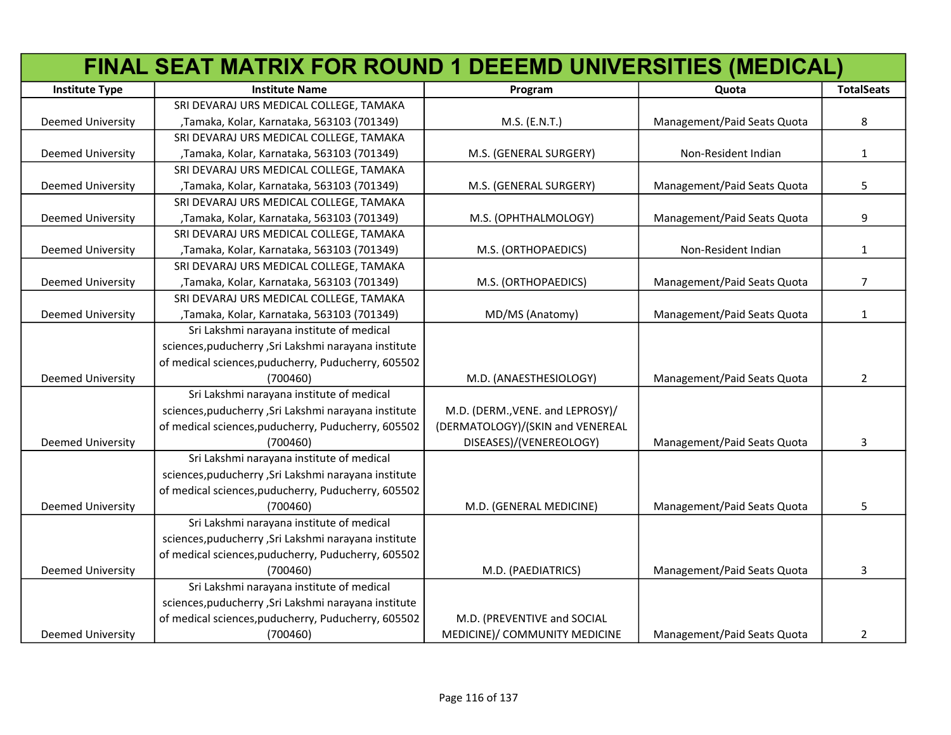|                          | FINAL SEAT MATRIX FOR ROUND 1 DEEEMD UNIVERSITIES (MEDICAL) |                                  |                             |                   |
|--------------------------|-------------------------------------------------------------|----------------------------------|-----------------------------|-------------------|
| <b>Institute Type</b>    | <b>Institute Name</b>                                       | Program                          | Quota                       | <b>TotalSeats</b> |
|                          | SRI DEVARAJ URS MEDICAL COLLEGE, TAMAKA                     |                                  |                             |                   |
| Deemed University        | , Tamaka, Kolar, Karnataka, 563103 (701349)                 | M.S. (E.N.T.)                    | Management/Paid Seats Quota | 8                 |
|                          | SRI DEVARAJ URS MEDICAL COLLEGE, TAMAKA                     |                                  |                             |                   |
| Deemed University        | , Tamaka, Kolar, Karnataka, 563103 (701349)                 | M.S. (GENERAL SURGERY)           | Non-Resident Indian         | $\mathbf{1}$      |
|                          | SRI DEVARAJ URS MEDICAL COLLEGE, TAMAKA                     |                                  |                             |                   |
| <b>Deemed University</b> | , Tamaka, Kolar, Karnataka, 563103 (701349)                 | M.S. (GENERAL SURGERY)           | Management/Paid Seats Quota | 5                 |
|                          | SRI DEVARAJ URS MEDICAL COLLEGE, TAMAKA                     |                                  |                             |                   |
| <b>Deemed University</b> | , Tamaka, Kolar, Karnataka, 563103 (701349)                 | M.S. (OPHTHALMOLOGY)             | Management/Paid Seats Quota | 9                 |
|                          | SRI DEVARAJ URS MEDICAL COLLEGE, TAMAKA                     |                                  |                             |                   |
| Deemed University        | , Tamaka, Kolar, Karnataka, 563103 (701349)                 | M.S. (ORTHOPAEDICS)              | Non-Resident Indian         | $\mathbf{1}$      |
|                          | SRI DEVARAJ URS MEDICAL COLLEGE, TAMAKA                     |                                  |                             |                   |
| <b>Deemed University</b> | , Tamaka, Kolar, Karnataka, 563103 (701349)                 | M.S. (ORTHOPAEDICS)              | Management/Paid Seats Quota | $\overline{7}$    |
|                          | SRI DEVARAJ URS MEDICAL COLLEGE, TAMAKA                     |                                  |                             |                   |
| <b>Deemed University</b> | , Tamaka, Kolar, Karnataka, 563103 (701349)                 | MD/MS (Anatomy)                  | Management/Paid Seats Quota | 1                 |
|                          | Sri Lakshmi narayana institute of medical                   |                                  |                             |                   |
|                          | sciences, puducherry, Sri Lakshmi narayana institute        |                                  |                             |                   |
|                          | of medical sciences, puducherry, Puducherry, 605502         |                                  |                             |                   |
| <b>Deemed University</b> | (700460)                                                    | M.D. (ANAESTHESIOLOGY)           | Management/Paid Seats Quota | $\overline{2}$    |
|                          | Sri Lakshmi narayana institute of medical                   |                                  |                             |                   |
|                          | sciences, puducherry, Sri Lakshmi narayana institute        | M.D. (DERM., VENE. and LEPROSY)/ |                             |                   |
|                          | of medical sciences, puducherry, Puducherry, 605502         | (DERMATOLOGY)/(SKIN and VENEREAL |                             |                   |
| <b>Deemed University</b> | (700460)                                                    | DISEASES)/(VENEREOLOGY)          | Management/Paid Seats Quota | 3                 |
|                          | Sri Lakshmi narayana institute of medical                   |                                  |                             |                   |
|                          | sciences, puducherry, Sri Lakshmi narayana institute        |                                  |                             |                   |
|                          | of medical sciences, puducherry, Puducherry, 605502         |                                  |                             |                   |
| <b>Deemed University</b> | (700460)                                                    | M.D. (GENERAL MEDICINE)          | Management/Paid Seats Quota | 5                 |
|                          | Sri Lakshmi narayana institute of medical                   |                                  |                             |                   |
|                          | sciences, puducherry, Sri Lakshmi narayana institute        |                                  |                             |                   |
|                          | of medical sciences, puducherry, Puducherry, 605502         |                                  |                             |                   |
| <b>Deemed University</b> | (700460)                                                    | M.D. (PAEDIATRICS)               | Management/Paid Seats Quota | 3                 |
|                          | Sri Lakshmi narayana institute of medical                   |                                  |                             |                   |
|                          | sciences, puducherry, Sri Lakshmi narayana institute        |                                  |                             |                   |
|                          | of medical sciences, puducherry, Puducherry, 605502         | M.D. (PREVENTIVE and SOCIAL      |                             |                   |
| <b>Deemed University</b> | (700460)                                                    | MEDICINE)/ COMMUNITY MEDICINE    | Management/Paid Seats Quota | $\overline{2}$    |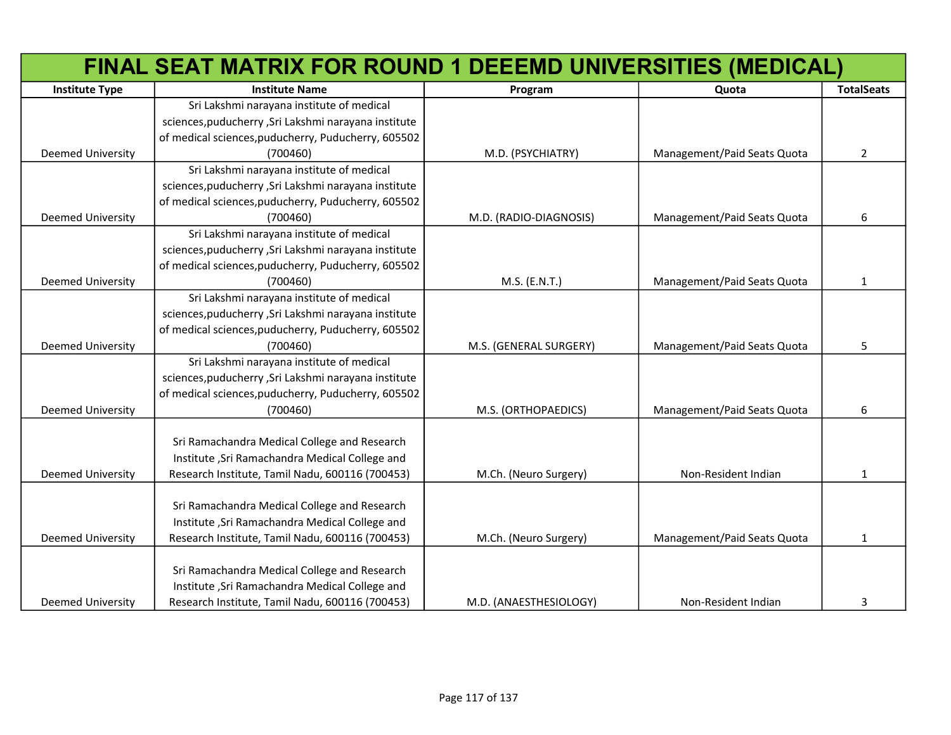|                          | FINAL SEAT MATRIX FOR ROUND 1 DEEEMD UNIVERSITIES (MEDICAL) |                        |                             |                   |
|--------------------------|-------------------------------------------------------------|------------------------|-----------------------------|-------------------|
| <b>Institute Type</b>    | <b>Institute Name</b>                                       | Program                | Quota                       | <b>TotalSeats</b> |
|                          | Sri Lakshmi narayana institute of medical                   |                        |                             |                   |
|                          | sciences, puducherry, Sri Lakshmi narayana institute        |                        |                             |                   |
|                          | of medical sciences, puducherry, Puducherry, 605502         |                        |                             |                   |
| Deemed University        | (700460)                                                    | M.D. (PSYCHIATRY)      | Management/Paid Seats Quota | $\overline{2}$    |
|                          | Sri Lakshmi narayana institute of medical                   |                        |                             |                   |
|                          | sciences, puducherry, Sri Lakshmi narayana institute        |                        |                             |                   |
|                          | of medical sciences, puducherry, Puducherry, 605502         |                        |                             |                   |
| Deemed University        | (700460)                                                    | M.D. (RADIO-DIAGNOSIS) | Management/Paid Seats Quota | 6                 |
|                          | Sri Lakshmi narayana institute of medical                   |                        |                             |                   |
|                          | sciences, puducherry, Sri Lakshmi narayana institute        |                        |                             |                   |
|                          | of medical sciences, puducherry, Puducherry, 605502         |                        |                             |                   |
| Deemed University        | (700460)                                                    | M.S. (E.N.T.)          | Management/Paid Seats Quota | $\mathbf{1}$      |
|                          | Sri Lakshmi narayana institute of medical                   |                        |                             |                   |
|                          | sciences, puducherry, Sri Lakshmi narayana institute        |                        |                             |                   |
|                          | of medical sciences, puducherry, Puducherry, 605502         |                        |                             |                   |
| <b>Deemed University</b> | (700460)                                                    | M.S. (GENERAL SURGERY) | Management/Paid Seats Quota | 5                 |
|                          | Sri Lakshmi narayana institute of medical                   |                        |                             |                   |
|                          | sciences, puducherry, Sri Lakshmi narayana institute        |                        |                             |                   |
|                          | of medical sciences, puducherry, Puducherry, 605502         |                        |                             |                   |
| Deemed University        | (700460)                                                    | M.S. (ORTHOPAEDICS)    | Management/Paid Seats Quota | 6                 |
|                          |                                                             |                        |                             |                   |
|                          | Sri Ramachandra Medical College and Research                |                        |                             |                   |
|                          | Institute , Sri Ramachandra Medical College and             |                        |                             |                   |
| <b>Deemed University</b> | Research Institute, Tamil Nadu, 600116 (700453)             | M.Ch. (Neuro Surgery)  | Non-Resident Indian         | 1                 |
|                          |                                                             |                        |                             |                   |
|                          | Sri Ramachandra Medical College and Research                |                        |                             |                   |
|                          | Institute , Sri Ramachandra Medical College and             |                        |                             |                   |
| <b>Deemed University</b> | Research Institute, Tamil Nadu, 600116 (700453)             | M.Ch. (Neuro Surgery)  | Management/Paid Seats Quota | 1                 |
|                          |                                                             |                        |                             |                   |
|                          | Sri Ramachandra Medical College and Research                |                        |                             |                   |
|                          | Institute , Sri Ramachandra Medical College and             |                        |                             |                   |
| <b>Deemed University</b> | Research Institute, Tamil Nadu, 600116 (700453)             | M.D. (ANAESTHESIOLOGY) | Non-Resident Indian         | 3                 |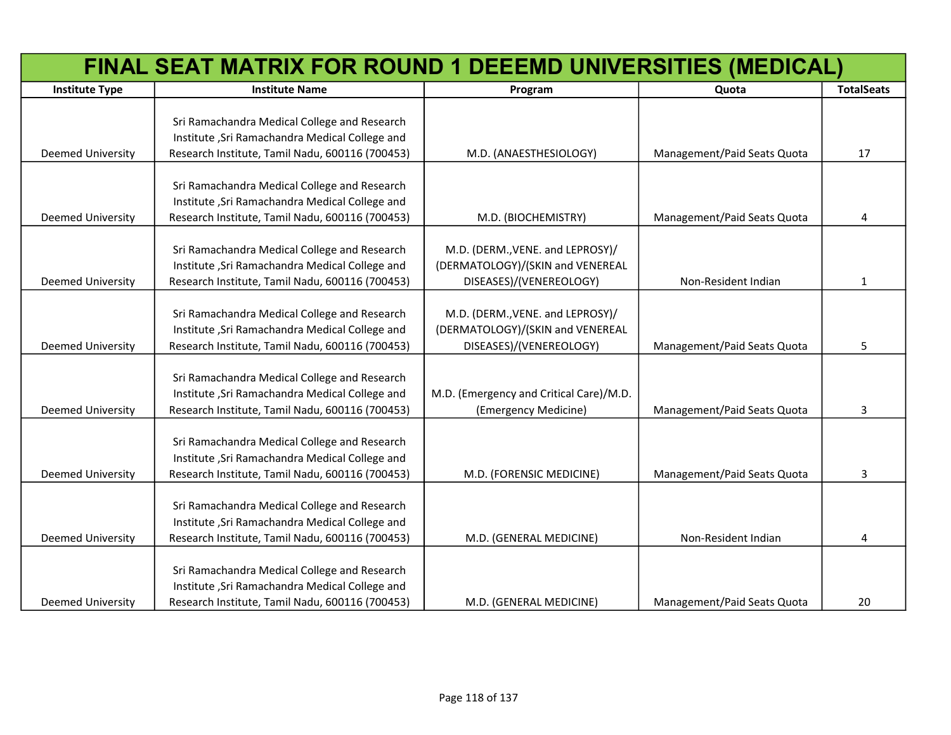|                          | FINAL SEAT MATRIX FOR ROUND 1 DEEEMD UNIVERSITIES (MEDICAL)                                                                                        |                                                                                                 |                             |                   |
|--------------------------|----------------------------------------------------------------------------------------------------------------------------------------------------|-------------------------------------------------------------------------------------------------|-----------------------------|-------------------|
| <b>Institute Type</b>    | <b>Institute Name</b>                                                                                                                              | Program                                                                                         | Quota                       | <b>TotalSeats</b> |
| Deemed University        | Sri Ramachandra Medical College and Research<br>Institute , Sri Ramachandra Medical College and<br>Research Institute, Tamil Nadu, 600116 (700453) | M.D. (ANAESTHESIOLOGY)                                                                          | Management/Paid Seats Quota | 17                |
|                          |                                                                                                                                                    |                                                                                                 |                             |                   |
| <b>Deemed University</b> | Sri Ramachandra Medical College and Research<br>Institute , Sri Ramachandra Medical College and<br>Research Institute, Tamil Nadu, 600116 (700453) | M.D. (BIOCHEMISTRY)                                                                             | Management/Paid Seats Quota | 4                 |
| Deemed University        | Sri Ramachandra Medical College and Research<br>Institute , Sri Ramachandra Medical College and<br>Research Institute, Tamil Nadu, 600116 (700453) | M.D. (DERM., VENE. and LEPROSY)/<br>(DERMATOLOGY)/(SKIN and VENEREAL<br>DISEASES)/(VENEREOLOGY) | Non-Resident Indian         | $\mathbf{1}$      |
| <b>Deemed University</b> | Sri Ramachandra Medical College and Research<br>Institute , Sri Ramachandra Medical College and<br>Research Institute, Tamil Nadu, 600116 (700453) | M.D. (DERM., VENE. and LEPROSY)/<br>(DERMATOLOGY)/(SKIN and VENEREAL<br>DISEASES)/(VENEREOLOGY) | Management/Paid Seats Quota | 5                 |
| Deemed University        | Sri Ramachandra Medical College and Research<br>Institute , Sri Ramachandra Medical College and<br>Research Institute, Tamil Nadu, 600116 (700453) | M.D. (Emergency and Critical Care)/M.D.<br>(Emergency Medicine)                                 | Management/Paid Seats Quota | 3                 |
| <b>Deemed University</b> | Sri Ramachandra Medical College and Research<br>Institute , Sri Ramachandra Medical College and<br>Research Institute, Tamil Nadu, 600116 (700453) | M.D. (FORENSIC MEDICINE)                                                                        | Management/Paid Seats Quota | 3                 |
| <b>Deemed University</b> | Sri Ramachandra Medical College and Research<br>Institute , Sri Ramachandra Medical College and<br>Research Institute, Tamil Nadu, 600116 (700453) | M.D. (GENERAL MEDICINE)                                                                         | Non-Resident Indian         | 4                 |
| <b>Deemed University</b> | Sri Ramachandra Medical College and Research<br>Institute , Sri Ramachandra Medical College and<br>Research Institute, Tamil Nadu, 600116 (700453) | M.D. (GENERAL MEDICINE)                                                                         | Management/Paid Seats Quota | 20                |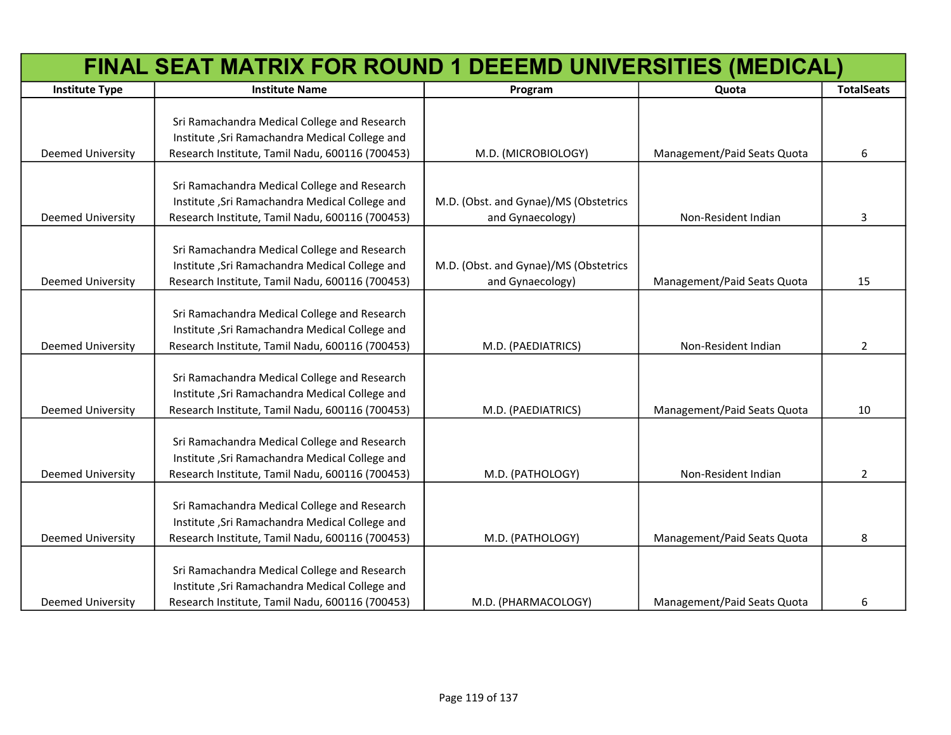|                          | FINAL SEAT MATRIX FOR ROUND 1 DEEEMD UNIVERSITIES (MEDICAL)                                                                                        |                                                           |                             |                   |
|--------------------------|----------------------------------------------------------------------------------------------------------------------------------------------------|-----------------------------------------------------------|-----------------------------|-------------------|
| <b>Institute Type</b>    | <b>Institute Name</b>                                                                                                                              | Program                                                   | Quota                       | <b>TotalSeats</b> |
| Deemed University        | Sri Ramachandra Medical College and Research<br>Institute , Sri Ramachandra Medical College and<br>Research Institute, Tamil Nadu, 600116 (700453) | M.D. (MICROBIOLOGY)                                       | Management/Paid Seats Quota | 6                 |
| Deemed University        | Sri Ramachandra Medical College and Research<br>Institute , Sri Ramachandra Medical College and<br>Research Institute, Tamil Nadu, 600116 (700453) | M.D. (Obst. and Gynae)/MS (Obstetrics<br>and Gynaecology) | Non-Resident Indian         | 3                 |
| Deemed University        | Sri Ramachandra Medical College and Research<br>Institute , Sri Ramachandra Medical College and<br>Research Institute, Tamil Nadu, 600116 (700453) | M.D. (Obst. and Gynae)/MS (Obstetrics<br>and Gynaecology) | Management/Paid Seats Quota | 15                |
| <b>Deemed University</b> | Sri Ramachandra Medical College and Research<br>Institute , Sri Ramachandra Medical College and<br>Research Institute, Tamil Nadu, 600116 (700453) | M.D. (PAEDIATRICS)                                        | Non-Resident Indian         | $\overline{2}$    |
| Deemed University        | Sri Ramachandra Medical College and Research<br>Institute , Sri Ramachandra Medical College and<br>Research Institute, Tamil Nadu, 600116 (700453) | M.D. (PAEDIATRICS)                                        | Management/Paid Seats Quota | 10                |
| Deemed University        | Sri Ramachandra Medical College and Research<br>Institute , Sri Ramachandra Medical College and<br>Research Institute, Tamil Nadu, 600116 (700453) | M.D. (PATHOLOGY)                                          | Non-Resident Indian         | $\overline{2}$    |
| <b>Deemed University</b> | Sri Ramachandra Medical College and Research<br>Institute , Sri Ramachandra Medical College and<br>Research Institute, Tamil Nadu, 600116 (700453) | M.D. (PATHOLOGY)                                          | Management/Paid Seats Quota | 8                 |
| <b>Deemed University</b> | Sri Ramachandra Medical College and Research<br>Institute , Sri Ramachandra Medical College and<br>Research Institute, Tamil Nadu, 600116 (700453) | M.D. (PHARMACOLOGY)                                       | Management/Paid Seats Quota | 6                 |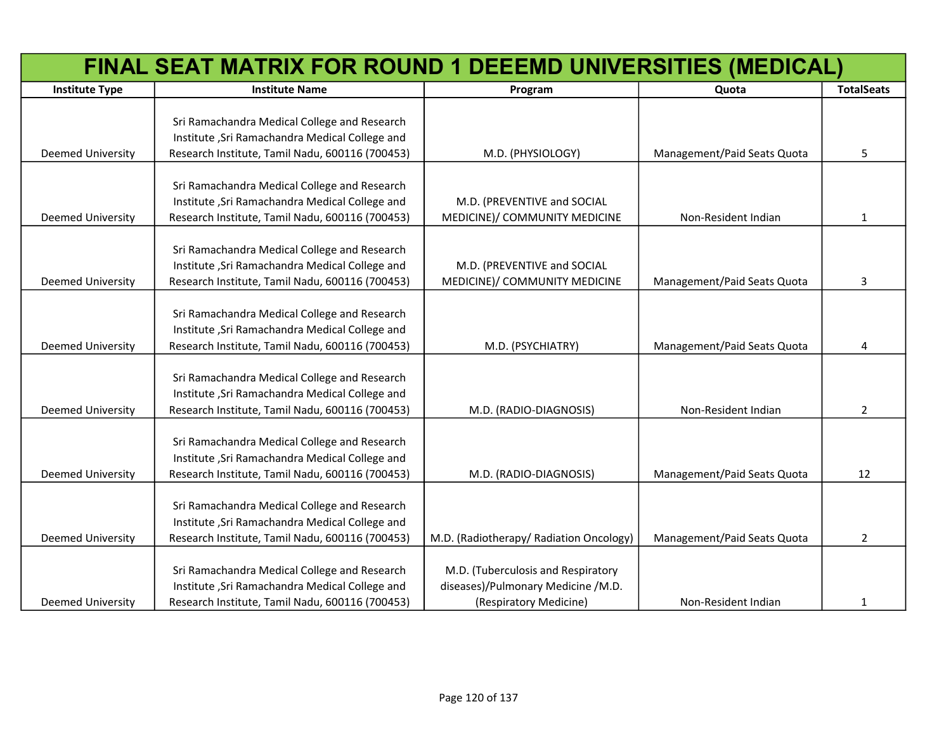| FINAL SEAT MATRIX FOR ROUND 1 DEEEMD UNIVERSITIES (MEDICAL) |                                                                                                                                                    |                                                                                                    |                             |                   |
|-------------------------------------------------------------|----------------------------------------------------------------------------------------------------------------------------------------------------|----------------------------------------------------------------------------------------------------|-----------------------------|-------------------|
| <b>Institute Type</b>                                       | <b>Institute Name</b>                                                                                                                              | Program                                                                                            | Quota                       | <b>TotalSeats</b> |
| <b>Deemed University</b>                                    | Sri Ramachandra Medical College and Research<br>Institute , Sri Ramachandra Medical College and<br>Research Institute, Tamil Nadu, 600116 (700453) | M.D. (PHYSIOLOGY)                                                                                  | Management/Paid Seats Quota | 5                 |
| <b>Deemed University</b>                                    | Sri Ramachandra Medical College and Research<br>Institute , Sri Ramachandra Medical College and<br>Research Institute, Tamil Nadu, 600116 (700453) | M.D. (PREVENTIVE and SOCIAL<br>MEDICINE)/ COMMUNITY MEDICINE                                       | Non-Resident Indian         | 1                 |
| <b>Deemed University</b>                                    | Sri Ramachandra Medical College and Research<br>Institute , Sri Ramachandra Medical College and<br>Research Institute, Tamil Nadu, 600116 (700453) | M.D. (PREVENTIVE and SOCIAL<br>MEDICINE)/ COMMUNITY MEDICINE                                       | Management/Paid Seats Quota | 3                 |
| <b>Deemed University</b>                                    | Sri Ramachandra Medical College and Research<br>Institute , Sri Ramachandra Medical College and<br>Research Institute, Tamil Nadu, 600116 (700453) | M.D. (PSYCHIATRY)                                                                                  | Management/Paid Seats Quota | 4                 |
| <b>Deemed University</b>                                    | Sri Ramachandra Medical College and Research<br>Institute , Sri Ramachandra Medical College and<br>Research Institute, Tamil Nadu, 600116 (700453) | M.D. (RADIO-DIAGNOSIS)                                                                             | Non-Resident Indian         | $\overline{2}$    |
| <b>Deemed University</b>                                    | Sri Ramachandra Medical College and Research<br>Institute , Sri Ramachandra Medical College and<br>Research Institute, Tamil Nadu, 600116 (700453) | M.D. (RADIO-DIAGNOSIS)                                                                             | Management/Paid Seats Quota | 12                |
| <b>Deemed University</b>                                    | Sri Ramachandra Medical College and Research<br>Institute , Sri Ramachandra Medical College and<br>Research Institute, Tamil Nadu, 600116 (700453) | M.D. (Radiotherapy/ Radiation Oncology)                                                            | Management/Paid Seats Quota | $\overline{2}$    |
| <b>Deemed University</b>                                    | Sri Ramachandra Medical College and Research<br>Institute , Sri Ramachandra Medical College and<br>Research Institute, Tamil Nadu, 600116 (700453) | M.D. (Tuberculosis and Respiratory<br>diseases)/Pulmonary Medicine /M.D.<br>(Respiratory Medicine) | Non-Resident Indian         | 1                 |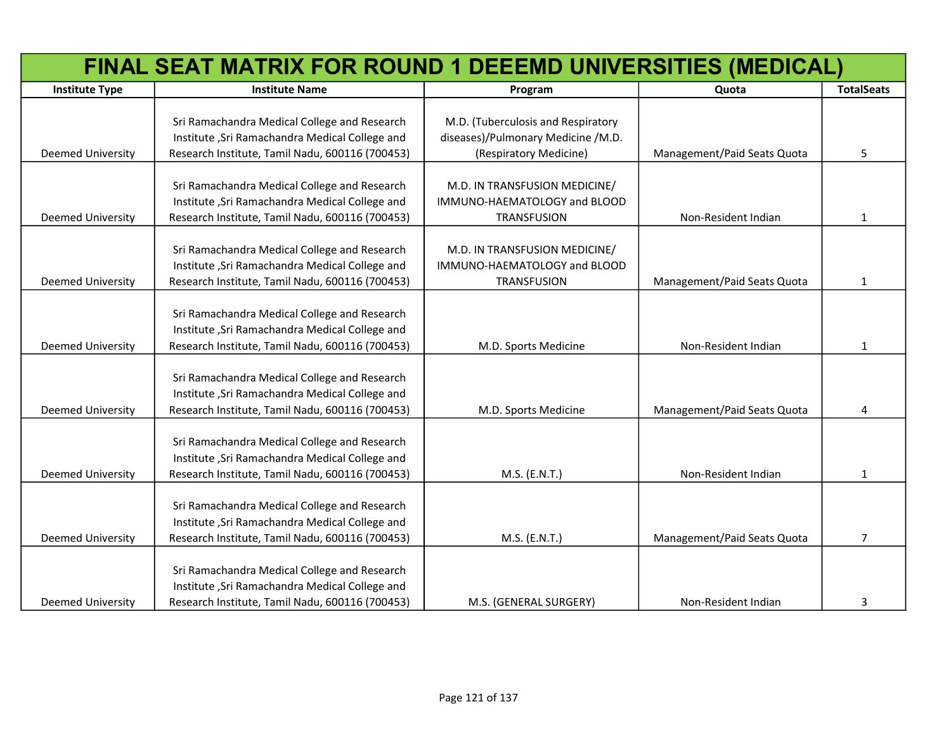|                          | FINAL SEAT MATRIX FOR ROUND 1 DEEEMD UNIVERSITIES (MEDICAL)                                                                                        |                                                                                     |                             |                   |  |
|--------------------------|----------------------------------------------------------------------------------------------------------------------------------------------------|-------------------------------------------------------------------------------------|-----------------------------|-------------------|--|
| <b>Institute Type</b>    | <b>Institute Name</b>                                                                                                                              | Program                                                                             | Quota                       | <b>TotalSeats</b> |  |
|                          | Sri Ramachandra Medical College and Research                                                                                                       | M.D. (Tuberculosis and Respiratory                                                  |                             |                   |  |
| <b>Deemed University</b> | Institute , Sri Ramachandra Medical College and<br>Research Institute, Tamil Nadu, 600116 (700453)                                                 | diseases)/Pulmonary Medicine /M.D.<br>(Respiratory Medicine)                        | Management/Paid Seats Quota | 5                 |  |
| <b>Deemed University</b> | Sri Ramachandra Medical College and Research<br>Institute , Sri Ramachandra Medical College and<br>Research Institute, Tamil Nadu, 600116 (700453) | M.D. IN TRANSFUSION MEDICINE/<br>IMMUNO-HAEMATOLOGY and BLOOD<br><b>TRANSFUSION</b> | Non-Resident Indian         | 1                 |  |
| Deemed University        | Sri Ramachandra Medical College and Research<br>Institute , Sri Ramachandra Medical College and<br>Research Institute, Tamil Nadu, 600116 (700453) | M.D. IN TRANSFUSION MEDICINE/<br>IMMUNO-HAEMATOLOGY and BLOOD<br><b>TRANSFUSION</b> | Management/Paid Seats Quota | 1                 |  |
| <b>Deemed University</b> | Sri Ramachandra Medical College and Research<br>Institute , Sri Ramachandra Medical College and<br>Research Institute, Tamil Nadu, 600116 (700453) | M.D. Sports Medicine                                                                | Non-Resident Indian         | $\mathbf{1}$      |  |
| Deemed University        | Sri Ramachandra Medical College and Research<br>Institute , Sri Ramachandra Medical College and<br>Research Institute, Tamil Nadu, 600116 (700453) | M.D. Sports Medicine                                                                | Management/Paid Seats Quota | 4                 |  |
| <b>Deemed University</b> | Sri Ramachandra Medical College and Research<br>Institute , Sri Ramachandra Medical College and<br>Research Institute, Tamil Nadu, 600116 (700453) | M.S. (E.N.T.)                                                                       | Non-Resident Indian         | 1                 |  |
| Deemed University        | Sri Ramachandra Medical College and Research<br>Institute , Sri Ramachandra Medical College and<br>Research Institute, Tamil Nadu, 600116 (700453) | M.S. (E.N.T.)                                                                       | Management/Paid Seats Quota | 7                 |  |
| <b>Deemed University</b> | Sri Ramachandra Medical College and Research<br>Institute , Sri Ramachandra Medical College and<br>Research Institute, Tamil Nadu, 600116 (700453) | M.S. (GENERAL SURGERY)                                                              | Non-Resident Indian         | 3                 |  |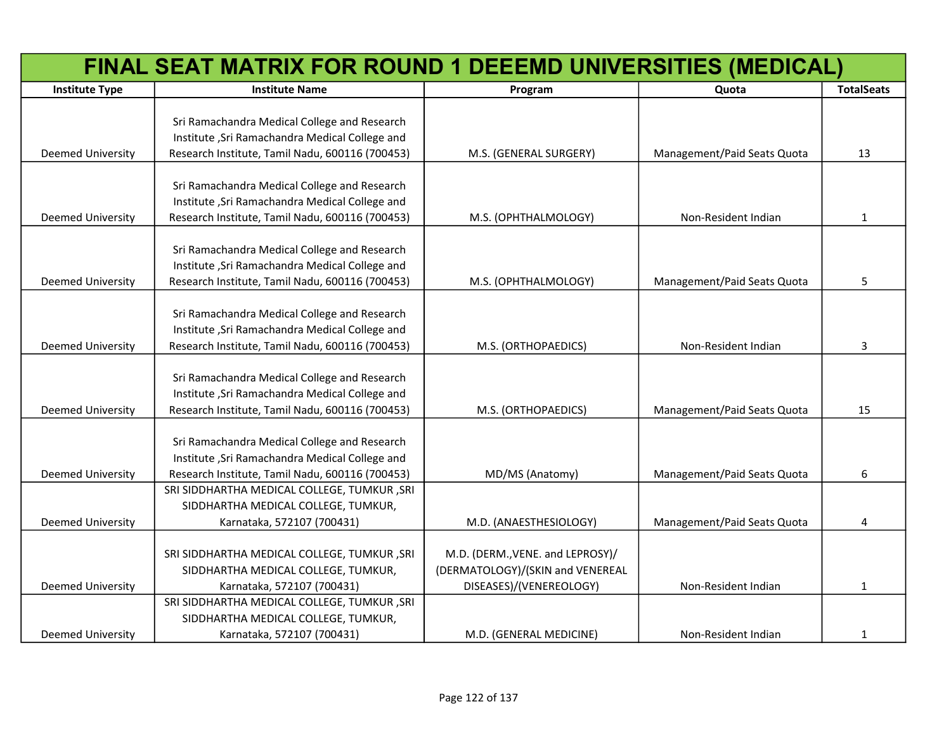|                          | FINAL SEAT MATRIX FOR ROUND 1 DEEEMD UNIVERSITIES (MEDICAL) |                                  |                             |                   |
|--------------------------|-------------------------------------------------------------|----------------------------------|-----------------------------|-------------------|
| <b>Institute Type</b>    | <b>Institute Name</b>                                       | Program                          | Quota                       | <b>TotalSeats</b> |
|                          |                                                             |                                  |                             |                   |
|                          | Sri Ramachandra Medical College and Research                |                                  |                             |                   |
|                          | Institute , Sri Ramachandra Medical College and             |                                  |                             |                   |
| Deemed University        | Research Institute, Tamil Nadu, 600116 (700453)             | M.S. (GENERAL SURGERY)           | Management/Paid Seats Quota | 13                |
|                          |                                                             |                                  |                             |                   |
|                          | Sri Ramachandra Medical College and Research                |                                  |                             |                   |
|                          | Institute , Sri Ramachandra Medical College and             |                                  |                             |                   |
| <b>Deemed University</b> | Research Institute, Tamil Nadu, 600116 (700453)             | M.S. (OPHTHALMOLOGY)             | Non-Resident Indian         | 1                 |
|                          |                                                             |                                  |                             |                   |
|                          | Sri Ramachandra Medical College and Research                |                                  |                             |                   |
|                          | Institute , Sri Ramachandra Medical College and             |                                  |                             |                   |
| Deemed University        | Research Institute, Tamil Nadu, 600116 (700453)             | M.S. (OPHTHALMOLOGY)             | Management/Paid Seats Quota | 5                 |
|                          |                                                             |                                  |                             |                   |
|                          | Sri Ramachandra Medical College and Research                |                                  |                             |                   |
|                          | Institute , Sri Ramachandra Medical College and             |                                  |                             |                   |
| <b>Deemed University</b> | Research Institute, Tamil Nadu, 600116 (700453)             | M.S. (ORTHOPAEDICS)              | Non-Resident Indian         | 3                 |
|                          |                                                             |                                  |                             |                   |
|                          | Sri Ramachandra Medical College and Research                |                                  |                             |                   |
|                          | Institute , Sri Ramachandra Medical College and             |                                  |                             |                   |
| <b>Deemed University</b> | Research Institute, Tamil Nadu, 600116 (700453)             | M.S. (ORTHOPAEDICS)              | Management/Paid Seats Quota | 15                |
|                          |                                                             |                                  |                             |                   |
|                          | Sri Ramachandra Medical College and Research                |                                  |                             |                   |
|                          | Institute , Sri Ramachandra Medical College and             |                                  |                             |                   |
| <b>Deemed University</b> | Research Institute, Tamil Nadu, 600116 (700453)             | MD/MS (Anatomy)                  | Management/Paid Seats Quota | 6                 |
|                          | SRI SIDDHARTHA MEDICAL COLLEGE, TUMKUR, SRI                 |                                  |                             |                   |
|                          | SIDDHARTHA MEDICAL COLLEGE, TUMKUR,                         |                                  |                             |                   |
| <b>Deemed University</b> | Karnataka, 572107 (700431)                                  | M.D. (ANAESTHESIOLOGY)           | Management/Paid Seats Quota | 4                 |
|                          |                                                             |                                  |                             |                   |
|                          | SRI SIDDHARTHA MEDICAL COLLEGE, TUMKUR, SRI                 | M.D. (DERM., VENE. and LEPROSY)/ |                             |                   |
|                          | SIDDHARTHA MEDICAL COLLEGE, TUMKUR,                         | (DERMATOLOGY)/(SKIN and VENEREAL |                             |                   |
| <b>Deemed University</b> | Karnataka, 572107 (700431)                                  | DISEASES)/(VENEREOLOGY)          | Non-Resident Indian         | 1                 |
|                          | SRI SIDDHARTHA MEDICAL COLLEGE, TUMKUR, SRI                 |                                  |                             |                   |
|                          | SIDDHARTHA MEDICAL COLLEGE, TUMKUR,                         |                                  |                             |                   |
| <b>Deemed University</b> | Karnataka, 572107 (700431)                                  | M.D. (GENERAL MEDICINE)          | Non-Resident Indian         | 1                 |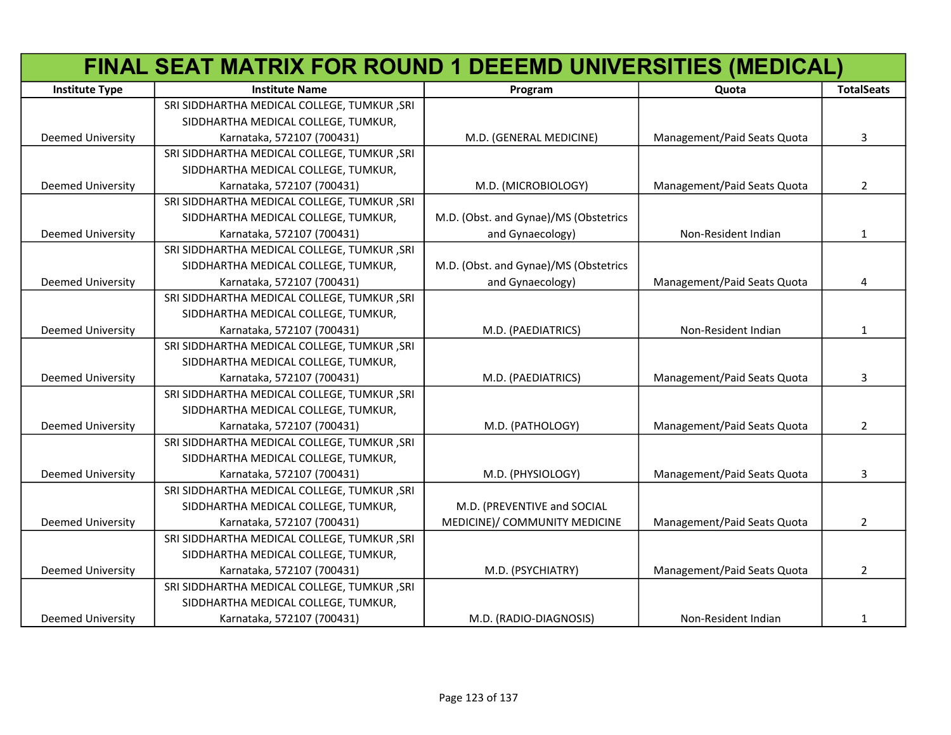|                          | FINAL SEAT MATRIX FOR ROUND 1 DEEEMD UNIVERSITIES (MEDICAL) |                                       |                             |                   |
|--------------------------|-------------------------------------------------------------|---------------------------------------|-----------------------------|-------------------|
| <b>Institute Type</b>    | <b>Institute Name</b>                                       | Program                               | Quota                       | <b>TotalSeats</b> |
|                          | SRI SIDDHARTHA MEDICAL COLLEGE, TUMKUR, SRI                 |                                       |                             |                   |
|                          | SIDDHARTHA MEDICAL COLLEGE, TUMKUR,                         |                                       |                             |                   |
| Deemed University        | Karnataka, 572107 (700431)                                  | M.D. (GENERAL MEDICINE)               | Management/Paid Seats Quota | 3                 |
|                          | SRI SIDDHARTHA MEDICAL COLLEGE, TUMKUR, SRI                 |                                       |                             |                   |
|                          | SIDDHARTHA MEDICAL COLLEGE, TUMKUR,                         |                                       |                             |                   |
| Deemed University        | Karnataka, 572107 (700431)                                  | M.D. (MICROBIOLOGY)                   | Management/Paid Seats Quota | $\overline{2}$    |
|                          | SRI SIDDHARTHA MEDICAL COLLEGE, TUMKUR, SRI                 |                                       |                             |                   |
|                          | SIDDHARTHA MEDICAL COLLEGE, TUMKUR,                         | M.D. (Obst. and Gynae)/MS (Obstetrics |                             |                   |
| Deemed University        | Karnataka, 572107 (700431)                                  | and Gynaecology)                      | Non-Resident Indian         | $\mathbf{1}$      |
|                          | SRI SIDDHARTHA MEDICAL COLLEGE, TUMKUR, SRI                 |                                       |                             |                   |
|                          | SIDDHARTHA MEDICAL COLLEGE, TUMKUR,                         | M.D. (Obst. and Gynae)/MS (Obstetrics |                             |                   |
| Deemed University        | Karnataka, 572107 (700431)                                  | and Gynaecology)                      | Management/Paid Seats Quota | 4                 |
|                          | SRI SIDDHARTHA MEDICAL COLLEGE, TUMKUR, SRI                 |                                       |                             |                   |
|                          | SIDDHARTHA MEDICAL COLLEGE, TUMKUR,                         |                                       |                             |                   |
| <b>Deemed University</b> | Karnataka, 572107 (700431)                                  | M.D. (PAEDIATRICS)                    | Non-Resident Indian         | $\mathbf{1}$      |
|                          | SRI SIDDHARTHA MEDICAL COLLEGE, TUMKUR, SRI                 |                                       |                             |                   |
|                          | SIDDHARTHA MEDICAL COLLEGE, TUMKUR,                         |                                       |                             |                   |
| <b>Deemed University</b> | Karnataka, 572107 (700431)                                  | M.D. (PAEDIATRICS)                    | Management/Paid Seats Quota | 3                 |
|                          | SRI SIDDHARTHA MEDICAL COLLEGE, TUMKUR, SRI                 |                                       |                             |                   |
|                          | SIDDHARTHA MEDICAL COLLEGE, TUMKUR,                         |                                       |                             |                   |
| Deemed University        | Karnataka, 572107 (700431)                                  | M.D. (PATHOLOGY)                      | Management/Paid Seats Quota | $\overline{2}$    |
|                          | SRI SIDDHARTHA MEDICAL COLLEGE, TUMKUR, SRI                 |                                       |                             |                   |
|                          | SIDDHARTHA MEDICAL COLLEGE, TUMKUR,                         |                                       |                             |                   |
| <b>Deemed University</b> | Karnataka, 572107 (700431)                                  | M.D. (PHYSIOLOGY)                     | Management/Paid Seats Quota | 3                 |
|                          | SRI SIDDHARTHA MEDICAL COLLEGE, TUMKUR, SRI                 |                                       |                             |                   |
|                          | SIDDHARTHA MEDICAL COLLEGE, TUMKUR,                         | M.D. (PREVENTIVE and SOCIAL           |                             |                   |
| <b>Deemed University</b> | Karnataka, 572107 (700431)                                  | MEDICINE)/ COMMUNITY MEDICINE         | Management/Paid Seats Quota | $\overline{2}$    |
|                          | SRI SIDDHARTHA MEDICAL COLLEGE, TUMKUR, SRI                 |                                       |                             |                   |
|                          | SIDDHARTHA MEDICAL COLLEGE, TUMKUR,                         |                                       |                             |                   |
| <b>Deemed University</b> | Karnataka, 572107 (700431)                                  | M.D. (PSYCHIATRY)                     | Management/Paid Seats Quota | $\overline{2}$    |
|                          | SRI SIDDHARTHA MEDICAL COLLEGE, TUMKUR, SRI                 |                                       |                             |                   |
|                          | SIDDHARTHA MEDICAL COLLEGE, TUMKUR,                         |                                       |                             |                   |
| <b>Deemed University</b> | Karnataka, 572107 (700431)                                  | M.D. (RADIO-DIAGNOSIS)                | Non-Resident Indian         | 1                 |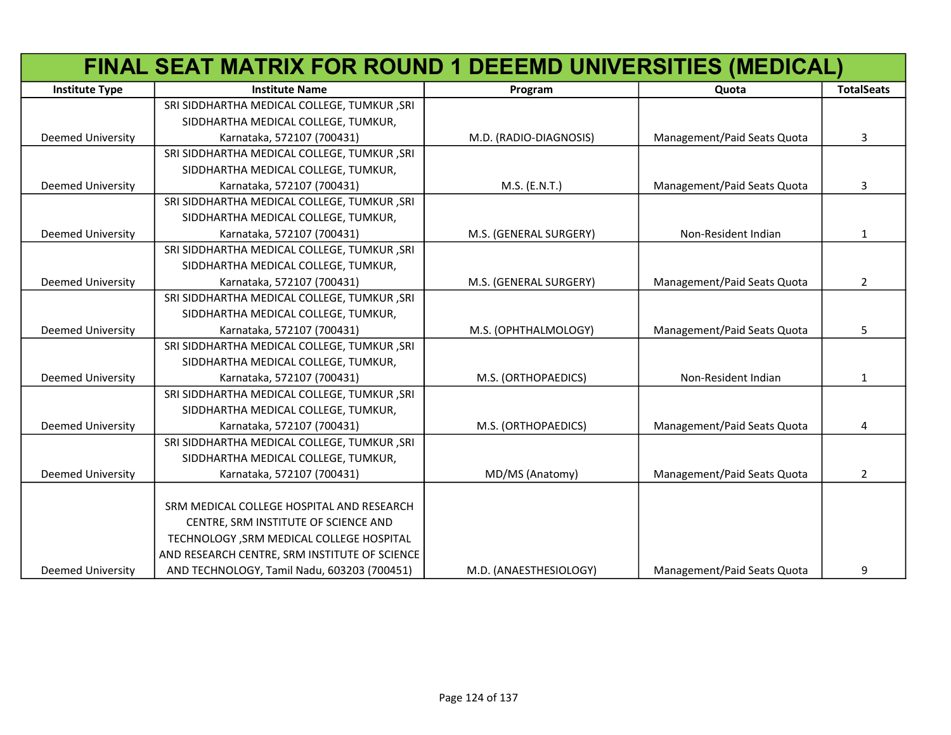|                          | FINAL SEAT MATRIX FOR ROUND 1 DEEEMD UNIVERSITIES (MEDICAL) |                        |                             |                   |
|--------------------------|-------------------------------------------------------------|------------------------|-----------------------------|-------------------|
| <b>Institute Type</b>    | <b>Institute Name</b>                                       | Program                | Quota                       | <b>TotalSeats</b> |
|                          | SRI SIDDHARTHA MEDICAL COLLEGE, TUMKUR, SRI                 |                        |                             |                   |
|                          | SIDDHARTHA MEDICAL COLLEGE, TUMKUR,                         |                        |                             |                   |
| <b>Deemed University</b> | Karnataka, 572107 (700431)                                  | M.D. (RADIO-DIAGNOSIS) | Management/Paid Seats Quota | 3                 |
|                          | SRI SIDDHARTHA MEDICAL COLLEGE, TUMKUR, SRI                 |                        |                             |                   |
|                          | SIDDHARTHA MEDICAL COLLEGE, TUMKUR,                         |                        |                             |                   |
| <b>Deemed University</b> | Karnataka, 572107 (700431)                                  | M.S. (E.N.T.)          | Management/Paid Seats Quota | 3                 |
|                          | SRI SIDDHARTHA MEDICAL COLLEGE, TUMKUR, SRI                 |                        |                             |                   |
|                          | SIDDHARTHA MEDICAL COLLEGE, TUMKUR,                         |                        |                             |                   |
| <b>Deemed University</b> | Karnataka, 572107 (700431)                                  | M.S. (GENERAL SURGERY) | Non-Resident Indian         | 1                 |
|                          | SRI SIDDHARTHA MEDICAL COLLEGE, TUMKUR, SRI                 |                        |                             |                   |
|                          | SIDDHARTHA MEDICAL COLLEGE, TUMKUR,                         |                        |                             |                   |
| <b>Deemed University</b> | Karnataka, 572107 (700431)                                  | M.S. (GENERAL SURGERY) | Management/Paid Seats Quota | $\overline{2}$    |
|                          | SRI SIDDHARTHA MEDICAL COLLEGE, TUMKUR, SRI                 |                        |                             |                   |
|                          | SIDDHARTHA MEDICAL COLLEGE, TUMKUR,                         |                        |                             |                   |
| <b>Deemed University</b> | Karnataka, 572107 (700431)                                  | M.S. (OPHTHALMOLOGY)   | Management/Paid Seats Quota | 5                 |
|                          | SRI SIDDHARTHA MEDICAL COLLEGE, TUMKUR, SRI                 |                        |                             |                   |
|                          | SIDDHARTHA MEDICAL COLLEGE, TUMKUR,                         |                        |                             |                   |
| <b>Deemed University</b> | Karnataka, 572107 (700431)                                  | M.S. (ORTHOPAEDICS)    | Non-Resident Indian         | 1                 |
|                          | SRI SIDDHARTHA MEDICAL COLLEGE, TUMKUR, SRI                 |                        |                             |                   |
|                          | SIDDHARTHA MEDICAL COLLEGE, TUMKUR,                         |                        |                             |                   |
| <b>Deemed University</b> | Karnataka, 572107 (700431)                                  | M.S. (ORTHOPAEDICS)    | Management/Paid Seats Quota | 4                 |
|                          | SRI SIDDHARTHA MEDICAL COLLEGE, TUMKUR , SRI                |                        |                             |                   |
|                          | SIDDHARTHA MEDICAL COLLEGE, TUMKUR,                         |                        |                             |                   |
| <b>Deemed University</b> | Karnataka, 572107 (700431)                                  | MD/MS (Anatomy)        | Management/Paid Seats Quota | $\overline{2}$    |
|                          |                                                             |                        |                             |                   |
|                          | SRM MEDICAL COLLEGE HOSPITAL AND RESEARCH                   |                        |                             |                   |
|                          | CENTRE, SRM INSTITUTE OF SCIENCE AND                        |                        |                             |                   |
|                          | TECHNOLOGY , SRM MEDICAL COLLEGE HOSPITAL                   |                        |                             |                   |
|                          | AND RESEARCH CENTRE, SRM INSTITUTE OF SCIENCE               |                        |                             |                   |
| <b>Deemed University</b> | AND TECHNOLOGY, Tamil Nadu, 603203 (700451)                 | M.D. (ANAESTHESIOLOGY) | Management/Paid Seats Quota | 9                 |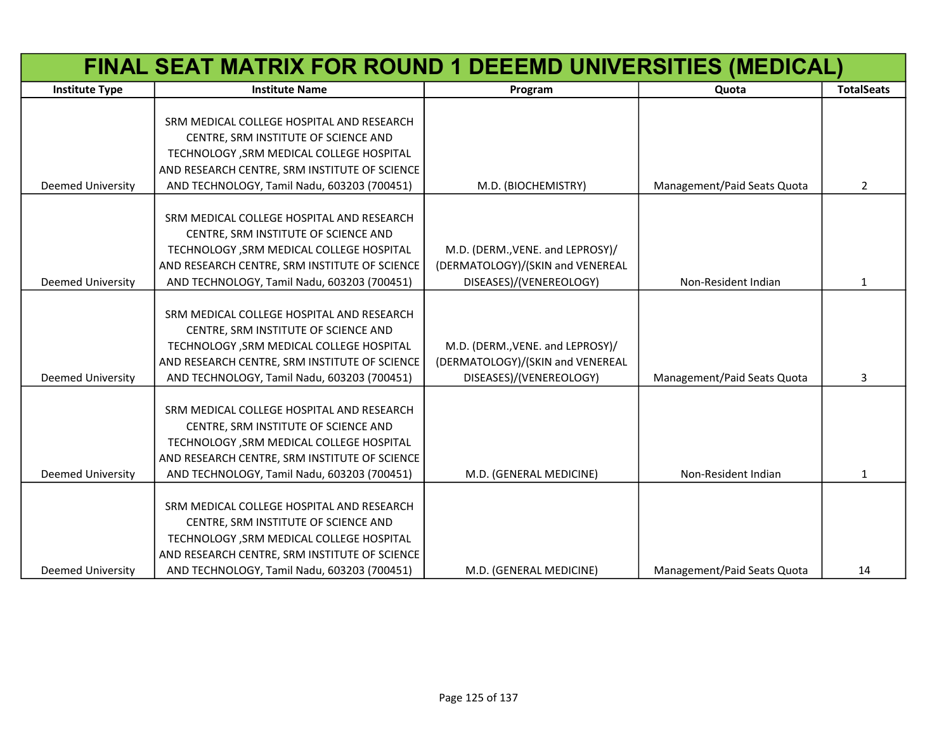|                          | FINAL SEAT MATRIX FOR ROUND 1 DEEEMD UNIVERSITIES (MEDICAL) |                                  |                             |                   |
|--------------------------|-------------------------------------------------------------|----------------------------------|-----------------------------|-------------------|
| <b>Institute Type</b>    | <b>Institute Name</b>                                       | Program                          | Quota                       | <b>TotalSeats</b> |
|                          |                                                             |                                  |                             |                   |
|                          | SRM MEDICAL COLLEGE HOSPITAL AND RESEARCH                   |                                  |                             |                   |
|                          | CENTRE, SRM INSTITUTE OF SCIENCE AND                        |                                  |                             |                   |
|                          | TECHNOLOGY , SRM MEDICAL COLLEGE HOSPITAL                   |                                  |                             |                   |
|                          | AND RESEARCH CENTRE, SRM INSTITUTE OF SCIENCE               |                                  |                             |                   |
| <b>Deemed University</b> | AND TECHNOLOGY, Tamil Nadu, 603203 (700451)                 | M.D. (BIOCHEMISTRY)              | Management/Paid Seats Quota | 2                 |
|                          | SRM MEDICAL COLLEGE HOSPITAL AND RESEARCH                   |                                  |                             |                   |
|                          | CENTRE, SRM INSTITUTE OF SCIENCE AND                        |                                  |                             |                   |
|                          | TECHNOLOGY, SRM MEDICAL COLLEGE HOSPITAL                    | M.D. (DERM., VENE. and LEPROSY)/ |                             |                   |
|                          | AND RESEARCH CENTRE, SRM INSTITUTE OF SCIENCE               | (DERMATOLOGY)/(SKIN and VENEREAL |                             |                   |
| Deemed University        | AND TECHNOLOGY, Tamil Nadu, 603203 (700451)                 | DISEASES)/(VENEREOLOGY)          | Non-Resident Indian         | 1                 |
|                          |                                                             |                                  |                             |                   |
|                          | SRM MEDICAL COLLEGE HOSPITAL AND RESEARCH                   |                                  |                             |                   |
|                          | CENTRE, SRM INSTITUTE OF SCIENCE AND                        |                                  |                             |                   |
|                          | TECHNOLOGY , SRM MEDICAL COLLEGE HOSPITAL                   | M.D. (DERM., VENE. and LEPROSY)/ |                             |                   |
|                          | AND RESEARCH CENTRE, SRM INSTITUTE OF SCIENCE               | (DERMATOLOGY)/(SKIN and VENEREAL |                             |                   |
| <b>Deemed University</b> | AND TECHNOLOGY, Tamil Nadu, 603203 (700451)                 | DISEASES)/(VENEREOLOGY)          | Management/Paid Seats Quota | 3                 |
|                          |                                                             |                                  |                             |                   |
|                          | SRM MEDICAL COLLEGE HOSPITAL AND RESEARCH                   |                                  |                             |                   |
|                          | CENTRE, SRM INSTITUTE OF SCIENCE AND                        |                                  |                             |                   |
|                          | TECHNOLOGY , SRM MEDICAL COLLEGE HOSPITAL                   |                                  |                             |                   |
|                          | AND RESEARCH CENTRE, SRM INSTITUTE OF SCIENCE               |                                  |                             |                   |
| <b>Deemed University</b> | AND TECHNOLOGY, Tamil Nadu, 603203 (700451)                 | M.D. (GENERAL MEDICINE)          | Non-Resident Indian         | $\mathbf{1}$      |
|                          |                                                             |                                  |                             |                   |
|                          | SRM MEDICAL COLLEGE HOSPITAL AND RESEARCH                   |                                  |                             |                   |
|                          | CENTRE, SRM INSTITUTE OF SCIENCE AND                        |                                  |                             |                   |
|                          | TECHNOLOGY , SRM MEDICAL COLLEGE HOSPITAL                   |                                  |                             |                   |
|                          | AND RESEARCH CENTRE, SRM INSTITUTE OF SCIENCE               |                                  |                             |                   |
| <b>Deemed University</b> | AND TECHNOLOGY, Tamil Nadu, 603203 (700451)                 | M.D. (GENERAL MEDICINE)          | Management/Paid Seats Quota | 14                |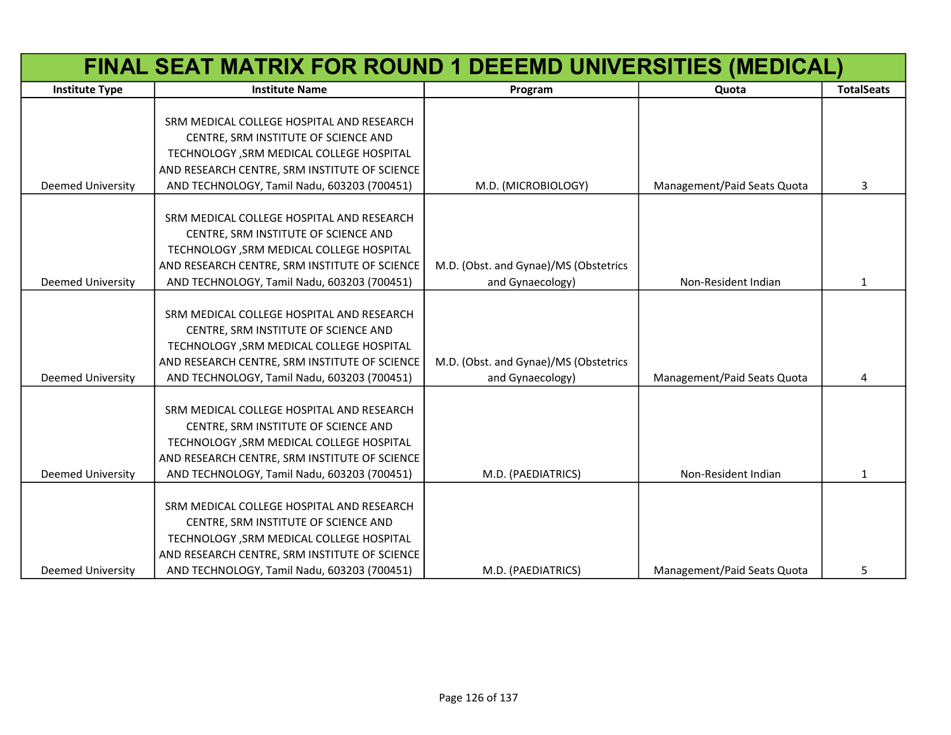|                          | FINAL SEAT MATRIX FOR ROUND 1 DEEEMD UNIVERSITIES (MEDICAL)                       |                                       |                             |                   |
|--------------------------|-----------------------------------------------------------------------------------|---------------------------------------|-----------------------------|-------------------|
| <b>Institute Type</b>    | <b>Institute Name</b>                                                             | Program                               | Quota                       | <b>TotalSeats</b> |
|                          |                                                                                   |                                       |                             |                   |
|                          | SRM MEDICAL COLLEGE HOSPITAL AND RESEARCH                                         |                                       |                             |                   |
|                          | CENTRE, SRM INSTITUTE OF SCIENCE AND                                              |                                       |                             |                   |
|                          | TECHNOLOGY , SRM MEDICAL COLLEGE HOSPITAL                                         |                                       |                             |                   |
|                          | AND RESEARCH CENTRE, SRM INSTITUTE OF SCIENCE                                     |                                       |                             |                   |
| <b>Deemed University</b> | AND TECHNOLOGY, Tamil Nadu, 603203 (700451)                                       | M.D. (MICROBIOLOGY)                   | Management/Paid Seats Quota | 3                 |
|                          | SRM MEDICAL COLLEGE HOSPITAL AND RESEARCH                                         |                                       |                             |                   |
|                          | CENTRE, SRM INSTITUTE OF SCIENCE AND                                              |                                       |                             |                   |
|                          | TECHNOLOGY , SRM MEDICAL COLLEGE HOSPITAL                                         |                                       |                             |                   |
|                          | AND RESEARCH CENTRE, SRM INSTITUTE OF SCIENCE                                     | M.D. (Obst. and Gynae)/MS (Obstetrics |                             |                   |
| <b>Deemed University</b> | AND TECHNOLOGY, Tamil Nadu, 603203 (700451)                                       | and Gynaecology)                      | Non-Resident Indian         | 1                 |
|                          |                                                                                   |                                       |                             |                   |
|                          | SRM MEDICAL COLLEGE HOSPITAL AND RESEARCH                                         |                                       |                             |                   |
|                          | CENTRE, SRM INSTITUTE OF SCIENCE AND                                              |                                       |                             |                   |
|                          | TECHNOLOGY, SRM MEDICAL COLLEGE HOSPITAL                                          |                                       |                             |                   |
|                          | AND RESEARCH CENTRE, SRM INSTITUTE OF SCIENCE                                     | M.D. (Obst. and Gynae)/MS (Obstetrics |                             |                   |
| <b>Deemed University</b> | AND TECHNOLOGY, Tamil Nadu, 603203 (700451)                                       | and Gynaecology)                      | Management/Paid Seats Quota | 4                 |
|                          |                                                                                   |                                       |                             |                   |
|                          | SRM MEDICAL COLLEGE HOSPITAL AND RESEARCH                                         |                                       |                             |                   |
|                          | CENTRE, SRM INSTITUTE OF SCIENCE AND                                              |                                       |                             |                   |
|                          | TECHNOLOGY , SRM MEDICAL COLLEGE HOSPITAL                                         |                                       |                             |                   |
|                          | AND RESEARCH CENTRE, SRM INSTITUTE OF SCIENCE                                     |                                       |                             |                   |
| <b>Deemed University</b> | AND TECHNOLOGY, Tamil Nadu, 603203 (700451)                                       | M.D. (PAEDIATRICS)                    | Non-Resident Indian         | 1                 |
|                          |                                                                                   |                                       |                             |                   |
|                          | SRM MEDICAL COLLEGE HOSPITAL AND RESEARCH                                         |                                       |                             |                   |
|                          | CENTRE, SRM INSTITUTE OF SCIENCE AND<br>TECHNOLOGY , SRM MEDICAL COLLEGE HOSPITAL |                                       |                             |                   |
|                          | AND RESEARCH CENTRE, SRM INSTITUTE OF SCIENCE                                     |                                       |                             |                   |
| <b>Deemed University</b> | AND TECHNOLOGY, Tamil Nadu, 603203 (700451)                                       | M.D. (PAEDIATRICS)                    | Management/Paid Seats Quota | 5                 |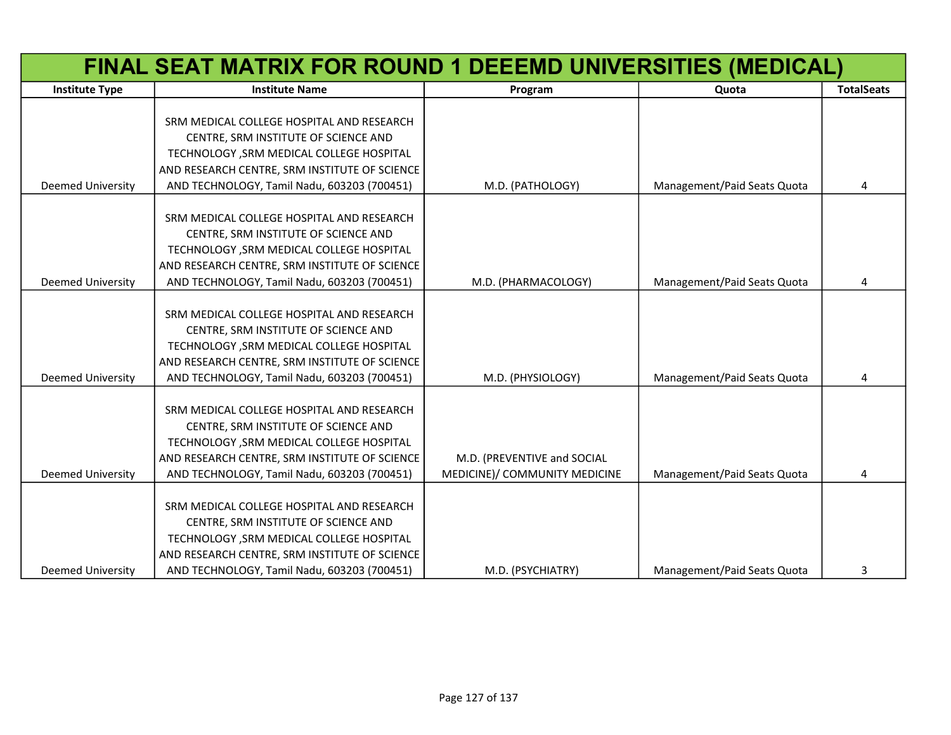|                          | FINAL SEAT MATRIX FOR ROUND 1 DEEEMD UNIVERSITIES (MEDICAL) |                               |                             |                   |
|--------------------------|-------------------------------------------------------------|-------------------------------|-----------------------------|-------------------|
| <b>Institute Type</b>    | <b>Institute Name</b>                                       | Program                       | Quota                       | <b>TotalSeats</b> |
|                          |                                                             |                               |                             |                   |
|                          | SRM MEDICAL COLLEGE HOSPITAL AND RESEARCH                   |                               |                             |                   |
|                          | CENTRE, SRM INSTITUTE OF SCIENCE AND                        |                               |                             |                   |
|                          | TECHNOLOGY , SRM MEDICAL COLLEGE HOSPITAL                   |                               |                             |                   |
|                          | AND RESEARCH CENTRE, SRM INSTITUTE OF SCIENCE               |                               |                             |                   |
| <b>Deemed University</b> | AND TECHNOLOGY, Tamil Nadu, 603203 (700451)                 | M.D. (PATHOLOGY)              | Management/Paid Seats Quota | 4                 |
|                          | SRM MEDICAL COLLEGE HOSPITAL AND RESEARCH                   |                               |                             |                   |
|                          | CENTRE, SRM INSTITUTE OF SCIENCE AND                        |                               |                             |                   |
|                          | TECHNOLOGY , SRM MEDICAL COLLEGE HOSPITAL                   |                               |                             |                   |
|                          | AND RESEARCH CENTRE, SRM INSTITUTE OF SCIENCE               |                               |                             |                   |
| <b>Deemed University</b> | AND TECHNOLOGY, Tamil Nadu, 603203 (700451)                 | M.D. (PHARMACOLOGY)           | Management/Paid Seats Quota | Δ                 |
|                          |                                                             |                               |                             |                   |
|                          | SRM MEDICAL COLLEGE HOSPITAL AND RESEARCH                   |                               |                             |                   |
|                          | CENTRE, SRM INSTITUTE OF SCIENCE AND                        |                               |                             |                   |
|                          | TECHNOLOGY , SRM MEDICAL COLLEGE HOSPITAL                   |                               |                             |                   |
|                          | AND RESEARCH CENTRE, SRM INSTITUTE OF SCIENCE               |                               |                             |                   |
| <b>Deemed University</b> | AND TECHNOLOGY, Tamil Nadu, 603203 (700451)                 | M.D. (PHYSIOLOGY)             | Management/Paid Seats Quota | 4                 |
|                          |                                                             |                               |                             |                   |
|                          | SRM MEDICAL COLLEGE HOSPITAL AND RESEARCH                   |                               |                             |                   |
|                          | CENTRE, SRM INSTITUTE OF SCIENCE AND                        |                               |                             |                   |
|                          | TECHNOLOGY , SRM MEDICAL COLLEGE HOSPITAL                   |                               |                             |                   |
|                          | AND RESEARCH CENTRE, SRM INSTITUTE OF SCIENCE               | M.D. (PREVENTIVE and SOCIAL   |                             |                   |
| <b>Deemed University</b> | AND TECHNOLOGY, Tamil Nadu, 603203 (700451)                 | MEDICINE)/ COMMUNITY MEDICINE | Management/Paid Seats Quota | 4                 |
|                          | SRM MEDICAL COLLEGE HOSPITAL AND RESEARCH                   |                               |                             |                   |
|                          | CENTRE, SRM INSTITUTE OF SCIENCE AND                        |                               |                             |                   |
|                          | TECHNOLOGY , SRM MEDICAL COLLEGE HOSPITAL                   |                               |                             |                   |
|                          | AND RESEARCH CENTRE, SRM INSTITUTE OF SCIENCE               |                               |                             |                   |
| <b>Deemed University</b> | AND TECHNOLOGY, Tamil Nadu, 603203 (700451)                 | M.D. (PSYCHIATRY)             | Management/Paid Seats Quota | 3                 |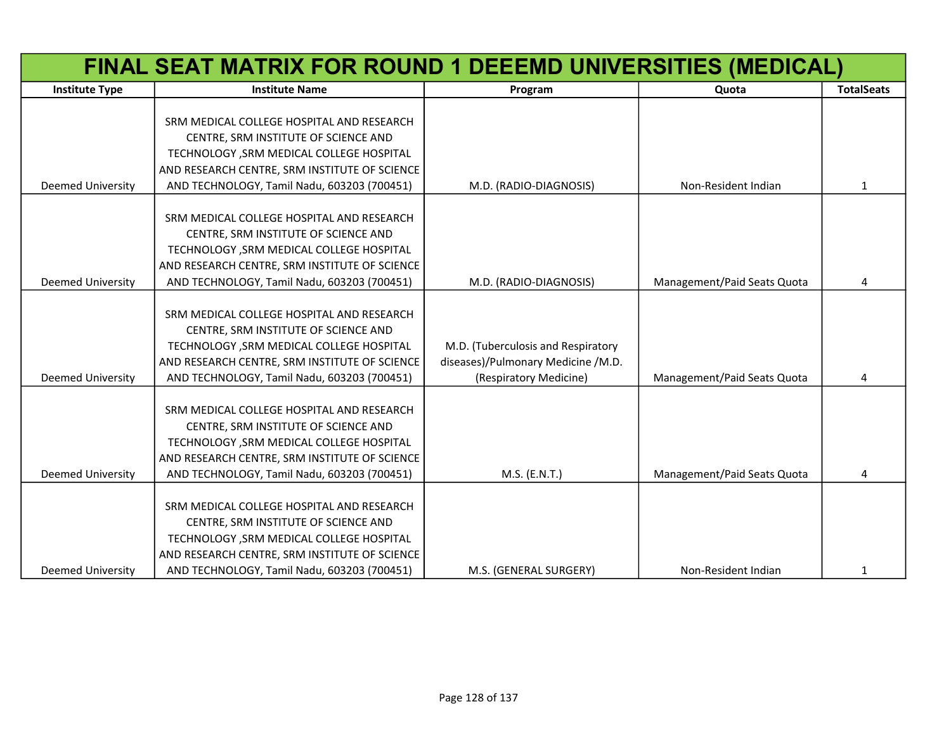|                          | FINAL SEAT MATRIX FOR ROUND 1 DEEEMD UNIVERSITIES (MEDICAL) |                                    |                             |                   |
|--------------------------|-------------------------------------------------------------|------------------------------------|-----------------------------|-------------------|
| <b>Institute Type</b>    | <b>Institute Name</b>                                       | Program                            | Quota                       | <b>TotalSeats</b> |
|                          |                                                             |                                    |                             |                   |
|                          | SRM MEDICAL COLLEGE HOSPITAL AND RESEARCH                   |                                    |                             |                   |
|                          | CENTRE, SRM INSTITUTE OF SCIENCE AND                        |                                    |                             |                   |
|                          | TECHNOLOGY , SRM MEDICAL COLLEGE HOSPITAL                   |                                    |                             |                   |
|                          | AND RESEARCH CENTRE, SRM INSTITUTE OF SCIENCE               |                                    |                             |                   |
| <b>Deemed University</b> | AND TECHNOLOGY, Tamil Nadu, 603203 (700451)                 | M.D. (RADIO-DIAGNOSIS)             | Non-Resident Indian         | $\mathbf{1}$      |
|                          | SRM MEDICAL COLLEGE HOSPITAL AND RESEARCH                   |                                    |                             |                   |
|                          | CENTRE, SRM INSTITUTE OF SCIENCE AND                        |                                    |                             |                   |
|                          | TECHNOLOGY, SRM MEDICAL COLLEGE HOSPITAL                    |                                    |                             |                   |
|                          | AND RESEARCH CENTRE, SRM INSTITUTE OF SCIENCE               |                                    |                             |                   |
| <b>Deemed University</b> | AND TECHNOLOGY, Tamil Nadu, 603203 (700451)                 | M.D. (RADIO-DIAGNOSIS)             | Management/Paid Seats Quota | 4                 |
|                          |                                                             |                                    |                             |                   |
|                          | SRM MEDICAL COLLEGE HOSPITAL AND RESEARCH                   |                                    |                             |                   |
|                          | CENTRE, SRM INSTITUTE OF SCIENCE AND                        |                                    |                             |                   |
|                          | TECHNOLOGY , SRM MEDICAL COLLEGE HOSPITAL                   | M.D. (Tuberculosis and Respiratory |                             |                   |
|                          | AND RESEARCH CENTRE, SRM INSTITUTE OF SCIENCE               | diseases)/Pulmonary Medicine /M.D. |                             |                   |
| <b>Deemed University</b> | AND TECHNOLOGY, Tamil Nadu, 603203 (700451)                 | (Respiratory Medicine)             | Management/Paid Seats Quota | 4                 |
|                          |                                                             |                                    |                             |                   |
|                          | SRM MEDICAL COLLEGE HOSPITAL AND RESEARCH                   |                                    |                             |                   |
|                          | CENTRE, SRM INSTITUTE OF SCIENCE AND                        |                                    |                             |                   |
|                          | TECHNOLOGY , SRM MEDICAL COLLEGE HOSPITAL                   |                                    |                             |                   |
|                          | AND RESEARCH CENTRE, SRM INSTITUTE OF SCIENCE               |                                    |                             |                   |
| <b>Deemed University</b> | AND TECHNOLOGY, Tamil Nadu, 603203 (700451)                 | M.S. (E.N.T.)                      | Management/Paid Seats Quota | 4                 |
|                          |                                                             |                                    |                             |                   |
|                          | SRM MEDICAL COLLEGE HOSPITAL AND RESEARCH                   |                                    |                             |                   |
|                          | CENTRE, SRM INSTITUTE OF SCIENCE AND                        |                                    |                             |                   |
|                          | TECHNOLOGY, SRM MEDICAL COLLEGE HOSPITAL                    |                                    |                             |                   |
|                          | AND RESEARCH CENTRE, SRM INSTITUTE OF SCIENCE               |                                    |                             |                   |
| <b>Deemed University</b> | AND TECHNOLOGY, Tamil Nadu, 603203 (700451)                 | M.S. (GENERAL SURGERY)             | Non-Resident Indian         | 1                 |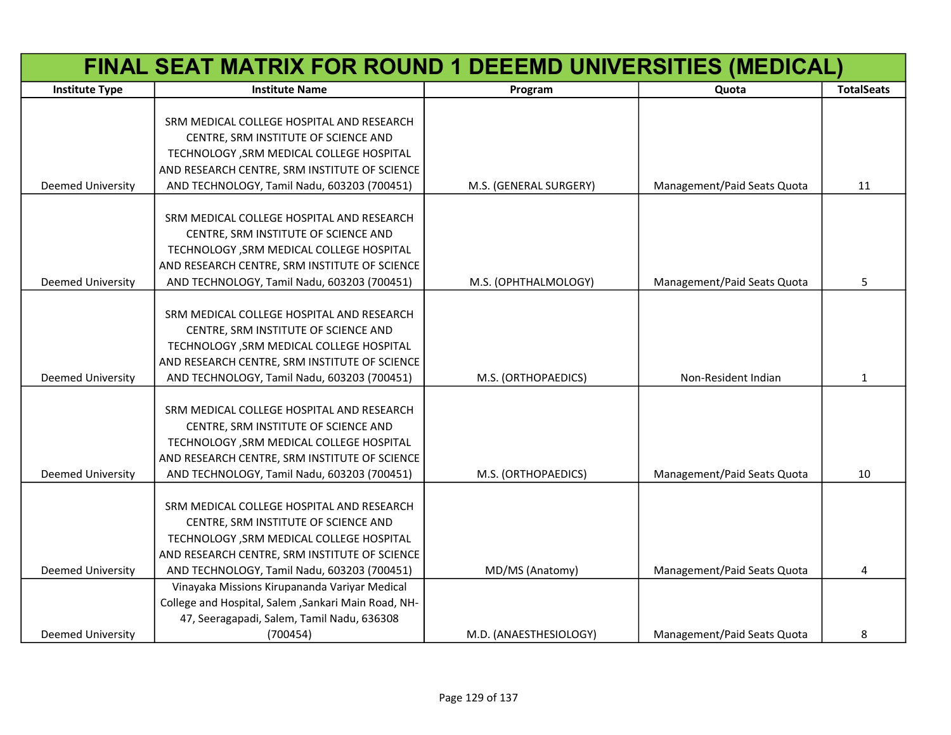|                          | FINAL SEAT MATRIX FOR ROUND 1 DEEEMD UNIVERSITIES (MEDICAL) |                        |                             |                   |
|--------------------------|-------------------------------------------------------------|------------------------|-----------------------------|-------------------|
| <b>Institute Type</b>    | <b>Institute Name</b>                                       | Program                | Quota                       | <b>TotalSeats</b> |
|                          |                                                             |                        |                             |                   |
|                          | SRM MEDICAL COLLEGE HOSPITAL AND RESEARCH                   |                        |                             |                   |
|                          | CENTRE, SRM INSTITUTE OF SCIENCE AND                        |                        |                             |                   |
|                          | TECHNOLOGY , SRM MEDICAL COLLEGE HOSPITAL                   |                        |                             |                   |
|                          | AND RESEARCH CENTRE, SRM INSTITUTE OF SCIENCE               |                        |                             |                   |
| Deemed University        | AND TECHNOLOGY, Tamil Nadu, 603203 (700451)                 | M.S. (GENERAL SURGERY) | Management/Paid Seats Quota | 11                |
|                          |                                                             |                        |                             |                   |
|                          | SRM MEDICAL COLLEGE HOSPITAL AND RESEARCH                   |                        |                             |                   |
|                          | CENTRE, SRM INSTITUTE OF SCIENCE AND                        |                        |                             |                   |
|                          | TECHNOLOGY , SRM MEDICAL COLLEGE HOSPITAL                   |                        |                             |                   |
|                          | AND RESEARCH CENTRE, SRM INSTITUTE OF SCIENCE               |                        |                             |                   |
| <b>Deemed University</b> | AND TECHNOLOGY, Tamil Nadu, 603203 (700451)                 | M.S. (OPHTHALMOLOGY)   | Management/Paid Seats Quota | 5                 |
|                          |                                                             |                        |                             |                   |
|                          | SRM MEDICAL COLLEGE HOSPITAL AND RESEARCH                   |                        |                             |                   |
|                          | CENTRE, SRM INSTITUTE OF SCIENCE AND                        |                        |                             |                   |
|                          | TECHNOLOGY , SRM MEDICAL COLLEGE HOSPITAL                   |                        |                             |                   |
|                          | AND RESEARCH CENTRE, SRM INSTITUTE OF SCIENCE               |                        |                             |                   |
| <b>Deemed University</b> | AND TECHNOLOGY, Tamil Nadu, 603203 (700451)                 | M.S. (ORTHOPAEDICS)    | Non-Resident Indian         | 1                 |
|                          |                                                             |                        |                             |                   |
|                          | SRM MEDICAL COLLEGE HOSPITAL AND RESEARCH                   |                        |                             |                   |
|                          | CENTRE, SRM INSTITUTE OF SCIENCE AND                        |                        |                             |                   |
|                          | TECHNOLOGY , SRM MEDICAL COLLEGE HOSPITAL                   |                        |                             |                   |
|                          | AND RESEARCH CENTRE, SRM INSTITUTE OF SCIENCE               |                        |                             |                   |
| <b>Deemed University</b> | AND TECHNOLOGY, Tamil Nadu, 603203 (700451)                 | M.S. (ORTHOPAEDICS)    | Management/Paid Seats Quota | 10                |
|                          |                                                             |                        |                             |                   |
|                          | SRM MEDICAL COLLEGE HOSPITAL AND RESEARCH                   |                        |                             |                   |
|                          | CENTRE, SRM INSTITUTE OF SCIENCE AND                        |                        |                             |                   |
|                          | TECHNOLOGY , SRM MEDICAL COLLEGE HOSPITAL                   |                        |                             |                   |
|                          | AND RESEARCH CENTRE, SRM INSTITUTE OF SCIENCE               |                        |                             |                   |
| <b>Deemed University</b> | AND TECHNOLOGY, Tamil Nadu, 603203 (700451)                 | MD/MS (Anatomy)        | Management/Paid Seats Quota | 4                 |
|                          | Vinayaka Missions Kirupananda Variyar Medical               |                        |                             |                   |
|                          | College and Hospital, Salem , Sankari Main Road, NH-        |                        |                             |                   |
|                          | 47, Seeragapadi, Salem, Tamil Nadu, 636308                  |                        |                             |                   |
| <b>Deemed University</b> | (700454)                                                    | M.D. (ANAESTHESIOLOGY) | Management/Paid Seats Quota | 8                 |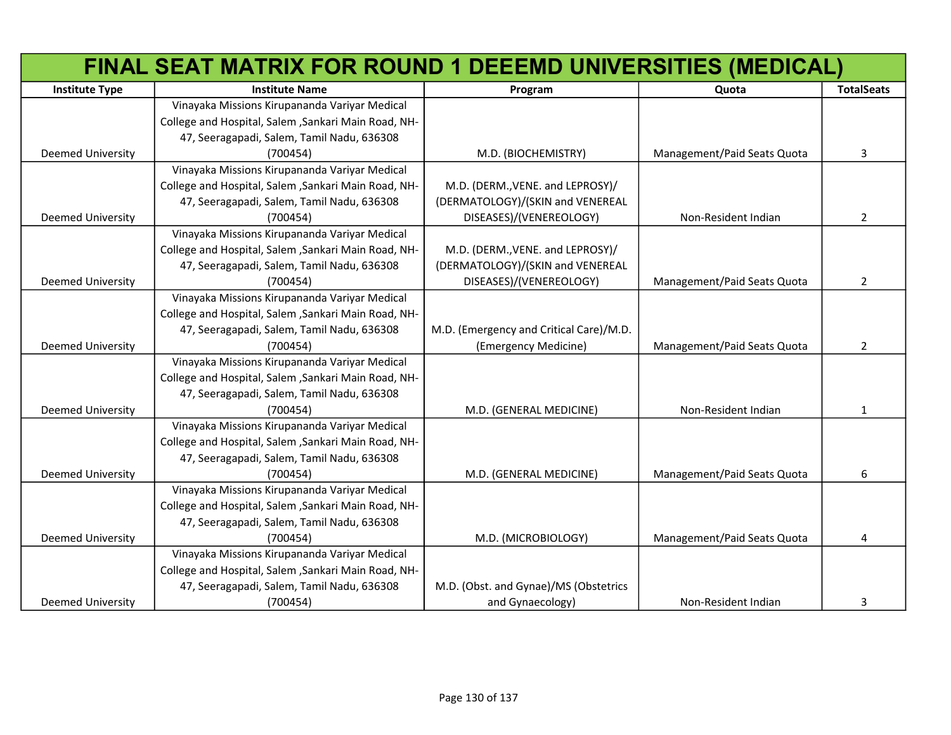|                          | FINAL SEAT MATRIX FOR ROUND 1 DEEEMD UNIVERSITIES (MEDICAL) |                                         |                             |                   |
|--------------------------|-------------------------------------------------------------|-----------------------------------------|-----------------------------|-------------------|
| <b>Institute Type</b>    | <b>Institute Name</b>                                       | Program                                 | Quota                       | <b>TotalSeats</b> |
|                          | Vinayaka Missions Kirupananda Variyar Medical               |                                         |                             |                   |
|                          | College and Hospital, Salem , Sankari Main Road, NH-        |                                         |                             |                   |
|                          | 47, Seeragapadi, Salem, Tamil Nadu, 636308                  |                                         |                             |                   |
| <b>Deemed University</b> | (700454)                                                    | M.D. (BIOCHEMISTRY)                     | Management/Paid Seats Quota | 3                 |
|                          | Vinayaka Missions Kirupananda Variyar Medical               |                                         |                             |                   |
|                          | College and Hospital, Salem , Sankari Main Road, NH-        | M.D. (DERM., VENE. and LEPROSY)/        |                             |                   |
|                          | 47, Seeragapadi, Salem, Tamil Nadu, 636308                  | (DERMATOLOGY)/(SKIN and VENEREAL        |                             |                   |
| Deemed University        | (700454)                                                    | DISEASES)/(VENEREOLOGY)                 | Non-Resident Indian         | $\overline{2}$    |
|                          | Vinayaka Missions Kirupananda Variyar Medical               |                                         |                             |                   |
|                          | College and Hospital, Salem , Sankari Main Road, NH-        | M.D. (DERM., VENE. and LEPROSY)/        |                             |                   |
|                          | 47, Seeragapadi, Salem, Tamil Nadu, 636308                  | (DERMATOLOGY)/(SKIN and VENEREAL        |                             |                   |
| Deemed University        | (700454)                                                    | DISEASES)/(VENEREOLOGY)                 | Management/Paid Seats Quota | $\overline{2}$    |
|                          | Vinayaka Missions Kirupananda Variyar Medical               |                                         |                             |                   |
|                          | College and Hospital, Salem , Sankari Main Road, NH-        |                                         |                             |                   |
|                          | 47, Seeragapadi, Salem, Tamil Nadu, 636308                  | M.D. (Emergency and Critical Care)/M.D. |                             |                   |
| Deemed University        | (700454)                                                    | (Emergency Medicine)                    | Management/Paid Seats Quota | $\overline{2}$    |
|                          | Vinayaka Missions Kirupananda Variyar Medical               |                                         |                             |                   |
|                          | College and Hospital, Salem , Sankari Main Road, NH-        |                                         |                             |                   |
|                          | 47, Seeragapadi, Salem, Tamil Nadu, 636308                  |                                         |                             |                   |
| Deemed University        | (700454)                                                    | M.D. (GENERAL MEDICINE)                 | Non-Resident Indian         | $\mathbf{1}$      |
|                          | Vinayaka Missions Kirupananda Variyar Medical               |                                         |                             |                   |
|                          | College and Hospital, Salem , Sankari Main Road, NH-        |                                         |                             |                   |
|                          | 47, Seeragapadi, Salem, Tamil Nadu, 636308                  |                                         |                             |                   |
| Deemed University        | (700454)                                                    | M.D. (GENERAL MEDICINE)                 | Management/Paid Seats Quota | 6                 |
|                          | Vinayaka Missions Kirupananda Variyar Medical               |                                         |                             |                   |
|                          | College and Hospital, Salem , Sankari Main Road, NH-        |                                         |                             |                   |
|                          | 47, Seeragapadi, Salem, Tamil Nadu, 636308                  |                                         |                             |                   |
| Deemed University        | (700454)                                                    | M.D. (MICROBIOLOGY)                     | Management/Paid Seats Quota | 4                 |
|                          | Vinayaka Missions Kirupananda Variyar Medical               |                                         |                             |                   |
|                          | College and Hospital, Salem , Sankari Main Road, NH-        |                                         |                             |                   |
|                          | 47, Seeragapadi, Salem, Tamil Nadu, 636308                  | M.D. (Obst. and Gynae)/MS (Obstetrics   |                             |                   |
| <b>Deemed University</b> | (700454)                                                    | and Gynaecology)                        | Non-Resident Indian         | 3                 |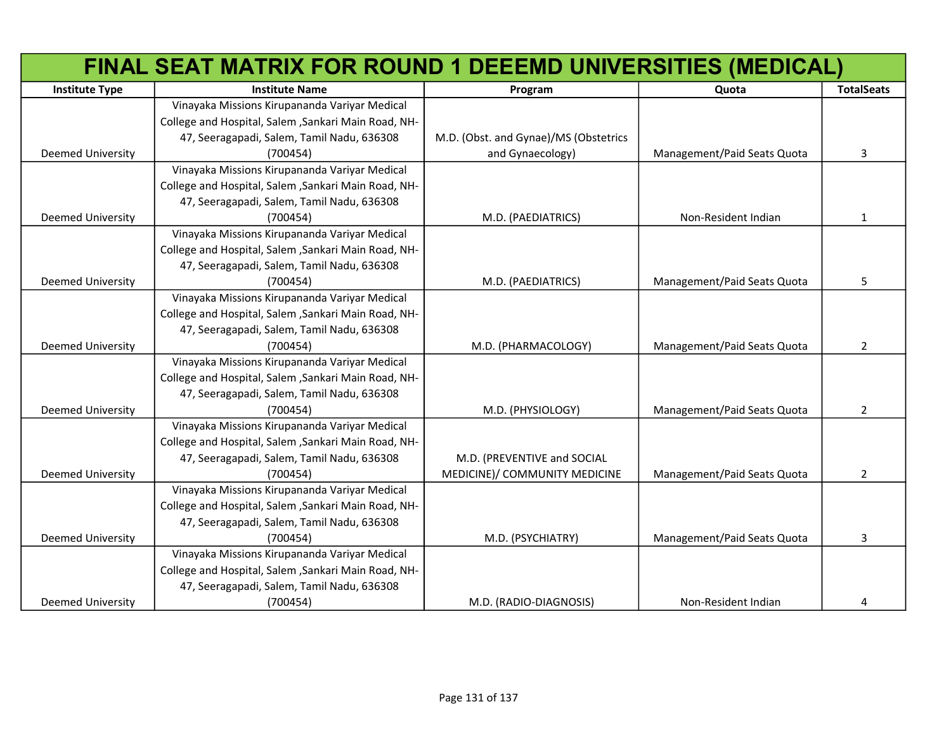|                          | FINAL SEAT MATRIX FOR ROUND 1 DEEEMD UNIVERSITIES (MEDICAL) |                                       |                             |                   |
|--------------------------|-------------------------------------------------------------|---------------------------------------|-----------------------------|-------------------|
| <b>Institute Type</b>    | <b>Institute Name</b>                                       | Program                               | Quota                       | <b>TotalSeats</b> |
|                          | Vinayaka Missions Kirupananda Variyar Medical               |                                       |                             |                   |
|                          | College and Hospital, Salem , Sankari Main Road, NH-        |                                       |                             |                   |
|                          | 47, Seeragapadi, Salem, Tamil Nadu, 636308                  | M.D. (Obst. and Gynae)/MS (Obstetrics |                             |                   |
| Deemed University        | (700454)                                                    | and Gynaecology)                      | Management/Paid Seats Quota | 3                 |
|                          | Vinayaka Missions Kirupananda Variyar Medical               |                                       |                             |                   |
|                          | College and Hospital, Salem , Sankari Main Road, NH-        |                                       |                             |                   |
|                          | 47, Seeragapadi, Salem, Tamil Nadu, 636308                  |                                       |                             |                   |
| Deemed University        | (700454)                                                    | M.D. (PAEDIATRICS)                    | Non-Resident Indian         | $\mathbf{1}$      |
|                          | Vinayaka Missions Kirupananda Variyar Medical               |                                       |                             |                   |
|                          | College and Hospital, Salem , Sankari Main Road, NH-        |                                       |                             |                   |
|                          | 47, Seeragapadi, Salem, Tamil Nadu, 636308                  |                                       |                             |                   |
| Deemed University        | (700454)                                                    | M.D. (PAEDIATRICS)                    | Management/Paid Seats Quota | 5                 |
|                          | Vinayaka Missions Kirupananda Variyar Medical               |                                       |                             |                   |
|                          | College and Hospital, Salem , Sankari Main Road, NH-        |                                       |                             |                   |
|                          | 47, Seeragapadi, Salem, Tamil Nadu, 636308                  |                                       |                             |                   |
| Deemed University        | (700454)                                                    | M.D. (PHARMACOLOGY)                   | Management/Paid Seats Quota | $\overline{2}$    |
|                          | Vinayaka Missions Kirupananda Variyar Medical               |                                       |                             |                   |
|                          | College and Hospital, Salem , Sankari Main Road, NH-        |                                       |                             |                   |
|                          | 47, Seeragapadi, Salem, Tamil Nadu, 636308                  |                                       |                             |                   |
| Deemed University        | (700454)                                                    | M.D. (PHYSIOLOGY)                     | Management/Paid Seats Quota | $\overline{2}$    |
|                          | Vinayaka Missions Kirupananda Variyar Medical               |                                       |                             |                   |
|                          | College and Hospital, Salem , Sankari Main Road, NH-        |                                       |                             |                   |
|                          | 47, Seeragapadi, Salem, Tamil Nadu, 636308                  | M.D. (PREVENTIVE and SOCIAL           |                             |                   |
| Deemed University        | (700454)                                                    | MEDICINE)/ COMMUNITY MEDICINE         | Management/Paid Seats Quota | $\overline{2}$    |
|                          | Vinayaka Missions Kirupananda Variyar Medical               |                                       |                             |                   |
|                          | College and Hospital, Salem , Sankari Main Road, NH-        |                                       |                             |                   |
|                          | 47, Seeragapadi, Salem, Tamil Nadu, 636308                  |                                       |                             |                   |
| Deemed University        | (700454)                                                    | M.D. (PSYCHIATRY)                     | Management/Paid Seats Quota | 3                 |
|                          | Vinayaka Missions Kirupananda Variyar Medical               |                                       |                             |                   |
|                          | College and Hospital, Salem , Sankari Main Road, NH-        |                                       |                             |                   |
|                          | 47, Seeragapadi, Salem, Tamil Nadu, 636308                  |                                       |                             |                   |
| <b>Deemed University</b> | (700454)                                                    | M.D. (RADIO-DIAGNOSIS)                | Non-Resident Indian         | 4                 |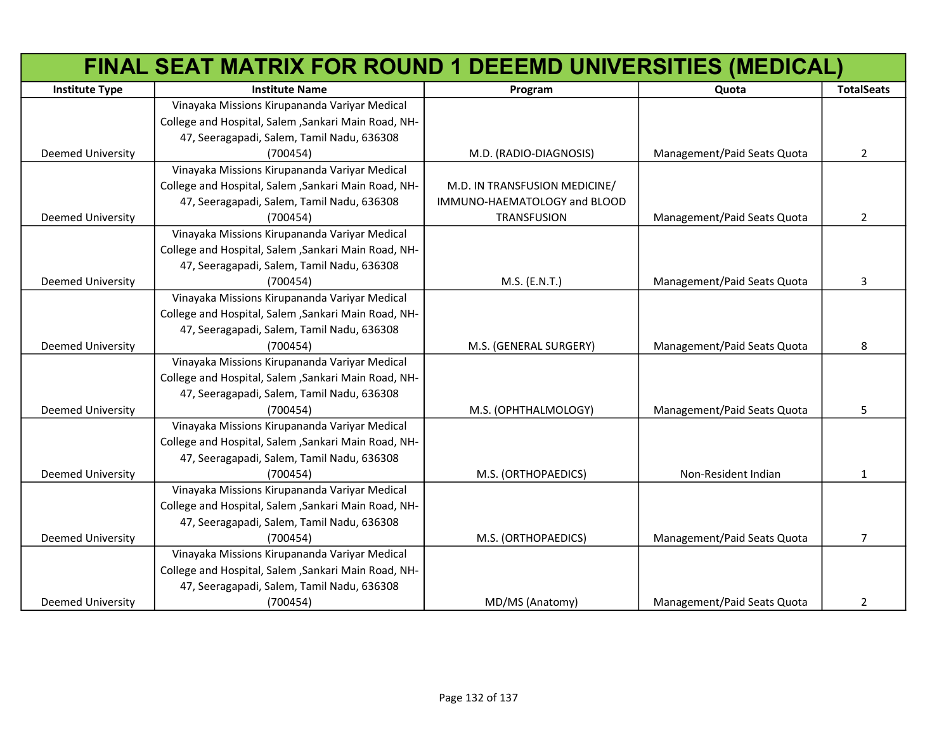|                          | FINAL SEAT MATRIX FOR ROUND 1 DEEEMD UNIVERSITIES (MEDICAL) |                               |                             |                   |
|--------------------------|-------------------------------------------------------------|-------------------------------|-----------------------------|-------------------|
| <b>Institute Type</b>    | <b>Institute Name</b>                                       | Program                       | Quota                       | <b>TotalSeats</b> |
|                          | Vinayaka Missions Kirupananda Variyar Medical               |                               |                             |                   |
|                          | College and Hospital, Salem , Sankari Main Road, NH-        |                               |                             |                   |
|                          | 47, Seeragapadi, Salem, Tamil Nadu, 636308                  |                               |                             |                   |
| Deemed University        | (700454)                                                    | M.D. (RADIO-DIAGNOSIS)        | Management/Paid Seats Quota | $\overline{2}$    |
|                          | Vinayaka Missions Kirupananda Variyar Medical               |                               |                             |                   |
|                          | College and Hospital, Salem , Sankari Main Road, NH-        | M.D. IN TRANSFUSION MEDICINE/ |                             |                   |
|                          | 47, Seeragapadi, Salem, Tamil Nadu, 636308                  | IMMUNO-HAEMATOLOGY and BLOOD  |                             |                   |
| Deemed University        | (700454)                                                    | <b>TRANSFUSION</b>            | Management/Paid Seats Quota | $\overline{2}$    |
|                          | Vinayaka Missions Kirupananda Variyar Medical               |                               |                             |                   |
|                          | College and Hospital, Salem , Sankari Main Road, NH-        |                               |                             |                   |
|                          | 47, Seeragapadi, Salem, Tamil Nadu, 636308                  |                               |                             |                   |
| Deemed University        | (700454)                                                    | M.S. (E.N.T.)                 | Management/Paid Seats Quota | 3                 |
|                          | Vinayaka Missions Kirupananda Variyar Medical               |                               |                             |                   |
|                          | College and Hospital, Salem , Sankari Main Road, NH-        |                               |                             |                   |
|                          | 47, Seeragapadi, Salem, Tamil Nadu, 636308                  |                               |                             |                   |
| <b>Deemed University</b> | (700454)                                                    | M.S. (GENERAL SURGERY)        | Management/Paid Seats Quota | 8                 |
|                          | Vinayaka Missions Kirupananda Variyar Medical               |                               |                             |                   |
|                          | College and Hospital, Salem , Sankari Main Road, NH-        |                               |                             |                   |
|                          | 47, Seeragapadi, Salem, Tamil Nadu, 636308                  |                               |                             |                   |
| Deemed University        | (700454)                                                    | M.S. (OPHTHALMOLOGY)          | Management/Paid Seats Quota | 5                 |
|                          | Vinayaka Missions Kirupananda Variyar Medical               |                               |                             |                   |
|                          | College and Hospital, Salem , Sankari Main Road, NH-        |                               |                             |                   |
|                          | 47, Seeragapadi, Salem, Tamil Nadu, 636308                  |                               |                             |                   |
| Deemed University        | (700454)                                                    | M.S. (ORTHOPAEDICS)           | Non-Resident Indian         | 1                 |
|                          | Vinayaka Missions Kirupananda Variyar Medical               |                               |                             |                   |
|                          | College and Hospital, Salem , Sankari Main Road, NH-        |                               |                             |                   |
|                          | 47, Seeragapadi, Salem, Tamil Nadu, 636308                  |                               |                             |                   |
| Deemed University        | (700454)                                                    | M.S. (ORTHOPAEDICS)           | Management/Paid Seats Quota | $\overline{7}$    |
|                          | Vinayaka Missions Kirupananda Variyar Medical               |                               |                             |                   |
|                          | College and Hospital, Salem , Sankari Main Road, NH-        |                               |                             |                   |
|                          | 47, Seeragapadi, Salem, Tamil Nadu, 636308                  |                               |                             |                   |
| <b>Deemed University</b> | (700454)                                                    | MD/MS (Anatomy)               | Management/Paid Seats Quota | $\overline{2}$    |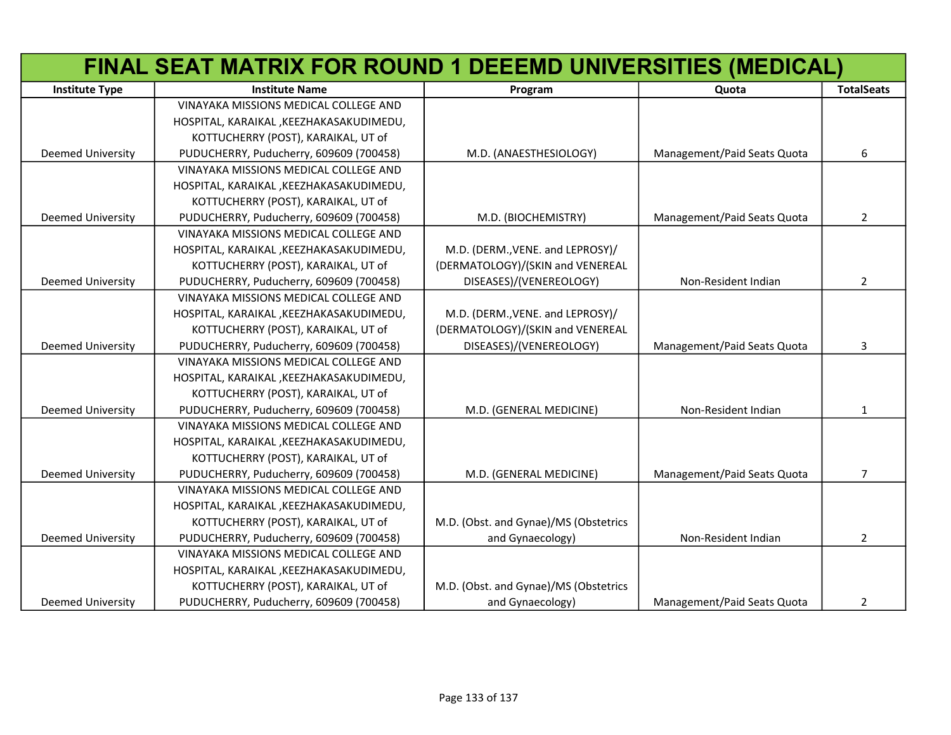|                          | FINAL SEAT MATRIX FOR ROUND 1 DEEEMD UNIVERSITIES (MEDICAL) |                                       |                             |                   |
|--------------------------|-------------------------------------------------------------|---------------------------------------|-----------------------------|-------------------|
| <b>Institute Type</b>    | <b>Institute Name</b>                                       | Program                               | Quota                       | <b>TotalSeats</b> |
|                          | VINAYAKA MISSIONS MEDICAL COLLEGE AND                       |                                       |                             |                   |
|                          | HOSPITAL, KARAIKAL, KEEZHAKASAKUDIMEDU,                     |                                       |                             |                   |
|                          | KOTTUCHERRY (POST), KARAIKAL, UT of                         |                                       |                             |                   |
| <b>Deemed University</b> | PUDUCHERRY, Puducherry, 609609 (700458)                     | M.D. (ANAESTHESIOLOGY)                | Management/Paid Seats Quota | 6                 |
|                          | VINAYAKA MISSIONS MEDICAL COLLEGE AND                       |                                       |                             |                   |
|                          | HOSPITAL, KARAIKAL, KEEZHAKASAKUDIMEDU,                     |                                       |                             |                   |
|                          | KOTTUCHERRY (POST), KARAIKAL, UT of                         |                                       |                             |                   |
| <b>Deemed University</b> | PUDUCHERRY, Puducherry, 609609 (700458)                     | M.D. (BIOCHEMISTRY)                   | Management/Paid Seats Quota | $\overline{2}$    |
|                          | VINAYAKA MISSIONS MEDICAL COLLEGE AND                       |                                       |                             |                   |
|                          | HOSPITAL, KARAIKAL, KEEZHAKASAKUDIMEDU,                     | M.D. (DERM., VENE. and LEPROSY)/      |                             |                   |
|                          | KOTTUCHERRY (POST), KARAIKAL, UT of                         | (DERMATOLOGY)/(SKIN and VENEREAL      |                             |                   |
| <b>Deemed University</b> | PUDUCHERRY, Puducherry, 609609 (700458)                     | DISEASES)/(VENEREOLOGY)               | Non-Resident Indian         | $\mathbf{2}$      |
|                          | VINAYAKA MISSIONS MEDICAL COLLEGE AND                       |                                       |                             |                   |
|                          | HOSPITAL, KARAIKAL, KEEZHAKASAKUDIMEDU,                     | M.D. (DERM., VENE. and LEPROSY)/      |                             |                   |
|                          | KOTTUCHERRY (POST), KARAIKAL, UT of                         | (DERMATOLOGY)/(SKIN and VENEREAL      |                             |                   |
| <b>Deemed University</b> | PUDUCHERRY, Puducherry, 609609 (700458)                     | DISEASES)/(VENEREOLOGY)               | Management/Paid Seats Quota | 3                 |
|                          | VINAYAKA MISSIONS MEDICAL COLLEGE AND                       |                                       |                             |                   |
|                          | HOSPITAL, KARAIKAL, KEEZHAKASAKUDIMEDU,                     |                                       |                             |                   |
|                          | KOTTUCHERRY (POST), KARAIKAL, UT of                         |                                       |                             |                   |
| <b>Deemed University</b> | PUDUCHERRY, Puducherry, 609609 (700458)                     | M.D. (GENERAL MEDICINE)               | Non-Resident Indian         | $\mathbf{1}$      |
|                          | VINAYAKA MISSIONS MEDICAL COLLEGE AND                       |                                       |                             |                   |
|                          | HOSPITAL, KARAIKAL, KEEZHAKASAKUDIMEDU,                     |                                       |                             |                   |
|                          | KOTTUCHERRY (POST), KARAIKAL, UT of                         |                                       |                             |                   |
| <b>Deemed University</b> | PUDUCHERRY, Puducherry, 609609 (700458)                     | M.D. (GENERAL MEDICINE)               | Management/Paid Seats Quota | $\overline{7}$    |
|                          | VINAYAKA MISSIONS MEDICAL COLLEGE AND                       |                                       |                             |                   |
|                          | HOSPITAL, KARAIKAL, KEEZHAKASAKUDIMEDU,                     |                                       |                             |                   |
|                          | KOTTUCHERRY (POST), KARAIKAL, UT of                         | M.D. (Obst. and Gynae)/MS (Obstetrics |                             |                   |
| <b>Deemed University</b> | PUDUCHERRY, Puducherry, 609609 (700458)                     | and Gynaecology)                      | Non-Resident Indian         | $\overline{2}$    |
|                          | VINAYAKA MISSIONS MEDICAL COLLEGE AND                       |                                       |                             |                   |
|                          | HOSPITAL, KARAIKAL, KEEZHAKASAKUDIMEDU,                     |                                       |                             |                   |
|                          | KOTTUCHERRY (POST), KARAIKAL, UT of                         | M.D. (Obst. and Gynae)/MS (Obstetrics |                             |                   |
| <b>Deemed University</b> | PUDUCHERRY, Puducherry, 609609 (700458)                     | and Gynaecology)                      | Management/Paid Seats Quota | 2                 |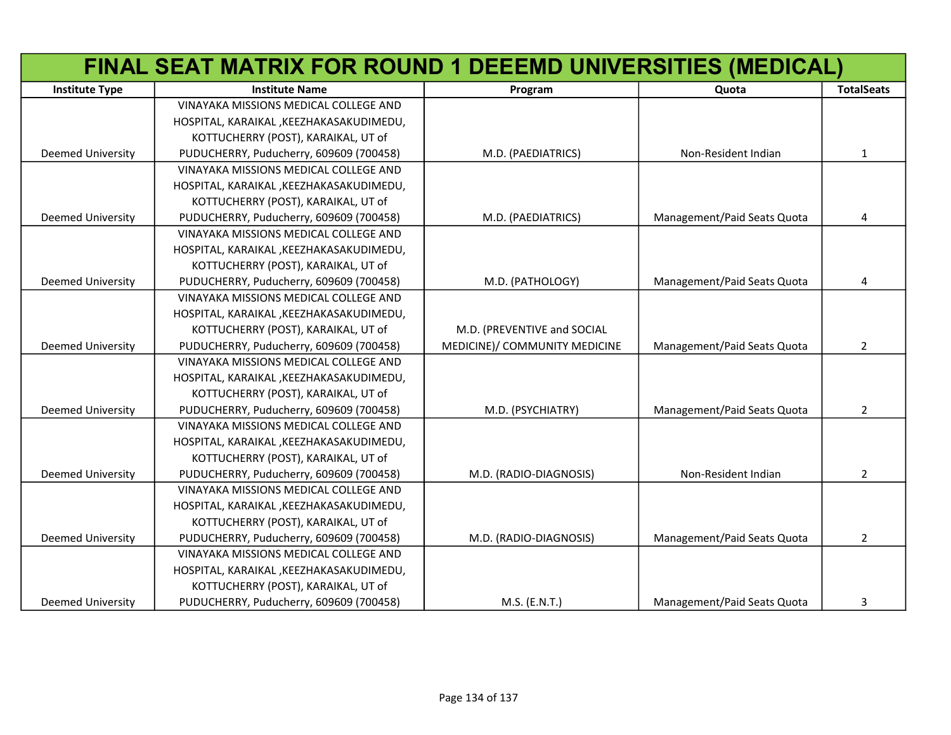|                          | FINAL SEAT MATRIX FOR ROUND 1 DEEEMD UNIVERSITIES (MEDICAL) |                               |                             |                   |
|--------------------------|-------------------------------------------------------------|-------------------------------|-----------------------------|-------------------|
| <b>Institute Type</b>    | <b>Institute Name</b>                                       | Program                       | Quota                       | <b>TotalSeats</b> |
|                          | VINAYAKA MISSIONS MEDICAL COLLEGE AND                       |                               |                             |                   |
|                          | HOSPITAL, KARAIKAL, KEEZHAKASAKUDIMEDU,                     |                               |                             |                   |
|                          | KOTTUCHERRY (POST), KARAIKAL, UT of                         |                               |                             |                   |
| <b>Deemed University</b> | PUDUCHERRY, Puducherry, 609609 (700458)                     | M.D. (PAEDIATRICS)            | Non-Resident Indian         | $\mathbf{1}$      |
|                          | VINAYAKA MISSIONS MEDICAL COLLEGE AND                       |                               |                             |                   |
|                          | HOSPITAL, KARAIKAL, KEEZHAKASAKUDIMEDU,                     |                               |                             |                   |
|                          | KOTTUCHERRY (POST), KARAIKAL, UT of                         |                               |                             |                   |
| <b>Deemed University</b> | PUDUCHERRY, Puducherry, 609609 (700458)                     | M.D. (PAEDIATRICS)            | Management/Paid Seats Quota | 4                 |
|                          | VINAYAKA MISSIONS MEDICAL COLLEGE AND                       |                               |                             |                   |
|                          | HOSPITAL, KARAIKAL, KEEZHAKASAKUDIMEDU,                     |                               |                             |                   |
|                          | KOTTUCHERRY (POST), KARAIKAL, UT of                         |                               |                             |                   |
| <b>Deemed University</b> | PUDUCHERRY, Puducherry, 609609 (700458)                     | M.D. (PATHOLOGY)              | Management/Paid Seats Quota | 4                 |
|                          | VINAYAKA MISSIONS MEDICAL COLLEGE AND                       |                               |                             |                   |
|                          | HOSPITAL, KARAIKAL, KEEZHAKASAKUDIMEDU,                     |                               |                             |                   |
|                          | KOTTUCHERRY (POST), KARAIKAL, UT of                         | M.D. (PREVENTIVE and SOCIAL   |                             |                   |
| <b>Deemed University</b> | PUDUCHERRY, Puducherry, 609609 (700458)                     | MEDICINE)/ COMMUNITY MEDICINE | Management/Paid Seats Quota | $\overline{2}$    |
|                          | VINAYAKA MISSIONS MEDICAL COLLEGE AND                       |                               |                             |                   |
|                          | HOSPITAL, KARAIKAL, KEEZHAKASAKUDIMEDU,                     |                               |                             |                   |
|                          | KOTTUCHERRY (POST), KARAIKAL, UT of                         |                               |                             |                   |
| <b>Deemed University</b> | PUDUCHERRY, Puducherry, 609609 (700458)                     | M.D. (PSYCHIATRY)             | Management/Paid Seats Quota | $\overline{2}$    |
|                          | VINAYAKA MISSIONS MEDICAL COLLEGE AND                       |                               |                             |                   |
|                          | HOSPITAL, KARAIKAL, KEEZHAKASAKUDIMEDU,                     |                               |                             |                   |
|                          | KOTTUCHERRY (POST), KARAIKAL, UT of                         |                               |                             |                   |
| <b>Deemed University</b> | PUDUCHERRY, Puducherry, 609609 (700458)                     | M.D. (RADIO-DIAGNOSIS)        | Non-Resident Indian         | $\overline{2}$    |
|                          | VINAYAKA MISSIONS MEDICAL COLLEGE AND                       |                               |                             |                   |
|                          | HOSPITAL, KARAIKAL, KEEZHAKASAKUDIMEDU,                     |                               |                             |                   |
|                          | KOTTUCHERRY (POST), KARAIKAL, UT of                         |                               |                             |                   |
| <b>Deemed University</b> | PUDUCHERRY, Puducherry, 609609 (700458)                     | M.D. (RADIO-DIAGNOSIS)        | Management/Paid Seats Quota | $\overline{2}$    |
|                          | VINAYAKA MISSIONS MEDICAL COLLEGE AND                       |                               |                             |                   |
|                          | HOSPITAL, KARAIKAL, KEEZHAKASAKUDIMEDU,                     |                               |                             |                   |
|                          | KOTTUCHERRY (POST), KARAIKAL, UT of                         |                               |                             |                   |
| <b>Deemed University</b> | PUDUCHERRY, Puducherry, 609609 (700458)                     | M.S. (E.N.T.)                 | Management/Paid Seats Quota | 3                 |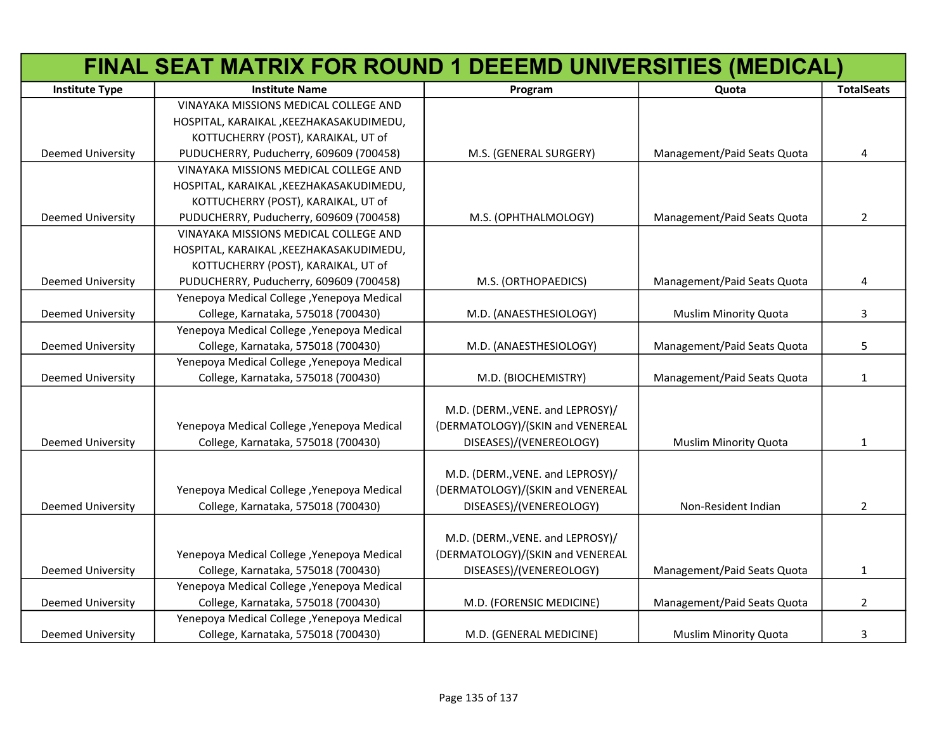| FINAL SEAT MATRIX FOR ROUND 1 DEEEMD UNIVERSITIES (MEDICAL) |                                            |                                  |                              |                   |
|-------------------------------------------------------------|--------------------------------------------|----------------------------------|------------------------------|-------------------|
| <b>Institute Type</b>                                       | <b>Institute Name</b>                      | Program                          | Quota                        | <b>TotalSeats</b> |
|                                                             | VINAYAKA MISSIONS MEDICAL COLLEGE AND      |                                  |                              |                   |
|                                                             | HOSPITAL, KARAIKAL, KEEZHAKASAKUDIMEDU,    |                                  |                              |                   |
|                                                             | KOTTUCHERRY (POST), KARAIKAL, UT of        |                                  |                              |                   |
| <b>Deemed University</b>                                    | PUDUCHERRY, Puducherry, 609609 (700458)    | M.S. (GENERAL SURGERY)           | Management/Paid Seats Quota  | 4                 |
|                                                             | VINAYAKA MISSIONS MEDICAL COLLEGE AND      |                                  |                              |                   |
|                                                             | HOSPITAL, KARAIKAL, KEEZHAKASAKUDIMEDU,    |                                  |                              |                   |
|                                                             | KOTTUCHERRY (POST), KARAIKAL, UT of        |                                  |                              |                   |
| <b>Deemed University</b>                                    | PUDUCHERRY, Puducherry, 609609 (700458)    | M.S. (OPHTHALMOLOGY)             | Management/Paid Seats Quota  | $\overline{2}$    |
|                                                             | VINAYAKA MISSIONS MEDICAL COLLEGE AND      |                                  |                              |                   |
|                                                             | HOSPITAL, KARAIKAL, KEEZHAKASAKUDIMEDU,    |                                  |                              |                   |
|                                                             | KOTTUCHERRY (POST), KARAIKAL, UT of        |                                  |                              |                   |
| <b>Deemed University</b>                                    | PUDUCHERRY, Puducherry, 609609 (700458)    | M.S. (ORTHOPAEDICS)              | Management/Paid Seats Quota  | 4                 |
|                                                             | Yenepoya Medical College, Yenepoya Medical |                                  |                              |                   |
| <b>Deemed University</b>                                    | College, Karnataka, 575018 (700430)        | M.D. (ANAESTHESIOLOGY)           | Muslim Minority Quota        | 3                 |
|                                                             | Yenepoya Medical College, Yenepoya Medical |                                  |                              |                   |
| <b>Deemed University</b>                                    | College, Karnataka, 575018 (700430)        | M.D. (ANAESTHESIOLOGY)           | Management/Paid Seats Quota  | 5                 |
|                                                             | Yenepoya Medical College, Yenepoya Medical |                                  |                              |                   |
| <b>Deemed University</b>                                    | College, Karnataka, 575018 (700430)        | M.D. (BIOCHEMISTRY)              | Management/Paid Seats Quota  | 1                 |
|                                                             |                                            | M.D. (DERM., VENE. and LEPROSY)/ |                              |                   |
|                                                             | Yenepoya Medical College, Yenepoya Medical | (DERMATOLOGY)/(SKIN and VENEREAL |                              |                   |
| <b>Deemed University</b>                                    | College, Karnataka, 575018 (700430)        | DISEASES)/(VENEREOLOGY)          | <b>Muslim Minority Quota</b> | $\mathbf{1}$      |
|                                                             |                                            |                                  |                              |                   |
|                                                             |                                            | M.D. (DERM., VENE. and LEPROSY)/ |                              |                   |
|                                                             | Yenepoya Medical College, Yenepoya Medical | (DERMATOLOGY)/(SKIN and VENEREAL |                              |                   |
| <b>Deemed University</b>                                    | College, Karnataka, 575018 (700430)        | DISEASES)/(VENEREOLOGY)          | Non-Resident Indian          | $\overline{2}$    |
|                                                             |                                            |                                  |                              |                   |
|                                                             |                                            | M.D. (DERM., VENE. and LEPROSY)/ |                              |                   |
|                                                             | Yenepoya Medical College, Yenepoya Medical | (DERMATOLOGY)/(SKIN and VENEREAL |                              |                   |
| Deemed University                                           | College, Karnataka, 575018 (700430)        | DISEASES)/(VENEREOLOGY)          | Management/Paid Seats Quota  | $\mathbf{1}$      |
|                                                             | Yenepoya Medical College, Yenepoya Medical |                                  |                              |                   |
| Deemed University                                           | College, Karnataka, 575018 (700430)        | M.D. (FORENSIC MEDICINE)         | Management/Paid Seats Quota  | $\overline{2}$    |
|                                                             | Yenepoya Medical College, Yenepoya Medical |                                  |                              |                   |
| <b>Deemed University</b>                                    | College, Karnataka, 575018 (700430)        | M.D. (GENERAL MEDICINE)          | <b>Muslim Minority Quota</b> | 3                 |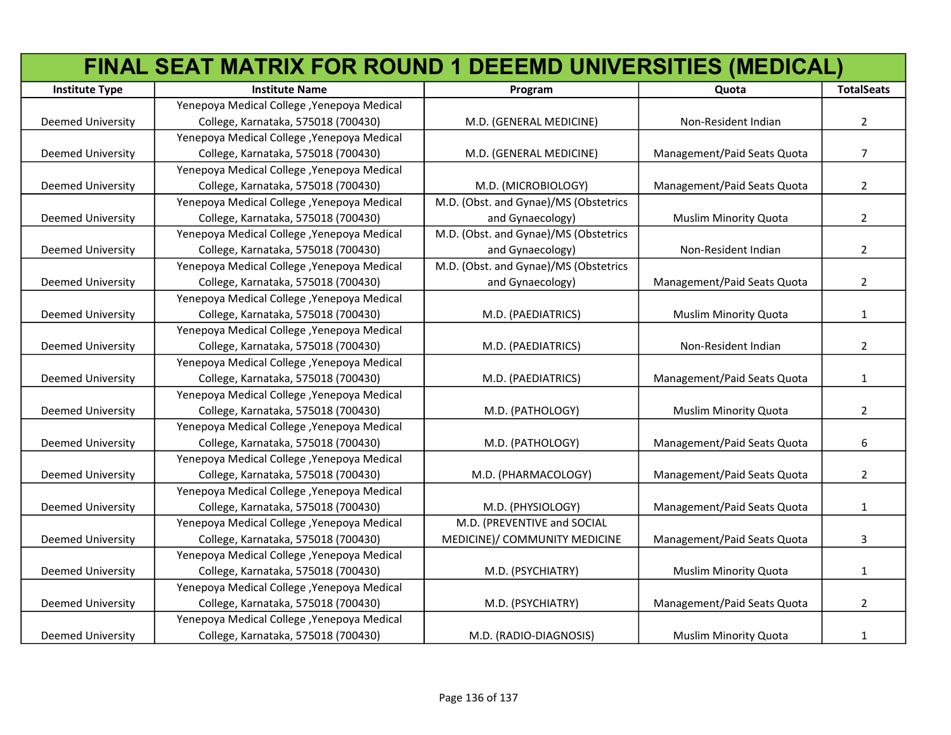|                          | FINAL SEAT MATRIX FOR ROUND 1 DEEEMD UNIVERSITIES (MEDICAL) |                                       |                              |                   |
|--------------------------|-------------------------------------------------------------|---------------------------------------|------------------------------|-------------------|
| <b>Institute Type</b>    | <b>Institute Name</b>                                       | Program                               | Quota                        | <b>TotalSeats</b> |
|                          | Yenepoya Medical College, Yenepoya Medical                  |                                       |                              |                   |
| Deemed University        | College, Karnataka, 575018 (700430)                         | M.D. (GENERAL MEDICINE)               | Non-Resident Indian          | $\overline{2}$    |
|                          | Yenepoya Medical College, Yenepoya Medical                  |                                       |                              |                   |
| Deemed University        | College, Karnataka, 575018 (700430)                         | M.D. (GENERAL MEDICINE)               | Management/Paid Seats Quota  | $\overline{7}$    |
|                          | Yenepoya Medical College, Yenepoya Medical                  |                                       |                              |                   |
| <b>Deemed University</b> | College, Karnataka, 575018 (700430)                         | M.D. (MICROBIOLOGY)                   | Management/Paid Seats Quota  | $\overline{2}$    |
|                          | Yenepoya Medical College, Yenepoya Medical                  | M.D. (Obst. and Gynae)/MS (Obstetrics |                              |                   |
| <b>Deemed University</b> | College, Karnataka, 575018 (700430)                         | and Gynaecology)                      | <b>Muslim Minority Quota</b> | $\overline{2}$    |
|                          | Yenepoya Medical College, Yenepoya Medical                  | M.D. (Obst. and Gynae)/MS (Obstetrics |                              |                   |
| Deemed University        | College, Karnataka, 575018 (700430)                         | and Gynaecology)                      | Non-Resident Indian          | $\overline{2}$    |
|                          | Yenepoya Medical College, Yenepoya Medical                  | M.D. (Obst. and Gynae)/MS (Obstetrics |                              |                   |
| Deemed University        | College, Karnataka, 575018 (700430)                         | and Gynaecology)                      | Management/Paid Seats Quota  | $\overline{2}$    |
|                          | Yenepoya Medical College, Yenepoya Medical                  |                                       |                              |                   |
| <b>Deemed University</b> | College, Karnataka, 575018 (700430)                         | M.D. (PAEDIATRICS)                    | <b>Muslim Minority Quota</b> | $\mathbf{1}$      |
|                          | Yenepoya Medical College, Yenepoya Medical                  |                                       |                              |                   |
| <b>Deemed University</b> | College, Karnataka, 575018 (700430)                         | M.D. (PAEDIATRICS)                    | Non-Resident Indian          | $\overline{2}$    |
|                          | Yenepoya Medical College, Yenepoya Medical                  |                                       |                              |                   |
| Deemed University        | College, Karnataka, 575018 (700430)                         | M.D. (PAEDIATRICS)                    | Management/Paid Seats Quota  | 1                 |
|                          | Yenepoya Medical College, Yenepoya Medical                  |                                       |                              |                   |
| <b>Deemed University</b> | College, Karnataka, 575018 (700430)                         | M.D. (PATHOLOGY)                      | <b>Muslim Minority Quota</b> | $\overline{2}$    |
|                          | Yenepoya Medical College, Yenepoya Medical                  |                                       |                              |                   |
| <b>Deemed University</b> | College, Karnataka, 575018 (700430)                         | M.D. (PATHOLOGY)                      | Management/Paid Seats Quota  | 6                 |
|                          | Yenepoya Medical College, Yenepoya Medical                  |                                       |                              |                   |
| <b>Deemed University</b> | College, Karnataka, 575018 (700430)                         | M.D. (PHARMACOLOGY)                   | Management/Paid Seats Quota  | $\overline{2}$    |
|                          | Yenepoya Medical College, Yenepoya Medical                  |                                       |                              |                   |
| Deemed University        | College, Karnataka, 575018 (700430)                         | M.D. (PHYSIOLOGY)                     | Management/Paid Seats Quota  | $\mathbf{1}$      |
|                          | Yenepoya Medical College, Yenepoya Medical                  | M.D. (PREVENTIVE and SOCIAL           |                              |                   |
| <b>Deemed University</b> | College, Karnataka, 575018 (700430)                         | MEDICINE)/ COMMUNITY MEDICINE         | Management/Paid Seats Quota  | 3                 |
|                          | Yenepoya Medical College, Yenepoya Medical                  |                                       |                              |                   |
| <b>Deemed University</b> | College, Karnataka, 575018 (700430)                         | M.D. (PSYCHIATRY)                     | <b>Muslim Minority Quota</b> | $\mathbf{1}$      |
|                          | Yenepoya Medical College, Yenepoya Medical                  |                                       |                              |                   |
| Deemed University        | College, Karnataka, 575018 (700430)                         | M.D. (PSYCHIATRY)                     | Management/Paid Seats Quota  | $\overline{2}$    |
|                          | Yenepoya Medical College, Yenepoya Medical                  |                                       |                              |                   |
| <b>Deemed University</b> | College, Karnataka, 575018 (700430)                         | M.D. (RADIO-DIAGNOSIS)                | <b>Muslim Minority Quota</b> | $\mathbf{1}$      |